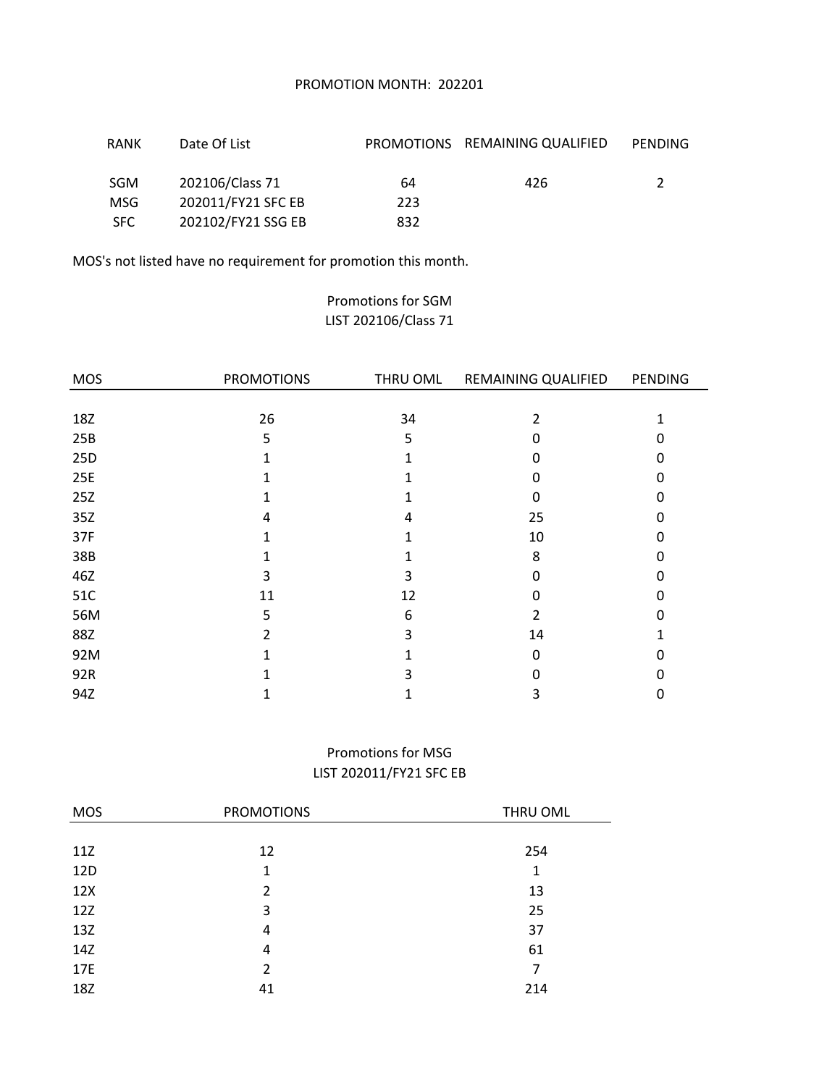### PROMOTION MONTH: 202201

| <b>RANK</b> | Date Of List       |     | PROMOTIONS REMAINING QUALIFIED | PENDING |
|-------------|--------------------|-----|--------------------------------|---------|
| <b>SGM</b>  | 202106/Class 71    | 64  | 426                            |         |
| <b>MSG</b>  | 202011/FY21 SFC EB | 223 |                                |         |
| SFC.        | 202102/FY21 SSG EB | 832 |                                |         |

MOS's not listed have no requirement for promotion this month.

## Promotions for SGM LIST 202106/Class 71

| <b>MOS</b> | <b>PROMOTIONS</b> | THRU OML | REMAINING QUALIFIED | PENDING  |
|------------|-------------------|----------|---------------------|----------|
|            |                   |          |                     |          |
| 18Z        | 26                | 34       | 2                   |          |
| 25B        | 5                 | 5        | ი                   | U        |
| 25D        |                   |          | 0                   | ŋ        |
| 25E        |                   |          | 0                   | U        |
| 25Z        |                   |          | 0                   |          |
| 35Z        | 4                 | 4        | 25                  | U        |
| 37F        |                   |          | 10                  | $\Omega$ |
| 38B        |                   |          | 8                   | ŋ        |
| 46Z        | 3                 | 3        | 0                   | U        |
| 51C        | 11                | 12       | ი                   |          |
| 56M        | 5                 | 6        | 2                   |          |
| 88Z        | 2                 | 3        | 14                  |          |
| 92M        |                   |          | 0                   | n        |
| 92R        |                   | 3        | ი                   |          |
| 94Z        |                   |          | 3                   | 0        |

## Promotions for MSG LIST 202011/FY21 SFC EB

| <b>MOS</b> | <b>PROMOTIONS</b> | THRU OML |
|------------|-------------------|----------|
|            |                   |          |
| 11Z        | 12                | 254      |
| 12D        | 1                 | 1        |
| 12X        | $\mathcal{P}$     | 13       |
| 12Z        | 3                 | 25       |
| 13Z        | 4                 | 37       |
| 14Z        | 4                 | 61       |
| 17E        | 2                 | 7        |
| 18Z        | 41                | 214      |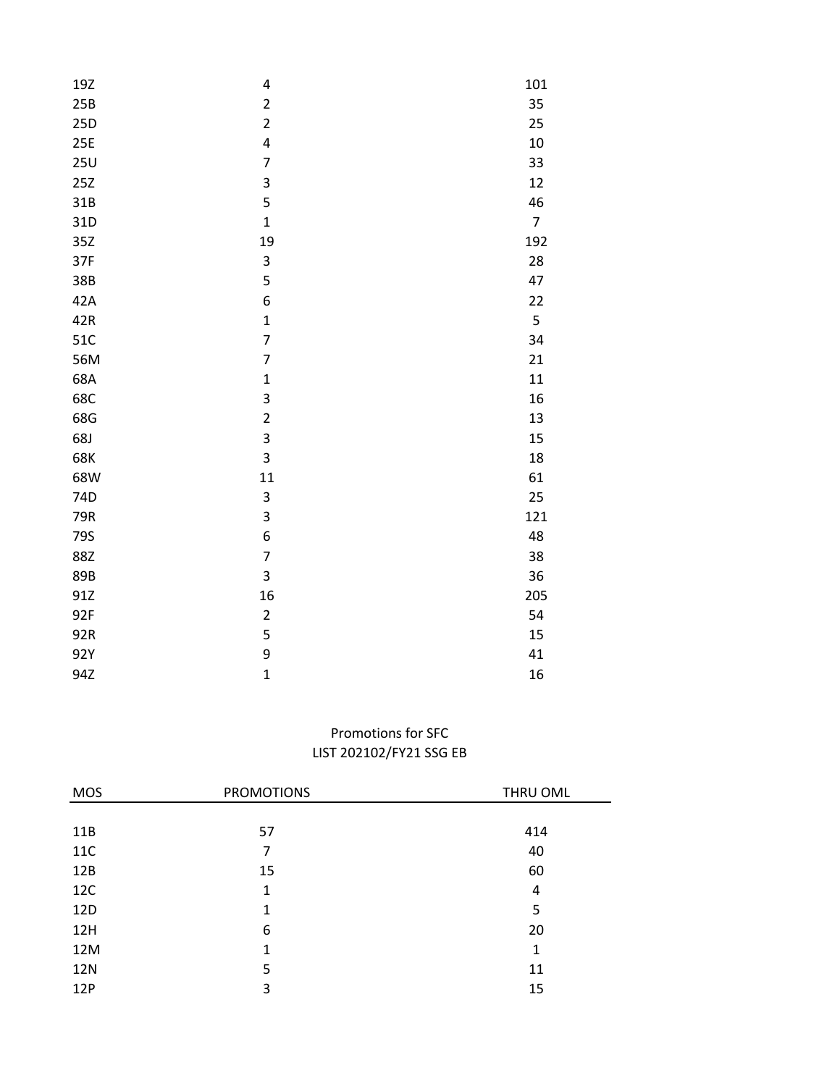|                         | 101                                                                                                                                                                                                                                                     |
|-------------------------|---------------------------------------------------------------------------------------------------------------------------------------------------------------------------------------------------------------------------------------------------------|
|                         | 35                                                                                                                                                                                                                                                      |
|                         | 25                                                                                                                                                                                                                                                      |
|                         | 10                                                                                                                                                                                                                                                      |
|                         | 33                                                                                                                                                                                                                                                      |
|                         | 12                                                                                                                                                                                                                                                      |
|                         |                                                                                                                                                                                                                                                         |
|                         | 46                                                                                                                                                                                                                                                      |
|                         | $\overline{7}$                                                                                                                                                                                                                                          |
|                         | 192                                                                                                                                                                                                                                                     |
|                         | 28                                                                                                                                                                                                                                                      |
|                         | 47                                                                                                                                                                                                                                                      |
|                         | 22                                                                                                                                                                                                                                                      |
|                         | 5                                                                                                                                                                                                                                                       |
|                         | 34                                                                                                                                                                                                                                                      |
|                         | 21                                                                                                                                                                                                                                                      |
| $\mathbf{1}$            | 11                                                                                                                                                                                                                                                      |
| 3                       | 16                                                                                                                                                                                                                                                      |
| $\overline{\mathbf{c}}$ | 13                                                                                                                                                                                                                                                      |
| 3                       | 15                                                                                                                                                                                                                                                      |
| 3                       | 18                                                                                                                                                                                                                                                      |
| 11                      | 61                                                                                                                                                                                                                                                      |
| 3                       | 25                                                                                                                                                                                                                                                      |
| 3                       | 121                                                                                                                                                                                                                                                     |
| 6                       | 48                                                                                                                                                                                                                                                      |
| $\overline{7}$          | 38                                                                                                                                                                                                                                                      |
|                         | 36                                                                                                                                                                                                                                                      |
|                         | 205                                                                                                                                                                                                                                                     |
|                         | 54                                                                                                                                                                                                                                                      |
|                         | 15                                                                                                                                                                                                                                                      |
|                         | 41                                                                                                                                                                                                                                                      |
| $\mathbf{1}$            | 16                                                                                                                                                                                                                                                      |
|                         | 4<br>$\overline{\mathbf{c}}$<br>$\overline{\mathbf{c}}$<br>$\overline{\mathbf{r}}$<br>$\overline{7}$<br>3<br>5<br>$\mathbf{1}$<br>19<br>3<br>5<br>6<br>$\mathbf{1}$<br>$\overline{7}$<br>$\overline{7}$<br>3<br>16<br>$\overline{\mathbf{c}}$<br>5<br>9 |

# LIST 202102/FY21 SSG EB Promotions for SFC

÷,

| <b>MOS</b> | <b>PROMOTIONS</b> | THRU OML |
|------------|-------------------|----------|
|            |                   |          |
| 11B        | 57                | 414      |
| <b>11C</b> | 7                 | 40       |
| 12B        | 15                | 60       |
| <b>12C</b> | 1                 | 4        |
| 12D        | 1                 | 5        |
| 12H        | 6                 | 20       |
| 12M        | 1                 | 1        |
| <b>12N</b> | 5                 | 11       |
| 12P        | 3                 | 15       |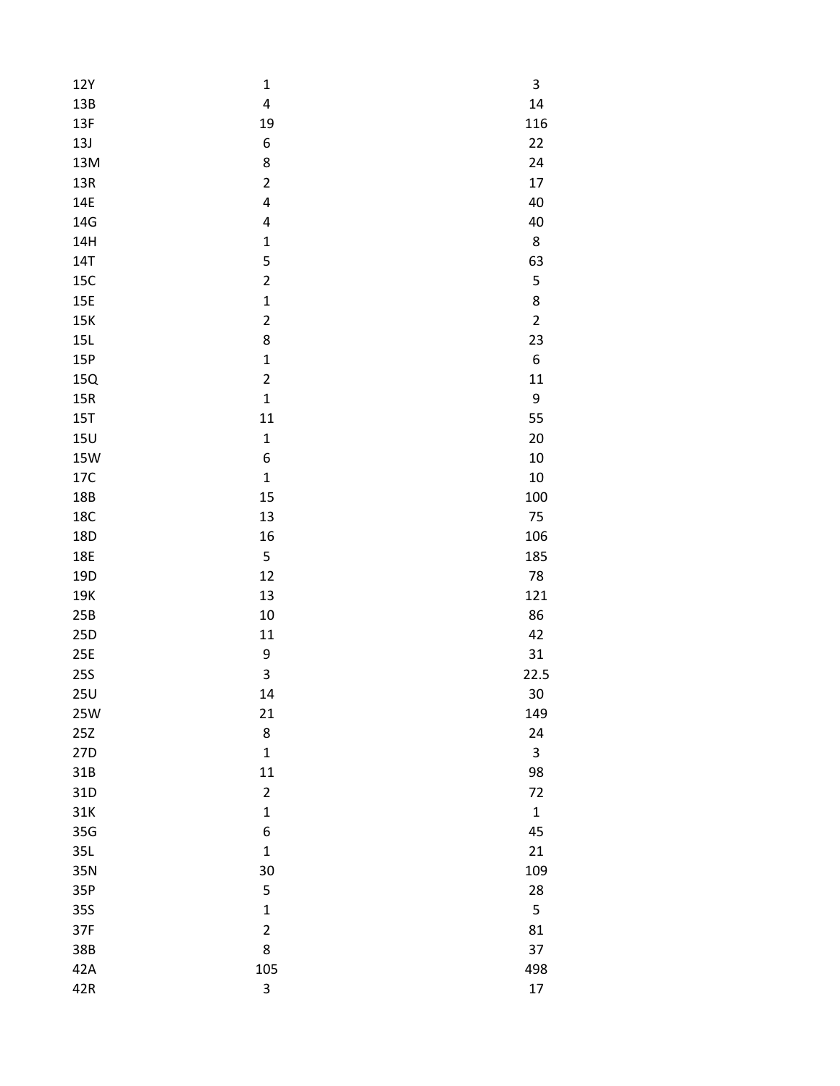| 12Y             | $\mathbf 1$             | 3           |
|-----------------|-------------------------|-------------|
| 13B             | $\overline{\mathbf{4}}$ | 14          |
| 13F             | 19                      | 116         |
| 13J             | 6                       | 22          |
| 13M             | 8                       | 24          |
| 13R             | $\overline{c}$          | 17          |
| 14E             | 4                       | 40          |
| 14G             | 4                       | 40          |
| 14H             | $\mathbf{1}$            | $\bf 8$     |
| <b>14T</b>      | 5                       | 63          |
| 15C             | $\overline{c}$          | 5           |
| <b>15E</b>      | $\mathbf{1}$            | 8           |
| 15K             | $\overline{\mathbf{c}}$ | $\mathbf 2$ |
| 15L             | 8                       | 23          |
| 15P             | $\mathbf{1}$            | 6           |
| 15Q             | $\overline{\mathbf{c}}$ | 11          |
| 15R             | $\mathbf{1}$            | 9           |
| 15T             | 11                      | 55          |
| 15U             | $\mathbf 1$             | 20          |
| <b>15W</b>      | 6                       | 10          |
| 17C             | $\mathbf{1}$            | 10          |
| 18B             | 15                      | 100         |
| <b>18C</b>      | 13                      | 75          |
| 18D             | 16                      | 106         |
| <b>18E</b>      | 5                       | 185         |
| 19D             | 12                      | 78          |
| 19K             | 13                      | 121         |
| 25B             | 10                      | 86          |
| 25D             | $11\,$                  | 42          |
| 25E             | 9                       | 31          |
| <b>25S</b>      | 3                       | 22.5        |
| 25U             | 14                      | 30          |
| <b>25W</b>      | 21                      | 149         |
| 25Z             | 8                       | 24          |
| 27 <sub>D</sub> | $\mathbf 1$             | 3           |
| 31B             | 11                      | 98          |
| 31D             | $\overline{\mathbf{c}}$ | 72          |
| 31K             | $\mathbf{1}$            | $\mathbf 1$ |
| 35G             | 6                       | 45          |
| 35L             | $\mathbf{1}$            | 21          |
| 35N             | 30                      | 109         |
| 35P             | 5                       | 28          |
| 35S             | $\mathbf{1}$            | 5           |
| 37F             | $\overline{c}$          | 81          |
| 38B             | 8                       | 37          |
| 42A             | 105                     | 498         |
| 42R             | 3                       | 17          |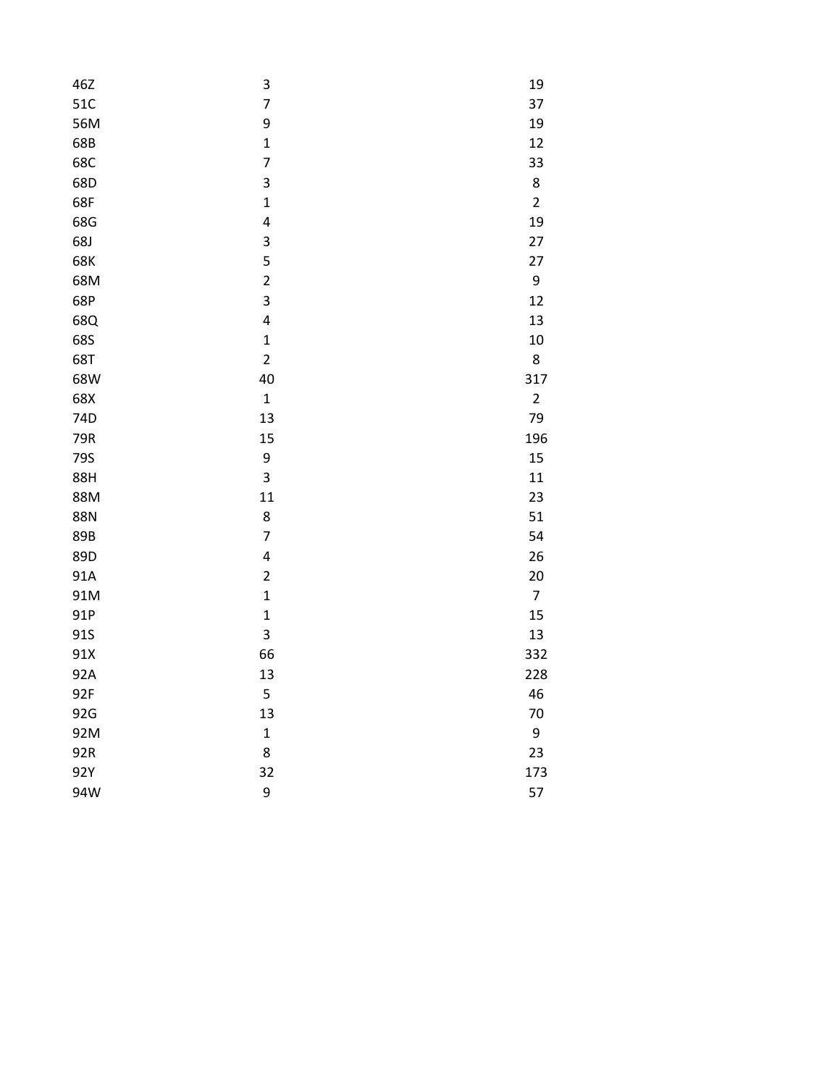| 46Z | 3                       | 19             |
|-----|-------------------------|----------------|
| 51C | $\overline{7}$          | 37             |
| 56M | 9                       | 19             |
| 68B | $\mathbf{1}$            | 12             |
| 68C | $\overline{7}$          | 33             |
| 68D | 3                       | 8              |
| 68F | $\mathbf{1}$            | $\overline{2}$ |
| 68G | 4                       | 19             |
| 68J | 3                       | 27             |
| 68K | 5                       | 27             |
| 68M | $\overline{c}$          | 9              |
| 68P | 3                       | 12             |
| 68Q | 4                       | 13             |
| 68S | $\mathbf{1}$            | 10             |
| 68T | $\overline{c}$          | 8              |
| 68W | 40                      | 317            |
| 68X | $\mathbf{1}$            | $\overline{2}$ |
| 74D | 13                      | 79             |
| 79R | 15                      | 196            |
| 79S | 9                       | 15             |
| 88H | 3                       | 11             |
| 88M | 11                      | 23             |
| 88N | 8                       | 51             |
| 89B | $\overline{7}$          | 54             |
| 89D | 4                       | 26             |
| 91A | $\overline{\mathbf{c}}$ | 20             |
| 91M | $\mathbf{1}$            | $\overline{7}$ |
| 91P | $\mathbf{1}$            | 15             |
| 91S | 3                       | 13             |
| 91X | 66                      | 332            |
| 92A | 13                      | 228            |
| 92F | 5                       | 46             |
| 92G | 13                      | 70             |
| 92M | $\mathbf 1$             | 9              |
| 92R | 8                       | 23             |
| 92Y | 32                      | 173            |
| 94W | 9                       | 57             |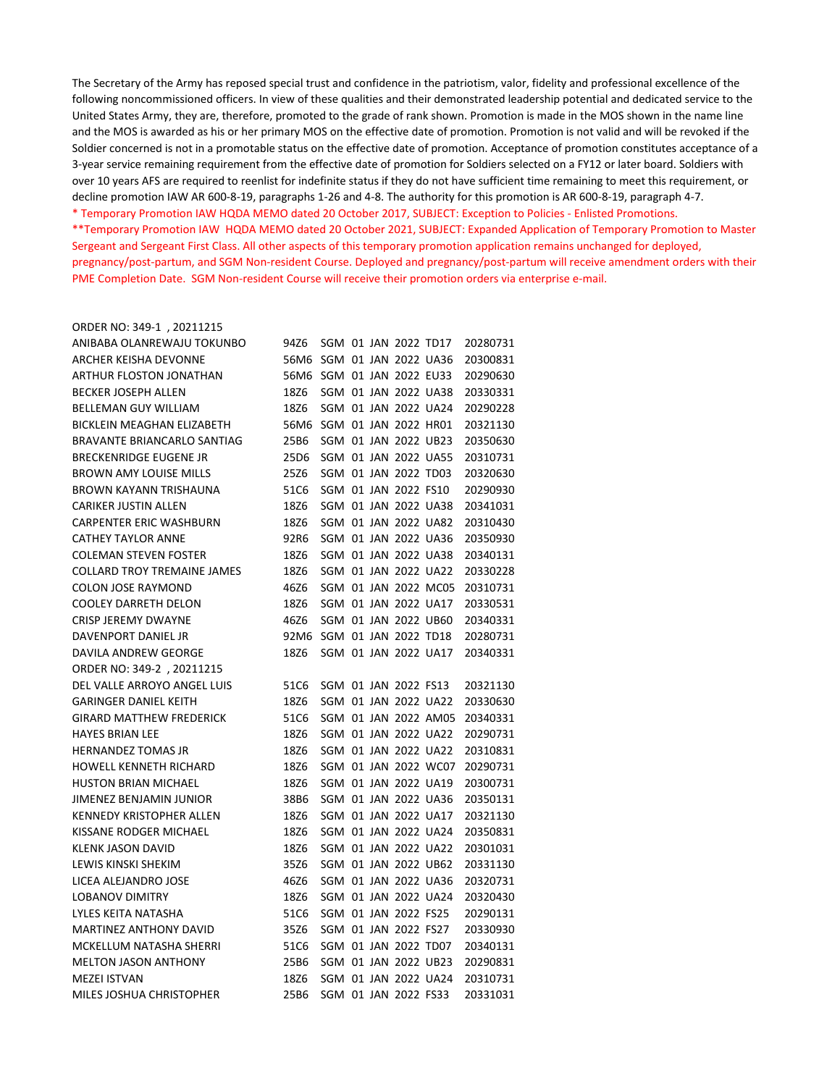The Secretary of the Army has reposed special trust and confidence in the patriotism, valor, fidelity and professional excellence of the following noncommissioned officers. In view of these qualities and their demonstrated leadership potential and dedicated service to the United States Army, they are, therefore, promoted to the grade of rank shown. Promotion is made in the MOS shown in the name line and the MOS is awarded as his or her primary MOS on the effective date of promotion. Promotion is not valid and will be revoked if the Soldier concerned is not in a promotable status on the effective date of promotion. Acceptance of promotion constitutes acceptance of a 3-year service remaining requirement from the effective date of promotion for Soldiers selected on a FY12 or later board. Soldiers with over 10 years AFS are required to reenlist for indefinite status if they do not have sufficient time remaining to meet this requirement, or decline promotion IAW AR 600-8-19, paragraphs 1-26 and 4-8. The authority for this promotion is AR 600-8-19, paragraph 4-7.

\* Temporary Promotion IAW HQDA MEMO dated 20 October 2017, SUBJECT: Exception to Policies - Enlisted Promotions.

\*\*Temporary Promotion IAW HQDA MEMO dated 20 October 2021, SUBJECT: Expanded Application of Temporary Promotion to Master Sergeant and Sergeant First Class. All other aspects of this temporary promotion application remains unchanged for deployed, pregnancy/post-partum, and SGM Non-resident Course. Deployed and pregnancy/post-partum will receive amendment orders with their PME Completion Date. SGM Non-resident Course will receive their promotion orders via enterprise e-mail.

#### ORDER NO: 349-1 , 20211215

| ANIBABA OLANREWAJU TOKUNBO         | 94Z6                      |                      |  | SGM 01 JAN 2022 TD17 |                      | 20280731 |
|------------------------------------|---------------------------|----------------------|--|----------------------|----------------------|----------|
| ARCHER KEISHA DEVONNE              | 56M6                      |                      |  |                      | SGM 01 JAN 2022 UA36 | 20300831 |
| ARTHUR FLOSTON JONATHAN            | 56M6                      | SGM 01 JAN 2022 EU33 |  |                      |                      | 20290630 |
| <b>BECKER JOSEPH ALLEN</b>         | 18Z6                      |                      |  |                      | SGM 01 JAN 2022 UA38 | 20330331 |
| <b>BELLEMAN GUY WILLIAM</b>        | 18Z6                      |                      |  |                      | SGM 01 JAN 2022 UA24 | 20290228 |
| <b>BICKLEIN MEAGHAN ELIZABETH</b>  | 56M6 SGM 01 JAN 2022 HR01 |                      |  |                      |                      | 20321130 |
| <b>BRAVANTE BRIANCARLO SANTIAG</b> | 25B6                      |                      |  |                      | SGM 01 JAN 2022 UB23 | 20350630 |
| <b>BRECKENRIDGE EUGENE JR</b>      | 25D6                      |                      |  |                      | SGM 01 JAN 2022 UA55 | 20310731 |
| <b>BROWN AMY LOUISE MILLS</b>      | 25Z6                      |                      |  | SGM 01 JAN 2022 TD03 |                      | 20320630 |
| <b>BROWN KAYANN TRISHAUNA</b>      | 51C6                      |                      |  | SGM 01 JAN 2022 FS10 |                      | 20290930 |
| CARIKER JUSTIN ALLEN               | 18Z6                      |                      |  |                      | SGM 01 JAN 2022 UA38 | 20341031 |
| <b>CARPENTER ERIC WASHBURN</b>     | 18Z6                      |                      |  |                      | SGM 01 JAN 2022 UA82 | 20310430 |
| <b>CATHEY TAYLOR ANNE</b>          | 92R6                      |                      |  |                      | SGM 01 JAN 2022 UA36 | 20350930 |
| <b>COLEMAN STEVEN FOSTER</b>       | 18Z6                      |                      |  |                      | SGM 01 JAN 2022 UA38 | 20340131 |
| <b>COLLARD TROY TREMAINE JAMES</b> | 18Z6                      |                      |  |                      | SGM 01 JAN 2022 UA22 | 20330228 |
| <b>COLON JOSE RAYMOND</b>          | 46Z6                      |                      |  |                      | SGM 01 JAN 2022 MC05 | 20310731 |
| <b>COOLEY DARRETH DELON</b>        | 18Z6                      |                      |  |                      | SGM 01 JAN 2022 UA17 | 20330531 |
| <b>CRISP JEREMY DWAYNE</b>         | 46Z6                      |                      |  |                      | SGM 01 JAN 2022 UB60 | 20340331 |
| DAVENPORT DANIEL JR                | 92M6 SGM 01 JAN 2022 TD18 |                      |  |                      |                      | 20280731 |
| DAVILA ANDREW GEORGE               | 18Z6                      |                      |  |                      | SGM 01 JAN 2022 UA17 | 20340331 |
| ORDER NO: 349-2, 20211215          |                           |                      |  |                      |                      |          |
| DEL VALLE ARROYO ANGEL LUIS        | 51C6                      |                      |  | SGM 01 JAN 2022 FS13 |                      | 20321130 |
| <b>GARINGER DANIEL KEITH</b>       | 18Z6                      |                      |  |                      | SGM 01 JAN 2022 UA22 | 20330630 |
| <b>GIRARD MATTHEW FREDERICK</b>    | 51C6                      |                      |  |                      | SGM 01 JAN 2022 AM05 | 20340331 |
| <b>HAYES BRIAN LEE</b>             | 18Z6                      |                      |  |                      | SGM 01 JAN 2022 UA22 | 20290731 |
| <b>HERNANDEZ TOMAS JR</b>          | 18Z6                      |                      |  |                      | SGM 01 JAN 2022 UA22 | 20310831 |
| <b>HOWELL KENNETH RICHARD</b>      | 18Z6                      |                      |  |                      | SGM 01 JAN 2022 WC07 | 20290731 |
| <b>HUSTON BRIAN MICHAEL</b>        | 18Z6                      |                      |  |                      | SGM 01 JAN 2022 UA19 | 20300731 |
| JIMENEZ BENJAMIN JUNIOR            | 38B6                      |                      |  |                      | SGM 01 JAN 2022 UA36 | 20350131 |
| <b>KENNEDY KRISTOPHER ALLEN</b>    | 18Z6                      |                      |  |                      | SGM 01 JAN 2022 UA17 | 20321130 |
| KISSANE RODGER MICHAEL             | 18Z6                      |                      |  |                      | SGM 01 JAN 2022 UA24 | 20350831 |
| <b>KLENK JASON DAVID</b>           | 18Z6                      |                      |  |                      | SGM 01 JAN 2022 UA22 | 20301031 |
| LEWIS KINSKI SHEKIM                | 35Z6                      |                      |  |                      | SGM 01 JAN 2022 UB62 | 20331130 |
| LICEA ALEJANDRO JOSE               | 46Z6                      |                      |  |                      | SGM 01 JAN 2022 UA36 | 20320731 |
| <b>LOBANOV DIMITRY</b>             | 18Z6                      |                      |  |                      | SGM 01 JAN 2022 UA24 | 20320430 |
| LYLES KEITA NATASHA                | 51C6                      |                      |  | SGM 01 JAN 2022 FS25 |                      | 20290131 |
| <b>MARTINEZ ANTHONY DAVID</b>      | 35Z6                      |                      |  | SGM 01 JAN 2022 FS27 |                      | 20330930 |
| MCKELLUM NATASHA SHERRI            | 51C6                      |                      |  | SGM 01 JAN 2022 TD07 |                      | 20340131 |
| MELTON JASON ANTHONY               | 25B6                      |                      |  |                      | SGM 01 JAN 2022 UB23 | 20290831 |
| MEZEI ISTVAN                       | 18Z6                      |                      |  |                      | SGM 01 JAN 2022 UA24 | 20310731 |
| MILES JOSHUA CHRISTOPHER           | 25B6                      |                      |  | SGM 01 JAN 2022 FS33 |                      | 20331031 |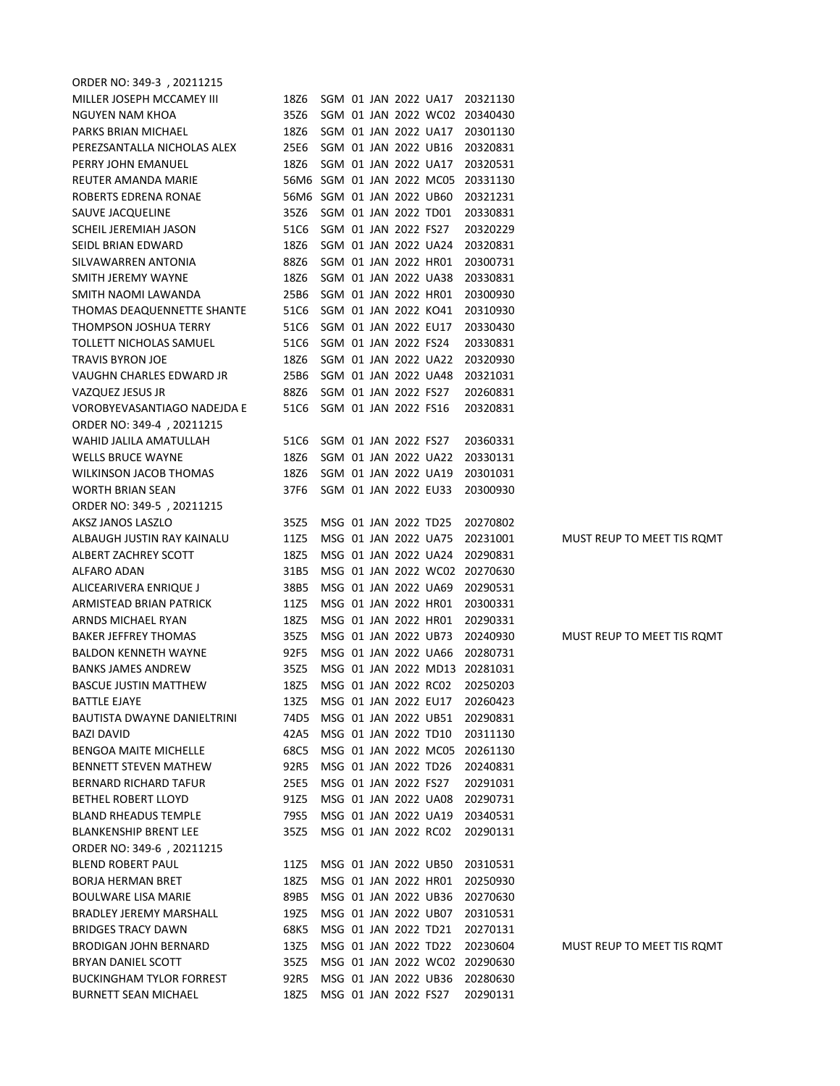| ORDER NO: 349-3, 20211215       |                           |                      |  |                      |                      |                                    |                            |
|---------------------------------|---------------------------|----------------------|--|----------------------|----------------------|------------------------------------|----------------------------|
| MILLER JOSEPH MCCAMEY III       | 18Z6                      |                      |  |                      |                      | SGM 01 JAN 2022 UA17 20321130      |                            |
| NGUYEN NAM KHOA                 | 35Z6                      |                      |  |                      |                      | SGM 01 JAN 2022 WC02 20340430      |                            |
| PARKS BRIAN MICHAEL             | 18Z6                      |                      |  |                      |                      | SGM 01 JAN 2022 UA17 20301130      |                            |
| PEREZSANTALLA NICHOLAS ALEX     | 25E6                      | SGM 01 JAN 2022 UB16 |  |                      |                      | 20320831                           |                            |
| PERRY JOHN EMANUEL              | 18Z6                      |                      |  |                      | SGM 01 JAN 2022 UA17 | 20320531                           |                            |
| REUTER AMANDA MARIE             |                           |                      |  |                      |                      | 56M6 SGM 01 JAN 2022 MC05 20331130 |                            |
| ROBERTS EDRENA RONAE            | 56M6 SGM 01 JAN 2022 UB60 |                      |  |                      |                      | 20321231                           |                            |
| SAUVE JACQUELINE                | 35Z6                      | SGM 01 JAN 2022 TD01 |  |                      |                      | 20330831                           |                            |
| SCHEIL JEREMIAH JASON           | 51C6                      | SGM 01 JAN 2022 FS27 |  |                      |                      | 20320229                           |                            |
| SEIDL BRIAN EDWARD              | 18Z6                      |                      |  |                      | SGM 01 JAN 2022 UA24 | 20320831                           |                            |
| SILVAWARREN ANTONIA             | 88Z6                      |                      |  |                      | SGM 01 JAN 2022 HR01 | 20300731                           |                            |
| SMITH JEREMY WAYNE              | 18Z6                      |                      |  |                      | SGM 01 JAN 2022 UA38 | 20330831                           |                            |
| SMITH NAOMI LAWANDA             | 25B6                      | SGM 01 JAN 2022 HR01 |  |                      |                      | 20300930                           |                            |
| THOMAS DEAQUENNETTE SHANTE      | 51C6                      | SGM 01 JAN 2022 KO41 |  |                      |                      | 20310930                           |                            |
| THOMPSON JOSHUA TERRY           | 51C6                      | SGM 01 JAN 2022 EU17 |  |                      |                      | 20330430                           |                            |
| TOLLETT NICHOLAS SAMUEL         | 51C6                      | SGM 01 JAN 2022 FS24 |  |                      |                      | 20330831                           |                            |
| <b>TRAVIS BYRON JOE</b>         | 18Z6                      |                      |  |                      | SGM 01 JAN 2022 UA22 | 20320930                           |                            |
| VAUGHN CHARLES EDWARD JR        | 25B6                      |                      |  |                      | SGM 01 JAN 2022 UA48 | 20321031                           |                            |
| VAZQUEZ JESUS JR                | 88Z6                      |                      |  | SGM 01 JAN 2022 FS27 |                      | 20260831                           |                            |
| VOROBYEVASANTIAGO NADEJDA E     | 51C6 SGM 01 JAN 2022 FS16 |                      |  |                      |                      | 20320831                           |                            |
| ORDER NO: 349-4, 20211215       |                           |                      |  |                      |                      |                                    |                            |
| WAHID JALILA AMATULLAH          | 51C6                      | SGM 01 JAN 2022 FS27 |  |                      |                      | 20360331                           |                            |
| <b>WELLS BRUCE WAYNE</b>        | 18Z6                      |                      |  |                      | SGM 01 JAN 2022 UA22 | 20330131                           |                            |
| <b>WILKINSON JACOB THOMAS</b>   | 18Z6                      |                      |  |                      | SGM 01 JAN 2022 UA19 | 20301031                           |                            |
| <b>WORTH BRIAN SEAN</b>         | 37F6                      | SGM 01 JAN 2022 EU33 |  |                      |                      | 20300930                           |                            |
| ORDER NO: 349-5, 20211215       |                           |                      |  |                      |                      |                                    |                            |
| AKSZ JANOS LASZLO               | 35Z5                      |                      |  | MSG 01 JAN 2022 TD25 |                      | 20270802                           |                            |
| ALBAUGH JUSTIN RAY KAINALU      | 11Z5                      |                      |  |                      | MSG 01 JAN 2022 UA75 | 20231001                           | MUST REUP TO MEET TIS ROMT |
| ALBERT ZACHREY SCOTT            | 18Z5                      |                      |  |                      | MSG 01 JAN 2022 UA24 | 20290831                           |                            |
| ALFARO ADAN                     | 31B5                      |                      |  |                      |                      | MSG 01 JAN 2022 WC02 20270630      |                            |
| ALICEARIVERA ENRIQUE J          | 38B5                      |                      |  |                      | MSG 01 JAN 2022 UA69 | 20290531                           |                            |
| ARMISTEAD BRIAN PATRICK         | 11Z5                      | MSG 01 JAN 2022 HR01 |  |                      |                      | 20300331                           |                            |
| ARNDS MICHAEL RYAN              | 18Z5                      |                      |  |                      | MSG 01 JAN 2022 HR01 | 20290331                           |                            |
| <b>BAKER JEFFREY THOMAS</b>     | 35Z5                      |                      |  |                      | MSG 01 JAN 2022 UB73 | 20240930                           | MUST REUP TO MEET TIS ROMT |
| <b>BALDON KENNETH WAYNE</b>     | 92F5                      |                      |  |                      |                      | MSG 01 JAN 2022 UA66 20280731      |                            |
| <b>BANKS JAMES ANDREW</b>       | 35Z5                      |                      |  |                      |                      | MSG 01 JAN 2022 MD13 20281031      |                            |
| BASCUE JUSTIN MATTHEW           |                           |                      |  |                      |                      | 18Z5 MSG 01 JAN 2022 RC02 20250203 |                            |
| BATTLE EJAYE                    |                           |                      |  |                      |                      | 13Z5 MSG 01 JAN 2022 EU17 20260423 |                            |
| BAUTISTA DWAYNE DANIELTRINI     | 74D5                      |                      |  |                      |                      | MSG 01 JAN 2022 UB51 20290831      |                            |
| <b>BAZI DAVID</b>               | 42A5                      | MSG 01 JAN 2022 TD10 |  |                      |                      | 20311130                           |                            |
| <b>BENGOA MAITE MICHELLE</b>    | 68C5                      |                      |  |                      |                      | MSG 01 JAN 2022 MC05 20261130      |                            |
| BENNETT STEVEN MATHEW           | 92R5                      | MSG 01 JAN 2022 TD26 |  |                      |                      | 20240831                           |                            |
| <b>BERNARD RICHARD TAFUR</b>    | 25E5                      | MSG 01 JAN 2022 FS27 |  |                      |                      | 20291031                           |                            |
| <b>BETHEL ROBERT LLOYD</b>      | 91Z5                      |                      |  |                      |                      | MSG 01 JAN 2022 UA08 20290731      |                            |
| <b>BLAND RHEADUS TEMPLE</b>     | 79S5                      |                      |  |                      |                      | MSG 01 JAN 2022 UA19 20340531      |                            |
| <b>BLANKENSHIP BRENT LEE</b>    | 35Z5                      |                      |  |                      | MSG 01 JAN 2022 RC02 | 20290131                           |                            |
| ORDER NO: 349-6, 20211215       |                           |                      |  |                      |                      |                                    |                            |
| BLEND ROBERT PAUL               | 11Z5                      |                      |  |                      |                      | MSG 01 JAN 2022 UB50 20310531      |                            |
| BORJA HERMAN BRET               | 18Z5                      |                      |  |                      | MSG 01 JAN 2022 HR01 | 20250930                           |                            |
| <b>BOULWARE LISA MARIE</b>      | 89B5                      |                      |  |                      | MSG 01 JAN 2022 UB36 | 20270630                           |                            |
| BRADLEY JEREMY MARSHALL         | 19Z5                      |                      |  |                      | MSG 01 JAN 2022 UB07 | 20310531                           |                            |
| <b>BRIDGES TRACY DAWN</b>       | 68K5                      |                      |  |                      | MSG 01 JAN 2022 TD21 | 20270131                           |                            |
| BRODIGAN JOHN BERNARD           | 13Z5                      |                      |  |                      | MSG 01 JAN 2022 TD22 | 20230604                           | MUST REUP TO MEET TIS ROMT |
| BRYAN DANIEL SCOTT              | 35Z5                      |                      |  |                      |                      | MSG 01 JAN 2022 WC02 20290630      |                            |
| <b>BUCKINGHAM TYLOR FORREST</b> | 92R5                      |                      |  |                      | MSG 01 JAN 2022 UB36 | 20280630                           |                            |
| <b>BURNETT SEAN MICHAEL</b>     | 18Z5                      | MSG 01 JAN 2022 FS27 |  |                      |                      | 20290131                           |                            |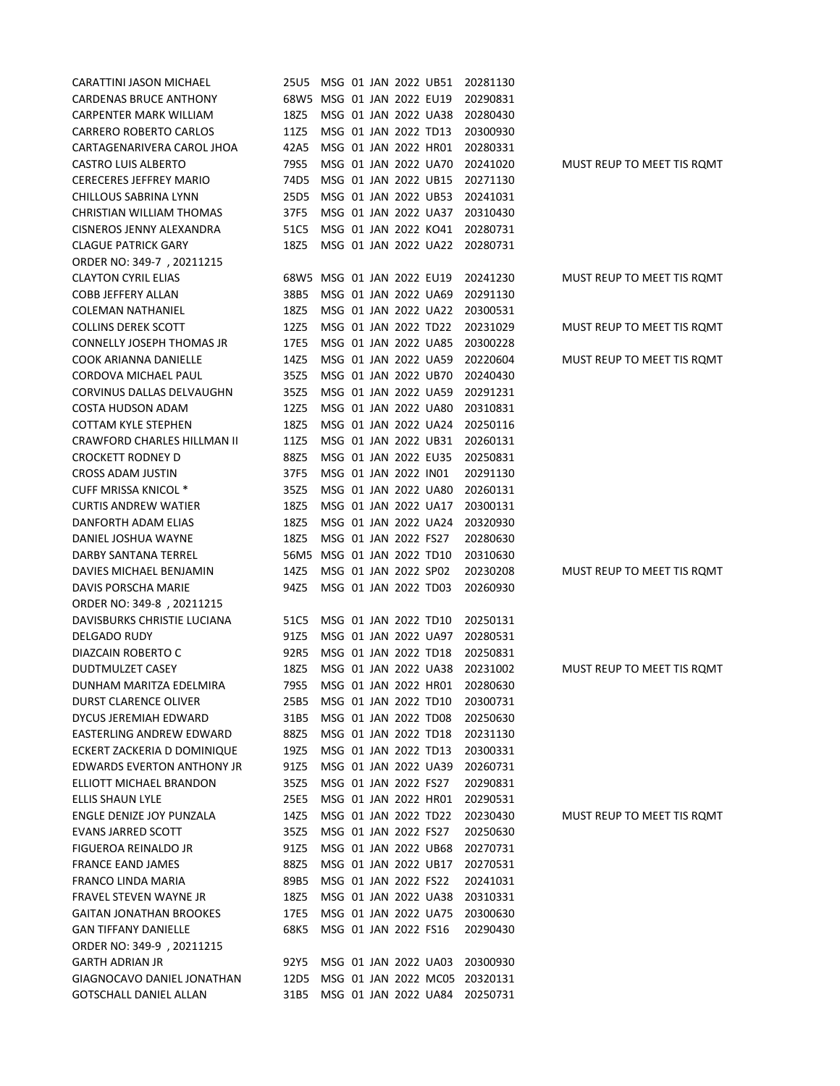| CARATTINI JASON MICHAEL          | 25U5 MSG 01 JAN 2022 UB51 |  |                      |                      | 20281130 |                            |
|----------------------------------|---------------------------|--|----------------------|----------------------|----------|----------------------------|
| CARDENAS BRUCE ANTHONY           | 68W5 MSG 01 JAN 2022 EU19 |  |                      |                      | 20290831 |                            |
| CARPENTER MARK WILLIAM           | 18Z5                      |  |                      | MSG 01 JAN 2022 UA38 | 20280430 |                            |
| CARRERO ROBERTO CARLOS           | 11Z5                      |  |                      | MSG 01 JAN 2022 TD13 | 20300930 |                            |
| CARTAGENARIVERA CAROL JHOA       | 42A5                      |  |                      | MSG 01 JAN 2022 HR01 | 20280331 |                            |
| <b>CASTRO LUIS ALBERTO</b>       | 79S5                      |  |                      | MSG 01 JAN 2022 UA70 | 20241020 | MUST REUP TO MEET TIS ROMT |
| <b>CERECERES JEFFREY MARIO</b>   | 74D5                      |  |                      | MSG 01 JAN 2022 UB15 | 20271130 |                            |
| CHILLOUS SABRINA LYNN            | 25D5                      |  |                      | MSG 01 JAN 2022 UB53 | 20241031 |                            |
| CHRISTIAN WILLIAM THOMAS         | 37F5                      |  |                      | MSG 01 JAN 2022 UA37 | 20310430 |                            |
| <b>CISNEROS JENNY ALEXANDRA</b>  | 51C5                      |  |                      | MSG 01 JAN 2022 KO41 | 20280731 |                            |
| <b>CLAGUE PATRICK GARY</b>       | 18Z5                      |  |                      | MSG 01 JAN 2022 UA22 | 20280731 |                            |
| ORDER NO: 349-7, 20211215        |                           |  |                      |                      |          |                            |
| <b>CLAYTON CYRIL ELIAS</b>       | 68W5 MSG 01 JAN 2022 EU19 |  |                      |                      | 20241230 | MUST REUP TO MEET TIS ROMT |
| COBB JEFFERY ALLAN               | 38B5                      |  |                      | MSG 01 JAN 2022 UA69 | 20291130 |                            |
| <b>COLEMAN NATHANIEL</b>         | 18Z5                      |  |                      | MSG 01 JAN 2022 UA22 | 20300531 |                            |
| <b>COLLINS DEREK SCOTT</b>       | 12Z5                      |  |                      | MSG 01 JAN 2022 TD22 | 20231029 | MUST REUP TO MEET TIS ROMT |
| <b>CONNELLY JOSEPH THOMAS JR</b> | 17E5                      |  |                      | MSG 01 JAN 2022 UA85 | 20300228 |                            |
| COOK ARIANNA DANIELLE            | 14Z5                      |  |                      | MSG 01 JAN 2022 UA59 | 20220604 | MUST REUP TO MEET TIS ROMT |
| CORDOVA MICHAEL PAUL             | 35Z5                      |  |                      | MSG 01 JAN 2022 UB70 | 20240430 |                            |
| CORVINUS DALLAS DELVAUGHN        | 35Z5                      |  |                      | MSG 01 JAN 2022 UA59 | 20291231 |                            |
| <b>COSTA HUDSON ADAM</b>         | 12Z5                      |  |                      | MSG 01 JAN 2022 UA80 | 20310831 |                            |
| <b>COTTAM KYLE STEPHEN</b>       | 18Z5                      |  |                      | MSG 01 JAN 2022 UA24 | 20250116 |                            |
| CRAWFORD CHARLES HILLMAN II      | 11Z5                      |  |                      | MSG 01 JAN 2022 UB31 | 20260131 |                            |
| <b>CROCKETT RODNEY D</b>         | 88Z5                      |  |                      | MSG 01 JAN 2022 EU35 | 20250831 |                            |
| <b>CROSS ADAM JUSTIN</b>         | 37F5                      |  | MSG 01 JAN 2022 IN01 |                      | 20291130 |                            |
| <b>CUFF MRISSA KNICOL *</b>      | 35Z5                      |  |                      | MSG 01 JAN 2022 UA80 | 20260131 |                            |
| <b>CURTIS ANDREW WATIER</b>      | 18Z5                      |  |                      | MSG 01 JAN 2022 UA17 | 20300131 |                            |
| DANFORTH ADAM ELIAS              | 18Z5                      |  |                      | MSG 01 JAN 2022 UA24 | 20320930 |                            |
| DANIEL JOSHUA WAYNE              | 18Z5                      |  | MSG 01 JAN 2022 FS27 |                      | 20280630 |                            |
| DARBY SANTANA TERREL             | 56M5 MSG 01 JAN 2022 TD10 |  |                      |                      | 20310630 |                            |
| DAVIES MICHAEL BENJAMIN          | 14Z5                      |  | MSG 01 JAN 2022 SP02 |                      | 20230208 | MUST REUP TO MEET TIS ROMT |
| DAVIS PORSCHA MARIE              | 94Z5                      |  | MSG 01 JAN 2022 TD03 |                      | 20260930 |                            |
| ORDER NO: 349-8, 20211215        |                           |  |                      |                      |          |                            |
| DAVISBURKS CHRISTIE LUCIANA      | 51C5                      |  |                      | MSG 01 JAN 2022 TD10 | 20250131 |                            |
| DELGADO RUDY                     | 91Z5                      |  |                      | MSG 01 JAN 2022 UA97 | 20280531 |                            |
| DIAZCAIN ROBERTO C               | 92R5                      |  |                      | MSG 01 JAN 2022 TD18 | 20250831 |                            |
| DUDTMULZET CASEY                 | 18Z5                      |  |                      | MSG 01 JAN 2022 UA38 | 20231002 | MUST REUP TO MEET TIS ROMT |
| DUNHAM MARITZA EDELMIRA          | 79S5                      |  |                      | MSG 01 JAN 2022 HR01 | 20280630 |                            |
| DURST CLARENCE OLIVER            | 25B5                      |  |                      | MSG 01 JAN 2022 TD10 | 20300731 |                            |
| DYCUS JEREMIAH EDWARD            | 31B5                      |  |                      | MSG 01 JAN 2022 TD08 | 20250630 |                            |
| EASTERLING ANDREW EDWARD         | 88Z5                      |  |                      | MSG 01 JAN 2022 TD18 | 20231130 |                            |
| ECKERT ZACKERIA D DOMINIQUE      | 19Z5                      |  |                      | MSG 01 JAN 2022 TD13 | 20300331 |                            |
| EDWARDS EVERTON ANTHONY JR       | 91Z5                      |  |                      | MSG 01 JAN 2022 UA39 | 20260731 |                            |
| ELLIOTT MICHAEL BRANDON          | 35Z5                      |  | MSG 01 JAN 2022 FS27 |                      | 20290831 |                            |
| ELLIS SHAUN LYLE                 | 25E5                      |  |                      | MSG 01 JAN 2022 HR01 | 20290531 |                            |
| ENGLE DENIZE JOY PUNZALA         | 14Z5                      |  |                      | MSG 01 JAN 2022 TD22 | 20230430 | MUST REUP TO MEET TIS ROMT |
| EVANS JARRED SCOTT               | 35Z5                      |  | MSG 01 JAN 2022 FS27 |                      | 20250630 |                            |
| FIGUEROA REINALDO JR             | 91Z5                      |  |                      | MSG 01 JAN 2022 UB68 | 20270731 |                            |
| <b>FRANCE EAND JAMES</b>         | 88Z5                      |  |                      | MSG 01 JAN 2022 UB17 | 20270531 |                            |
| FRANCO LINDA MARIA               | 89B5                      |  | MSG 01 JAN 2022 FS22 |                      | 20241031 |                            |
| FRAVEL STEVEN WAYNE JR           | 18Z5                      |  |                      | MSG 01 JAN 2022 UA38 | 20310331 |                            |
| <b>GAITAN JONATHAN BROOKES</b>   | 17E5                      |  |                      | MSG 01 JAN 2022 UA75 | 20300630 |                            |
| <b>GAN TIFFANY DANIELLE</b>      | 68K5                      |  | MSG 01 JAN 2022 FS16 |                      | 20290430 |                            |
| ORDER NO: 349-9, 20211215        |                           |  |                      |                      |          |                            |
| <b>GARTH ADRIAN JR</b>           | 92Y5                      |  |                      | MSG 01 JAN 2022 UA03 | 20300930 |                            |
| GIAGNOCAVO DANIEL JONATHAN       | 12D5                      |  |                      | MSG 01 JAN 2022 MC05 | 20320131 |                            |
| <b>GOTSCHALL DANIEL ALLAN</b>    | 31B5                      |  |                      | MSG 01 JAN 2022 UA84 | 20250731 |                            |
|                                  |                           |  |                      |                      |          |                            |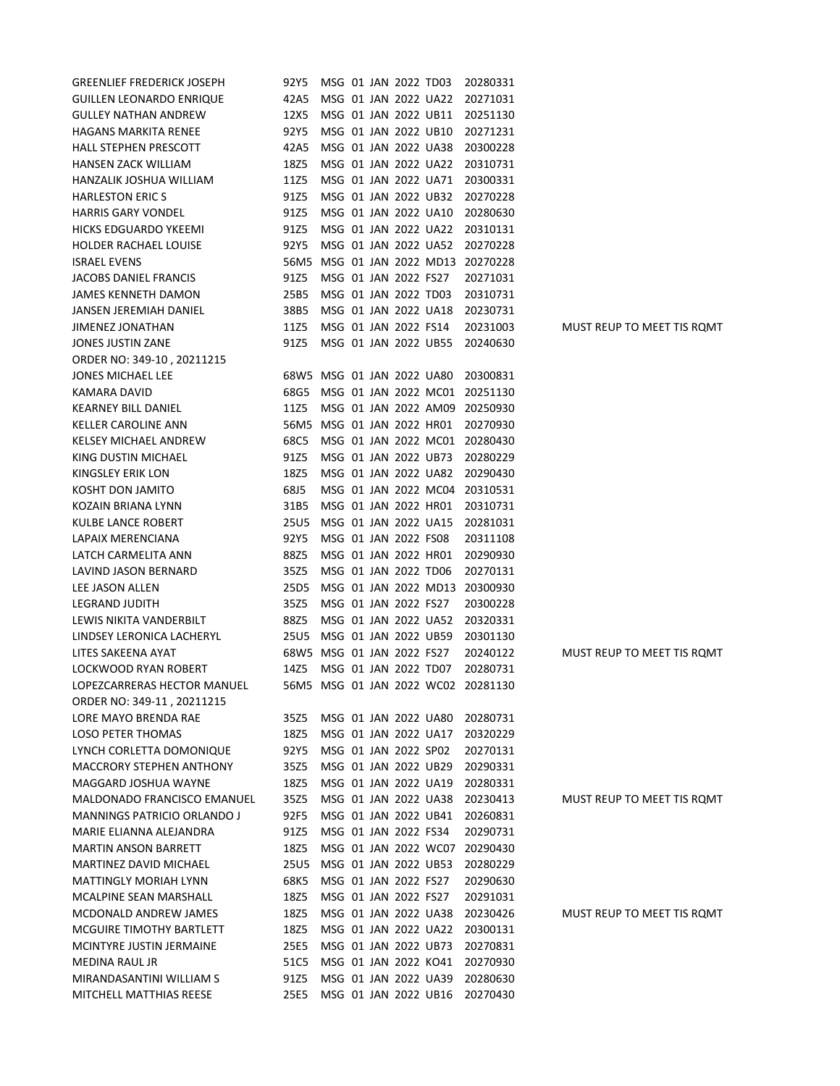| <b>GREENLIEF FREDERICK JOSEPH</b> | 92Y5                      |  | MSG 01 JAN 2022 TD03 |                           | 20280331                           |                            |
|-----------------------------------|---------------------------|--|----------------------|---------------------------|------------------------------------|----------------------------|
| <b>GUILLEN LEONARDO ENRIQUE</b>   | 42A5                      |  |                      | MSG 01 JAN 2022 UA22      | 20271031                           |                            |
| <b>GULLEY NATHAN ANDREW</b>       | 12X5                      |  |                      | MSG 01 JAN 2022 UB11      | 20251130                           |                            |
| <b>HAGANS MARKITA RENEE</b>       | 92Y5                      |  |                      | MSG 01 JAN 2022 UB10      | 20271231                           |                            |
| <b>HALL STEPHEN PRESCOTT</b>      | 42A5                      |  |                      | MSG 01 JAN 2022 UA38      | 20300228                           |                            |
| <b>HANSEN ZACK WILLIAM</b>        | 18Z5                      |  |                      | MSG 01 JAN 2022 UA22      | 20310731                           |                            |
| HANZALIK JOSHUA WILLIAM           | 11Z5                      |  |                      | MSG 01 JAN 2022 UA71      | 20300331                           |                            |
| <b>HARLESTON ERICS</b>            | 91Z5                      |  |                      | MSG 01 JAN 2022 UB32      | 20270228                           |                            |
| <b>HARRIS GARY VONDEL</b>         | 91Z5                      |  |                      | MSG 01 JAN 2022 UA10      | 20280630                           |                            |
| <b>HICKS EDGUARDO YKEEMI</b>      | 91Z5                      |  |                      | MSG 01 JAN 2022 UA22      | 20310131                           |                            |
| <b>HOLDER RACHAEL LOUISE</b>      | 92Y5                      |  |                      | MSG 01 JAN 2022 UA52      | 20270228                           |                            |
| <b>ISRAEL EVENS</b>               |                           |  |                      | 56M5 MSG 01 JAN 2022 MD13 | 20270228                           |                            |
| JACOBS DANIEL FRANCIS             | 91Z5                      |  | MSG 01 JAN 2022 FS27 |                           | 20271031                           |                            |
| JAMES KENNETH DAMON               | 25B5                      |  | MSG 01 JAN 2022 TD03 |                           | 20310731                           |                            |
| JANSEN JEREMIAH DANIEL            | 38B5                      |  |                      | MSG 01 JAN 2022 UA18      | 20230731                           |                            |
| JIMENEZ JONATHAN                  | 11Z5                      |  | MSG 01 JAN 2022 FS14 |                           | 20231003                           | MUST REUP TO MEET TIS ROMT |
| JONES JUSTIN ZANE                 | 91Z5                      |  |                      | MSG 01 JAN 2022 UB55      | 20240630                           |                            |
| ORDER NO: 349-10, 20211215        |                           |  |                      |                           |                                    |                            |
| JONES MICHAEL LEE                 | 68W5 MSG 01 JAN 2022 UA80 |  |                      |                           | 20300831                           |                            |
| <b>KAMARA DAVID</b>               | 68G5                      |  |                      | MSG 01 JAN 2022 MC01      | 20251130                           |                            |
| <b>KEARNEY BILL DANIEL</b>        | 11Z5                      |  |                      | MSG 01 JAN 2022 AM09      | 20250930                           |                            |
| <b>KELLER CAROLINE ANN</b>        | 56M5 MSG 01 JAN 2022 HR01 |  |                      |                           | 20270930                           |                            |
| <b>KELSEY MICHAEL ANDREW</b>      | 68C5                      |  |                      | MSG 01 JAN 2022 MC01      | 20280430                           |                            |
| KING DUSTIN MICHAEL               | 91Z5                      |  |                      | MSG 01 JAN 2022 UB73      | 20280229                           |                            |
| KINGSLEY ERIK LON                 | 18Z5                      |  |                      | MSG 01 JAN 2022 UA82      | 20290430                           |                            |
| KOSHT DON JAMITO                  | 68J5                      |  |                      | MSG 01 JAN 2022 MC04      | 20310531                           |                            |
| KOZAIN BRIANA LYNN                | 31B5                      |  |                      | MSG 01 JAN 2022 HR01      | 20310731                           |                            |
| KULBE LANCE ROBERT                | 25U5                      |  |                      | MSG 01 JAN 2022 UA15      | 20281031                           |                            |
| LAPAIX MERENCIANA                 | 92Y5                      |  | MSG 01 JAN 2022 FS08 |                           | 20311108                           |                            |
| LATCH CARMELITA ANN               | 88Z5                      |  | MSG 01 JAN 2022 HR01 |                           | 20290930                           |                            |
| LAVIND JASON BERNARD              | 35Z5                      |  | MSG 01 JAN 2022 TD06 |                           | 20270131                           |                            |
| LEE JASON ALLEN                   | 25D5                      |  |                      | MSG 01 JAN 2022 MD13      | 20300930                           |                            |
| LEGRAND JUDITH                    | 35Z5                      |  | MSG 01 JAN 2022 FS27 |                           | 20300228                           |                            |
| LEWIS NIKITA VANDERBILT           | 88Z5                      |  |                      | MSG 01 JAN 2022 UA52      | 20320331                           |                            |
| LINDSEY LERONICA LACHERYL         | 25U5                      |  |                      | MSG 01 JAN 2022 UB59      | 20301130                           |                            |
| LITES SAKEENA AYAT                | 68W5 MSG 01 JAN 2022 FS27 |  |                      |                           | 20240122                           | MUST REUP TO MEET TIS ROMT |
| <b>LOCKWOOD RYAN ROBERT</b>       | 14Z5                      |  | MSG 01 JAN 2022 TD07 |                           | 20280731                           |                            |
| LOPEZCARRERAS HECTOR MANUEL       |                           |  |                      |                           | 56M5 MSG 01 JAN 2022 WC02 20281130 |                            |
| ORDER NO: 349-11, 20211215        |                           |  |                      |                           |                                    |                            |
| LORE MAYO BRENDA RAE              | 35Z5                      |  |                      | MSG 01 JAN 2022 UA80      | 20280731                           |                            |
| LOSO PETER THOMAS                 | 18Z5                      |  |                      | MSG 01 JAN 2022 UA17      | 20320229                           |                            |
| LYNCH CORLETTA DOMONIQUE          | 92Y5                      |  | MSG 01 JAN 2022 SP02 |                           | 20270131                           |                            |
| <b>MACCRORY STEPHEN ANTHONY</b>   | 35Z5                      |  |                      | MSG 01 JAN 2022 UB29      | 20290331                           |                            |
| MAGGARD JOSHUA WAYNE              | 18Z5                      |  |                      | MSG 01 JAN 2022 UA19      | 20280331                           |                            |
| MALDONADO FRANCISCO EMANUEL       | 35Z5                      |  |                      | MSG 01 JAN 2022 UA38      | 20230413                           | MUST REUP TO MEET TIS ROMT |
| MANNINGS PATRICIO ORLANDO J       | 92F5                      |  |                      | MSG 01 JAN 2022 UB41      | 20260831                           |                            |
| MARIE ELIANNA ALEJANDRA           | 91Z5                      |  | MSG 01 JAN 2022 FS34 |                           | 20290731                           |                            |
| <b>MARTIN ANSON BARRETT</b>       | 18Z5                      |  |                      | MSG 01 JAN 2022 WC07      | 20290430                           |                            |
| MARTINEZ DAVID MICHAEL            | 25U5                      |  |                      | MSG 01 JAN 2022 UB53      | 20280229                           |                            |
| <b>MATTINGLY MORIAH LYNN</b>      | 68K5                      |  | MSG 01 JAN 2022 FS27 |                           | 20290630                           |                            |
| MCALPINE SEAN MARSHALL            | 18Z5                      |  | MSG 01 JAN 2022 FS27 |                           | 20291031                           |                            |
| MCDONALD ANDREW JAMES             | 18Z5                      |  |                      | MSG 01 JAN 2022 UA38      | 20230426                           | MUST REUP TO MEET TIS ROMT |
| MCGUIRE TIMOTHY BARTLETT          | 18Z5                      |  |                      | MSG 01 JAN 2022 UA22      | 20300131                           |                            |
| MCINTYRE JUSTIN JERMAINE          | 25E5                      |  |                      | MSG 01 JAN 2022 UB73      | 20270831                           |                            |
| MEDINA RAUL JR                    | 51C5                      |  |                      | MSG 01 JAN 2022 KO41      | 20270930                           |                            |
| MIRANDASANTINI WILLIAM S          | 91Z5                      |  |                      | MSG 01 JAN 2022 UA39      | 20280630                           |                            |
| MITCHELL MATTHIAS REESE           | 25E5                      |  |                      | MSG 01 JAN 2022 UB16      | 20270430                           |                            |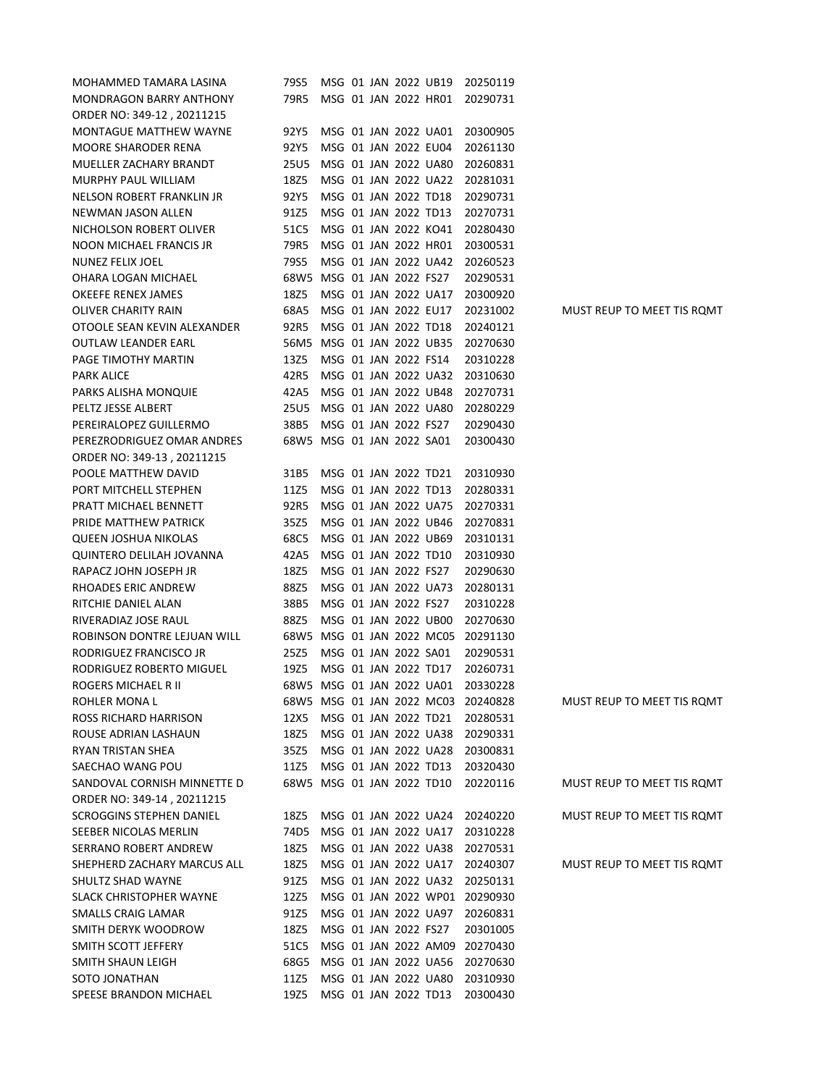| MOHAMMED TAMARA LASINA                             | 79S5                      |  |                      | MSG 01 JAN 2022 UB19      | 20250119                      |                            |
|----------------------------------------------------|---------------------------|--|----------------------|---------------------------|-------------------------------|----------------------------|
| <b>MONDRAGON BARRY ANTHONY</b>                     | 79R5                      |  |                      | MSG 01 JAN 2022 HR01      | 20290731                      |                            |
| ORDER NO: 349-12, 20211215                         |                           |  |                      |                           |                               |                            |
| <b>MONTAGUE MATTHEW WAYNE</b>                      | 92Y5                      |  |                      | MSG 01 JAN 2022 UA01      | 20300905                      |                            |
| <b>MOORE SHARODER RENA</b>                         | 92Y5                      |  |                      | MSG 01 JAN 2022 EU04      | 20261130                      |                            |
| MUELLER ZACHARY BRANDT                             | 25U5                      |  |                      | MSG 01 JAN 2022 UA80      | 20260831                      |                            |
| MURPHY PAUL WILLIAM                                | 18Z5                      |  |                      | MSG 01 JAN 2022 UA22      | 20281031                      |                            |
| NELSON ROBERT FRANKLIN JR                          | 92Y5                      |  |                      | MSG 01 JAN 2022 TD18      | 20290731                      |                            |
| NEWMAN JASON ALLEN                                 | 91Z5                      |  |                      | MSG 01 JAN 2022 TD13      | 20270731                      |                            |
| NICHOLSON ROBERT OLIVER                            | 51C5                      |  |                      | MSG 01 JAN 2022 KO41      | 20280430                      |                            |
| NOON MICHAEL FRANCIS JR                            | 79R5                      |  |                      | MSG 01 JAN 2022 HR01      | 20300531                      |                            |
| NUNEZ FELIX JOEL                                   | 79S5                      |  |                      | MSG 01 JAN 2022 UA42      | 20260523                      |                            |
| OHARA LOGAN MICHAEL                                | 68W5 MSG 01 JAN 2022 FS27 |  |                      |                           | 20290531                      |                            |
| OKEEFE RENEX JAMES                                 | 18Z5                      |  |                      | MSG 01 JAN 2022 UA17      | 20300920                      |                            |
| OLIVER CHARITY RAIN                                | 68A5                      |  | MSG 01 JAN 2022 EU17 |                           | 20231002                      | MUST REUP TO MEET TIS ROMT |
| OTOOLE SEAN KEVIN ALEXANDER                        | 92R5                      |  | MSG 01 JAN 2022 TD18 |                           | 20240121                      |                            |
| OUTLAW LEANDER EARL                                | 56M5 MSG 01 JAN 2022 UB35 |  |                      |                           | 20270630                      |                            |
| PAGE TIMOTHY MARTIN                                | 13Z5                      |  | MSG 01 JAN 2022 FS14 |                           | 20310228                      |                            |
| <b>PARK ALICE</b>                                  | 42R5                      |  |                      | MSG 01 JAN 2022 UA32      | 20310630                      |                            |
| PARKS ALISHA MONQUIE                               | 42A5                      |  |                      | MSG 01 JAN 2022 UB48      | 20270731                      |                            |
| PELTZ JESSE ALBERT                                 | 25U5 MSG 01 JAN 2022 UA80 |  |                      |                           | 20280229                      |                            |
| PEREIRALOPEZ GUILLERMO                             | 38B5                      |  | MSG 01 JAN 2022 FS27 |                           | 20290430                      |                            |
| PEREZRODRIGUEZ OMAR ANDRES                         | 68W5 MSG 01 JAN 2022 SA01 |  |                      |                           | 20300430                      |                            |
| ORDER NO: 349-13, 20211215                         |                           |  |                      |                           |                               |                            |
| POOLE MATTHEW DAVID                                | 31B5                      |  | MSG 01 JAN 2022 TD21 |                           | 20310930                      |                            |
| PORT MITCHELL STEPHEN                              | 11Z5                      |  | MSG 01 JAN 2022 TD13 |                           | 20280331                      |                            |
| PRATT MICHAEL BENNETT                              | 92R5                      |  |                      | MSG 01 JAN 2022 UA75      | 20270331                      |                            |
| PRIDE MATTHEW PATRICK                              | 35Z5                      |  |                      | MSG 01 JAN 2022 UB46      | 20270831                      |                            |
| QUEEN JOSHUA NIKOLAS                               | 68C5                      |  |                      | MSG 01 JAN 2022 UB69      | 20310131                      |                            |
| QUINTERO DELILAH JOVANNA                           | 42A5                      |  | MSG 01 JAN 2022 TD10 |                           | 20310930                      |                            |
| RAPACZ JOHN JOSEPH JR                              | 18Z5                      |  | MSG 01 JAN 2022 FS27 |                           |                               |                            |
|                                                    | 88Z5                      |  |                      | MSG 01 JAN 2022 UA73      | 20290630                      |                            |
| RHOADES ERIC ANDREW                                |                           |  |                      |                           | 20280131                      |                            |
| RITCHIE DANIEL ALAN<br>RIVERADIAZ JOSE RAUL        | 38B5<br>88Z5              |  | MSG 01 JAN 2022 FS27 | MSG 01 JAN 2022 UB00      | 20310228                      |                            |
| ROBINSON DONTRE LEJUAN WILL                        |                           |  |                      | 68W5 MSG 01 JAN 2022 MC05 | 20270630                      |                            |
|                                                    | 25Z5                      |  | MSG 01 JAN 2022 SA01 |                           | 20291130<br>20290531          |                            |
| RODRIGUEZ FRANCISCO JR<br>RODRIGUEZ ROBERTO MIGUEL | 19Z5                      |  | MSG 01 JAN 2022 TD17 |                           |                               |                            |
| ROGERS MICHAEL R II                                | 68W5 MSG 01 JAN 2022 UA01 |  |                      |                           | 20260731<br>20330228          |                            |
|                                                    |                           |  |                      | 68W5 MSG 01 JAN 2022 MC03 | 20240828                      | MUST REUP TO MEET TIS ROMT |
| ROHLER MONA L                                      |                           |  |                      | MSG 01 JAN 2022 TD21      | 20280531                      |                            |
| ROSS RICHARD HARRISON<br>ROUSE ADRIAN LASHAUN      | 12X5                      |  |                      | MSG 01 JAN 2022 UA38      |                               |                            |
|                                                    | 18Z5                      |  |                      | MSG 01 JAN 2022 UA28      | 20290331                      |                            |
| <b>RYAN TRISTAN SHEA</b>                           | 35Z5                      |  |                      |                           | 20300831                      |                            |
| SAECHAO WANG POU                                   | 11Z5                      |  | MSG 01 JAN 2022 TD13 |                           | 20320430                      |                            |
| SANDOVAL CORNISH MINNETTE D                        | 68W5 MSG 01 JAN 2022 TD10 |  |                      |                           | 20220116                      | MUST REUP TO MEET TIS ROMT |
| ORDER NO: 349-14, 20211215                         |                           |  |                      |                           |                               |                            |
| <b>SCROGGINS STEPHEN DANIEL</b>                    | 18Z5                      |  |                      | MSG 01 JAN 2022 UA24      | 20240220                      | MUST REUP TO MEET TIS ROMT |
| SEEBER NICOLAS MERLIN                              | 74D5                      |  |                      | MSG 01 JAN 2022 UA17      | 20310228                      |                            |
| SERRANO ROBERT ANDREW                              | 18Z5                      |  |                      | MSG 01 JAN 2022 UA38      | 20270531                      |                            |
| SHEPHERD ZACHARY MARCUS ALL                        | 18Z5                      |  |                      | MSG 01 JAN 2022 UA17      | 20240307                      | MUST REUP TO MEET TIS ROMT |
| SHULTZ SHAD WAYNE                                  | 91Z5                      |  |                      | MSG 01 JAN 2022 UA32      | 20250131                      |                            |
| <b>SLACK CHRISTOPHER WAYNE</b>                     | 12Z5                      |  |                      |                           | MSG 01 JAN 2022 WP01 20290930 |                            |
| SMALLS CRAIG LAMAR                                 | 91Z5                      |  |                      | MSG 01 JAN 2022 UA97      | 20260831                      |                            |
| SMITH DERYK WOODROW                                | 18Z5                      |  | MSG 01 JAN 2022 FS27 |                           | 20301005                      |                            |
| SMITH SCOTT JEFFERY                                | 51C5                      |  |                      | MSG 01 JAN 2022 AM09      | 20270430                      |                            |
| SMITH SHAUN LEIGH                                  | 68G5                      |  |                      | MSG 01 JAN 2022 UA56      | 20270630                      |                            |
| SOTO JONATHAN                                      | 11Z5                      |  |                      | MSG 01 JAN 2022 UA80      | 20310930                      |                            |
| SPEESE BRANDON MICHAEL                             | 19Z5                      |  | MSG 01 JAN 2022 TD13 |                           | 20300430                      |                            |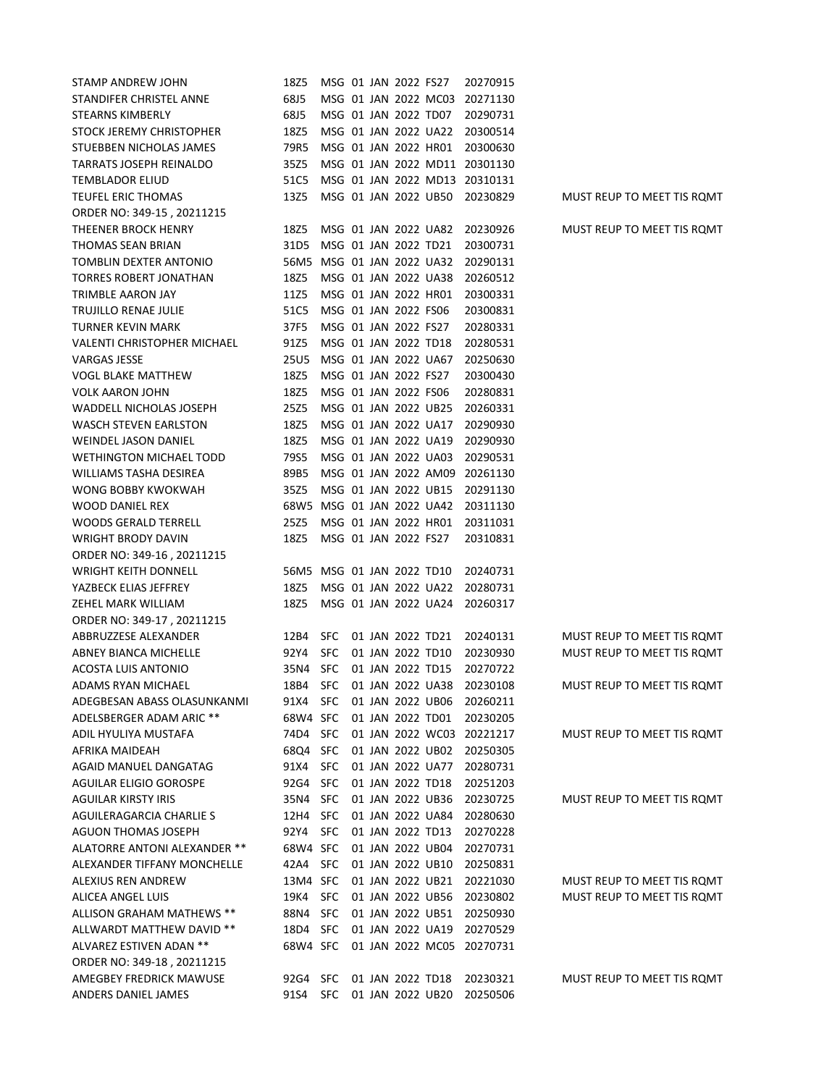| STAMP ANDREW JOHN                  | 18Z5                      |                      |  | MSG 01 JAN 2022 FS27 |                      | 20270915                      |                            |
|------------------------------------|---------------------------|----------------------|--|----------------------|----------------------|-------------------------------|----------------------------|
| STANDIFER CHRISTEL ANNE            | 68J5                      |                      |  |                      | MSG 01 JAN 2022 MC03 | 20271130                      |                            |
| STEARNS KIMBERLY                   | 68J5                      |                      |  |                      | MSG 01 JAN 2022 TD07 | 20290731                      |                            |
| STOCK JEREMY CHRISTOPHER           | 18Z5                      |                      |  |                      | MSG 01 JAN 2022 UA22 | 20300514                      |                            |
| STUEBBEN NICHOLAS JAMES            | 79R5                      |                      |  |                      | MSG 01 JAN 2022 HR01 | 20300630                      |                            |
| TARRATS JOSEPH REINALDO            | 35Z5                      |                      |  |                      |                      | MSG 01 JAN 2022 MD11 20301130 |                            |
| <b>TEMBLADOR ELIUD</b>             | 51C5                      |                      |  |                      |                      | MSG 01 JAN 2022 MD13 20310131 |                            |
| TEUFEL ERIC THOMAS                 | 13Z5                      |                      |  |                      | MSG 01 JAN 2022 UB50 | 20230829                      | MUST REUP TO MEET TIS ROMT |
| ORDER NO: 349-15, 20211215         |                           |                      |  |                      |                      |                               |                            |
| THEENER BROCK HENRY                | 18Z5                      |                      |  |                      | MSG 01 JAN 2022 UA82 | 20230926                      | MUST REUP TO MEET TIS ROMT |
| THOMAS SEAN BRIAN                  | 31D5                      | MSG 01 JAN 2022 TD21 |  |                      |                      | 20300731                      |                            |
| TOMBLIN DEXTER ANTONIO             | 56M5 MSG 01 JAN 2022 UA32 |                      |  |                      |                      | 20290131                      |                            |
| <b>TORRES ROBERT JONATHAN</b>      | 18Z5                      |                      |  |                      | MSG 01 JAN 2022 UA38 | 20260512                      |                            |
| TRIMBLE AARON JAY                  | 11Z5                      |                      |  |                      | MSG 01 JAN 2022 HR01 | 20300331                      |                            |
| TRUJILLO RENAE JULIE               | 51C5                      |                      |  | MSG 01 JAN 2022 FS06 |                      | 20300831                      |                            |
| <b>TURNER KEVIN MARK</b>           | 37F5                      |                      |  | MSG 01 JAN 2022 FS27 |                      | 20280331                      |                            |
| <b>VALENTI CHRISTOPHER MICHAEL</b> | 91Z5                      |                      |  | MSG 01 JAN 2022 TD18 |                      | 20280531                      |                            |
| VARGAS JESSE                       | 25U5                      |                      |  |                      | MSG 01 JAN 2022 UA67 | 20250630                      |                            |
| <b>VOGL BLAKE MATTHEW</b>          | 18Z5                      |                      |  | MSG 01 JAN 2022 FS27 |                      | 20300430                      |                            |
| <b>VOLK AARON JOHN</b>             | 18Z5                      | MSG 01 JAN 2022 FS06 |  |                      |                      | 20280831                      |                            |
| WADDELL NICHOLAS JOSEPH            | 25Z5                      |                      |  |                      | MSG 01 JAN 2022 UB25 | 20260331                      |                            |
| WASCH STEVEN EARLSTON              | 18Z5                      |                      |  |                      | MSG 01 JAN 2022 UA17 | 20290930                      |                            |
| <b>WEINDEL JASON DANIEL</b>        | 18Z5                      |                      |  |                      | MSG 01 JAN 2022 UA19 | 20290930                      |                            |
| <b>WETHINGTON MICHAEL TODD</b>     | 79S5                      |                      |  |                      | MSG 01 JAN 2022 UA03 | 20290531                      |                            |
| <b>WILLIAMS TASHA DESIREA</b>      | 89B5                      |                      |  |                      | MSG 01 JAN 2022 AM09 | 20261130                      |                            |
| WONG BOBBY KWOKWAH                 | 35Z5                      |                      |  |                      | MSG 01 JAN 2022 UB15 | 20291130                      |                            |
| WOOD DANIEL REX                    | 68W5 MSG 01 JAN 2022 UA42 |                      |  |                      |                      | 20311130                      |                            |
| <b>WOODS GERALD TERRELL</b>        | 25Z5                      |                      |  |                      | MSG 01 JAN 2022 HR01 | 20311031                      |                            |
| <b>WRIGHT BRODY DAVIN</b>          | 18Z5                      |                      |  | MSG 01 JAN 2022 FS27 |                      | 20310831                      |                            |
| ORDER NO: 349-16, 20211215         |                           |                      |  |                      |                      |                               |                            |
| <b>WRIGHT KEITH DONNELL</b>        | 56M5 MSG 01 JAN 2022 TD10 |                      |  |                      |                      | 20240731                      |                            |
| YAZBECK ELIAS JEFFREY              | 18Z5                      |                      |  |                      | MSG 01 JAN 2022 UA22 | 20280731                      |                            |
| ZEHEL MARK WILLIAM                 | 18Z5                      |                      |  |                      | MSG 01 JAN 2022 UA24 | 20260317                      |                            |
| ORDER NO: 349-17, 20211215         |                           |                      |  |                      |                      |                               |                            |
| ABBRUZZESE ALEXANDER               | 12B4                      | <b>SFC</b>           |  | 01 JAN 2022 TD21     |                      | 20240131                      | MUST REUP TO MEET TIS ROMT |
| ABNEY BIANCA MICHELLE              | 92Y4                      | <b>SFC</b>           |  | 01 JAN 2022 TD10     |                      | 20230930                      | MUST REUP TO MEET TIS ROMT |
| ACOSTA LUIS ANTONIO                | 35N4                      | <b>SFC</b>           |  | 01 JAN 2022 TD15     |                      | 20270722                      |                            |
| ADAMS RYAN MICHAEL                 | 18B4                      | <b>SFC</b>           |  |                      | 01 JAN 2022 UA38     | 20230108                      | MUST REUP TO MEET TIS ROMT |
| ADEGBESAN ABASS OLASUNKANMI        | 91X4                      | <b>SFC</b>           |  |                      | 01 JAN 2022 UB06     | 20260211                      |                            |
| ADELSBERGER ADAM ARIC **           | 68W4 SFC                  |                      |  | 01 JAN 2022 TD01     |                      | 20230205                      |                            |
| ADIL HYULIYA MUSTAFA               | 74D4                      | <b>SFC</b>           |  |                      |                      | 01 JAN 2022 WC03 20221217     | MUST REUP TO MEET TIS ROMT |
| AFRIKA MAIDEAH                     | 68Q4                      | <b>SFC</b>           |  |                      | 01 JAN 2022 UB02     | 20250305                      |                            |
| AGAID MANUEL DANGATAG              | 91X4                      | <b>SFC</b>           |  |                      | 01 JAN 2022 UA77     | 20280731                      |                            |
|                                    | 92G4                      | <b>SFC</b>           |  | 01 JAN 2022 TD18     |                      |                               |                            |
| AGUILAR ELIGIO GOROSPE             | 35N4                      | <b>SFC</b>           |  |                      | 01 JAN 2022 UB36     | 20251203<br>20230725          |                            |
| AGUILAR KIRSTY IRIS                | 12H4                      | <b>SFC</b>           |  |                      | 01 JAN 2022 UA84     |                               | MUST REUP TO MEET TIS ROMT |
| AGUILERAGARCIA CHARLIE S           |                           | <b>SFC</b>           |  |                      |                      | 20280630                      |                            |
| AGUON THOMAS JOSEPH                | 92Y4<br>68W4 SFC          |                      |  | 01 JAN 2022 TD13     |                      | 20270228                      |                            |
| ALATORRE ANTONI ALEXANDER **       |                           | <b>SFC</b>           |  |                      | 01 JAN 2022 UB04     | 20270731                      |                            |
| ALEXANDER TIFFANY MONCHELLE        | 42A4                      |                      |  |                      | 01 JAN 2022 UB10     | 20250831                      |                            |
| ALEXIUS REN ANDREW                 | 13M4 SFC                  |                      |  |                      | 01 JAN 2022 UB21     | 20221030                      | MUST REUP TO MEET TIS ROMT |
| ALICEA ANGEL LUIS                  | 19K4                      | <b>SFC</b>           |  |                      | 01 JAN 2022 UB56     | 20230802                      | MUST REUP TO MEET TIS ROMT |
| ALLISON GRAHAM MATHEWS **          | 88N4                      | <b>SFC</b>           |  |                      | 01 JAN 2022 UB51     | 20250930                      |                            |
| ALLWARDT MATTHEW DAVID **          | 18D4                      | <b>SFC</b>           |  |                      | 01 JAN 2022 UA19     | 20270529                      |                            |
| ALVAREZ ESTIVEN ADAN **            | 68W4 SFC                  |                      |  |                      | 01 JAN 2022 MC05     | 20270731                      |                            |
| ORDER NO: 349-18, 20211215         |                           |                      |  |                      |                      |                               |                            |
| AMEGBEY FREDRICK MAWUSE            | 92G4                      | <b>SFC</b>           |  | 01 JAN 2022 TD18     |                      | 20230321                      | MUST REUP TO MEET TIS ROMT |
| ANDERS DANIEL JAMES                | 91S4                      | <b>SFC</b>           |  |                      | 01 JAN 2022 UB20     | 20250506                      |                            |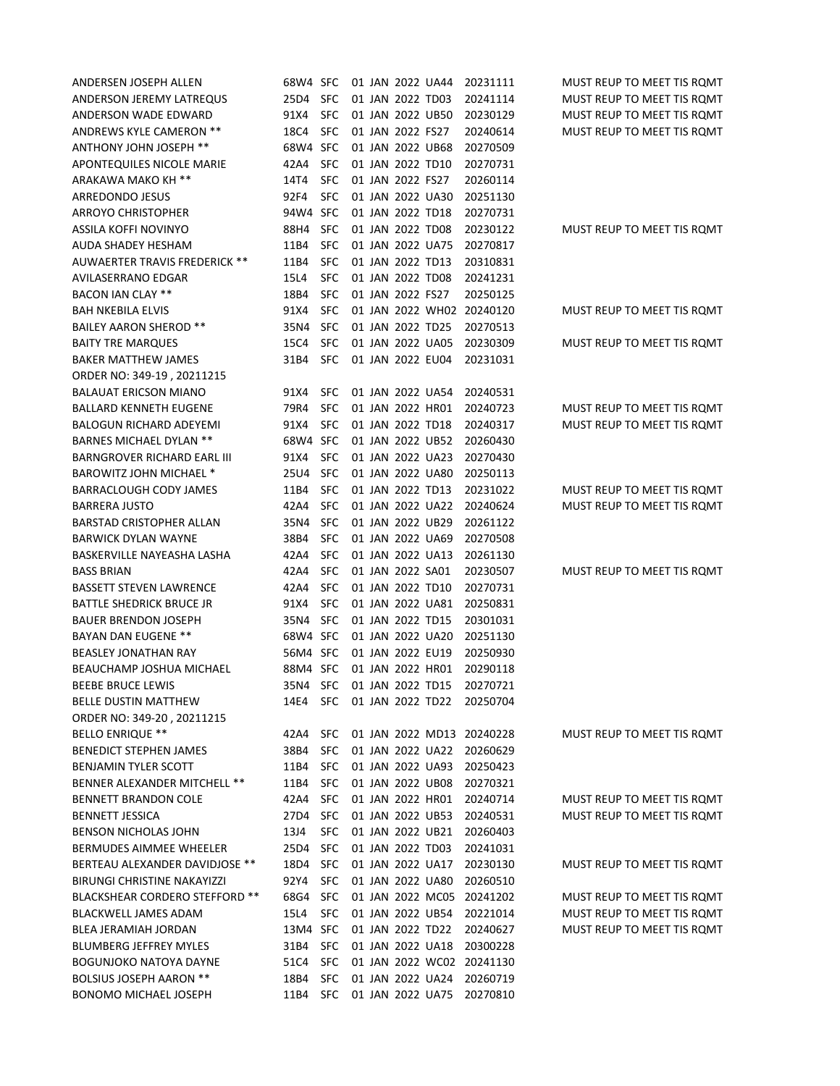| ANDERSEN JOSEPH ALLEN               | 68W4 SFC |                      |  |                  | 01 JAN 2022 UA44 | 20231111                  | MUST REUP TO MEET TIS ROMT |
|-------------------------------------|----------|----------------------|--|------------------|------------------|---------------------------|----------------------------|
| ANDERSON JEREMY LATREQUS            | 25D4     | <b>SFC</b>           |  | 01 JAN 2022 TD03 |                  | 20241114                  | MUST REUP TO MEET TIS ROMT |
| ANDERSON WADE EDWARD                | 91X4     | <b>SFC</b>           |  | 01 JAN 2022 UB50 |                  | 20230129                  | MUST REUP TO MEET TIS ROMT |
| ANDREWS KYLE CAMERON **             | 18C4     | <b>SFC</b>           |  | 01 JAN 2022 FS27 |                  | 20240614                  | MUST REUP TO MEET TIS ROMT |
| ANTHONY JOHN JOSEPH **              | 68W4 SFC |                      |  | 01 JAN 2022 UB68 |                  | 20270509                  |                            |
| APONTEQUILES NICOLE MARIE           | 42A4     | <b>SFC</b>           |  | 01 JAN 2022 TD10 |                  | 20270731                  |                            |
| ARAKAWA MAKO KH **                  | 14T4     | <b>SFC</b>           |  | 01 JAN 2022 FS27 |                  | 20260114                  |                            |
| ARREDONDO JESUS                     | 92F4     | <b>SFC</b>           |  | 01 JAN 2022 UA30 |                  | 20251130                  |                            |
| <b>ARROYO CHRISTOPHER</b>           | 94W4 SFC |                      |  | 01 JAN 2022 TD18 |                  | 20270731                  |                            |
| ASSILA KOFFI NOVINYO                | 88H4     | <b>SFC</b>           |  | 01 JAN 2022 TD08 |                  | 20230122                  | MUST REUP TO MEET TIS ROMT |
| AUDA SHADEY HESHAM                  | 11B4     | <b>SFC</b>           |  | 01 JAN 2022 UA75 |                  | 20270817                  |                            |
| AUWAERTER TRAVIS FREDERICK **       | 11B4     | <b>SFC</b>           |  | 01 JAN 2022 TD13 |                  | 20310831                  |                            |
| AVILASERRANO EDGAR                  | 15L4     | <b>SFC</b>           |  | 01 JAN 2022 TD08 |                  | 20241231                  |                            |
| BACON IAN CLAY **                   | 18B4     | <b>SFC</b>           |  | 01 JAN 2022 FS27 |                  | 20250125                  |                            |
| <b>BAH NKEBILA ELVIS</b>            | 91X4     | <b>SFC</b>           |  |                  |                  | 01 JAN 2022 WH02 20240120 | MUST REUP TO MEET TIS ROMT |
| <b>BAILEY AARON SHEROD **</b>       | 35N4     | <b>SFC</b>           |  | 01 JAN 2022 TD25 |                  | 20270513                  |                            |
| <b>BAITY TRE MARQUES</b>            | 15C4     | <b>SFC</b>           |  | 01 JAN 2022 UA05 |                  | 20230309                  | MUST REUP TO MEET TIS ROMT |
| <b>BAKER MATTHEW JAMES</b>          | 31B4     | <b>SFC</b>           |  | 01 JAN 2022 EU04 |                  | 20231031                  |                            |
| ORDER NO: 349-19, 20211215          |          |                      |  |                  |                  |                           |                            |
| <b>BALAUAT ERICSON MIANO</b>        | 91X4     | <b>SFC</b>           |  |                  | 01 JAN 2022 UA54 | 20240531                  |                            |
| <b>BALLARD KENNETH EUGENE</b>       | 79R4     | <b>SFC</b>           |  | 01 JAN 2022 HR01 |                  | 20240723                  | MUST REUP TO MEET TIS ROMT |
| <b>BALOGUN RICHARD ADEYEMI</b>      | 91X4     | <b>SFC</b>           |  | 01 JAN 2022 TD18 |                  | 20240317                  | MUST REUP TO MEET TIS ROMT |
| <b>BARNES MICHAEL DYLAN **</b>      | 68W4 SFC |                      |  | 01 JAN 2022 UB52 |                  | 20260430                  |                            |
| <b>BARNGROVER RICHARD EARL III</b>  | 91X4     | <b>SFC</b>           |  | 01 JAN 2022 UA23 |                  | 20270430                  |                            |
| BAROWITZ JOHN MICHAEL *             | 25U4     | <b>SFC</b>           |  | 01 JAN 2022 UA80 |                  | 20250113                  |                            |
| BARRACLOUGH CODY JAMES              | 11B4     | <b>SFC</b>           |  | 01 JAN 2022 TD13 |                  | 20231022                  | MUST REUP TO MEET TIS ROMT |
| <b>BARRERA JUSTO</b>                | 42A4     | <b>SFC</b>           |  | 01 JAN 2022 UA22 |                  | 20240624                  | MUST REUP TO MEET TIS ROMT |
| BARSTAD CRISTOPHER ALLAN            | 35N4     | <b>SFC</b>           |  | 01 JAN 2022 UB29 |                  | 20261122                  |                            |
| <b>BARWICK DYLAN WAYNE</b>          | 38B4     | <b>SFC</b>           |  | 01 JAN 2022 UA69 |                  | 20270508                  |                            |
| BASKERVILLE NAYEASHA LASHA          | 42A4     | <b>SFC</b>           |  | 01 JAN 2022 UA13 |                  | 20261130                  |                            |
| <b>BASS BRIAN</b>                   | 42A4     | <b>SFC</b>           |  | 01 JAN 2022 SA01 |                  | 20230507                  | MUST REUP TO MEET TIS ROMT |
| <b>BASSETT STEVEN LAWRENCE</b>      | 42A4     | <b>SFC</b>           |  | 01 JAN 2022 TD10 |                  | 20270731                  |                            |
| BATTLE SHEDRICK BRUCE JR            | 91X4     | <b>SFC</b>           |  | 01 JAN 2022 UA81 |                  | 20250831                  |                            |
| <b>BAUER BRENDON JOSEPH</b>         | 35N4     | <b>SFC</b>           |  | 01 JAN 2022 TD15 |                  | 20301031                  |                            |
| <b>BAYAN DAN EUGENE **</b>          | 68W4 SFC |                      |  | 01 JAN 2022 UA20 |                  | 20251130                  |                            |
| <b>BEASLEY JONATHAN RAY</b>         | 56M4 SFC |                      |  | 01 JAN 2022 EU19 |                  | 20250930                  |                            |
| BEAUCHAMP JOSHUA MICHAEL            | 88M4 SFC |                      |  | 01 JAN 2022 HR01 |                  | 20290118                  |                            |
| <b>BEEBE BRUCE LEWIS</b>            | 35N4     | <b>SFC</b>           |  | 01 JAN 2022 TD15 |                  | 20270721                  |                            |
| BELLE DUSTIN MATTHEW                | 14E4     | SFC 01 JAN 2022 TD22 |  |                  |                  | 20250704                  |                            |
| ORDER NO: 349-20, 20211215          |          |                      |  |                  |                  |                           |                            |
| <b>BELLO ENRIQUE **</b>             | 42A4     | SFC                  |  |                  |                  | 01 JAN 2022 MD13 20240228 | MUST REUP TO MEET TIS ROMT |
| <b>BENEDICT STEPHEN JAMES</b>       | 38B4     | <b>SFC</b>           |  |                  | 01 JAN 2022 UA22 | 20260629                  |                            |
| <b>BENJAMIN TYLER SCOTT</b>         | 11B4     | <b>SFC</b>           |  |                  | 01 JAN 2022 UA93 | 20250423                  |                            |
| <b>BENNER ALEXANDER MITCHELL **</b> | 11B4     | <b>SFC</b>           |  |                  | 01 JAN 2022 UB08 | 20270321                  |                            |
| <b>BENNETT BRANDON COLE</b>         | 42A4     | <b>SFC</b>           |  |                  | 01 JAN 2022 HR01 | 20240714                  | MUST REUP TO MEET TIS ROMT |
| <b>BENNETT JESSICA</b>              | 27D4     | <b>SFC</b>           |  |                  | 01 JAN 2022 UB53 | 20240531                  | MUST REUP TO MEET TIS ROMT |
| <b>BENSON NICHOLAS JOHN</b>         | 13J4     | <b>SFC</b>           |  |                  | 01 JAN 2022 UB21 | 20260403                  |                            |
| <b>BERMUDES AIMMEE WHEELER</b>      | 25D4     | <b>SFC</b>           |  | 01 JAN 2022 TD03 |                  | 20241031                  |                            |
| BERTEAU ALEXANDER DAVIDJOSE **      | 18D4     | <b>SFC</b>           |  |                  | 01 JAN 2022 UA17 | 20230130                  | MUST REUP TO MEET TIS ROMT |
| <b>BIRUNGI CHRISTINE NAKAYIZZI</b>  | 92Y4     | <b>SFC</b>           |  |                  | 01 JAN 2022 UA80 | 20260510                  |                            |
| BLACKSHEAR CORDERO STEFFORD **      | 68G4     | <b>SFC</b>           |  |                  |                  | 01 JAN 2022 MC05 20241202 | MUST REUP TO MEET TIS ROMT |
| BLACKWELL JAMES ADAM                | 15L4     | <b>SFC</b>           |  |                  | 01 JAN 2022 UB54 | 20221014                  | MUST REUP TO MEET TIS ROMT |
| BLEA JERAMIAH JORDAN                | 13M4 SFC |                      |  | 01 JAN 2022 TD22 |                  | 20240627                  | MUST REUP TO MEET TIS ROMT |
| <b>BLUMBERG JEFFREY MYLES</b>       | 31B4     | <b>SFC</b>           |  |                  | 01 JAN 2022 UA18 | 20300228                  |                            |
| BOGUNJOKO NATOYA DAYNE              | 51C4     | <b>SFC</b>           |  |                  |                  | 01 JAN 2022 WC02 20241130 |                            |
| <b>BOLSIUS JOSEPH AARON **</b>      | 18B4     | <b>SFC</b>           |  |                  | 01 JAN 2022 UA24 | 20260719                  |                            |
| <b>BONOMO MICHAEL JOSEPH</b>        | 11B4     | SFC                  |  |                  | 01 JAN 2022 UA75 | 20270810                  |                            |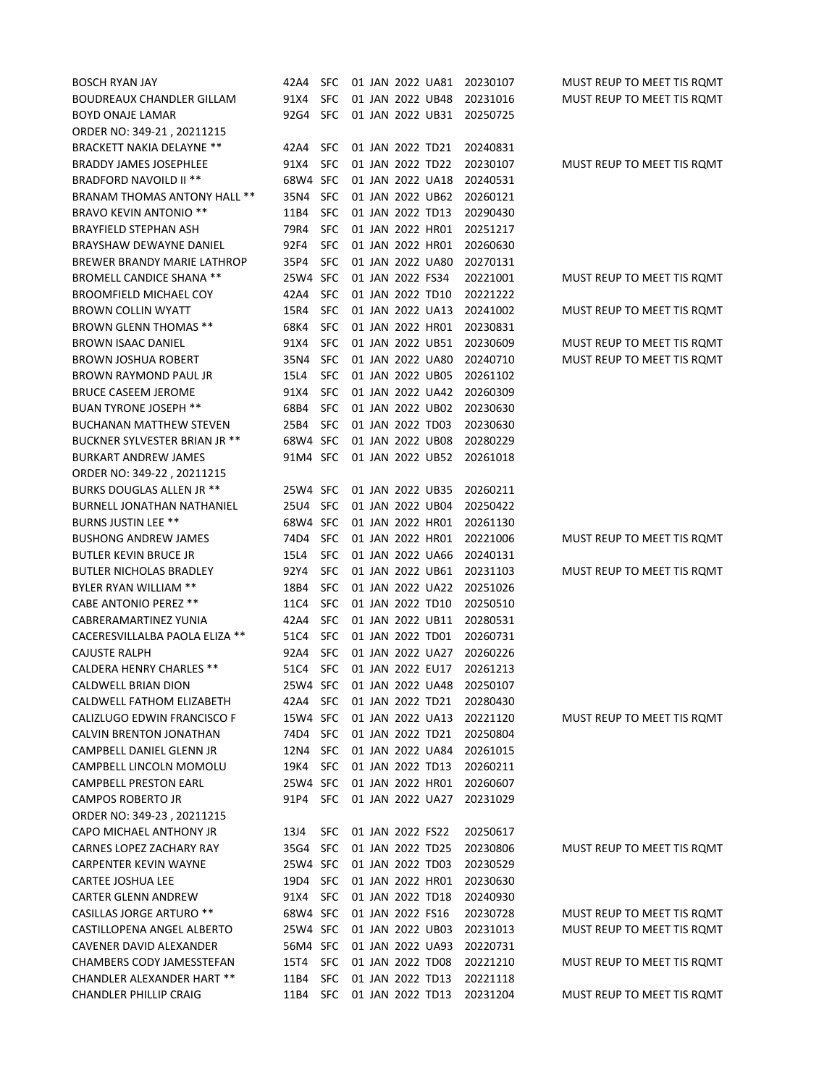| BOSCH RYAN JAY                    | 42A4     | <b>SFC</b> |  |                  | 01 JAN 2022 UA81 | 20230107 | MUST REUP TO MEET TIS ROMT |
|-----------------------------------|----------|------------|--|------------------|------------------|----------|----------------------------|
| <b>BOUDREAUX CHANDLER GILLAM</b>  | 91X4     | <b>SFC</b> |  | 01 JAN 2022 UB48 |                  | 20231016 | MUST REUP TO MEET TIS ROMT |
| BOYD ONAJE LAMAR                  | 92G4     | <b>SFC</b> |  |                  | 01 JAN 2022 UB31 | 20250725 |                            |
| ORDER NO: 349-21, 20211215        |          |            |  |                  |                  |          |                            |
| <b>BRACKETT NAKIA DELAYNE **</b>  | 42A4     | <b>SFC</b> |  | 01 JAN 2022 TD21 |                  | 20240831 |                            |
| <b>BRADDY JAMES JOSEPHLEE</b>     | 91X4     | <b>SFC</b> |  | 01 JAN 2022 TD22 |                  | 20230107 | MUST REUP TO MEET TIS ROMT |
| <b>BRADFORD NAVOILD II **</b>     | 68W4 SFC |            |  | 01 JAN 2022 UA18 |                  | 20240531 |                            |
| BRANAM THOMAS ANTONY HALL **      | 35N4     | <b>SFC</b> |  | 01 JAN 2022 UB62 |                  | 20260121 |                            |
| <b>BRAVO KEVIN ANTONIO **</b>     | 11B4     | <b>SFC</b> |  | 01 JAN 2022 TD13 |                  | 20290430 |                            |
| <b>BRAYFIELD STEPHAN ASH</b>      | 79R4     | <b>SFC</b> |  | 01 JAN 2022 HR01 |                  | 20251217 |                            |
| BRAYSHAW DEWAYNE DANIEL           | 92F4     | <b>SFC</b> |  | 01 JAN 2022 HR01 |                  | 20260630 |                            |
| BREWER BRANDY MARIE LATHROP       | 35P4     | <b>SFC</b> |  | 01 JAN 2022 UA80 |                  | 20270131 |                            |
| <b>BROMELL CANDICE SHANA **</b>   | 25W4 SFC |            |  | 01 JAN 2022 FS34 |                  | 20221001 | MUST REUP TO MEET TIS ROMT |
| <b>BROOMFIELD MICHAEL COY</b>     | 42A4     | <b>SFC</b> |  | 01 JAN 2022 TD10 |                  | 20221222 |                            |
| <b>BROWN COLLIN WYATT</b>         | 15R4     | <b>SFC</b> |  | 01 JAN 2022 UA13 |                  | 20241002 | MUST REUP TO MEET TIS ROMT |
| <b>BROWN GLENN THOMAS **</b>      | 68K4     | <b>SFC</b> |  | 01 JAN 2022 HR01 |                  | 20230831 |                            |
| <b>BROWN ISAAC DANIEL</b>         | 91X4     | <b>SFC</b> |  | 01 JAN 2022 UB51 |                  | 20230609 | MUST REUP TO MEET TIS ROMT |
| <b>BROWN JOSHUA ROBERT</b>        | 35N4     | <b>SFC</b> |  | 01 JAN 2022 UA80 |                  | 20240710 | MUST REUP TO MEET TIS ROMT |
| <b>BROWN RAYMOND PAUL JR</b>      | 15L4     | <b>SFC</b> |  | 01 JAN 2022 UB05 |                  | 20261102 |                            |
| <b>BRUCE CASEEM JEROME</b>        | 91X4     | <b>SFC</b> |  |                  | 01 JAN 2022 UA42 | 20260309 |                            |
| <b>BUAN TYRONE JOSEPH **</b>      | 68B4     | <b>SFC</b> |  | 01 JAN 2022 UB02 |                  | 20230630 |                            |
| <b>BUCHANAN MATTHEW STEVEN</b>    | 25B4     | <b>SFC</b> |  | 01 JAN 2022 TD03 |                  | 20230630 |                            |
| BUCKNER SYLVESTER BRIAN JR **     | 68W4 SFC |            |  | 01 JAN 2022 UB08 |                  | 20280229 |                            |
| <b>BURKART ANDREW JAMES</b>       | 91M4 SFC |            |  | 01 JAN 2022 UB52 |                  | 20261018 |                            |
| ORDER NO: 349-22, 20211215        |          |            |  |                  |                  |          |                            |
| BURKS DOUGLAS ALLEN JR **         | 25W4 SFC |            |  | 01 JAN 2022 UB35 |                  | 20260211 |                            |
| <b>BURNELL JONATHAN NATHANIEL</b> | 25U4 SFC |            |  | 01 JAN 2022 UB04 |                  | 20250422 |                            |
| <b>BURNS JUSTIN LEE **</b>        | 68W4 SFC |            |  | 01 JAN 2022 HR01 |                  | 20261130 |                            |
| <b>BUSHONG ANDREW JAMES</b>       | 74D4     | <b>SFC</b> |  | 01 JAN 2022 HR01 |                  | 20221006 | MUST REUP TO MEET TIS ROMT |
| <b>BUTLER KEVIN BRUCE JR</b>      | 15L4     | SFC        |  | 01 JAN 2022 UA66 |                  | 20240131 |                            |
| <b>BUTLER NICHOLAS BRADLEY</b>    | 92Y4     | SFC        |  | 01 JAN 2022 UB61 |                  | 20231103 | MUST REUP TO MEET TIS ROMT |
| BYLER RYAN WILLIAM **             | 18B4     | <b>SFC</b> |  | 01 JAN 2022 UA22 |                  | 20251026 |                            |
| <b>CABE ANTONIO PEREZ **</b>      | 11C4     | SFC        |  | 01 JAN 2022 TD10 |                  | 20250510 |                            |
| CABRERAMARTINEZ YUNIA             | 42A4     | SFC        |  | 01 JAN 2022 UB11 |                  | 20280531 |                            |
| CACERESVILLALBA PAOLA ELIZA **    | 51C4     | SFC        |  | 01 JAN 2022 TD01 |                  | 20260731 |                            |
| CAJUSTE RALPH                     | 92A4     | <b>SFC</b> |  | 01 JAN 2022 UA27 |                  | 20260226 |                            |
| <b>CALDERA HENRY CHARLES **</b>   | 51C4     | <b>SFC</b> |  | 01 JAN 2022 EU17 |                  | 20261213 |                            |
| CALDWELL BRIAN DION               | 25W4 SFC |            |  | 01 JAN 2022 UA48 |                  | 20250107 |                            |
| CALDWELL FATHOM ELIZABETH         | 42A4     | <b>SFC</b> |  | 01 JAN 2022 TD21 |                  | 20280430 |                            |
| CALIZLUGO EDWIN FRANCISCO F       | 15W4 SFC |            |  | 01 JAN 2022 UA13 |                  | 20221120 | MUST REUP TO MEET TIS ROMT |
| CALVIN BRENTON JONATHAN           | 74D4     | <b>SFC</b> |  | 01 JAN 2022 TD21 |                  | 20250804 |                            |
| CAMPBELL DANIEL GLENN JR          | 12N4     | <b>SFC</b> |  | 01 JAN 2022 UA84 |                  | 20261015 |                            |
| CAMPBELL LINCOLN MOMOLU           | 19K4     | <b>SFC</b> |  | 01 JAN 2022 TD13 |                  | 20260211 |                            |
| CAMPBELL PRESTON EARL             | 25W4 SFC |            |  | 01 JAN 2022 HR01 |                  | 20260607 |                            |
| <b>CAMPOS ROBERTO JR</b>          | 91P4     | <b>SFC</b> |  | 01 JAN 2022 UA27 |                  | 20231029 |                            |
| ORDER NO: 349-23, 20211215        |          |            |  |                  |                  |          |                            |
| CAPO MICHAEL ANTHONY JR           | 13J4     | SFC.       |  | 01 JAN 2022 FS22 |                  | 20250617 |                            |
| CARNES LOPEZ ZACHARY RAY          | 35G4     | <b>SFC</b> |  | 01 JAN 2022 TD25 |                  | 20230806 | MUST REUP TO MEET TIS ROMT |
| CARPENTER KEVIN WAYNE             | 25W4 SFC |            |  | 01 JAN 2022 TD03 |                  | 20230529 |                            |
| <b>CARTEE JOSHUA LEE</b>          | 19D4     | <b>SFC</b> |  | 01 JAN 2022 HR01 |                  | 20230630 |                            |
| <b>CARTER GLENN ANDREW</b>        | 91X4     | <b>SFC</b> |  | 01 JAN 2022 TD18 |                  | 20240930 |                            |
| <b>CASILLAS JORGE ARTURO **</b>   | 68W4 SFC |            |  | 01 JAN 2022 FS16 |                  | 20230728 | MUST REUP TO MEET TIS ROMT |
| CASTILLOPENA ANGEL ALBERTO        | 25W4 SFC |            |  | 01 JAN 2022 UB03 |                  | 20231013 | MUST REUP TO MEET TIS ROMT |
| CAVENER DAVID ALEXANDER           | 56M4 SFC |            |  | 01 JAN 2022 UA93 |                  | 20220731 |                            |
| CHAMBERS CODY JAMESSTEFAN         | 15T4     | <b>SFC</b> |  | 01 JAN 2022 TD08 |                  | 20221210 | MUST REUP TO MEET TIS ROMT |
| <b>CHANDLER ALEXANDER HART **</b> | 11B4     | <b>SFC</b> |  | 01 JAN 2022 TD13 |                  | 20221118 |                            |
| <b>CHANDLER PHILLIP CRAIG</b>     | 11B4     | <b>SFC</b> |  | 01 JAN 2022 TD13 |                  | 20231204 | MUST REUP TO MEET TIS ROMT |
|                                   |          |            |  |                  |                  |          |                            |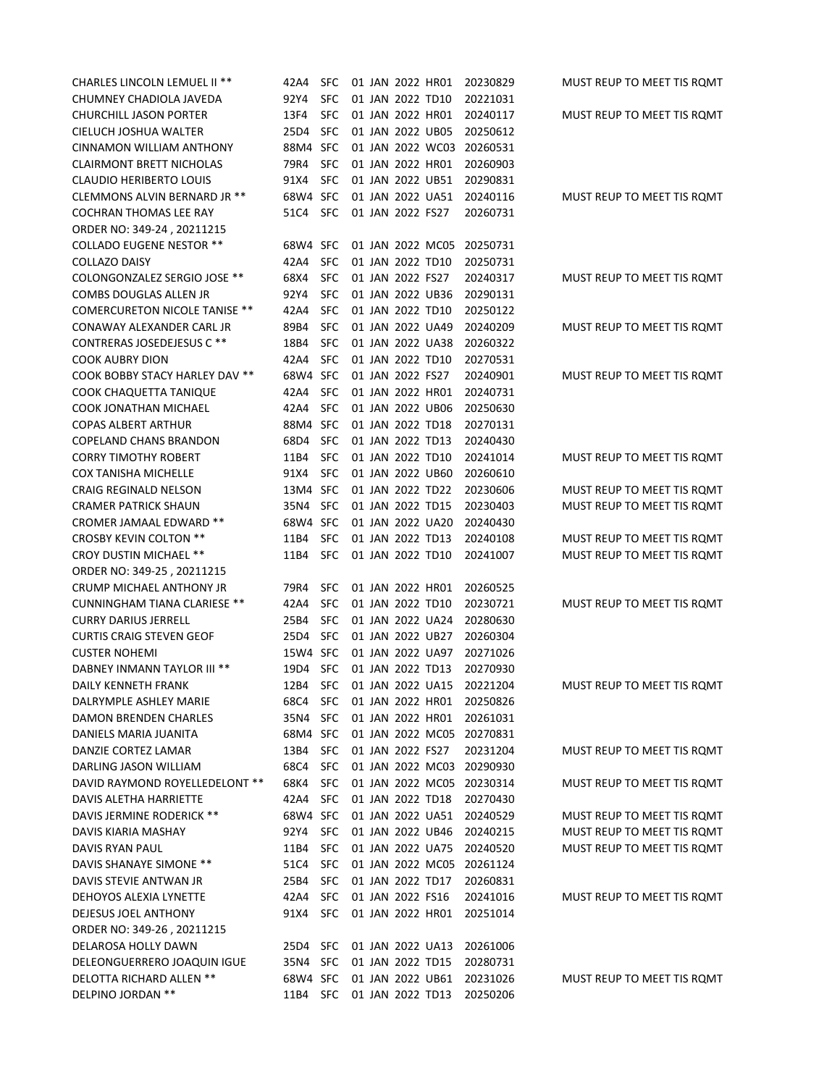| <b>CHARLES LINCOLN LEMUEL II **</b>   | 42A4     | <b>SFC</b> |  |                  | 01 JAN 2022 HR01 | 20230829                  | MUST REUP TO MEET TIS ROMT |
|---------------------------------------|----------|------------|--|------------------|------------------|---------------------------|----------------------------|
| CHUMNEY CHADIOLA JAVEDA               | 92Y4     | <b>SFC</b> |  |                  | 01 JAN 2022 TD10 | 20221031                  |                            |
| <b>CHURCHILL JASON PORTER</b>         | 13F4     | <b>SFC</b> |  |                  | 01 JAN 2022 HR01 | 20240117                  | MUST REUP TO MEET TIS ROMT |
| CIELUCH JOSHUA WALTER                 | 25D4     | <b>SFC</b> |  |                  | 01 JAN 2022 UB05 | 20250612                  |                            |
| CINNAMON WILLIAM ANTHONY              | 88M4     | <b>SFC</b> |  |                  | 01 JAN 2022 WC03 | 20260531                  |                            |
| <b>CLAIRMONT BRETT NICHOLAS</b>       | 79R4     | <b>SFC</b> |  |                  | 01 JAN 2022 HR01 | 20260903                  |                            |
| <b>CLAUDIO HERIBERTO LOUIS</b>        | 91X4     | <b>SFC</b> |  |                  | 01 JAN 2022 UB51 | 20290831                  |                            |
| CLEMMONS ALVIN BERNARD JR **          | 68W4     | <b>SFC</b> |  |                  | 01 JAN 2022 UA51 | 20240116                  | MUST REUP TO MEET TIS ROMT |
| <b>COCHRAN THOMAS LEE RAY</b>         | 51C4     | <b>SFC</b> |  | 01 JAN 2022 FS27 |                  | 20260731                  |                            |
| ORDER NO: 349-24, 20211215            |          |            |  |                  |                  |                           |                            |
| <b>COLLADO EUGENE NESTOR **</b>       | 68W4     | <b>SFC</b> |  |                  | 01 JAN 2022 MC05 | 20250731                  |                            |
| <b>COLLAZO DAISY</b>                  | 42A4     | <b>SFC</b> |  | 01 JAN 2022 TD10 |                  | 20250731                  |                            |
| COLONGONZALEZ SERGIO JOSE **          | 68X4     | <b>SFC</b> |  | 01 JAN 2022 FS27 |                  | 20240317                  | MUST REUP TO MEET TIS ROMT |
| COMBS DOUGLAS ALLEN JR                | 92Y4     | <b>SFC</b> |  |                  | 01 JAN 2022 UB36 | 20290131                  |                            |
| <b>COMERCURETON NICOLE TANISE **</b>  | 42A4     | <b>SFC</b> |  |                  | 01 JAN 2022 TD10 | 20250122                  |                            |
| CONAWAY ALEXANDER CARL JR             | 89B4     | <b>SFC</b> |  |                  | 01 JAN 2022 UA49 | 20240209                  | MUST REUP TO MEET TIS ROMT |
| CONTRERAS JOSEDEJESUS C **            | 18B4     | <b>SFC</b> |  |                  | 01 JAN 2022 UA38 | 20260322                  |                            |
| <b>COOK AUBRY DION</b>                | 42A4     | <b>SFC</b> |  |                  | 01 JAN 2022 TD10 | 20270531                  |                            |
| <b>COOK BOBBY STACY HARLEY DAV **</b> | 68W4 SFC |            |  | 01 JAN 2022 FS27 |                  | 20240901                  | MUST REUP TO MEET TIS ROMT |
| COOK CHAQUETTA TANIQUE                | 42A4     | <b>SFC</b> |  |                  | 01 JAN 2022 HR01 | 20240731                  |                            |
| COOK JONATHAN MICHAEL                 | 42A4     | <b>SFC</b> |  |                  | 01 JAN 2022 UB06 | 20250630                  |                            |
| <b>COPAS ALBERT ARTHUR</b>            | 88M4 SFC |            |  |                  | 01 JAN 2022 TD18 | 20270131                  |                            |
| <b>COPELAND CHANS BRANDON</b>         | 68D4     | <b>SFC</b> |  |                  | 01 JAN 2022 TD13 | 20240430                  |                            |
| <b>CORRY TIMOTHY ROBERT</b>           | 11B4     | <b>SFC</b> |  | 01 JAN 2022 TD10 |                  | 20241014                  | MUST REUP TO MEET TIS ROMT |
| <b>COX TANISHA MICHELLE</b>           | 91X4     | <b>SFC</b> |  |                  | 01 JAN 2022 UB60 | 20260610                  |                            |
| CRAIG REGINALD NELSON                 | 13M4 SFC |            |  |                  | 01 JAN 2022 TD22 | 20230606                  | MUST REUP TO MEET TIS ROMT |
| <b>CRAMER PATRICK SHAUN</b>           | 35N4     | <b>SFC</b> |  | 01 JAN 2022 TD15 |                  | 20230403                  | MUST REUP TO MEET TIS ROMT |
| CROMER JAMAAL EDWARD **               | 68W4 SFC |            |  |                  | 01 JAN 2022 UA20 | 20240430                  |                            |
| <b>CROSBY KEVIN COLTON **</b>         | 11B4     | <b>SFC</b> |  |                  | 01 JAN 2022 TD13 | 20240108                  | MUST REUP TO MEET TIS ROMT |
| <b>CROY DUSTIN MICHAEL **</b>         | 11B4     | <b>SFC</b> |  | 01 JAN 2022 TD10 |                  | 20241007                  | MUST REUP TO MEET TIS ROMT |
| ORDER NO: 349-25, 20211215            |          |            |  |                  |                  |                           |                            |
| CRUMP MICHAEL ANTHONY JR              | 79R4     | <b>SFC</b> |  |                  | 01 JAN 2022 HR01 | 20260525                  |                            |
| <b>CUNNINGHAM TIANA CLARIESE **</b>   | 42A4     | <b>SFC</b> |  | 01 JAN 2022 TD10 |                  | 20230721                  | MUST REUP TO MEET TIS ROMT |
| <b>CURRY DARIUS JERRELL</b>           | 25B4     | <b>SFC</b> |  |                  | 01 JAN 2022 UA24 | 20280630                  |                            |
| <b>CURTIS CRAIG STEVEN GEOF</b>       | 25D4     | <b>SFC</b> |  |                  | 01 JAN 2022 UB27 | 20260304                  |                            |
| <b>CUSTER NOHEMI</b>                  | 15W4     | <b>SFC</b> |  |                  | 01 JAN 2022 UA97 | 20271026                  |                            |
| DABNEY INMANN TAYLOR III **           | 19D4     | <b>SFC</b> |  | 01 JAN 2022 TD13 |                  | 20270930                  |                            |
| DAILY KENNETH FRANK                   | 12B4     | <b>SFC</b> |  |                  | 01 JAN 2022 UA15 | 20221204                  | MUST REUP TO MEET TIS ROMT |
| DALRYMPLE ASHLEY MARIE                | 68C4     | <b>SFC</b> |  |                  | 01 JAN 2022 HR01 | 20250826                  |                            |
| <b>DAMON BRENDEN CHARLES</b>          | 35N4     | <b>SFC</b> |  |                  | 01 JAN 2022 HR01 | 20261031                  |                            |
| DANIELS MARIA JUANITA                 | 68M4 SFC |            |  |                  |                  | 01 JAN 2022 MC05 20270831 |                            |
| DANZIE CORTEZ LAMAR                   | 13B4     | <b>SFC</b> |  | 01 JAN 2022 FS27 |                  | 20231204                  | MUST REUP TO MEET TIS ROMT |
| DARLING JASON WILLIAM                 | 68C4     | <b>SFC</b> |  |                  |                  | 01 JAN 2022 MC03 20290930 |                            |
| DAVID RAYMOND ROYELLEDELONT **        | 68K4     | <b>SFC</b> |  |                  |                  | 01 JAN 2022 MC05 20230314 | MUST REUP TO MEET TIS ROMT |
| <b>DAVIS ALETHA HARRIETTE</b>         | 42A4     | <b>SFC</b> |  |                  | 01 JAN 2022 TD18 | 20270430                  |                            |
| DAVIS JERMINE RODERICK **             | 68W4 SFC |            |  |                  | 01 JAN 2022 UA51 | 20240529                  | MUST REUP TO MEET TIS ROMT |
| DAVIS KIARIA MASHAY                   | 92Y4     | <b>SFC</b> |  |                  | 01 JAN 2022 UB46 | 20240215                  | MUST REUP TO MEET TIS ROMT |
| DAVIS RYAN PAUL                       | 11B4     | <b>SFC</b> |  |                  | 01 JAN 2022 UA75 | 20240520                  | MUST REUP TO MEET TIS ROMT |
| DAVIS SHANAYE SIMONE **               | 51C4     | <b>SFC</b> |  |                  |                  | 01 JAN 2022 MC05 20261124 |                            |
| DAVIS STEVIE ANTWAN JR                | 25B4     | <b>SFC</b> |  |                  | 01 JAN 2022 TD17 | 20260831                  |                            |
| DEHOYOS ALEXIA LYNETTE                | 42A4     | <b>SFC</b> |  | 01 JAN 2022 FS16 |                  | 20241016                  | MUST REUP TO MEET TIS ROMT |
| DEJESUS JOEL ANTHONY                  | 91X4     | <b>SFC</b> |  |                  | 01 JAN 2022 HR01 | 20251014                  |                            |
| ORDER NO: 349-26, 20211215            |          |            |  |                  |                  |                           |                            |
| DELAROSA HOLLY DAWN                   | 25D4     | SFC        |  |                  | 01 JAN 2022 UA13 | 20261006                  |                            |
| DELEONGUERRERO JOAQUIN IGUE           | 35N4     | <b>SFC</b> |  |                  | 01 JAN 2022 TD15 | 20280731                  |                            |
| DELOTTA RICHARD ALLEN **              | 68W4 SFC |            |  |                  | 01 JAN 2022 UB61 | 20231026                  | MUST REUP TO MEET TIS ROMT |
| DELPINO JORDAN **                     | 11B4     | SFC        |  |                  | 01 JAN 2022 TD13 | 20250206                  |                            |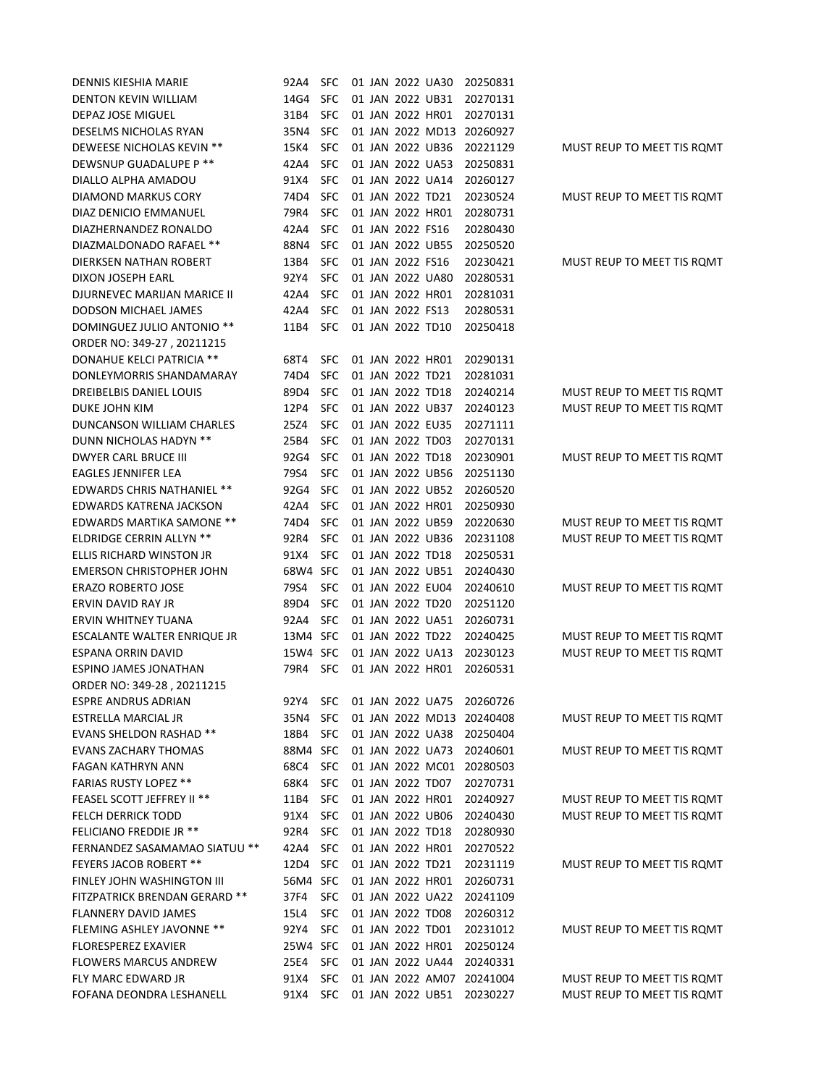| DENNIS KIESHIA MARIE              | 92A4     | <b>SFC</b> |  |                  | 01 JAN 2022 UA30 | 20250831                  |                            |
|-----------------------------------|----------|------------|--|------------------|------------------|---------------------------|----------------------------|
| <b>DENTON KEVIN WILLIAM</b>       | 14G4     | <b>SFC</b> |  |                  | 01 JAN 2022 UB31 | 20270131                  |                            |
| DEPAZ JOSE MIGUEL                 | 31B4     | <b>SFC</b> |  |                  | 01 JAN 2022 HR01 | 20270131                  |                            |
| DESELMS NICHOLAS RYAN             | 35N4     | <b>SFC</b> |  |                  | 01 JAN 2022 MD13 | 20260927                  |                            |
| DEWEESE NICHOLAS KEVIN **         | 15K4     | <b>SFC</b> |  |                  | 01 JAN 2022 UB36 | 20221129                  | MUST REUP TO MEET TIS ROMT |
| DEWSNUP GUADALUPE P **            | 42A4     | <b>SFC</b> |  |                  | 01 JAN 2022 UA53 | 20250831                  |                            |
| DIALLO ALPHA AMADOU               | 91X4     | <b>SFC</b> |  |                  | 01 JAN 2022 UA14 | 20260127                  |                            |
| DIAMOND MARKUS CORY               | 74D4     | <b>SFC</b> |  |                  | 01 JAN 2022 TD21 | 20230524                  | MUST REUP TO MEET TIS ROMT |
| DIAZ DENICIO EMMANUEL             | 79R4     | <b>SFC</b> |  |                  | 01 JAN 2022 HR01 | 20280731                  |                            |
| DIAZHERNANDEZ RONALDO             | 42A4     | <b>SFC</b> |  | 01 JAN 2022 FS16 |                  | 20280430                  |                            |
| DIAZMALDONADO RAFAEL **           | 88N4     | <b>SFC</b> |  |                  | 01 JAN 2022 UB55 | 20250520                  |                            |
| <b>DIERKSEN NATHAN ROBERT</b>     | 13B4     | <b>SFC</b> |  | 01 JAN 2022 FS16 |                  | 20230421                  | MUST REUP TO MEET TIS ROMT |
| DIXON JOSEPH EARL                 | 92Y4     | SFC        |  |                  | 01 JAN 2022 UA80 | 20280531                  |                            |
| DJURNEVEC MARIJAN MARICE II       | 42A4     | <b>SFC</b> |  |                  | 01 JAN 2022 HR01 | 20281031                  |                            |
| DODSON MICHAEL JAMES              | 42A4     | <b>SFC</b> |  | 01 JAN 2022 FS13 |                  | 20280531                  |                            |
| DOMINGUEZ JULIO ANTONIO **        | 11B4     | <b>SFC</b> |  |                  | 01 JAN 2022 TD10 | 20250418                  |                            |
| ORDER NO: 349-27, 20211215        |          |            |  |                  |                  |                           |                            |
| DONAHUE KELCI PATRICIA **         | 68T4     | <b>SFC</b> |  |                  | 01 JAN 2022 HR01 | 20290131                  |                            |
| DONLEYMORRIS SHANDAMARAY          | 74D4     | <b>SFC</b> |  |                  | 01 JAN 2022 TD21 | 20281031                  |                            |
| DREIBELBIS DANIEL LOUIS           | 89D4     | <b>SFC</b> |  | 01 JAN 2022 TD18 |                  | 20240214                  | MUST REUP TO MEET TIS ROMT |
| DUKE JOHN KIM                     | 12P4     | <b>SFC</b> |  |                  | 01 JAN 2022 UB37 | 20240123                  | MUST REUP TO MEET TIS ROMT |
| DUNCANSON WILLIAM CHARLES         | 25Z4     | <b>SFC</b> |  |                  | 01 JAN 2022 EU35 | 20271111                  |                            |
| DUNN NICHOLAS HADYN **            | 25B4     | <b>SFC</b> |  | 01 JAN 2022 TD03 |                  | 20270131                  |                            |
| <b>DWYER CARL BRUCE III</b>       | 92G4     | <b>SFC</b> |  | 01 JAN 2022 TD18 |                  | 20230901                  | MUST REUP TO MEET TIS ROMT |
| <b>EAGLES JENNIFER LEA</b>        | 79S4     | <b>SFC</b> |  |                  | 01 JAN 2022 UB56 | 20251130                  |                            |
| EDWARDS CHRIS NATHANIEL **        | 92G4     | <b>SFC</b> |  |                  | 01 JAN 2022 UB52 | 20260520                  |                            |
| EDWARDS KATRENA JACKSON           | 42A4     | <b>SFC</b> |  |                  | 01 JAN 2022 HR01 | 20250930                  |                            |
| EDWARDS MARTIKA SAMONE **         | 74D4     | <b>SFC</b> |  |                  | 01 JAN 2022 UB59 | 20220630                  | MUST REUP TO MEET TIS ROMT |
| ELDRIDGE CERRIN ALLYN **          | 92R4     | <b>SFC</b> |  |                  | 01 JAN 2022 UB36 | 20231108                  | MUST REUP TO MEET TIS ROMT |
| ELLIS RICHARD WINSTON JR          | 91X4     | <b>SFC</b> |  | 01 JAN 2022 TD18 |                  | 20250531                  |                            |
| <b>EMERSON CHRISTOPHER JOHN</b>   | 68W4 SFC |            |  |                  | 01 JAN 2022 UB51 | 20240430                  |                            |
| <b>ERAZO ROBERTO JOSE</b>         | 79S4     | <b>SFC</b> |  |                  | 01 JAN 2022 EU04 | 20240610                  | MUST REUP TO MEET TIS ROMT |
| ERVIN DAVID RAY JR                | 89D4     | <b>SFC</b> |  | 01 JAN 2022 TD20 |                  | 20251120                  |                            |
| ERVIN WHITNEY TUANA               | 92A4     | <b>SFC</b> |  |                  | 01 JAN 2022 UA51 | 20260731                  |                            |
| ESCALANTE WALTER ENRIQUE JR       | 13M4 SFC |            |  |                  | 01 JAN 2022 TD22 | 20240425                  | MUST REUP TO MEET TIS ROMT |
| <b>ESPANA ORRIN DAVID</b>         | 15W4 SFC |            |  |                  | 01 JAN 2022 UA13 | 20230123                  | MUST REUP TO MEET TIS ROMT |
| ESPINO JAMES JONATHAN             | 79R4     | <b>SFC</b> |  |                  | 01 JAN 2022 HR01 | 20260531                  |                            |
| ORDER NO: 349-28, 20211215        |          |            |  |                  |                  |                           |                            |
| <b>ESPRE ANDRUS ADRIAN</b>        | 92Y4     | <b>SFC</b> |  |                  | 01 JAN 2022 UA75 | 20260726                  |                            |
| ESTRELLA MARCIAL JR               | 35N4     | <b>SFC</b> |  |                  |                  | 01 JAN 2022 MD13 20240408 | MUST REUP TO MEET TIS ROMT |
| <b>EVANS SHELDON RASHAD **</b>    | 18B4     | <b>SFC</b> |  |                  | 01 JAN 2022 UA38 | 20250404                  |                            |
| EVANS ZACHARY THOMAS              | 88M4 SFC |            |  |                  | 01 JAN 2022 UA73 | 20240601                  | MUST REUP TO MEET TIS ROMT |
| FAGAN KATHRYN ANN                 | 68C4     | <b>SFC</b> |  |                  |                  | 01 JAN 2022 MC01 20280503 |                            |
| <b>FARIAS RUSTY LOPEZ **</b>      | 68K4     | <b>SFC</b> |  |                  | 01 JAN 2022 TD07 | 20270731                  |                            |
| <b>FEASEL SCOTT JEFFREY II **</b> | 11B4     | <b>SFC</b> |  |                  | 01 JAN 2022 HR01 | 20240927                  | MUST REUP TO MEET TIS ROMT |
| FELCH DERRICK TODD                | 91X4     | <b>SFC</b> |  |                  | 01 JAN 2022 UB06 | 20240430                  | MUST REUP TO MEET TIS ROMT |
| <b>FELICIANO FREDDIE JR **</b>    | 92R4     | <b>SFC</b> |  |                  | 01 JAN 2022 TD18 | 20280930                  |                            |
| FERNANDEZ SASAMAMAO SIATUU **     | 42A4     | <b>SFC</b> |  |                  | 01 JAN 2022 HR01 | 20270522                  |                            |
| <b>FEYERS JACOB ROBERT **</b>     | 12D4     | <b>SFC</b> |  |                  | 01 JAN 2022 TD21 | 20231119                  | MUST REUP TO MEET TIS ROMT |
| FINLEY JOHN WASHINGTON III        | 56M4 SFC |            |  |                  | 01 JAN 2022 HR01 | 20260731                  |                            |
| FITZPATRICK BRENDAN GERARD **     | 37F4     | <b>SFC</b> |  |                  | 01 JAN 2022 UA22 | 20241109                  |                            |
| FLANNERY DAVID JAMES              | 15L4     | <b>SFC</b> |  |                  | 01 JAN 2022 TD08 | 20260312                  |                            |
| <b>FLEMING ASHLEY JAVONNE **</b>  | 92Y4     | <b>SFC</b> |  |                  | 01 JAN 2022 TD01 | 20231012                  | MUST REUP TO MEET TIS ROMT |
| <b>FLORESPEREZ EXAVIER</b>        | 25W4 SFC |            |  |                  | 01 JAN 2022 HR01 | 20250124                  |                            |
| <b>FLOWERS MARCUS ANDREW</b>      | 25E4     | <b>SFC</b> |  |                  | 01 JAN 2022 UA44 | 20240331                  |                            |
| FLY MARC EDWARD JR                | 91X4     | <b>SFC</b> |  |                  | 01 JAN 2022 AM07 | 20241004                  | MUST REUP TO MEET TIS ROMT |
| FOFANA DEONDRA LESHANELL          | 91X4     | <b>SFC</b> |  |                  | 01 JAN 2022 UB51 | 20230227                  | MUST REUP TO MEET TIS ROMT |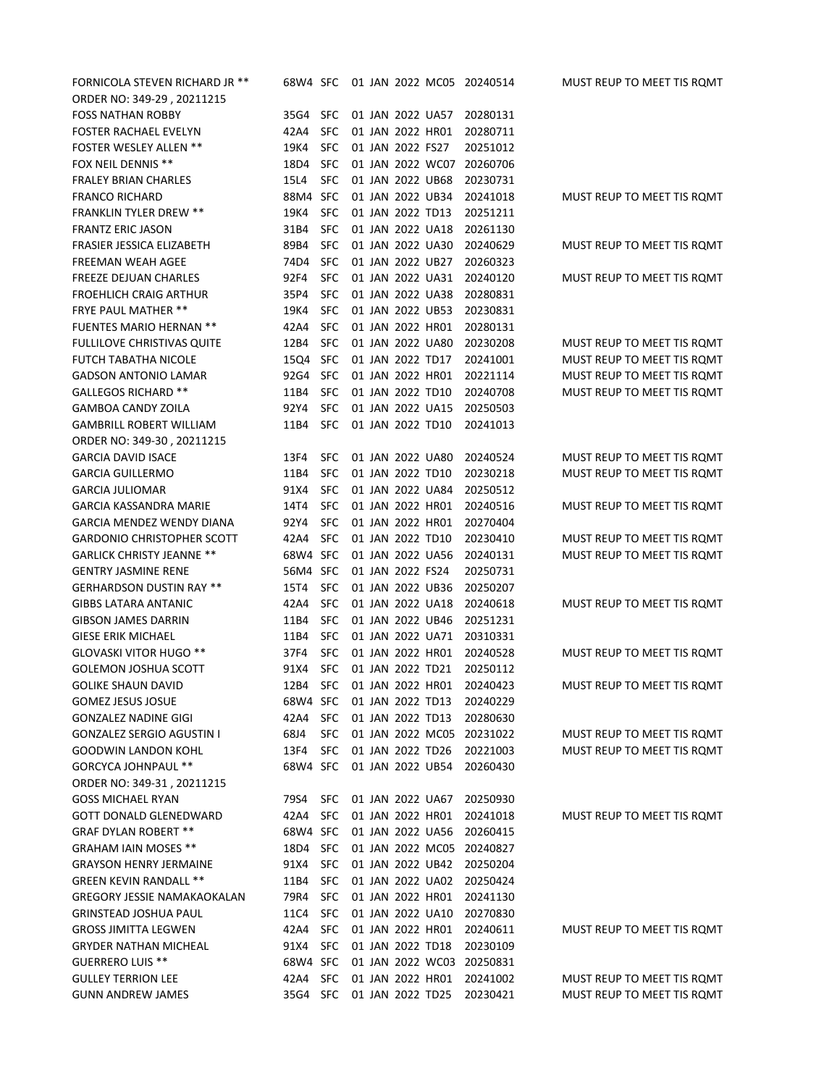| FORNICOLA STEVEN RICHARD JR **     | 68W4 SFC |            |  |                  |                  | 01 JAN 2022 MC05 20240514 | MUST REUP TO MEET TIS ROMT |
|------------------------------------|----------|------------|--|------------------|------------------|---------------------------|----------------------------|
| ORDER NO: 349-29, 20211215         |          |            |  |                  |                  |                           |                            |
| <b>FOSS NATHAN ROBBY</b>           | 35G4     | <b>SFC</b> |  |                  | 01 JAN 2022 UA57 | 20280131                  |                            |
| FOSTER RACHAEL EVELYN              | 42A4     | <b>SFC</b> |  | 01 JAN 2022 HR01 |                  | 20280711                  |                            |
| <b>FOSTER WESLEY ALLEN **</b>      | 19K4     | <b>SFC</b> |  | 01 JAN 2022 FS27 |                  | 20251012                  |                            |
| FOX NEIL DENNIS **                 | 18D4     | <b>SFC</b> |  |                  | 01 JAN 2022 WC07 | 20260706                  |                            |
| <b>FRALEY BRIAN CHARLES</b>        | 15L4     | <b>SFC</b> |  |                  | 01 JAN 2022 UB68 | 20230731                  |                            |
| <b>FRANCO RICHARD</b>              | 88M4 SFC |            |  |                  | 01 JAN 2022 UB34 | 20241018                  | MUST REUP TO MEET TIS ROMT |
| <b>FRANKLIN TYLER DREW **</b>      | 19K4     | <b>SFC</b> |  | 01 JAN 2022 TD13 |                  | 20251211                  |                            |
| <b>FRANTZ ERIC JASON</b>           | 31B4     | <b>SFC</b> |  |                  | 01 JAN 2022 UA18 | 20261130                  |                            |
| FRASIER JESSICA ELIZABETH          | 89B4     | <b>SFC</b> |  |                  | 01 JAN 2022 UA30 | 20240629                  | MUST REUP TO MEET TIS ROMT |
| FREEMAN WEAH AGEE                  | 74D4     | <b>SFC</b> |  |                  | 01 JAN 2022 UB27 | 20260323                  |                            |
| <b>FREEZE DEJUAN CHARLES</b>       | 92F4     | <b>SFC</b> |  |                  | 01 JAN 2022 UA31 | 20240120                  | MUST REUP TO MEET TIS ROMT |
| <b>FROEHLICH CRAIG ARTHUR</b>      | 35P4     | <b>SFC</b> |  |                  | 01 JAN 2022 UA38 | 20280831                  |                            |
| <b>FRYE PAUL MATHER **</b>         | 19K4     | <b>SFC</b> |  |                  | 01 JAN 2022 UB53 | 20230831                  |                            |
| <b>FUENTES MARIO HERNAN **</b>     | 42A4     | <b>SFC</b> |  | 01 JAN 2022 HR01 |                  | 20280131                  |                            |
| <b>FULLILOVE CHRISTIVAS QUITE</b>  | 12B4     | <b>SFC</b> |  |                  | 01 JAN 2022 UA80 | 20230208                  | MUST REUP TO MEET TIS ROMT |
| <b>FUTCH TABATHA NICOLE</b>        | 15Q4     | <b>SFC</b> |  | 01 JAN 2022 TD17 |                  | 20241001                  | MUST REUP TO MEET TIS ROMT |
| <b>GADSON ANTONIO LAMAR</b>        | 92G4     | <b>SFC</b> |  | 01 JAN 2022 HR01 |                  | 20221114                  | MUST REUP TO MEET TIS ROMT |
| <b>GALLEGOS RICHARD **</b>         | 11B4     | <b>SFC</b> |  | 01 JAN 2022 TD10 |                  | 20240708                  | MUST REUP TO MEET TIS ROMT |
| <b>GAMBOA CANDY ZOILA</b>          | 92Y4     | <b>SFC</b> |  |                  | 01 JAN 2022 UA15 | 20250503                  |                            |
| <b>GAMBRILL ROBERT WILLIAM</b>     | 11B4     | <b>SFC</b> |  | 01 JAN 2022 TD10 |                  | 20241013                  |                            |
| ORDER NO: 349-30, 20211215         |          |            |  |                  |                  |                           |                            |
| <b>GARCIA DAVID ISACE</b>          | 13F4     | <b>SFC</b> |  |                  | 01 JAN 2022 UA80 | 20240524                  | MUST REUP TO MEET TIS ROMT |
| <b>GARCIA GUILLERMO</b>            | 11B4     | <b>SFC</b> |  | 01 JAN 2022 TD10 |                  | 20230218                  | MUST REUP TO MEET TIS ROMT |
| <b>GARCIA JULIOMAR</b>             | 91X4     | <b>SFC</b> |  |                  | 01 JAN 2022 UA84 | 20250512                  |                            |
| GARCIA KASSANDRA MARIE             | 14T4     | <b>SFC</b> |  | 01 JAN 2022 HR01 |                  | 20240516                  | MUST REUP TO MEET TIS ROMT |
| GARCIA MENDEZ WENDY DIANA          | 92Y4     | <b>SFC</b> |  | 01 JAN 2022 HR01 |                  | 20270404                  |                            |
| <b>GARDONIO CHRISTOPHER SCOTT</b>  | 42A4     | <b>SFC</b> |  | 01 JAN 2022 TD10 |                  | 20230410                  | MUST REUP TO MEET TIS ROMT |
| <b>GARLICK CHRISTY JEANNE **</b>   | 68W4     | <b>SFC</b> |  |                  | 01 JAN 2022 UA56 | 20240131                  | MUST REUP TO MEET TIS ROMT |
| <b>GENTRY JASMINE RENE</b>         | 56M4     | <b>SFC</b> |  | 01 JAN 2022 FS24 |                  | 20250731                  |                            |
| <b>GERHARDSON DUSTIN RAY **</b>    | 15T4     | <b>SFC</b> |  |                  | 01 JAN 2022 UB36 | 20250207                  |                            |
| <b>GIBBS LATARA ANTANIC</b>        | 42A4     | <b>SFC</b> |  |                  | 01 JAN 2022 UA18 | 20240618                  | MUST REUP TO MEET TIS ROMT |
| <b>GIBSON JAMES DARRIN</b>         | 11B4     | <b>SFC</b> |  |                  | 01 JAN 2022 UB46 | 20251231                  |                            |
| <b>GIESE ERIK MICHAEL</b>          | 11B4     | <b>SFC</b> |  |                  | 01 JAN 2022 UA71 | 20310331                  |                            |
| GLOVASKI VITOR HUGO **             | 37F4     | <b>SFC</b> |  |                  | 01 JAN 2022 HR01 | 20240528                  | MUST REUP TO MEET TIS ROMT |
| <b>GOLEMON JOSHUA SCOTT</b>        | 91X4     | <b>SFC</b> |  | 01 JAN 2022 TD21 |                  | 20250112                  |                            |
| <b>GOLIKE SHAUN DAVID</b>          | 12B4     | <b>SFC</b> |  | 01 JAN 2022 HR01 |                  | 20240423                  | MUST REUP TO MEET TIS ROMT |
| <b>GOMEZ JESUS JOSUE</b>           | 68W4 SFC |            |  | 01 JAN 2022 TD13 |                  | 20240229                  |                            |
| <b>GONZALEZ NADINE GIGI</b>        | 42A4     | <b>SFC</b> |  | 01 JAN 2022 TD13 |                  | 20280630                  |                            |
| <b>GONZALEZ SERGIO AGUSTIN I</b>   | 68J4     | <b>SFC</b> |  |                  | 01 JAN 2022 MC05 | 20231022                  | MUST REUP TO MEET TIS ROMT |
| <b>GOODWIN LANDON KOHL</b>         | 13F4     | <b>SFC</b> |  |                  | 01 JAN 2022 TD26 | 20221003                  | MUST REUP TO MEET TIS ROMT |
| <b>GORCYCA JOHNPAUL **</b>         | 68W4 SFC |            |  |                  | 01 JAN 2022 UB54 | 20260430                  |                            |
| ORDER NO: 349-31, 20211215         |          |            |  |                  |                  |                           |                            |
| <b>GOSS MICHAEL RYAN</b>           | 79S4     | <b>SFC</b> |  |                  | 01 JAN 2022 UA67 | 20250930                  |                            |
| <b>GOTT DONALD GLENEDWARD</b>      | 42A4     | <b>SFC</b> |  |                  | 01 JAN 2022 HR01 | 20241018                  | MUST REUP TO MEET TIS ROMT |
| <b>GRAF DYLAN ROBERT **</b>        | 68W4 SFC |            |  |                  | 01 JAN 2022 UA56 | 20260415                  |                            |
| <b>GRAHAM IAIN MOSES **</b>        | 18D4     | <b>SFC</b> |  |                  |                  | 01 JAN 2022 MC05 20240827 |                            |
| <b>GRAYSON HENRY JERMAINE</b>      | 91X4     | <b>SFC</b> |  |                  | 01 JAN 2022 UB42 | 20250204                  |                            |
| <b>GREEN KEVIN RANDALL **</b>      | 11B4     | <b>SFC</b> |  |                  | 01 JAN 2022 UA02 | 20250424                  |                            |
| <b>GREGORY JESSIE NAMAKAOKALAN</b> | 79R4     | <b>SFC</b> |  |                  | 01 JAN 2022 HR01 | 20241130                  |                            |
| <b>GRINSTEAD JOSHUA PAUL</b>       | 11C4     | <b>SFC</b> |  |                  | 01 JAN 2022 UA10 | 20270830                  |                            |
| <b>GROSS JIMITTA LEGWEN</b>        | 42A4     | <b>SFC</b> |  |                  | 01 JAN 2022 HR01 | 20240611                  | MUST REUP TO MEET TIS ROMT |
| <b>GRYDER NATHAN MICHEAL</b>       | 91X4     | <b>SFC</b> |  |                  | 01 JAN 2022 TD18 | 20230109                  |                            |
| <b>GUERRERO LUIS **</b>            | 68W4 SFC |            |  |                  |                  | 01 JAN 2022 WC03 20250831 |                            |
| <b>GULLEY TERRION LEE</b>          | 42A4     | <b>SFC</b> |  |                  | 01 JAN 2022 HR01 | 20241002                  | MUST REUP TO MEET TIS ROMT |
| <b>GUNN ANDREW JAMES</b>           | 35G4     | <b>SFC</b> |  | 01 JAN 2022 TD25 |                  | 20230421                  | MUST REUP TO MEET TIS ROMT |
|                                    |          |            |  |                  |                  |                           |                            |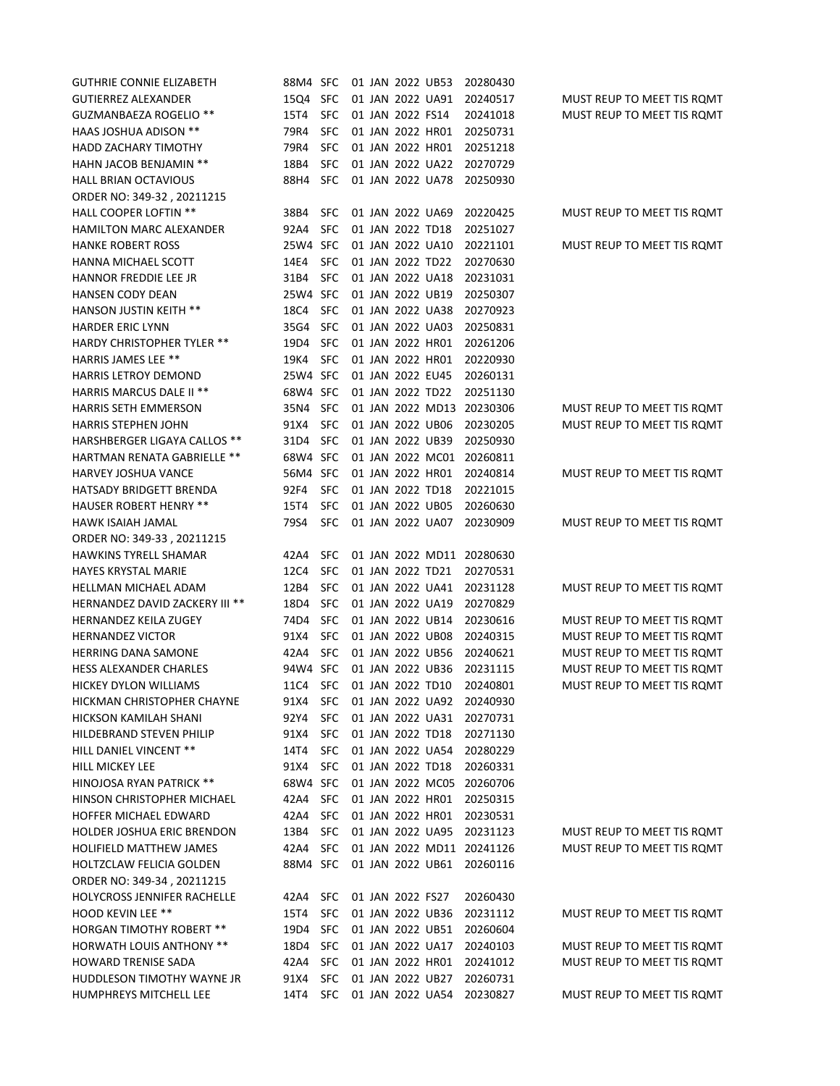| <b>GUTHRIE CONNIE ELIZABETH</b>       | 88M4 SFC                  |            |  | 01 JAN 2022 UB53 |                  | 20280430                  |                            |
|---------------------------------------|---------------------------|------------|--|------------------|------------------|---------------------------|----------------------------|
| <b>GUTIERREZ ALEXANDER</b>            | 15Q4                      | <b>SFC</b> |  |                  | 01 JAN 2022 UA91 | 20240517                  | MUST REUP TO MEET TIS ROMT |
| GUZMANBAEZA ROGELIO **                | 15T4                      | <b>SFC</b> |  | 01 JAN 2022 FS14 |                  | 20241018                  | MUST REUP TO MEET TIS ROMT |
| <b>HAAS JOSHUA ADISON **</b>          | 79R4                      | <b>SFC</b> |  | 01 JAN 2022 HR01 |                  | 20250731                  |                            |
| <b>HADD ZACHARY TIMOTHY</b>           | 79R4                      | <b>SFC</b> |  | 01 JAN 2022 HR01 |                  | 20251218                  |                            |
| <b>HAHN JACOB BENJAMIN **</b>         | 18B4                      | <b>SFC</b> |  |                  | 01 JAN 2022 UA22 | 20270729                  |                            |
| <b>HALL BRIAN OCTAVIOUS</b>           | 88H4                      | <b>SFC</b> |  |                  | 01 JAN 2022 UA78 | 20250930                  |                            |
| ORDER NO: 349-32, 20211215            |                           |            |  |                  |                  |                           |                            |
| <b>HALL COOPER LOFTIN **</b>          | 38B4                      | <b>SFC</b> |  | 01 JAN 2022 UA69 |                  | 20220425                  | MUST REUP TO MEET TIS ROMT |
| HAMILTON MARC ALEXANDER               | 92A4                      | <b>SFC</b> |  | 01 JAN 2022 TD18 |                  | 20251027                  |                            |
| <b>HANKE ROBERT ROSS</b>              | 25W4 SFC                  |            |  |                  | 01 JAN 2022 UA10 | 20221101                  | MUST REUP TO MEET TIS ROMT |
| HANNA MICHAEL SCOTT                   | 14E4                      | <b>SFC</b> |  | 01 JAN 2022 TD22 |                  | 20270630                  |                            |
| HANNOR FREDDIE LEE JR                 | 31B4                      | <b>SFC</b> |  |                  | 01 JAN 2022 UA18 | 20231031                  |                            |
| <b>HANSEN CODY DEAN</b>               | 25W4 SFC                  |            |  | 01 JAN 2022 UB19 |                  | 20250307                  |                            |
| <b>HANSON JUSTIN KEITH **</b>         | 18C4                      | <b>SFC</b> |  |                  | 01 JAN 2022 UA38 | 20270923                  |                            |
| <b>HARDER ERIC LYNN</b>               | 35G4                      | <b>SFC</b> |  |                  | 01 JAN 2022 UA03 | 20250831                  |                            |
| <b>HARDY CHRISTOPHER TYLER **</b>     | 19D4                      | <b>SFC</b> |  |                  | 01 JAN 2022 HR01 | 20261206                  |                            |
| <b>HARRIS JAMES LEE **</b>            | 19K4                      | <b>SFC</b> |  |                  | 01 JAN 2022 HR01 | 20220930                  |                            |
| <b>HARRIS LETROY DEMOND</b>           | 25W4 SFC                  |            |  | 01 JAN 2022 EU45 |                  | 20260131                  |                            |
| HARRIS MARCUS DALE II **              | 68W4 SFC                  |            |  | 01 JAN 2022 TD22 |                  | 20251130                  |                            |
| <b>HARRIS SETH EMMERSON</b>           | 35N4                      | <b>SFC</b> |  |                  | 01 JAN 2022 MD13 | 20230306                  | MUST REUP TO MEET TIS ROMT |
| <b>HARRIS STEPHEN JOHN</b>            | 91X4                      | <b>SFC</b> |  |                  | 01 JAN 2022 UB06 | 20230205                  | MUST REUP TO MEET TIS ROMT |
| <b>HARSHBERGER LIGAYA CALLOS **</b>   | 31D4                      | <b>SFC</b> |  |                  | 01 JAN 2022 UB39 | 20250930                  |                            |
| <b>HARTMAN RENATA GABRIELLE **</b>    | 68W4 SFC                  |            |  |                  | 01 JAN 2022 MC01 | 20260811                  |                            |
| <b>HARVEY JOSHUA VANCE</b>            | 56M4 SFC                  |            |  |                  | 01 JAN 2022 HR01 | 20240814                  | MUST REUP TO MEET TIS ROMT |
| HATSADY BRIDGETT BRENDA               | 92F4                      | <b>SFC</b> |  | 01 JAN 2022 TD18 |                  | 20221015                  |                            |
| <b>HAUSER ROBERT HENRY **</b>         | 15T4                      | <b>SFC</b> |  | 01 JAN 2022 UB05 |                  | 20260630                  |                            |
| HAWK ISAIAH JAMAL                     | 79S4                      | <b>SFC</b> |  |                  | 01 JAN 2022 UA07 | 20230909                  | MUST REUP TO MEET TIS ROMT |
| ORDER NO: 349-33, 20211215            |                           |            |  |                  |                  |                           |                            |
| <b>HAWKINS TYRELL SHAMAR</b>          | 42A4                      | <b>SFC</b> |  |                  |                  | 01 JAN 2022 MD11 20280630 |                            |
| <b>HAYES KRYSTAL MARIE</b>            | 12C4                      | <b>SFC</b> |  | 01 JAN 2022 TD21 |                  | 20270531                  |                            |
| HELLMAN MICHAEL ADAM                  | 12B4                      | <b>SFC</b> |  |                  | 01 JAN 2022 UA41 | 20231128                  | MUST REUP TO MEET TIS ROMT |
| <b>HERNANDEZ DAVID ZACKERY III **</b> | 18D4                      | <b>SFC</b> |  |                  | 01 JAN 2022 UA19 | 20270829                  |                            |
| <b>HERNANDEZ KEILA ZUGEY</b>          | 74D4                      | <b>SFC</b> |  |                  | 01 JAN 2022 UB14 | 20230616                  | MUST REUP TO MEET TIS ROMT |
| <b>HERNANDEZ VICTOR</b>               | 91X4                      | <b>SFC</b> |  |                  | 01 JAN 2022 UB08 | 20240315                  | MUST REUP TO MEET TIS ROMT |
| <b>HERRING DANA SAMONE</b>            | 42A4                      | <b>SFC</b> |  |                  | 01 JAN 2022 UB56 | 20240621                  | MUST REUP TO MEET TIS ROMT |
| HESS ALEXANDER CHARLES                | 94W4 SFC                  |            |  |                  | 01 JAN 2022 UB36 | 20231115                  | MUST REUP TO MEET TIS ROMT |
| HICKEY DYLON WILLIAMS                 | 11C4 SEC 01 JAN 2022 TD10 |            |  |                  |                  | 20240801                  | MUST REUP TO MEET TIS ROMT |
| HICKMAN CHRISTOPHER CHAYNE            | 91X4 -                    | SFC        |  |                  |                  | 01 JAN 2022 UA92 20240930 |                            |
| HICKSON KAMILAH SHANI                 | 92Y4                      | <b>SFC</b> |  |                  |                  | 01 JAN 2022 UA31 20270731 |                            |
| HILDEBRAND STEVEN PHILIP              | 91X4                      | <b>SFC</b> |  |                  | 01 JAN 2022 TD18 | 20271130                  |                            |
| HILL DANIEL VINCENT **                | 14T4                      | <b>SFC</b> |  |                  | 01 JAN 2022 UA54 | 20280229                  |                            |
| HILL MICKEY LEE                       | 91X4                      | <b>SFC</b> |  |                  | 01 JAN 2022 TD18 | 20260331                  |                            |
| HINOJOSA RYAN PATRICK **              | 68W4 SFC                  |            |  |                  |                  | 01 JAN 2022 MC05 20260706 |                            |
| HINSON CHRISTOPHER MICHAEL            | 42A4                      | <b>SFC</b> |  |                  | 01 JAN 2022 HR01 | 20250315                  |                            |
| HOFFER MICHAEL EDWARD                 | 42A4                      | <b>SFC</b> |  |                  | 01 JAN 2022 HR01 | 20230531                  |                            |
| <b>HOLDER JOSHUA ERIC BRENDON</b>     | 13B4                      | <b>SFC</b> |  |                  | 01 JAN 2022 UA95 | 20231123                  | MUST REUP TO MEET TIS ROMT |
| <b>HOLIFIELD MATTHEW JAMES</b>        | 42A4                      | <b>SFC</b> |  |                  |                  | 01 JAN 2022 MD11 20241126 | MUST REUP TO MEET TIS ROMT |
| HOLTZCLAW FELICIA GOLDEN              | 88M4 SFC                  |            |  |                  | 01 JAN 2022 UB61 | 20260116                  |                            |
| ORDER NO: 349-34, 20211215            |                           |            |  |                  |                  |                           |                            |
| HOLYCROSS JENNIFER RACHELLE           | 42A4                      | <b>SFC</b> |  | 01 JAN 2022 FS27 |                  | 20260430                  |                            |
| <b>HOOD KEVIN LEE **</b>              | 15T4                      | <b>SFC</b> |  |                  | 01 JAN 2022 UB36 | 20231112                  | MUST REUP TO MEET TIS ROMT |
| <b>HORGAN TIMOTHY ROBERT **</b>       | 19D4                      | <b>SFC</b> |  |                  | 01 JAN 2022 UB51 | 20260604                  |                            |
| <b>HORWATH LOUIS ANTHONY **</b>       | 18D4                      | <b>SFC</b> |  |                  | 01 JAN 2022 UA17 | 20240103                  | MUST REUP TO MEET TIS ROMT |
| <b>HOWARD TRENISE SADA</b>            | 42A4                      | <b>SFC</b> |  |                  | 01 JAN 2022 HR01 | 20241012                  | MUST REUP TO MEET TIS ROMT |
| HUDDLESON TIMOTHY WAYNE JR            | 91X4                      | <b>SFC</b> |  |                  | 01 JAN 2022 UB27 | 20260731                  |                            |
| HUMPHREYS MITCHELL LEE                | 14T4                      | <b>SFC</b> |  |                  | 01 JAN 2022 UA54 | 20230827                  | MUST REUP TO MEET TIS ROMT |
|                                       |                           |            |  |                  |                  |                           |                            |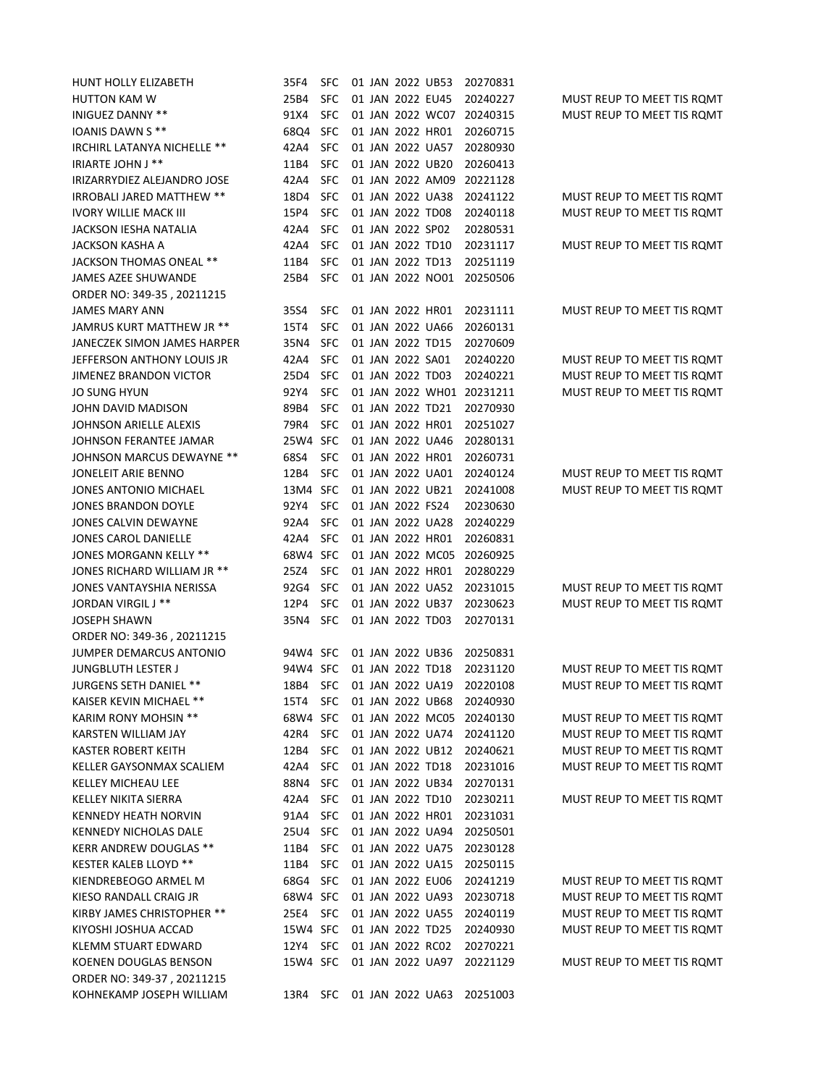| HUNT HOLLY ELIZABETH        | 35F4     | <b>SFC</b> |  |                  | 01 JAN 2022 UB53 | 20270831                  |                            |
|-----------------------------|----------|------------|--|------------------|------------------|---------------------------|----------------------------|
| HUTTON KAM W                | 25B4     | <b>SFC</b> |  |                  | 01 JAN 2022 EU45 | 20240227                  | MUST REUP TO MEET TIS ROMT |
| INIGUEZ DANNY **            | 91X4     | <b>SFC</b> |  |                  | 01 JAN 2022 WC07 | 20240315                  | MUST REUP TO MEET TIS ROMT |
| IOANIS DAWN S **            | 68Q4     | <b>SFC</b> |  |                  | 01 JAN 2022 HR01 | 20260715                  |                            |
| IRCHIRL LATANYA NICHELLE ** | 42A4     | <b>SFC</b> |  |                  | 01 JAN 2022 UA57 | 20280930                  |                            |
| IRIARTE JOHN J **           | 11B4     | <b>SFC</b> |  |                  | 01 JAN 2022 UB20 | 20260413                  |                            |
| IRIZARRYDIEZ ALEJANDRO JOSE | 42A4     | <b>SFC</b> |  |                  | 01 JAN 2022 AM09 | 20221128                  |                            |
| IRROBALI JARED MATTHEW **   | 18D4     | <b>SFC</b> |  |                  | 01 JAN 2022 UA38 | 20241122                  | MUST REUP TO MEET TIS ROMT |
| IVORY WILLIE MACK III       | 15P4     | <b>SFC</b> |  |                  | 01 JAN 2022 TD08 | 20240118                  | MUST REUP TO MEET TIS ROMT |
| JACKSON IESHA NATALIA       | 42A4     | <b>SFC</b> |  | 01 JAN 2022 SP02 |                  | 20280531                  |                            |
| JACKSON KASHA A             | 42A4     | <b>SFC</b> |  |                  | 01 JAN 2022 TD10 | 20231117                  | MUST REUP TO MEET TIS ROMT |
| JACKSON THOMAS ONEAL **     | 11B4     | <b>SFC</b> |  |                  | 01 JAN 2022 TD13 | 20251119                  |                            |
| JAMES AZEE SHUWANDE         | 25B4     | <b>SFC</b> |  |                  | 01 JAN 2022 NO01 | 20250506                  |                            |
| ORDER NO: 349-35, 20211215  |          |            |  |                  |                  |                           |                            |
| JAMES MARY ANN              | 35S4     | <b>SFC</b> |  |                  | 01 JAN 2022 HR01 | 20231111                  | MUST REUP TO MEET TIS ROMT |
| JAMRUS KURT MATTHEW JR **   | 15T4     | <b>SFC</b> |  |                  | 01 JAN 2022 UA66 | 20260131                  |                            |
| JANECZEK SIMON JAMES HARPER | 35N4     | <b>SFC</b> |  | 01 JAN 2022 TD15 |                  | 20270609                  |                            |
| JEFFERSON ANTHONY LOUIS JR  | 42A4     | <b>SFC</b> |  | 01 JAN 2022 SA01 |                  | 20240220                  | MUST REUP TO MEET TIS ROMT |
| JIMENEZ BRANDON VICTOR      | 25D4     | <b>SFC</b> |  |                  | 01 JAN 2022 TD03 | 20240221                  | MUST REUP TO MEET TIS ROMT |
| JO SUNG HYUN                | 92Y4     | <b>SFC</b> |  |                  |                  | 01 JAN 2022 WH01 20231211 | MUST REUP TO MEET TIS ROMT |
| JOHN DAVID MADISON          | 89B4     | <b>SFC</b> |  |                  | 01 JAN 2022 TD21 | 20270930                  |                            |
| JOHNSON ARIELLE ALEXIS      | 79R4     | <b>SFC</b> |  |                  | 01 JAN 2022 HR01 | 20251027                  |                            |
| JOHNSON FERANTEE JAMAR      | 25W4 SFC |            |  |                  | 01 JAN 2022 UA46 | 20280131                  |                            |
| JOHNSON MARCUS DEWAYNE **   | 68S4     | <b>SFC</b> |  |                  | 01 JAN 2022 HR01 | 20260731                  |                            |
| JONELEIT ARIE BENNO         | 12B4     | <b>SFC</b> |  |                  | 01 JAN 2022 UA01 | 20240124                  | MUST REUP TO MEET TIS ROMT |
| JONES ANTONIO MICHAEL       | 13M4 SFC |            |  |                  | 01 JAN 2022 UB21 | 20241008                  | MUST REUP TO MEET TIS ROMT |
| JONES BRANDON DOYLE         | 92Y4     | <b>SFC</b> |  | 01 JAN 2022 FS24 |                  | 20230630                  |                            |
| JONES CALVIN DEWAYNE        | 92A4     | <b>SFC</b> |  |                  | 01 JAN 2022 UA28 | 20240229                  |                            |
| JONES CAROL DANIELLE        | 42A4     | <b>SFC</b> |  |                  | 01 JAN 2022 HR01 | 20260831                  |                            |
| JONES MORGANN KELLY **      | 68W4 SFC |            |  |                  | 01 JAN 2022 MC05 | 20260925                  |                            |
| JONES RICHARD WILLIAM JR ** | 25Z4     | <b>SFC</b> |  |                  | 01 JAN 2022 HR01 | 20280229                  |                            |
| JONES VANTAYSHIA NERISSA    | 92G4     | <b>SFC</b> |  |                  | 01 JAN 2022 UA52 | 20231015                  | MUST REUP TO MEET TIS ROMT |
| JORDAN VIRGIL J **          | 12P4     | <b>SFC</b> |  |                  | 01 JAN 2022 UB37 | 20230623                  | MUST REUP TO MEET TIS ROMT |
| JOSEPH SHAWN                | 35N4     | <b>SFC</b> |  | 01 JAN 2022 TD03 |                  | 20270131                  |                            |
| ORDER NO: 349-36, 20211215  |          |            |  |                  |                  |                           |                            |
| JUMPER DEMARCUS ANTONIO     | 94W4 SFC |            |  |                  | 01 JAN 2022 UB36 | 20250831                  |                            |
| JUNGBLUTH LESTER J          | 94W4 SFC |            |  |                  | 01 JAN 2022 TD18 | 20231120                  | MUST REUP TO MEET TIS ROMT |
| JURGENS SETH DANIEL **      | 18B4     | <b>SFC</b> |  |                  | 01 JAN 2022 UA19 | 20220108                  | MUST REUP TO MEET TIS ROMT |
| KAISER KEVIN MICHAEL **     | 15T4     | <b>SFC</b> |  |                  | 01 JAN 2022 UB68 | 20240930                  |                            |
| KARIM RONY MOHSIN **        | 68W4 SFC |            |  |                  |                  | 01 JAN 2022 MC05 20240130 | MUST REUP TO MEET TIS ROMT |
| KARSTEN WILLIAM JAY         | 42R4     | <b>SFC</b> |  |                  | 01 JAN 2022 UA74 | 20241120                  | MUST REUP TO MEET TIS ROMT |
| KASTER ROBERT KEITH         | 12B4     | <b>SFC</b> |  |                  | 01 JAN 2022 UB12 | 20240621                  | MUST REUP TO MEET TIS ROMT |
| KELLER GAYSONMAX SCALIEM    | 42A4     | <b>SFC</b> |  |                  | 01 JAN 2022 TD18 | 20231016                  | MUST REUP TO MEET TIS ROMT |
| KELLEY MICHEAU LEE          | 88N4     | <b>SFC</b> |  |                  | 01 JAN 2022 UB34 | 20270131                  |                            |
| KELLEY NIKITA SIERRA        | 42A4     | <b>SFC</b> |  |                  | 01 JAN 2022 TD10 | 20230211                  | MUST REUP TO MEET TIS ROMT |
| KENNEDY HEATH NORVIN        | 91A4     | <b>SFC</b> |  |                  | 01 JAN 2022 HR01 | 20231031                  |                            |
| KENNEDY NICHOLAS DALE       | 25U4     | <b>SFC</b> |  |                  | 01 JAN 2022 UA94 | 20250501                  |                            |
| KERR ANDREW DOUGLAS **      | 11B4     | <b>SFC</b> |  |                  | 01 JAN 2022 UA75 | 20230128                  |                            |
| KESTER KALEB LLOYD **       | 11B4     | <b>SFC</b> |  |                  | 01 JAN 2022 UA15 | 20250115                  |                            |
| KIENDREBEOGO ARMEL M        | 68G4     | <b>SFC</b> |  |                  | 01 JAN 2022 EU06 | 20241219                  | MUST REUP TO MEET TIS ROMT |
| KIESO RANDALL CRAIG JR      | 68W4 SFC |            |  |                  | 01 JAN 2022 UA93 | 20230718                  | MUST REUP TO MEET TIS ROMT |
| KIRBY JAMES CHRISTOPHER **  | 25E4     | <b>SFC</b> |  |                  | 01 JAN 2022 UA55 | 20240119                  | MUST REUP TO MEET TIS ROMT |
| KIYOSHI JOSHUA ACCAD        | 15W4 SFC |            |  |                  | 01 JAN 2022 TD25 | 20240930                  | MUST REUP TO MEET TIS ROMT |
| KLEMM STUART EDWARD         | 12Y4     | <b>SFC</b> |  |                  | 01 JAN 2022 RC02 | 20270221                  |                            |
| KOENEN DOUGLAS BENSON       | 15W4 SFC |            |  |                  | 01 JAN 2022 UA97 | 20221129                  | MUST REUP TO MEET TIS ROMT |
| ORDER NO: 349-37, 20211215  |          |            |  |                  |                  |                           |                            |
| KOHNEKAMP JOSEPH WILLIAM    | 13R4     | <b>SFC</b> |  |                  | 01 JAN 2022 UA63 | 20251003                  |                            |
|                             |          |            |  |                  |                  |                           |                            |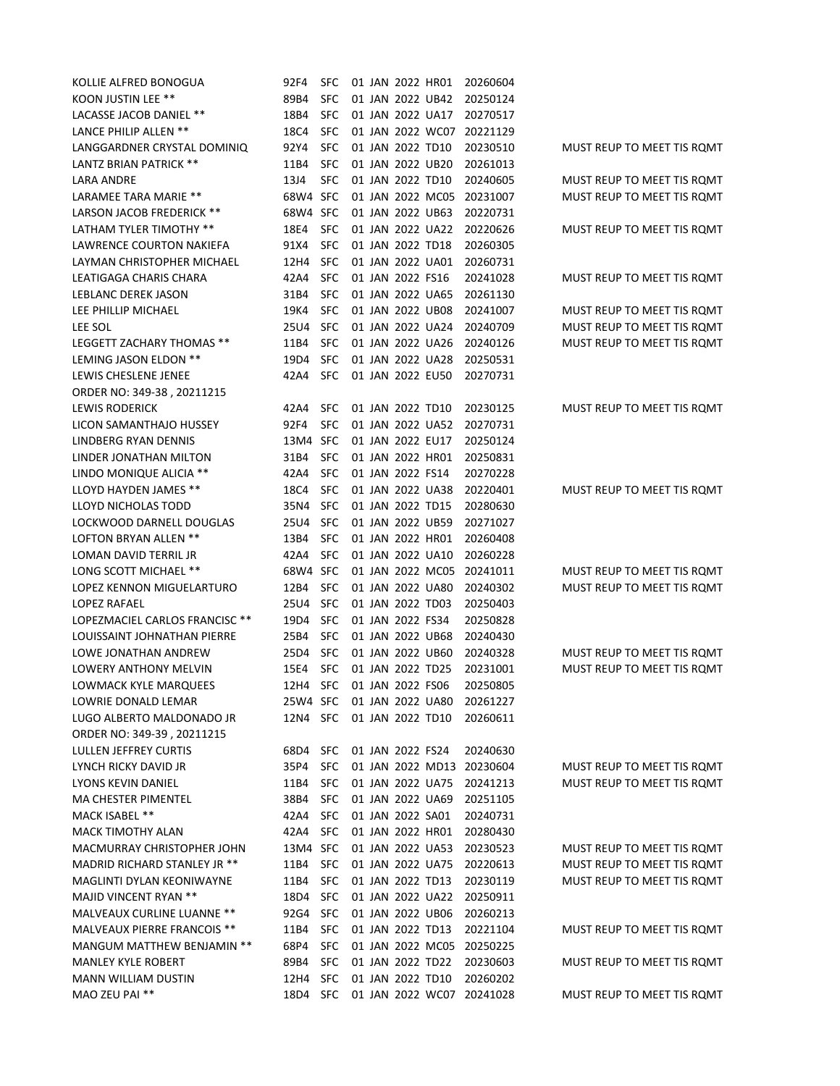| KOLLIE ALFRED BONOGUA             | 92F4                      | SFC        |  |                  | 01 JAN 2022 HR01 | 20260604                           |                            |
|-----------------------------------|---------------------------|------------|--|------------------|------------------|------------------------------------|----------------------------|
| KOON JUSTIN LEE **                | 89B4                      | <b>SFC</b> |  |                  | 01 JAN 2022 UB42 | 20250124                           |                            |
| LACASSE JACOB DANIEL **           | 18B4                      | <b>SFC</b> |  |                  | 01 JAN 2022 UA17 | 20270517                           |                            |
| LANCE PHILIP ALLEN **             | 18C4                      | <b>SFC</b> |  |                  | 01 JAN 2022 WC07 | 20221129                           |                            |
| LANGGARDNER CRYSTAL DOMINIQ       | 92Y4                      | <b>SFC</b> |  |                  | 01 JAN 2022 TD10 | 20230510                           | MUST REUP TO MEET TIS ROMT |
|                                   |                           |            |  |                  |                  |                                    |                            |
| <b>LANTZ BRIAN PATRICK **</b>     | 11B4                      | <b>SFC</b> |  |                  | 01 JAN 2022 UB20 | 20261013                           |                            |
| <b>LARA ANDRE</b>                 | 13J4                      | <b>SFC</b> |  |                  | 01 JAN 2022 TD10 | 20240605                           | MUST REUP TO MEET TIS ROMT |
| LARAMEE TARA MARIE **             | 68W4 SFC                  |            |  |                  | 01 JAN 2022 MC05 | 20231007                           | MUST REUP TO MEET TIS ROMT |
| LARSON JACOB FREDERICK **         | 68W4 SFC                  |            |  |                  | 01 JAN 2022 UB63 | 20220731                           |                            |
| LATHAM TYLER TIMOTHY **           | 18E4                      | <b>SFC</b> |  |                  | 01 JAN 2022 UA22 | 20220626                           | MUST REUP TO MEET TIS ROMT |
| LAWRENCE COURTON NAKIEFA          | 91X4                      | <b>SFC</b> |  |                  | 01 JAN 2022 TD18 | 20260305                           |                            |
| LAYMAN CHRISTOPHER MICHAEL        | 12H4                      | <b>SFC</b> |  |                  | 01 JAN 2022 UA01 | 20260731                           |                            |
| LEATIGAGA CHARIS CHARA            | 42A4                      | <b>SFC</b> |  | 01 JAN 2022 FS16 |                  | 20241028                           | MUST REUP TO MEET TIS ROMT |
| LEBLANC DEREK JASON               | 31B4                      | <b>SFC</b> |  |                  | 01 JAN 2022 UA65 | 20261130                           |                            |
| LEE PHILLIP MICHAEL               | 19K4                      | <b>SFC</b> |  |                  | 01 JAN 2022 UB08 | 20241007                           | MUST REUP TO MEET TIS ROMT |
| LEE SOL                           | 25U4                      | <b>SFC</b> |  |                  | 01 JAN 2022 UA24 | 20240709                           | MUST REUP TO MEET TIS ROMT |
| LEGGETT ZACHARY THOMAS **         | 11B4                      | <b>SFC</b> |  |                  | 01 JAN 2022 UA26 | 20240126                           | MUST REUP TO MEET TIS ROMT |
| LEMING JASON ELDON **             | 19D4                      | <b>SFC</b> |  |                  | 01 JAN 2022 UA28 | 20250531                           |                            |
| LEWIS CHESLENE JENEE              | 42A4                      | <b>SFC</b> |  |                  | 01 JAN 2022 EU50 | 20270731                           |                            |
| ORDER NO: 349-38, 20211215        |                           |            |  |                  |                  |                                    |                            |
| <b>LEWIS RODERICK</b>             | 42A4                      | <b>SFC</b> |  |                  | 01 JAN 2022 TD10 | 20230125                           | MUST REUP TO MEET TIS ROMT |
| LICON SAMANTHAJO HUSSEY           | 92F4                      | <b>SFC</b> |  |                  | 01 JAN 2022 UA52 | 20270731                           |                            |
| LINDBERG RYAN DENNIS              | 13M4                      | <b>SFC</b> |  |                  | 01 JAN 2022 EU17 | 20250124                           |                            |
| LINDER JONATHAN MILTON            | 31B4                      | <b>SFC</b> |  |                  | 01 JAN 2022 HR01 | 20250831                           |                            |
| LINDO MONIQUE ALICIA **           | 42A4                      | <b>SFC</b> |  | 01 JAN 2022 FS14 |                  | 20270228                           |                            |
| LLOYD HAYDEN JAMES **             | 18C4                      | <b>SFC</b> |  |                  | 01 JAN 2022 UA38 | 20220401                           | MUST REUP TO MEET TIS ROMT |
| LLOYD NICHOLAS TODD               | 35N4                      | <b>SFC</b> |  | 01 JAN 2022 TD15 |                  | 20280630                           |                            |
| LOCKWOOD DARNELL DOUGLAS          | 25U4                      | <b>SFC</b> |  |                  | 01 JAN 2022 UB59 | 20271027                           |                            |
| LOFTON BRYAN ALLEN **             | 13B4                      | <b>SFC</b> |  |                  | 01 JAN 2022 HR01 | 20260408                           |                            |
| LOMAN DAVID TERRIL JR             | 42A4                      | <b>SFC</b> |  |                  | 01 JAN 2022 UA10 | 20260228                           |                            |
| LONG SCOTT MICHAEL **             | 68W4 SFC                  |            |  |                  | 01 JAN 2022 MC05 | 20241011                           | MUST REUP TO MEET TIS ROMT |
| LOPEZ KENNON MIGUELARTURO         | 12B4                      | <b>SFC</b> |  |                  | 01 JAN 2022 UA80 | 20240302                           | MUST REUP TO MEET TIS ROMT |
| <b>LOPEZ RAFAEL</b>               | 25U4                      | <b>SFC</b> |  |                  | 01 JAN 2022 TD03 | 20250403                           |                            |
| LOPEZMACIEL CARLOS FRANCISC **    | 19D4                      | <b>SFC</b> |  | 01 JAN 2022 FS34 |                  | 20250828                           |                            |
| LOUISSAINT JOHNATHAN PIERRE       | 25B4                      | <b>SFC</b> |  |                  | 01 JAN 2022 UB68 | 20240430                           |                            |
| LOWE JONATHAN ANDREW              | 25D4                      | <b>SFC</b> |  |                  | 01 JAN 2022 UB60 | 20240328                           | MUST REUP TO MEET TIS ROMT |
| LOWERY ANTHONY MELVIN             | 15E4                      | <b>SFC</b> |  | 01 JAN 2022 TD25 |                  | 20231001                           | MUST REUP TO MEET TIS ROMT |
| LOWMACK KYLE MARQUEES             | 12H4 SFC 01 JAN 2022 FS06 |            |  |                  |                  | 20250805                           |                            |
| LOWRIE DONALD LEMAR               |                           |            |  |                  |                  | 25W4 SFC 01 JAN 2022 UA80 20261227 |                            |
| LUGO ALBERTO MALDONADO JR         | 12N4 SFC                  |            |  |                  | 01 JAN 2022 TD10 | 20260611                           |                            |
| ORDER NO: 349-39, 20211215        |                           |            |  |                  |                  |                                    |                            |
| <b>LULLEN JEFFREY CURTIS</b>      | 68D4                      | SFC        |  | 01 JAN 2022 FS24 |                  | 20240630                           |                            |
| LYNCH RICKY DAVID JR              | 35P4                      | <b>SFC</b> |  |                  |                  | 01 JAN 2022 MD13 20230604          | MUST REUP TO MEET TIS ROMT |
| LYONS KEVIN DANIEL                | 11B4                      | <b>SFC</b> |  |                  | 01 JAN 2022 UA75 | 20241213                           | MUST REUP TO MEET TIS ROMT |
| MA CHESTER PIMENTEL               | 38B4                      | <b>SFC</b> |  |                  | 01 JAN 2022 UA69 | 20251105                           |                            |
| MACK ISABEL **                    | 42A4                      | <b>SFC</b> |  |                  | 01 JAN 2022 SA01 | 20240731                           |                            |
| <b>MACK TIMOTHY ALAN</b>          | 42A4                      | <b>SFC</b> |  |                  | 01 JAN 2022 HR01 | 20280430                           |                            |
| <b>MACMURRAY CHRISTOPHER JOHN</b> | 13M4 SFC                  |            |  |                  | 01 JAN 2022 UA53 | 20230523                           | MUST REUP TO MEET TIS ROMT |
| MADRID RICHARD STANLEY JR **      | 11B4                      | <b>SFC</b> |  |                  | 01 JAN 2022 UA75 | 20220613                           | MUST REUP TO MEET TIS ROMT |
| MAGLINTI DYLAN KEONIWAYNE         | 11B4                      | <b>SFC</b> |  |                  | 01 JAN 2022 TD13 | 20230119                           | MUST REUP TO MEET TIS ROMT |
| MAJID VINCENT RYAN **             | 18D4                      | <b>SFC</b> |  |                  | 01 JAN 2022 UA22 | 20250911                           |                            |
| <b>MALVEAUX CURLINE LUANNE **</b> | 92G4                      | <b>SFC</b> |  |                  | 01 JAN 2022 UB06 | 20260213                           |                            |
| MALVEAUX PIERRE FRANCOIS **       | 11B4                      | <b>SFC</b> |  |                  | 01 JAN 2022 TD13 | 20221104                           | MUST REUP TO MEET TIS ROMT |
| MANGUM MATTHEW BENJAMIN **        | 68P4                      | <b>SFC</b> |  |                  |                  | 01 JAN 2022 MC05 20250225          |                            |
| <b>MANLEY KYLE ROBERT</b>         | 89B4                      | <b>SFC</b> |  |                  | 01 JAN 2022 TD22 | 20230603                           | MUST REUP TO MEET TIS ROMT |
| <b>MANN WILLIAM DUSTIN</b>        | 12H4 SFC                  |            |  |                  | 01 JAN 2022 TD10 | 20260202                           |                            |
| MAO ZEU PAI **                    | 18D4 SFC                  |            |  |                  |                  | 01 JAN 2022 WC07 20241028          | MUST REUP TO MEET TIS ROMT |
|                                   |                           |            |  |                  |                  |                                    |                            |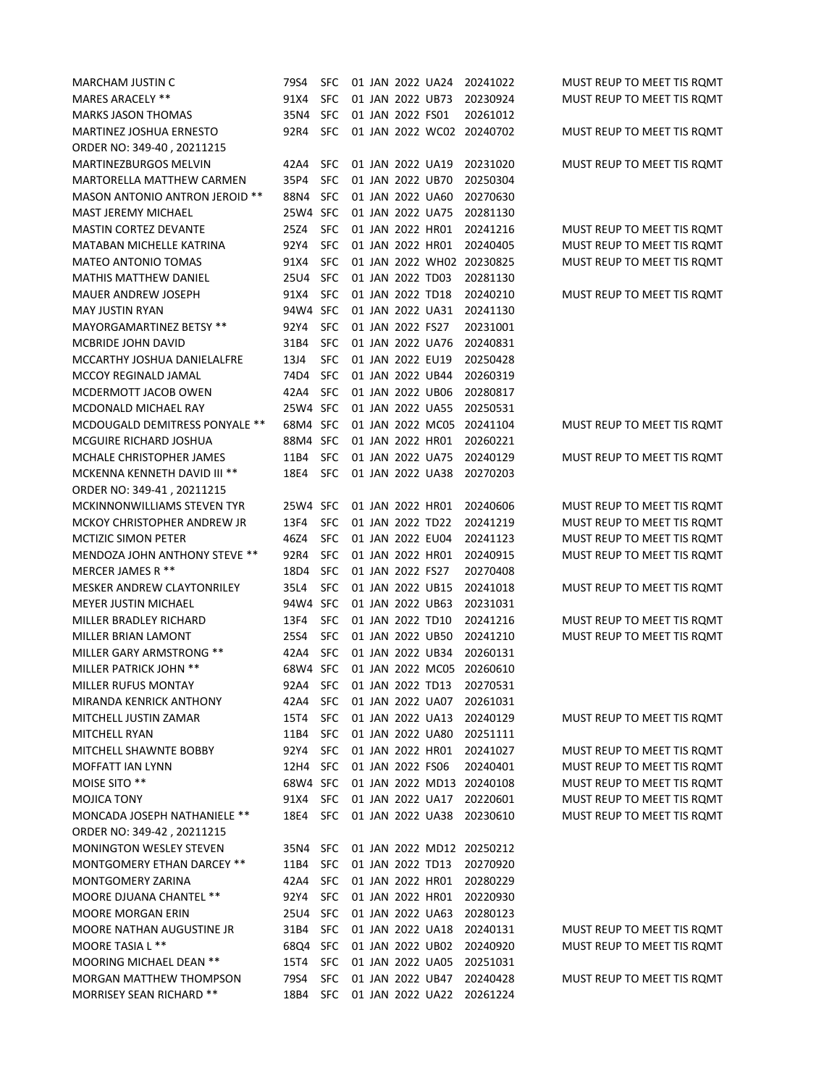| <b>MARCHAM JUSTIN C</b>           | 79S4     | <b>SFC</b> |  |                  | 01 JAN 2022 UA24 | 20241022                  | MUST REUP TO MEET TIS ROMT |
|-----------------------------------|----------|------------|--|------------------|------------------|---------------------------|----------------------------|
| MARES ARACELY **                  | 91X4     | <b>SFC</b> |  |                  | 01 JAN 2022 UB73 | 20230924                  | MUST REUP TO MEET TIS ROMT |
| <b>MARKS JASON THOMAS</b>         | 35N4     | <b>SFC</b> |  | 01 JAN 2022 FS01 |                  | 20261012                  |                            |
| MARTINEZ JOSHUA ERNESTO           | 92R4     | <b>SFC</b> |  |                  |                  | 01 JAN 2022 WC02 20240702 | MUST REUP TO MEET TIS ROMT |
| ORDER NO: 349-40, 20211215        |          |            |  |                  |                  |                           |                            |
| <b>MARTINEZBURGOS MELVIN</b>      | 42A4     | <b>SFC</b> |  |                  | 01 JAN 2022 UA19 | 20231020                  | MUST REUP TO MEET TIS ROMT |
| MARTORELLA MATTHEW CARMEN         | 35P4     | <b>SFC</b> |  |                  | 01 JAN 2022 UB70 | 20250304                  |                            |
| MASON ANTONIO ANTRON JEROID **    | 88N4     | <b>SFC</b> |  |                  | 01 JAN 2022 UA60 | 20270630                  |                            |
| MAST JEREMY MICHAEL               | 25W4 SFC |            |  |                  | 01 JAN 2022 UA75 | 20281130                  |                            |
| <b>MASTIN CORTEZ DEVANTE</b>      | 25Z4     | <b>SFC</b> |  |                  | 01 JAN 2022 HR01 | 20241216                  | MUST REUP TO MEET TIS ROMT |
| <b>MATABAN MICHELLE KATRINA</b>   | 92Y4     | <b>SFC</b> |  |                  | 01 JAN 2022 HR01 | 20240405                  | MUST REUP TO MEET TIS ROMT |
| <b>MATEO ANTONIO TOMAS</b>        | 91X4     | <b>SFC</b> |  |                  |                  | 01 JAN 2022 WH02 20230825 | MUST REUP TO MEET TIS ROMT |
| <b>MATHIS MATTHEW DANIEL</b>      | 25U4     | <b>SFC</b> |  | 01 JAN 2022 TD03 |                  | 20281130                  |                            |
| <b>MAUER ANDREW JOSEPH</b>        | 91X4     | <b>SFC</b> |  |                  | 01 JAN 2022 TD18 | 20240210                  | MUST REUP TO MEET TIS ROMT |
| <b>MAY JUSTIN RYAN</b>            | 94W4 SFC |            |  |                  | 01 JAN 2022 UA31 | 20241130                  |                            |
| MAYORGAMARTINEZ BETSY **          | 92Y4     | <b>SFC</b> |  | 01 JAN 2022 FS27 |                  | 20231001                  |                            |
| MCBRIDE JOHN DAVID                | 31B4     | <b>SFC</b> |  |                  | 01 JAN 2022 UA76 | 20240831                  |                            |
| MCCARTHY JOSHUA DANIELALFRE       | 13J4     | <b>SFC</b> |  |                  | 01 JAN 2022 EU19 | 20250428                  |                            |
| MCCOY REGINALD JAMAL              | 74D4     | <b>SFC</b> |  |                  | 01 JAN 2022 UB44 | 20260319                  |                            |
| MCDERMOTT JACOB OWEN              | 42A4     | <b>SFC</b> |  |                  | 01 JAN 2022 UB06 | 20280817                  |                            |
| MCDONALD MICHAEL RAY              | 25W4     | <b>SFC</b> |  |                  | 01 JAN 2022 UA55 | 20250531                  |                            |
| MCDOUGALD DEMITRESS PONYALE **    | 68M4     | <b>SFC</b> |  |                  | 01 JAN 2022 MC05 | 20241104                  | MUST REUP TO MEET TIS ROMT |
| MCGUIRE RICHARD JOSHUA            | 88M4     | <b>SFC</b> |  |                  | 01 JAN 2022 HR01 | 20260221                  |                            |
| MCHALE CHRISTOPHER JAMES          | 11B4     | <b>SFC</b> |  |                  | 01 JAN 2022 UA75 | 20240129                  | MUST REUP TO MEET TIS ROMT |
| MCKENNA KENNETH DAVID III **      | 18E4     | <b>SFC</b> |  |                  | 01 JAN 2022 UA38 | 20270203                  |                            |
| ORDER NO: 349-41, 20211215        |          |            |  |                  |                  |                           |                            |
| MCKINNONWILLIAMS STEVEN TYR       | 25W4 SFC |            |  |                  | 01 JAN 2022 HR01 | 20240606                  | MUST REUP TO MEET TIS ROMT |
| MCKOY CHRISTOPHER ANDREW JR       | 13F4     | <b>SFC</b> |  |                  | 01 JAN 2022 TD22 | 20241219                  | MUST REUP TO MEET TIS ROMT |
| <b>MCTIZIC SIMON PETER</b>        | 46Z4     | <b>SFC</b> |  |                  | 01 JAN 2022 EU04 | 20241123                  | MUST REUP TO MEET TIS ROMT |
| MENDOZA JOHN ANTHONY STEVE **     | 92R4     | <b>SFC</b> |  |                  | 01 JAN 2022 HR01 | 20240915                  | MUST REUP TO MEET TIS ROMT |
| MERCER JAMES R **                 | 18D4     | <b>SFC</b> |  | 01 JAN 2022 FS27 |                  | 20270408                  |                            |
| <b>MESKER ANDREW CLAYTONRILEY</b> | 35L4     | <b>SFC</b> |  |                  | 01 JAN 2022 UB15 | 20241018                  | MUST REUP TO MEET TIS ROMT |
| <b>MEYER JUSTIN MICHAEL</b>       | 94W4 SFC |            |  |                  | 01 JAN 2022 UB63 | 20231031                  |                            |
| MILLER BRADLEY RICHARD            | 13F4     | <b>SFC</b> |  |                  | 01 JAN 2022 TD10 | 20241216                  | MUST REUP TO MEET TIS ROMT |
| MILLER BRIAN LAMONT               | 25S4     | <b>SFC</b> |  |                  | 01 JAN 2022 UB50 | 20241210                  | MUST REUP TO MEET TIS ROMT |
| MILLER GARY ARMSTRONG **          | 42A4     | <b>SFC</b> |  |                  | 01 JAN 2022 UB34 | 20260131                  |                            |
| MILLER PATRICK JOHN **            | 68W4 SFC |            |  |                  | 01 JAN 2022 MC05 | 20260610                  |                            |
| <b>MILLER RUFUS MONTAY</b>        | 92A4     | <b>SFC</b> |  | 01 JAN 2022 TD13 |                  | 20270531                  |                            |
| MIRANDA KENRICK ANTHONY           | 42A4     | <b>SFC</b> |  |                  | 01 JAN 2022 UA07 | 20261031                  |                            |
| MITCHELL JUSTIN ZAMAR             | 15T4     | <b>SFC</b> |  |                  | 01 JAN 2022 UA13 | 20240129                  | MUST REUP TO MEET TIS ROMT |
| MITCHELL RYAN                     | 11B4     | <b>SFC</b> |  |                  | 01 JAN 2022 UA80 | 20251111                  |                            |
| MITCHELL SHAWNTE BOBBY            | 92Y4     | <b>SFC</b> |  |                  | 01 JAN 2022 HR01 | 20241027                  | MUST REUP TO MEET TIS ROMT |
| <b>MOFFATT IAN LYNN</b>           | 12H4     | <b>SFC</b> |  | 01 JAN 2022 FS06 |                  | 20240401                  | MUST REUP TO MEET TIS ROMT |
| MOISE SITO **                     | 68W4 SFC |            |  |                  |                  | 01 JAN 2022 MD13 20240108 | MUST REUP TO MEET TIS ROMT |
| MOJICA TONY                       | 91X4     | <b>SFC</b> |  |                  | 01 JAN 2022 UA17 | 20220601                  | MUST REUP TO MEET TIS ROMT |
| MONCADA JOSEPH NATHANIELE **      | 18E4     | <b>SFC</b> |  |                  | 01 JAN 2022 UA38 | 20230610                  | MUST REUP TO MEET TIS ROMT |
| ORDER NO: 349-42, 20211215        |          |            |  |                  |                  |                           |                            |
| MONINGTON WESLEY STEVEN           | 35N4     | <b>SFC</b> |  |                  |                  | 01 JAN 2022 MD12 20250212 |                            |
| MONTGOMERY ETHAN DARCEY **        | 11B4     | <b>SFC</b> |  |                  | 01 JAN 2022 TD13 | 20270920                  |                            |
| MONTGOMERY ZARINA                 | 42A4     | <b>SFC</b> |  |                  | 01 JAN 2022 HR01 | 20280229                  |                            |
| <b>MOORE DJUANA CHANTEL **</b>    | 92Y4     | <b>SFC</b> |  |                  | 01 JAN 2022 HR01 | 20220930                  |                            |
| MOORE MORGAN ERIN                 | 25U4     | <b>SFC</b> |  |                  | 01 JAN 2022 UA63 | 20280123                  |                            |
| MOORE NATHAN AUGUSTINE JR         | 31B4     | <b>SFC</b> |  |                  | 01 JAN 2022 UA18 | 20240131                  | MUST REUP TO MEET TIS ROMT |
| MOORE TASIA L **                  | 68Q4     | <b>SFC</b> |  |                  | 01 JAN 2022 UB02 | 20240920                  | MUST REUP TO MEET TIS ROMT |
| MOORING MICHAEL DEAN **           | 15T4     | <b>SFC</b> |  |                  | 01 JAN 2022 UA05 | 20251031                  |                            |
| <b>MORGAN MATTHEW THOMPSON</b>    | 79S4     | <b>SFC</b> |  |                  | 01 JAN 2022 UB47 | 20240428                  | MUST REUP TO MEET TIS ROMT |
| MORRISEY SEAN RICHARD **          | 18B4     | <b>SFC</b> |  |                  | 01 JAN 2022 UA22 | 20261224                  |                            |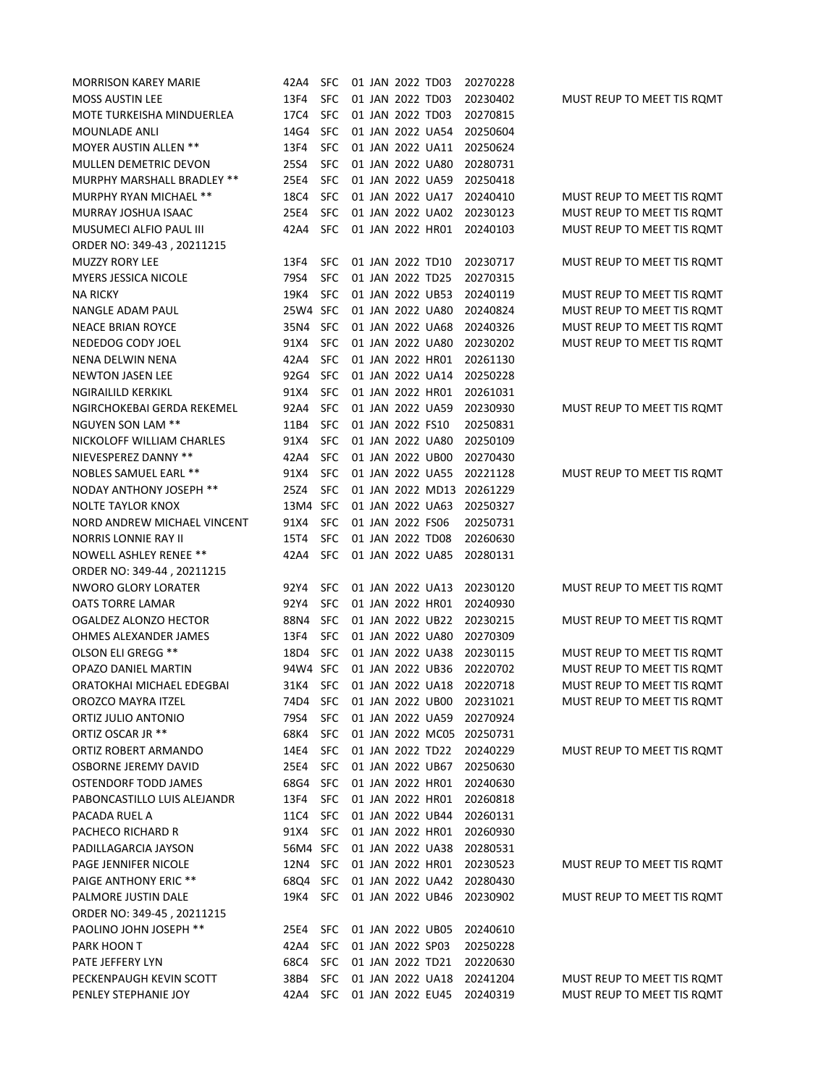| <b>MORRISON KAREY MARIE</b>               | 42A4     | <b>SFC</b> |  | 01 JAN 2022 TD03 |                  | 20270228             |                            |
|-------------------------------------------|----------|------------|--|------------------|------------------|----------------------|----------------------------|
| <b>MOSS AUSTIN LEE</b>                    | 13F4     | <b>SFC</b> |  | 01 JAN 2022 TD03 |                  | 20230402             | MUST REUP TO MEET TIS ROMT |
| MOTE TURKEISHA MINDUERLEA                 | 17C4     | <b>SFC</b> |  | 01 JAN 2022 TD03 |                  | 20270815             |                            |
| <b>MOUNLADE ANLI</b>                      | 14G4     | <b>SFC</b> |  |                  | 01 JAN 2022 UA54 | 20250604             |                            |
| <b>MOYER AUSTIN ALLEN **</b>              | 13F4     | SFC        |  |                  | 01 JAN 2022 UA11 | 20250624             |                            |
| <b>MULLEN DEMETRIC DEVON</b>              | 25S4     | SFC        |  |                  | 01 JAN 2022 UA80 | 20280731             |                            |
| MURPHY MARSHALL BRADLEY **                | 25E4     | <b>SFC</b> |  |                  | 01 JAN 2022 UA59 | 20250418             |                            |
| MURPHY RYAN MICHAEL **                    | 18C4     | <b>SFC</b> |  |                  | 01 JAN 2022 UA17 | 20240410             | MUST REUP TO MEET TIS ROMT |
| MURRAY JOSHUA ISAAC                       | 25E4     | <b>SFC</b> |  |                  | 01 JAN 2022 UA02 | 20230123             | MUST REUP TO MEET TIS ROMT |
| <b>MUSUMECI ALFIO PAUL III</b>            | 42A4     | <b>SFC</b> |  |                  | 01 JAN 2022 HR01 | 20240103             | MUST REUP TO MEET TIS ROMT |
| ORDER NO: 349-43, 20211215                |          |            |  |                  |                  |                      |                            |
| <b>MUZZY RORY LEE</b>                     | 13F4     | <b>SFC</b> |  | 01 JAN 2022 TD10 |                  | 20230717             | MUST REUP TO MEET TIS ROMT |
| <b>MYERS JESSICA NICOLE</b>               | 79S4     | SFC        |  | 01 JAN 2022 TD25 |                  | 20270315             |                            |
| <b>NA RICKY</b>                           | 19K4     | SFC        |  |                  | 01 JAN 2022 UB53 | 20240119             | MUST REUP TO MEET TIS ROMT |
| NANGLE ADAM PAUL                          | 25W4 SFC |            |  |                  | 01 JAN 2022 UA80 | 20240824             | MUST REUP TO MEET TIS ROMT |
| <b>NEACE BRIAN ROYCE</b>                  | 35N4     | <b>SFC</b> |  |                  | 01 JAN 2022 UA68 | 20240326             | MUST REUP TO MEET TIS ROMT |
| NEDEDOG CODY JOEL                         | 91X4     | SFC        |  |                  | 01 JAN 2022 UA80 | 20230202             | MUST REUP TO MEET TIS ROMT |
| NENA DELWIN NENA                          | 42A4     | <b>SFC</b> |  |                  | 01 JAN 2022 HR01 | 20261130             |                            |
| <b>NEWTON JASEN LEE</b>                   | 92G4     | <b>SFC</b> |  |                  | 01 JAN 2022 UA14 | 20250228             |                            |
| <b>NGIRAILILD KERKIKL</b>                 | 91X4     | SFC        |  |                  | 01 JAN 2022 HR01 | 20261031             |                            |
| NGIRCHOKEBAI GERDA REKEMEL                | 92A4     | <b>SFC</b> |  |                  | 01 JAN 2022 UA59 | 20230930             | MUST REUP TO MEET TIS ROMT |
| NGUYEN SON LAM **                         | 11B4     | <b>SFC</b> |  | 01 JAN 2022 FS10 |                  | 20250831             |                            |
| NICKOLOFF WILLIAM CHARLES                 | 91X4     | <b>SFC</b> |  |                  | 01 JAN 2022 UA80 | 20250109             |                            |
| NIEVESPEREZ DANNY **                      | 42A4     | <b>SFC</b> |  |                  | 01 JAN 2022 UB00 | 20270430             |                            |
| <b>NOBLES SAMUEL EARL **</b>              | 91X4     | <b>SFC</b> |  |                  | 01 JAN 2022 UA55 | 20221128             | MUST REUP TO MEET TIS ROMT |
| <b>NODAY ANTHONY JOSEPH **</b>            | 25Z4     | <b>SFC</b> |  |                  | 01 JAN 2022 MD13 | 20261229             |                            |
| <b>NOLTE TAYLOR KNOX</b>                  | 13M4 SFC |            |  |                  | 01 JAN 2022 UA63 | 20250327             |                            |
| NORD ANDREW MICHAEL VINCENT               | 91X4     | <b>SFC</b> |  | 01 JAN 2022 FS06 |                  | 20250731             |                            |
| NORRIS LONNIE RAY II                      | 15T4     | <b>SFC</b> |  | 01 JAN 2022 TD08 |                  | 20260630             |                            |
| NOWELL ASHLEY RENEE **                    | 42A4     | <b>SFC</b> |  |                  | 01 JAN 2022 UA85 | 20280131             |                            |
| ORDER NO: 349-44, 20211215                |          |            |  |                  |                  |                      |                            |
| <b>NWORO GLORY LORATER</b>                | 92Y4     | <b>SFC</b> |  |                  | 01 JAN 2022 UA13 | 20230120             | MUST REUP TO MEET TIS ROMT |
| <b>OATS TORRE LAMAR</b>                   | 92Y4     | <b>SFC</b> |  |                  | 01 JAN 2022 HR01 | 20240930             |                            |
| OGALDEZ ALONZO HECTOR                     | 88N4     | <b>SFC</b> |  |                  | 01 JAN 2022 UB22 | 20230215             | MUST REUP TO MEET TIS ROMT |
| OHMES ALEXANDER JAMES                     | 13F4     | <b>SFC</b> |  |                  | 01 JAN 2022 UA80 | 20270309             |                            |
| OLSON ELI GREGG **                        | 18D4     | <b>SFC</b> |  |                  | 01 JAN 2022 UA38 | 20230115             | MUST REUP TO MEET TIS ROMT |
| OPAZO DANIEL MARTIN                       | 94W4 SFC |            |  |                  | 01 JAN 2022 UB36 | 20220702             | MUST REUP TO MEET TIS ROMT |
| ORATOKHAI MICHAEL EDEGBAI                 | 31K4     | <b>SFC</b> |  |                  | 01 JAN 2022 UA18 | 20220718             | MUST REUP TO MEET TIS ROMT |
| OROZCO MAYRA ITZEL                        | 74D4     | <b>SFC</b> |  |                  | 01 JAN 2022 UB00 | 20231021             | MUST REUP TO MEET TIS ROMT |
| ORTIZ JULIO ANTONIO                       | 79S4     | <b>SFC</b> |  |                  | 01 JAN 2022 UA59 | 20270924             |                            |
| ORTIZ OSCAR JR **                         | 68K4     | <b>SFC</b> |  |                  | 01 JAN 2022 MC05 | 20250731             |                            |
| ORTIZ ROBERT ARMANDO                      | 14E4     | <b>SFC</b> |  |                  | 01 JAN 2022 TD22 | 20240229             | MUST REUP TO MEET TIS ROMT |
| OSBORNE JEREMY DAVID                      | 25E4     | <b>SFC</b> |  |                  | 01 JAN 2022 UB67 | 20250630             |                            |
| OSTENDORF TODD JAMES                      | 68G4     | <b>SFC</b> |  |                  | 01 JAN 2022 HR01 | 20240630             |                            |
| PABONCASTILLO LUIS ALEJANDR               | 13F4     | <b>SFC</b> |  |                  | 01 JAN 2022 HR01 |                      |                            |
| PACADA RUEL A                             | 11C4     | <b>SFC</b> |  |                  | 01 JAN 2022 UB44 | 20260818<br>20260131 |                            |
|                                           | 91X4     | <b>SFC</b> |  |                  | 01 JAN 2022 HR01 |                      |                            |
| PACHECO RICHARD R<br>PADILLAGARCIA JAYSON | 56M4 SFC |            |  |                  |                  | 20260930             |                            |
|                                           |          |            |  |                  | 01 JAN 2022 UA38 | 20280531             |                            |
| PAGE JENNIFER NICOLE                      | 12N4     | <b>SFC</b> |  |                  | 01 JAN 2022 HR01 | 20230523             | MUST REUP TO MEET TIS ROMT |
| PAIGE ANTHONY ERIC **                     | 68Q4     | <b>SFC</b> |  |                  | 01 JAN 2022 UA42 | 20280430             |                            |
| PALMORE JUSTIN DALE                       | 19K4     | <b>SFC</b> |  |                  | 01 JAN 2022 UB46 | 20230902             | MUST REUP TO MEET TIS ROMT |
| ORDER NO: 349-45, 20211215                |          |            |  |                  |                  |                      |                            |
| PAOLINO JOHN JOSEPH **                    | 25E4     | <b>SFC</b> |  |                  | 01 JAN 2022 UB05 | 20240610             |                            |
| PARK HOON T                               | 42A4     | <b>SFC</b> |  | 01 JAN 2022 SP03 |                  | 20250228             |                            |
| PATE JEFFERY LYN                          | 68C4     | <b>SFC</b> |  |                  | 01 JAN 2022 TD21 | 20220630             |                            |
| PECKENPAUGH KEVIN SCOTT                   | 38B4     | <b>SFC</b> |  |                  | 01 JAN 2022 UA18 | 20241204             | MUST REUP TO MEET TIS ROMT |
| PENLEY STEPHANIE JOY                      | 42A4     | <b>SFC</b> |  |                  | 01 JAN 2022 EU45 | 20240319             | MUST REUP TO MEET TIS ROMT |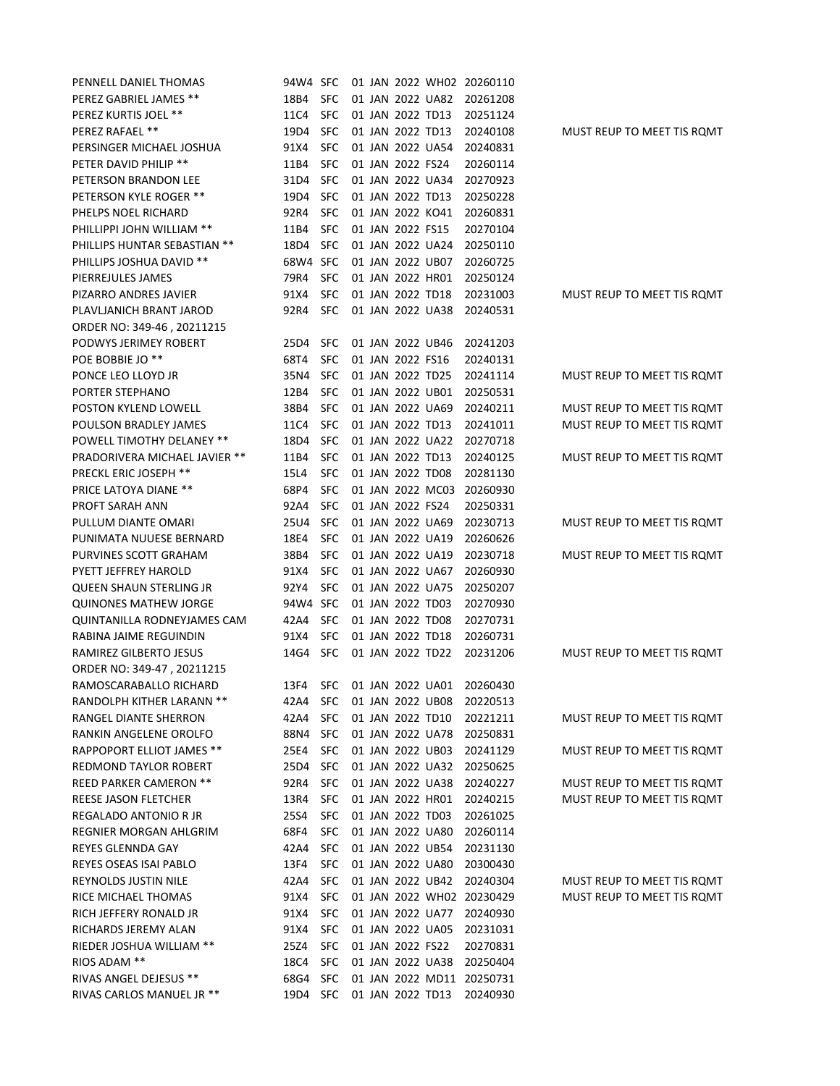| PENNELL DANIEL THOMAS            | 94W4 SFC |            |  |                  |                  | 01 JAN 2022 WH02 20260110 |                            |
|----------------------------------|----------|------------|--|------------------|------------------|---------------------------|----------------------------|
| PEREZ GABRIEL JAMES **           | 18B4     | <b>SFC</b> |  |                  | 01 JAN 2022 UA82 | 20261208                  |                            |
| PEREZ KURTIS JOEL **             | 11C4     | <b>SFC</b> |  |                  | 01 JAN 2022 TD13 | 20251124                  |                            |
| PEREZ RAFAEL **                  | 19D4     | <b>SFC</b> |  |                  | 01 JAN 2022 TD13 | 20240108                  | MUST REUP TO MEET TIS ROMT |
| PERSINGER MICHAEL JOSHUA         | 91X4     | <b>SFC</b> |  |                  | 01 JAN 2022 UA54 | 20240831                  |                            |
| PETER DAVID PHILIP **            | 11B4     | <b>SFC</b> |  | 01 JAN 2022 FS24 |                  | 20260114                  |                            |
| PETERSON BRANDON LEE             | 31D4     | <b>SFC</b> |  |                  | 01 JAN 2022 UA34 | 20270923                  |                            |
| PETERSON KYLE ROGER **           | 19D4     | <b>SFC</b> |  | 01 JAN 2022 TD13 |                  | 20250228                  |                            |
| PHELPS NOEL RICHARD              | 92R4     | <b>SFC</b> |  |                  | 01 JAN 2022 KO41 | 20260831                  |                            |
| PHILLIPPI JOHN WILLIAM **        | 11B4     | <b>SFC</b> |  | 01 JAN 2022 FS15 |                  | 20270104                  |                            |
| PHILLIPS HUNTAR SEBASTIAN **     | 18D4     | <b>SFC</b> |  |                  | 01 JAN 2022 UA24 | 20250110                  |                            |
| PHILLIPS JOSHUA DAVID **         | 68W4 SFC |            |  |                  | 01 JAN 2022 UB07 | 20260725                  |                            |
| PIERREJULES JAMES                | 79R4     | <b>SFC</b> |  |                  | 01 JAN 2022 HR01 | 20250124                  |                            |
| PIZARRO ANDRES JAVIER            | 91X4     | <b>SFC</b> |  | 01 JAN 2022 TD18 |                  | 20231003                  | MUST REUP TO MEET TIS ROMT |
| PLAVLJANICH BRANT JAROD          | 92R4     | <b>SFC</b> |  |                  | 01 JAN 2022 UA38 | 20240531                  |                            |
| ORDER NO: 349-46, 20211215       |          |            |  |                  |                  |                           |                            |
| PODWYS JERIMEY ROBERT            | 25D4     | <b>SFC</b> |  |                  | 01 JAN 2022 UB46 | 20241203                  |                            |
| POE BOBBIE JO <sup>**</sup>      | 68T4     | <b>SFC</b> |  | 01 JAN 2022 FS16 |                  | 20240131                  |                            |
| PONCE LEO LLOYD JR               | 35N4     | <b>SFC</b> |  | 01 JAN 2022 TD25 |                  | 20241114                  | MUST REUP TO MEET TIS ROMT |
| PORTER STEPHANO                  | 12B4     | <b>SFC</b> |  |                  | 01 JAN 2022 UB01 | 20250531                  |                            |
| POSTON KYLEND LOWELL             | 38B4     | <b>SFC</b> |  |                  | 01 JAN 2022 UA69 | 20240211                  | MUST REUP TO MEET TIS ROMT |
| POULSON BRADLEY JAMES            | 11C4     | <b>SFC</b> |  | 01 JAN 2022 TD13 |                  | 20241011                  | MUST REUP TO MEET TIS ROMT |
| <b>POWELL TIMOTHY DELANEY **</b> | 18D4     | <b>SFC</b> |  |                  | 01 JAN 2022 UA22 | 20270718                  |                            |
| PRADORIVERA MICHAEL JAVIER **    | 11B4     | <b>SFC</b> |  | 01 JAN 2022 TD13 |                  | 20240125                  | MUST REUP TO MEET TIS ROMT |
| <b>PRECKL ERIC JOSEPH **</b>     | 15L4     | <b>SFC</b> |  | 01 JAN 2022 TD08 |                  | 20281130                  |                            |
| <b>PRICE LATOYA DIANE **</b>     | 68P4     | <b>SFC</b> |  |                  | 01 JAN 2022 MC03 | 20260930                  |                            |
| PROFT SARAH ANN                  | 92A4     | <b>SFC</b> |  | 01 JAN 2022 FS24 |                  | 20250331                  |                            |
| PULLUM DIANTE OMARI              | 25U4     | <b>SFC</b> |  |                  | 01 JAN 2022 UA69 | 20230713                  | MUST REUP TO MEET TIS ROMT |
| PUNIMATA NUUESE BERNARD          | 18E4     | <b>SFC</b> |  |                  | 01 JAN 2022 UA19 | 20260626                  |                            |
| PURVINES SCOTT GRAHAM            | 38B4     | <b>SFC</b> |  |                  | 01 JAN 2022 UA19 | 20230718                  | MUST REUP TO MEET TIS ROMT |
| PYETT JEFFREY HAROLD             | 91X4     | <b>SFC</b> |  |                  | 01 JAN 2022 UA67 | 20260930                  |                            |
| <b>QUEEN SHAUN STERLING JR</b>   | 92Y4     | <b>SFC</b> |  |                  | 01 JAN 2022 UA75 | 20250207                  |                            |
| <b>QUINONES MATHEW JORGE</b>     | 94W4 SFC |            |  |                  | 01 JAN 2022 TD03 | 20270930                  |                            |
| QUINTANILLA RODNEYJAMES CAM      | 42A4     | <b>SFC</b> |  |                  | 01 JAN 2022 TD08 | 20270731                  |                            |
| RABINA JAIME REGUINDIN           | 91X4     | <b>SFC</b> |  |                  | 01 JAN 2022 TD18 | 20260731                  |                            |
| RAMIREZ GILBERTO JESUS           | 14G4     | <b>SFC</b> |  | 01 JAN 2022 TD22 |                  | 20231206                  | MUST REUP TO MEET TIS ROMT |
| ORDER NO: 349-47, 20211215       |          |            |  |                  |                  |                           |                            |
| RAMOSCARABALLO RICHARD           | 13F4     | <b>SFC</b> |  |                  | 01 JAN 2022 UA01 | 20260430                  |                            |
| RANDOLPH KITHER LARANN **        | 42A4     | <b>SFC</b> |  |                  | 01 JAN 2022 UB08 | 20220513                  |                            |
| RANGEL DIANTE SHERRON            | 42A4     | <b>SFC</b> |  |                  | 01 JAN 2022 TD10 | 20221211                  | MUST REUP TO MEET TIS ROMT |
| RANKIN ANGELENE OROLFO           | 88N4     | <b>SFC</b> |  |                  | 01 JAN 2022 UA78 | 20250831                  |                            |
| <b>RAPPOPORT ELLIOT JAMES **</b> | 25E4     | <b>SFC</b> |  |                  | 01 JAN 2022 UB03 | 20241129                  | MUST REUP TO MEET TIS ROMT |
| REDMOND TAYLOR ROBERT            | 25D4     | <b>SFC</b> |  |                  | 01 JAN 2022 UA32 | 20250625                  |                            |
| REED PARKER CAMERON **           | 92R4     | <b>SFC</b> |  |                  | 01 JAN 2022 UA38 | 20240227                  | MUST REUP TO MEET TIS ROMT |
| REESE JASON FLETCHER             | 13R4     | <b>SFC</b> |  |                  | 01 JAN 2022 HR01 | 20240215                  | MUST REUP TO MEET TIS ROMT |
| REGALADO ANTONIO R JR            | 25S4     | <b>SFC</b> |  |                  | 01 JAN 2022 TD03 | 20261025                  |                            |
| REGNIER MORGAN AHLGRIM           | 68F4     | <b>SFC</b> |  |                  | 01 JAN 2022 UA80 | 20260114                  |                            |
| <b>REYES GLENNDA GAY</b>         | 42A4     | <b>SFC</b> |  |                  | 01 JAN 2022 UB54 | 20231130                  |                            |
| REYES OSEAS ISAI PABLO           | 13F4     | <b>SFC</b> |  |                  | 01 JAN 2022 UA80 | 20300430                  |                            |
| REYNOLDS JUSTIN NILE             | 42A4     | <b>SFC</b> |  |                  | 01 JAN 2022 UB42 | 20240304                  | MUST REUP TO MEET TIS ROMT |
| RICE MICHAEL THOMAS              | 91X4     | <b>SFC</b> |  |                  |                  | 01 JAN 2022 WH02 20230429 | MUST REUP TO MEET TIS ROMT |
| RICH JEFFERY RONALD JR           | 91X4     | <b>SFC</b> |  |                  | 01 JAN 2022 UA77 | 20240930                  |                            |
| RICHARDS JEREMY ALAN             | 91X4     | <b>SFC</b> |  |                  | 01 JAN 2022 UA05 | 20231031                  |                            |
| RIEDER JOSHUA WILLIAM **         | 25Z4     | <b>SFC</b> |  | 01 JAN 2022 FS22 |                  | 20270831                  |                            |
| RIOS ADAM **                     | 18C4     | <b>SFC</b> |  |                  | 01 JAN 2022 UA38 | 20250404                  |                            |
| RIVAS ANGEL DEJESUS **           | 68G4     | <b>SFC</b> |  |                  |                  | 01 JAN 2022 MD11 20250731 |                            |
| RIVAS CARLOS MANUEL JR **        | 19D4     | <b>SFC</b> |  |                  | 01 JAN 2022 TD13 | 20240930                  |                            |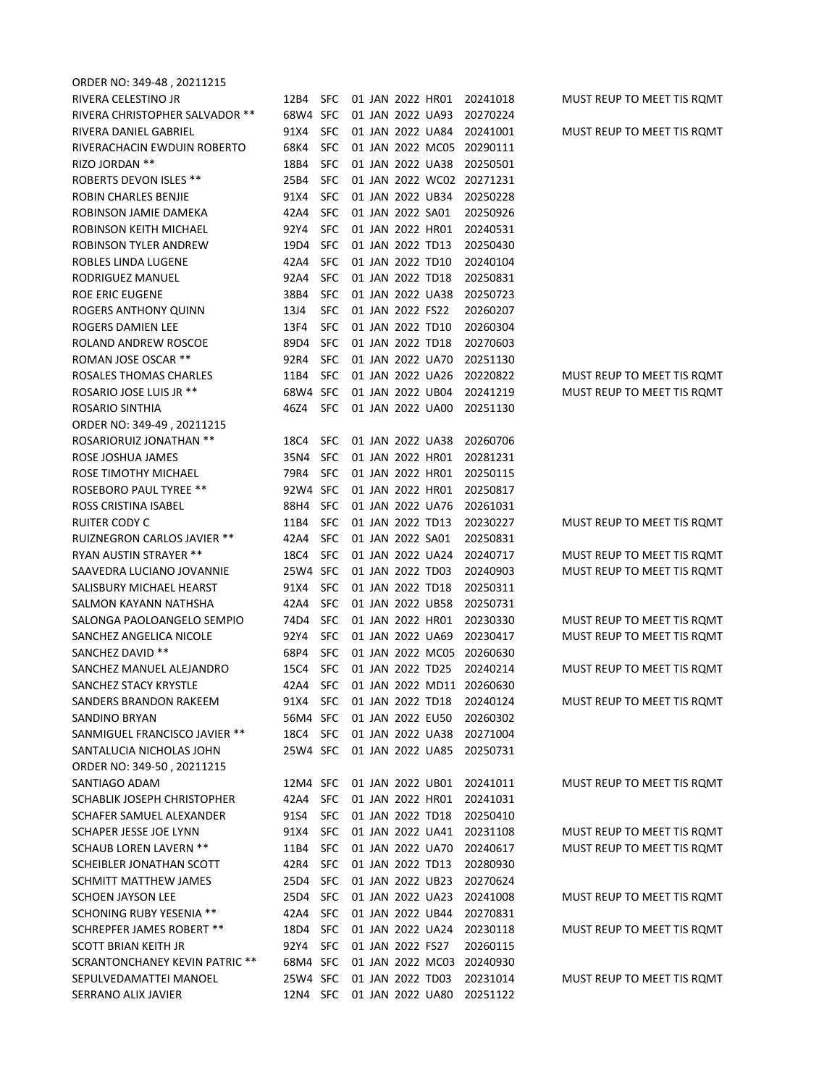| ORDER NO: 349-48, 20211215                        |              |                          |  |                  |                                      |                                                                 |                            |
|---------------------------------------------------|--------------|--------------------------|--|------------------|--------------------------------------|-----------------------------------------------------------------|----------------------------|
| RIVERA CELESTINO JR                               | 12B4         | <b>SFC</b>               |  |                  | 01 JAN 2022 HR01                     | 20241018                                                        | MUST REUP TO MEET TIS ROMT |
| RIVERA CHRISTOPHER SALVADOR **                    | 68W4 SFC     |                          |  |                  | 01 JAN 2022 UA93                     | 20270224                                                        |                            |
| RIVERA DANIEL GABRIEL                             | 91X4         | <b>SFC</b>               |  |                  | 01 JAN 2022 UA84                     | 20241001                                                        | MUST REUP TO MEET TIS ROMT |
| RIVERACHACIN EWDUIN ROBERTO                       | 68K4         | <b>SFC</b>               |  |                  | 01 JAN 2022 MC05                     | 20290111                                                        |                            |
| RIZO JORDAN **                                    | 18B4         | <b>SFC</b>               |  |                  | 01 JAN 2022 UA38                     | 20250501                                                        |                            |
| <b>ROBERTS DEVON ISLES **</b>                     | 25B4         | <b>SFC</b>               |  |                  |                                      | 01 JAN 2022 WC02 20271231                                       |                            |
| ROBIN CHARLES BENJIE                              | 91X4         | <b>SFC</b>               |  |                  | 01 JAN 2022 UB34                     | 20250228                                                        |                            |
| ROBINSON JAMIE DAMEKA                             | 42A4         | <b>SFC</b>               |  | 01 JAN 2022 SA01 |                                      | 20250926                                                        |                            |
| ROBINSON KEITH MICHAEL                            | 92Y4         | <b>SFC</b>               |  | 01 JAN 2022 HR01 |                                      | 20240531                                                        |                            |
| ROBINSON TYLER ANDREW                             | 19D4         | <b>SFC</b>               |  | 01 JAN 2022 TD13 |                                      | 20250430                                                        |                            |
| ROBLES LINDA LUGENE                               | 42A4         | <b>SFC</b>               |  | 01 JAN 2022 TD10 |                                      | 20240104                                                        |                            |
| RODRIGUEZ MANUEL                                  | 92A4         | <b>SFC</b>               |  | 01 JAN 2022 TD18 |                                      | 20250831                                                        |                            |
| ROE ERIC EUGENE                                   | 38B4         | <b>SFC</b>               |  |                  | 01 JAN 2022 UA38                     | 20250723                                                        |                            |
| ROGERS ANTHONY QUINN                              | 13J4         | <b>SFC</b>               |  | 01 JAN 2022 FS22 |                                      | 20260207                                                        |                            |
| ROGERS DAMIEN LEE                                 | 13F4         | <b>SFC</b>               |  | 01 JAN 2022 TD10 |                                      |                                                                 |                            |
|                                                   |              |                          |  | 01 JAN 2022 TD18 |                                      | 20260304                                                        |                            |
| ROLAND ANDREW ROSCOE<br>ROMAN JOSE OSCAR **       | 89D4<br>92R4 | <b>SFC</b><br><b>SFC</b> |  |                  | 01 JAN 2022 UA70                     | 20270603                                                        |                            |
|                                                   |              |                          |  |                  | 01 JAN 2022 UA26                     | 20251130                                                        |                            |
| ROSALES THOMAS CHARLES<br>ROSARIO JOSE LUIS JR ** | 11B4         | <b>SFC</b>               |  | 01 JAN 2022 UB04 |                                      | 20220822<br>20241219                                            | MUST REUP TO MEET TIS ROMT |
|                                                   | 68W4 SFC     |                          |  |                  | 01 JAN 2022 UA00                     |                                                                 | MUST REUP TO MEET TIS ROMT |
| ROSARIO SINTHIA                                   | 46Z4         | <b>SFC</b>               |  |                  |                                      | 20251130                                                        |                            |
| ORDER NO: 349-49, 20211215                        |              |                          |  |                  |                                      |                                                                 |                            |
| <b>ROSARIORUIZ JONATHAN **</b>                    | 18C4         | <b>SFC</b>               |  |                  | 01 JAN 2022 UA38                     | 20260706                                                        |                            |
| ROSE JOSHUA JAMES                                 | 35N4         | <b>SFC</b>               |  | 01 JAN 2022 HR01 |                                      | 20281231                                                        |                            |
| ROSE TIMOTHY MICHAEL                              | 79R4         | <b>SFC</b>               |  | 01 JAN 2022 HR01 |                                      | 20250115                                                        |                            |
| <b>ROSEBORO PAUL TYREE **</b>                     | 92W4 SFC     |                          |  | 01 JAN 2022 HR01 |                                      | 20250817                                                        |                            |
| ROSS CRISTINA ISABEL                              | 88H4         | <b>SFC</b>               |  |                  | 01 JAN 2022 UA76                     | 20261031                                                        |                            |
| RUITER CODY C                                     | 11B4         | <b>SFC</b>               |  | 01 JAN 2022 TD13 |                                      | 20230227                                                        | MUST REUP TO MEET TIS ROMT |
| RUIZNEGRON CARLOS JAVIER **                       | 42A4         | <b>SFC</b>               |  | 01 JAN 2022 SA01 |                                      | 20250831                                                        |                            |
| RYAN AUSTIN STRAYER **                            | 18C4         | <b>SFC</b>               |  |                  | 01 JAN 2022 UA24                     | 20240717                                                        | MUST REUP TO MEET TIS ROMT |
| SAAVEDRA LUCIANO JOVANNIE                         | 25W4 SFC     |                          |  | 01 JAN 2022 TD03 |                                      | 20240903                                                        | MUST REUP TO MEET TIS ROMT |
| SALISBURY MICHAEL HEARST                          | 91X4         | <b>SFC</b>               |  | 01 JAN 2022 TD18 |                                      | 20250311                                                        |                            |
| SALMON KAYANN NATHSHA                             | 42A4         | <b>SFC</b>               |  |                  | 01 JAN 2022 UB58                     | 20250731                                                        |                            |
| SALONGA PAOLOANGELO SEMPIO                        | 74D4         | <b>SFC</b>               |  |                  | 01 JAN 2022 HR01                     | 20230330                                                        | MUST REUP TO MEET TIS ROMT |
| SANCHEZ ANGELICA NICOLE                           | 92Y4         | <b>SFC</b>               |  |                  | 01 JAN 2022 UA69                     | 20230417                                                        | MUST REUP TO MEET TIS ROMT |
| SANCHEZ DAVID **                                  | 68P4         | <b>SFC</b>               |  |                  | 01 JAN 2022 MC05                     | 20260630                                                        |                            |
| SANCHEZ MANUEL ALEJANDRO                          | 15C4         | <b>SFC</b>               |  | 01 JAN 2022 TD25 |                                      | 20240214                                                        | MUST REUP TO MEET TIS ROMT |
| SANCHEZ STACY KRYSTLE                             |              |                          |  |                  |                                      | 42A4 SFC 01 JAN 2022 MD11 20260630<br>01 JAN 2022 TD18 20240124 |                            |
| SANDERS BRANDON RAKEEM                            | 91X4         | SFC                      |  |                  | 01 JAN 2022 EU50                     |                                                                 | MUST REUP TO MEET TIS ROMT |
| SANDINO BRYAN                                     | 56M4 SFC     |                          |  |                  |                                      | 20260302<br>01 JAN 2022 UA38 20271004                           |                            |
| SANMIGUEL FRANCISCO JAVIER **                     | 18C4 SFC     |                          |  |                  | 01 JAN 2022 UA85                     |                                                                 |                            |
| SANTALUCIA NICHOLAS JOHN                          | 25W4 SFC     |                          |  |                  |                                      | 20250731                                                        |                            |
| ORDER NO: 349-50, 20211215                        |              |                          |  |                  |                                      |                                                                 |                            |
| SANTIAGO ADAM                                     | 12M4 SFC     |                          |  |                  | 01 JAN 2022 UB01                     | 20241011                                                        | MUST REUP TO MEET TIS ROMT |
| SCHABLIK JOSEPH CHRISTOPHER                       | 42A4<br>91S4 | SFC                      |  |                  | 01 JAN 2022 HR01<br>01 JAN 2022 TD18 | 20241031                                                        |                            |
| SCHAFER SAMUEL ALEXANDER                          |              | SFC                      |  |                  |                                      | 20250410                                                        |                            |
| SCHAPER JESSE JOE LYNN                            | 91X4         | <b>SFC</b>               |  |                  | 01 JAN 2022 UA41                     | 20231108                                                        | MUST REUP TO MEET TIS ROMT |
| <b>SCHAUB LOREN LAVERN **</b>                     | 11B4         | <b>SFC</b>               |  |                  | 01 JAN 2022 UA70                     | 20240617                                                        | MUST REUP TO MEET TIS ROMT |
| SCHEIBLER JONATHAN SCOTT                          | 42R4         | <b>SFC</b>               |  |                  | 01 JAN 2022 TD13                     | 20280930                                                        |                            |
| SCHMITT MATTHEW JAMES                             | 25D4         | <b>SFC</b>               |  |                  | 01 JAN 2022 UB23                     | 20270624                                                        |                            |
| <b>SCHOEN JAYSON LEE</b>                          | 25D4         | <b>SFC</b>               |  |                  | 01 JAN 2022 UA23                     | 20241008                                                        | MUST REUP TO MEET TIS ROMT |
| <b>SCHONING RUBY YESENIA **</b>                   | 42A4         | <b>SFC</b>               |  |                  | 01 JAN 2022 UB44                     | 20270831                                                        |                            |
| <b>SCHREPFER JAMES ROBERT **</b>                  | 18D4         | <b>SFC</b>               |  |                  | 01 JAN 2022 UA24                     | 20230118                                                        | MUST REUP TO MEET TIS ROMT |
| SCOTT BRIAN KEITH JR                              | 92Y4         | <b>SFC</b>               |  | 01 JAN 2022 FS27 |                                      | 20260115                                                        |                            |
| <b>SCRANTONCHANEY KEVIN PATRIC **</b>             | 68M4 SFC     |                          |  |                  | 01 JAN 2022 MC03                     | 20240930                                                        |                            |
| SEPULVEDAMATTEI MANOEL                            | 25W4 SFC     |                          |  |                  | 01 JAN 2022 TD03                     | 20231014                                                        | MUST REUP TO MEET TIS ROMT |
| SERRANO ALIX JAVIER                               |              |                          |  |                  |                                      | 12N4 SFC 01 JAN 2022 UA80 20251122                              |                            |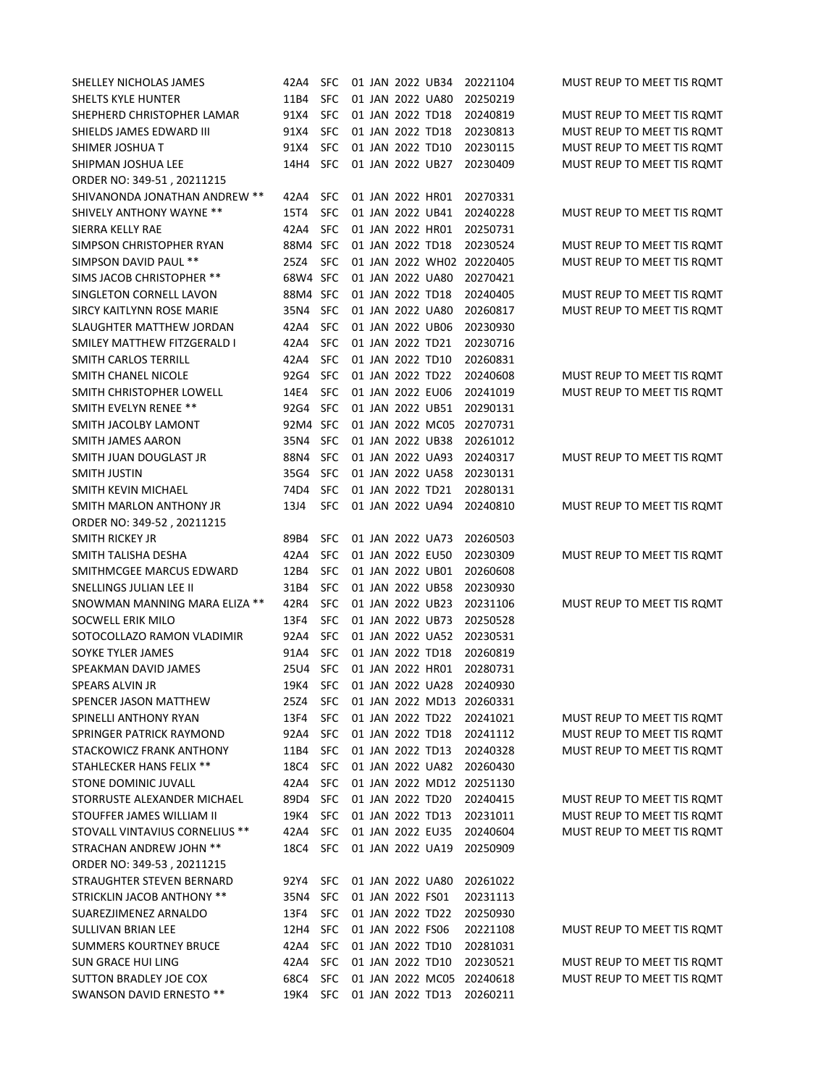| SHELLEY NICHOLAS JAMES          | 42A4     | <b>SFC</b> |  |                  | 01 JAN 2022 UB34                     | 20221104                  | MUST REUP TO MEET TIS ROMT                               |
|---------------------------------|----------|------------|--|------------------|--------------------------------------|---------------------------|----------------------------------------------------------|
| SHELTS KYLE HUNTER              | 11B4     | <b>SFC</b> |  |                  | 01 JAN 2022 UA80                     | 20250219                  |                                                          |
| SHEPHERD CHRISTOPHER LAMAR      | 91X4     | <b>SFC</b> |  |                  | 01 JAN 2022 TD18                     | 20240819                  | MUST REUP TO MEET TIS ROMT                               |
| SHIELDS JAMES EDWARD III        | 91X4     | <b>SFC</b> |  |                  | 01 JAN 2022 TD18                     | 20230813                  | MUST REUP TO MEET TIS ROMT                               |
| SHIMER JOSHUA T                 | 91X4     | <b>SFC</b> |  | 01 JAN 2022 TD10 |                                      | 20230115                  | MUST REUP TO MEET TIS ROMT                               |
| SHIPMAN JOSHUA LEE              | 14H4     | <b>SFC</b> |  |                  | 01 JAN 2022 UB27                     | 20230409                  | MUST REUP TO MEET TIS ROMT                               |
| ORDER NO: 349-51, 20211215      |          |            |  |                  |                                      |                           |                                                          |
| SHIVANONDA JONATHAN ANDREW **   | 42A4     | <b>SFC</b> |  |                  | 01 JAN 2022 HR01                     | 20270331                  |                                                          |
| <b>SHIVELY ANTHONY WAYNE **</b> | 15T4     | <b>SFC</b> |  |                  | 01 JAN 2022 UB41                     | 20240228                  | MUST REUP TO MEET TIS ROMT                               |
| SIERRA KELLY RAE                | 42A4     | <b>SFC</b> |  |                  | 01 JAN 2022 HR01                     | 20250731                  |                                                          |
| SIMPSON CHRISTOPHER RYAN        | 88M4 SFC |            |  |                  | 01 JAN 2022 TD18                     | 20230524                  | MUST REUP TO MEET TIS ROMT                               |
| SIMPSON DAVID PAUL **           | 25Z4     | <b>SFC</b> |  |                  |                                      | 01 JAN 2022 WH02 20220405 | MUST REUP TO MEET TIS ROMT                               |
| SIMS JACOB CHRISTOPHER **       | 68W4 SFC |            |  |                  | 01 JAN 2022 UA80                     | 20270421                  |                                                          |
| SINGLETON CORNELL LAVON         | 88M4 SFC |            |  |                  | 01 JAN 2022 TD18                     | 20240405                  | MUST REUP TO MEET TIS ROMT                               |
| SIRCY KAITLYNN ROSE MARIE       | 35N4     | <b>SFC</b> |  |                  | 01 JAN 2022 UA80                     | 20260817                  | MUST REUP TO MEET TIS ROMT                               |
| SLAUGHTER MATTHEW JORDAN        | 42A4     | <b>SFC</b> |  |                  | 01 JAN 2022 UB06                     | 20230930                  |                                                          |
| SMILEY MATTHEW FITZGERALD I     | 42A4     | <b>SFC</b> |  | 01 JAN 2022 TD21 |                                      | 20230716                  |                                                          |
| SMITH CARLOS TERRILL            | 42A4     | <b>SFC</b> |  | 01 JAN 2022 TD10 |                                      | 20260831                  |                                                          |
| SMITH CHANEL NICOLE             | 92G4     | <b>SFC</b> |  |                  | 01 JAN 2022 TD22                     | 20240608                  | MUST REUP TO MEET TIS ROMT                               |
| SMITH CHRISTOPHER LOWELL        | 14E4     | <b>SFC</b> |  |                  | 01 JAN 2022 EU06                     | 20241019                  | MUST REUP TO MEET TIS ROMT                               |
| SMITH EVELYN RENEE **           | 92G4     | <b>SFC</b> |  |                  | 01 JAN 2022 UB51                     | 20290131                  |                                                          |
| SMITH JACOLBY LAMONT            | 92M4 SFC |            |  |                  | 01 JAN 2022 MC05                     | 20270731                  |                                                          |
| <b>SMITH JAMES AARON</b>        | 35N4     | <b>SFC</b> |  |                  | 01 JAN 2022 UB38                     | 20261012                  |                                                          |
| SMITH JUAN DOUGLAST JR          | 88N4     | <b>SFC</b> |  |                  | 01 JAN 2022 UA93                     | 20240317                  | MUST REUP TO MEET TIS ROMT                               |
| SMITH JUSTIN                    | 35G4     | <b>SFC</b> |  |                  | 01 JAN 2022 UA58                     | 20230131                  |                                                          |
| SMITH KEVIN MICHAEL             | 74D4     | <b>SFC</b> |  | 01 JAN 2022 TD21 |                                      | 20280131                  |                                                          |
| SMITH MARLON ANTHONY JR         | 13J4     | <b>SFC</b> |  |                  | 01 JAN 2022 UA94                     | 20240810                  | MUST REUP TO MEET TIS ROMT                               |
| ORDER NO: 349-52, 20211215      |          |            |  |                  |                                      |                           |                                                          |
| SMITH RICKEY JR                 | 89B4     | <b>SFC</b> |  |                  | 01 JAN 2022 UA73                     | 20260503                  |                                                          |
| SMITH TALISHA DESHA             | 42A4     | <b>SFC</b> |  | 01 JAN 2022 EU50 |                                      | 20230309                  | MUST REUP TO MEET TIS ROMT                               |
| SMITHMCGEE MARCUS EDWARD        | 12B4     | <b>SFC</b> |  |                  | 01 JAN 2022 UB01                     | 20260608                  |                                                          |
| SNELLINGS JULIAN LEE II         | 31B4     | <b>SFC</b> |  |                  | 01 JAN 2022 UB58                     | 20230930                  |                                                          |
| SNOWMAN MANNING MARA ELIZA **   | 42R4     | <b>SFC</b> |  |                  | 01 JAN 2022 UB23                     | 20231106                  | MUST REUP TO MEET TIS ROMT                               |
| SOCWELL ERIK MILO               | 13F4     | <b>SFC</b> |  |                  | 01 JAN 2022 UB73                     | 20250528                  |                                                          |
| SOTOCOLLAZO RAMON VLADIMIR      | 92A4     | <b>SFC</b> |  |                  | 01 JAN 2022 UA52                     | 20230531                  |                                                          |
| SOYKE TYLER JAMES               | 91A4     | <b>SFC</b> |  | 01 JAN 2022 TD18 |                                      | 20260819                  |                                                          |
| SPEAKMAN DAVID JAMES            | 25U4     | <b>SFC</b> |  |                  | 01 JAN 2022 HR01                     | 20280731                  |                                                          |
| <b>SPEARS ALVIN JR</b>          | 19K4     | <b>SFC</b> |  |                  | 01 JAN 2022 UA28                     | 20240930                  |                                                          |
| SPENCER JASON MATTHEW           | 25Z4     | <b>SFC</b> |  |                  |                                      | 01 JAN 2022 MD13 20260331 |                                                          |
| SPINELLI ANTHONY RYAN           | 13F4     | <b>SFC</b> |  |                  | 01 JAN 2022 TD22                     | 20241021                  | MUST REUP TO MEET TIS ROMT                               |
| SPRINGER PATRICK RAYMOND        | 92A4     | <b>SFC</b> |  |                  | 01 JAN 2022 TD18                     | 20241112                  | MUST REUP TO MEET TIS ROMT                               |
| STACKOWICZ FRANK ANTHONY        | 11B4     | <b>SFC</b> |  |                  | 01 JAN 2022 TD13                     | 20240328                  | MUST REUP TO MEET TIS ROMT                               |
| STAHLECKER HANS FELIX **        | 18C4     | <b>SFC</b> |  |                  | 01 JAN 2022 UA82                     | 20260430                  |                                                          |
|                                 | 42A4     | <b>SFC</b> |  |                  |                                      | 01 JAN 2022 MD12 20251130 |                                                          |
| STONE DOMINIC JUVALL            |          | <b>SFC</b> |  |                  | 01 JAN 2022 TD20                     |                           |                                                          |
| STORRUSTE ALEXANDER MICHAEL     | 89D4     | <b>SFC</b> |  |                  |                                      | 20240415<br>20231011      | MUST REUP TO MEET TIS ROMT                               |
| STOUFFER JAMES WILLIAM II       | 19K4     | <b>SFC</b> |  |                  | 01 JAN 2022 TD13<br>01 JAN 2022 EU35 |                           | MUST REUP TO MEET TIS ROMT<br>MUST REUP TO MEET TIS ROMT |
| STOVALL VINTAVIUS CORNELIUS **  | 42A4     |            |  |                  | 01 JAN 2022 UA19                     | 20240604                  |                                                          |
| STRACHAN ANDREW JOHN **         | 18C4     | <b>SFC</b> |  |                  |                                      | 20250909                  |                                                          |
| ORDER NO: 349-53, 20211215      |          |            |  |                  |                                      |                           |                                                          |
| STRAUGHTER STEVEN BERNARD       | 92Y4     | <b>SFC</b> |  |                  | 01 JAN 2022 UA80                     | 20261022                  |                                                          |
| STRICKLIN JACOB ANTHONY **      | 35N4     | <b>SFC</b> |  | 01 JAN 2022 FS01 |                                      | 20231113                  |                                                          |
| SUAREZJIMENEZ ARNALDO           | 13F4     | <b>SFC</b> |  |                  | 01 JAN 2022 TD22                     | 20250930                  |                                                          |
| SULLIVAN BRIAN LEE              | 12H4     | <b>SFC</b> |  | 01 JAN 2022 FS06 |                                      | 20221108                  | MUST REUP TO MEET TIS ROMT                               |
| <b>SUMMERS KOURTNEY BRUCE</b>   | 42A4     | <b>SFC</b> |  |                  | 01 JAN 2022 TD10                     | 20281031                  |                                                          |
| SUN GRACE HUI LING              | 42A4     | <b>SFC</b> |  |                  | 01 JAN 2022 TD10                     | 20230521                  | MUST REUP TO MEET TIS ROMT                               |
| SUTTON BRADLEY JOE COX          | 68C4     | <b>SFC</b> |  |                  | 01 JAN 2022 MC05                     | 20240618                  | MUST REUP TO MEET TIS ROMT                               |
| SWANSON DAVID ERNESTO **        | 19K4     | <b>SFC</b> |  |                  | 01 JAN 2022 TD13                     | 20260211                  |                                                          |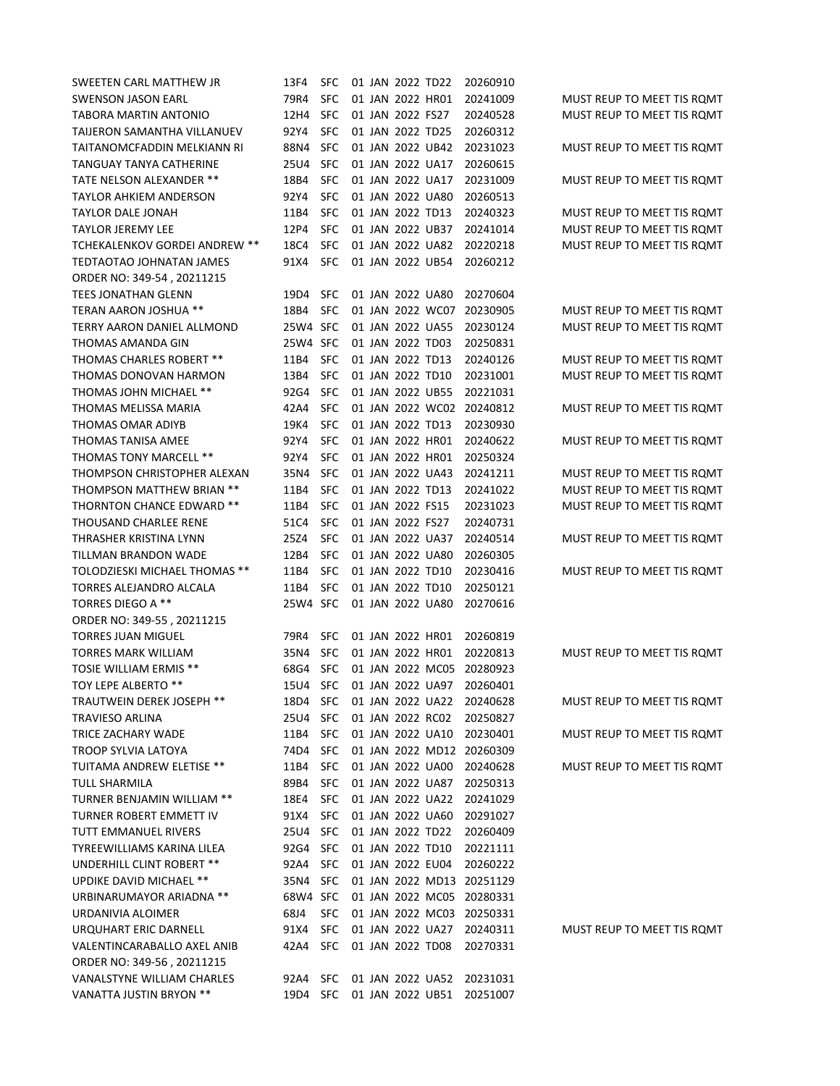| SWEETEN CARL MATTHEW JR              | 13F4     | SFC        |  | 01 JAN 2022 TD22 |                  | 20260910                  |                            |
|--------------------------------------|----------|------------|--|------------------|------------------|---------------------------|----------------------------|
| SWENSON JASON EARL                   | 79R4     | SFC        |  |                  | 01 JAN 2022 HR01 | 20241009                  | MUST REUP TO MEET TIS ROMT |
| TABORA MARTIN ANTONIO                | 12H4     | SFC        |  | 01 JAN 2022 FS27 |                  | 20240528                  | MUST REUP TO MEET TIS ROMT |
| TAIJERON SAMANTHA VILLANUEV          | 92Y4     | <b>SFC</b> |  | 01 JAN 2022 TD25 |                  | 20260312                  |                            |
| TAITANOMCFADDIN MELKIANN RI          | 88N4     | <b>SFC</b> |  |                  | 01 JAN 2022 UB42 | 20231023                  | MUST REUP TO MEET TIS ROMT |
| TANGUAY TANYA CATHERINE              | 25U4     | <b>SFC</b> |  |                  | 01 JAN 2022 UA17 | 20260615                  |                            |
| TATE NELSON ALEXANDER **             | 18B4     | <b>SFC</b> |  |                  | 01 JAN 2022 UA17 | 20231009                  | MUST REUP TO MEET TIS ROMT |
| TAYLOR AHKIEM ANDERSON               | 92Y4     | <b>SFC</b> |  |                  | 01 JAN 2022 UA80 | 20260513                  |                            |
| <b>TAYLOR DALE JONAH</b>             | 11B4     | <b>SFC</b> |  | 01 JAN 2022 TD13 |                  | 20240323                  | MUST REUP TO MEET TIS ROMT |
| <b>TAYLOR JEREMY LEE</b>             | 12P4     | <b>SFC</b> |  |                  | 01 JAN 2022 UB37 | 20241014                  | MUST REUP TO MEET TIS ROMT |
| <b>TCHEKALENKOV GORDEI ANDREW **</b> | 18C4     | SFC        |  |                  | 01 JAN 2022 UA82 | 20220218                  | MUST REUP TO MEET TIS ROMT |
| TEDTAOTAO JOHNATAN JAMES             | 91X4     | <b>SFC</b> |  |                  | 01 JAN 2022 UB54 | 20260212                  |                            |
| ORDER NO: 349-54, 20211215           |          |            |  |                  |                  |                           |                            |
| <b>TEES JONATHAN GLENN</b>           | 19D4     | <b>SFC</b> |  |                  | 01 JAN 2022 UA80 | 20270604                  |                            |
| <b>TERAN AARON JOSHUA **</b>         | 18B4     | SFC        |  |                  | 01 JAN 2022 WC07 | 20230905                  | MUST REUP TO MEET TIS ROMT |
| TERRY AARON DANIEL ALLMOND           | 25W4 SFC |            |  |                  | 01 JAN 2022 UA55 | 20230124                  | MUST REUP TO MEET TIS ROMT |
| THOMAS AMANDA GIN                    | 25W4 SFC |            |  | 01 JAN 2022 TD03 |                  | 20250831                  |                            |
| <b>THOMAS CHARLES ROBERT **</b>      | 11B4     | <b>SFC</b> |  | 01 JAN 2022 TD13 |                  | 20240126                  | MUST REUP TO MEET TIS ROMT |
| THOMAS DONOVAN HARMON                | 13B4     | SFC        |  | 01 JAN 2022 TD10 |                  | 20231001                  | MUST REUP TO MEET TIS ROMT |
| THOMAS JOHN MICHAEL **               | 92G4     | <b>SFC</b> |  |                  | 01 JAN 2022 UB55 | 20221031                  |                            |
| THOMAS MELISSA MARIA                 | 42A4     | SFC        |  |                  | 01 JAN 2022 WC02 | 20240812                  | MUST REUP TO MEET TIS ROMT |
| THOMAS OMAR ADIYB                    | 19K4     | <b>SFC</b> |  | 01 JAN 2022 TD13 |                  | 20230930                  |                            |
| THOMAS TANISA AMEE                   | 92Y4     | <b>SFC</b> |  |                  | 01 JAN 2022 HR01 | 20240622                  | MUST REUP TO MEET TIS ROMT |
| THOMAS TONY MARCELL **               | 92Y4     | <b>SFC</b> |  |                  | 01 JAN 2022 HR01 | 20250324                  |                            |
| THOMPSON CHRISTOPHER ALEXAN          | 35N4     | <b>SFC</b> |  |                  | 01 JAN 2022 UA43 | 20241211                  | MUST REUP TO MEET TIS ROMT |
| THOMPSON MATTHEW BRIAN **            | 11B4     | <b>SFC</b> |  | 01 JAN 2022 TD13 |                  | 20241022                  | MUST REUP TO MEET TIS ROMT |
| <b>THORNTON CHANCE EDWARD **</b>     | 11B4     | <b>SFC</b> |  | 01 JAN 2022 FS15 |                  | 20231023                  | MUST REUP TO MEET TIS ROMT |
| THOUSAND CHARLEE RENE                | 51C4     | <b>SFC</b> |  | 01 JAN 2022 FS27 |                  | 20240731                  |                            |
| THRASHER KRISTINA LYNN               | 25Z4     | SFC        |  |                  | 01 JAN 2022 UA37 | 20240514                  | MUST REUP TO MEET TIS ROMT |
| TILLMAN BRANDON WADE                 | 12B4     | <b>SFC</b> |  |                  | 01 JAN 2022 UA80 | 20260305                  |                            |
| TOLODZIESKI MICHAEL THOMAS **        | 11B4     | <b>SFC</b> |  |                  | 01 JAN 2022 TD10 | 20230416                  | MUST REUP TO MEET TIS ROMT |
| TORRES ALEJANDRO ALCALA              | 11B4     | <b>SFC</b> |  |                  | 01 JAN 2022 TD10 | 20250121                  |                            |
| <b>TORRES DIEGO A **</b>             | 25W4 SFC |            |  |                  | 01 JAN 2022 UA80 | 20270616                  |                            |
| ORDER NO: 349-55, 20211215           |          |            |  |                  |                  |                           |                            |
| <b>TORRES JUAN MIGUEL</b>            | 79R4     | <b>SFC</b> |  |                  | 01 JAN 2022 HR01 | 20260819                  |                            |
| <b>TORRES MARK WILLIAM</b>           | 35N4     | <b>SFC</b> |  |                  | 01 JAN 2022 HR01 | 20220813                  | MUST REUP TO MEET TIS ROMT |
| <b>TOSIE WILLIAM ERMIS **</b>        | 68G4     | <b>SFC</b> |  |                  | 01 JAN 2022 MC05 | 20280923                  |                            |
| TOY LEPE ALBERTO **                  | 15U4     | <b>SFC</b> |  |                  | 01 JAN 2022 UA97 | 20260401                  |                            |
| TRAUTWEIN DEREK JOSEPH **            | 18D4 SFC |            |  |                  | 01 JAN 2022 UA22 | 20240628                  | MUST REUP TO MEET TIS ROMT |
| TRAVIESO ARLINA                      | 25U4     | <b>SFC</b> |  |                  | 01 JAN 2022 RC02 | 20250827                  |                            |
| TRICE ZACHARY WADE                   | 11B4     | <b>SFC</b> |  |                  | 01 JAN 2022 UA10 | 20230401                  | MUST REUP TO MEET TIS ROMT |
| <b>TROOP SYLVIA LATOYA</b>           | 74D4     | <b>SFC</b> |  |                  |                  | 01 JAN 2022 MD12 20260309 |                            |
| TUITAMA ANDREW ELETISE **            | 11B4     | <b>SFC</b> |  |                  | 01 JAN 2022 UA00 | 20240628                  | MUST REUP TO MEET TIS ROMT |
| TULL SHARMILA                        | 89B4     | <b>SFC</b> |  |                  | 01 JAN 2022 UA87 | 20250313                  |                            |
| TURNER BENJAMIN WILLIAM **           | 18E4     | <b>SFC</b> |  |                  | 01 JAN 2022 UA22 | 20241029                  |                            |
| TURNER ROBERT EMMETT IV              | 91X4     | <b>SFC</b> |  |                  | 01 JAN 2022 UA60 | 20291027                  |                            |
| TUTT EMMANUEL RIVERS                 | 25U4     | <b>SFC</b> |  |                  | 01 JAN 2022 TD22 | 20260409                  |                            |
| <b>TYREEWILLIAMS KARINA LILEA</b>    | 92G4     | <b>SFC</b> |  |                  | 01 JAN 2022 TD10 | 20221111                  |                            |
| UNDERHILL CLINT ROBERT **            | 92A4     | <b>SFC</b> |  |                  | 01 JAN 2022 EU04 | 20260222                  |                            |
| UPDIKE DAVID MICHAEL **              | 35N4     | <b>SFC</b> |  |                  |                  | 01 JAN 2022 MD13 20251129 |                            |
| URBINARUMAYOR ARIADNA **             | 68W4 SFC |            |  |                  |                  | 01 JAN 2022 MC05 20280331 |                            |
| URDANIVIA ALOIMER                    | 68J4     | <b>SFC</b> |  |                  | 01 JAN 2022 MC03 | 20250331                  |                            |
| URQUHART ERIC DARNELL                | 91X4     | <b>SFC</b> |  |                  | 01 JAN 2022 UA27 | 20240311                  | MUST REUP TO MEET TIS ROMT |
| VALENTINCARABALLO AXEL ANIB          | 42A4     | <b>SFC</b> |  |                  | 01 JAN 2022 TD08 | 20270331                  |                            |
| ORDER NO: 349-56, 20211215           |          |            |  |                  |                  |                           |                            |
| VANALSTYNE WILLIAM CHARLES           | 92A4 SFC |            |  |                  | 01 JAN 2022 UA52 | 20231031                  |                            |
| VANATTA JUSTIN BRYON **              | 19D4 SFC |            |  |                  | 01 JAN 2022 UB51 | 20251007                  |                            |
|                                      |          |            |  |                  |                  |                           |                            |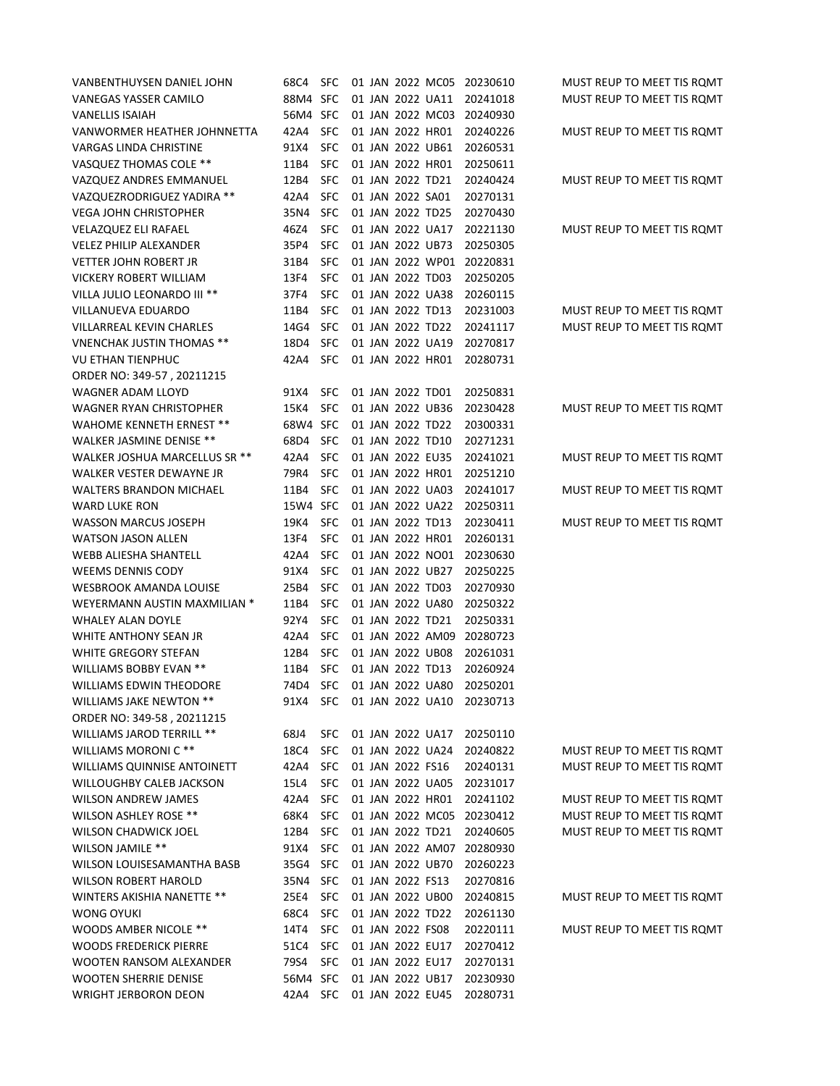| VANBENTHUYSEN DANIEL JOHN        | 68C4     | SFC        |  |                  | 01 JAN 2022 MC05     | 20230610                  | MUST REUP TO MEET TIS ROMT |
|----------------------------------|----------|------------|--|------------------|----------------------|---------------------------|----------------------------|
| VANEGAS YASSER CAMILO            | 88M4 SFC |            |  |                  | 01 JAN 2022 UA11     | 20241018                  | MUST REUP TO MEET TIS ROMT |
| <b>VANELLIS ISAIAH</b>           | 56M4 SFC |            |  |                  | 01 JAN 2022 MC03     | 20240930                  |                            |
| VANWORMER HEATHER JOHNNETTA      | 42A4     | <b>SFC</b> |  |                  | 01 JAN 2022 HR01     | 20240226                  | MUST REUP TO MEET TIS ROMT |
| VARGAS LINDA CHRISTINE           | 91X4     | <b>SFC</b> |  |                  | 01 JAN 2022 UB61     | 20260531                  |                            |
| VASQUEZ THOMAS COLE **           | 11B4     | <b>SFC</b> |  |                  | 01 JAN 2022 HR01     | 20250611                  |                            |
| VAZQUEZ ANDRES EMMANUEL          | 12B4     | <b>SFC</b> |  | 01 JAN 2022 TD21 |                      | 20240424                  | MUST REUP TO MEET TIS ROMT |
| VAZQUEZRODRIGUEZ YADIRA **       | 42A4     | <b>SFC</b> |  | 01 JAN 2022 SA01 |                      | 20270131                  |                            |
| <b>VEGA JOHN CHRISTOPHER</b>     | 35N4     | <b>SFC</b> |  | 01 JAN 2022 TD25 |                      | 20270430                  |                            |
| <b>VELAZQUEZ ELI RAFAEL</b>      | 46Z4     | <b>SFC</b> |  |                  | 01 JAN 2022 UA17     | 20221130                  | MUST REUP TO MEET TIS ROMT |
| <b>VELEZ PHILIP ALEXANDER</b>    | 35P4     | <b>SFC</b> |  |                  | 01 JAN 2022 UB73     | 20250305                  |                            |
| <b>VETTER JOHN ROBERT JR</b>     | 31B4     | <b>SFC</b> |  |                  | 01 JAN 2022 WP01     | 20220831                  |                            |
| VICKERY ROBERT WILLIAM           | 13F4     | <b>SFC</b> |  | 01 JAN 2022 TD03 |                      | 20250205                  |                            |
| VILLA JULIO LEONARDO III **      | 37F4     | <b>SFC</b> |  |                  | 01 JAN 2022 UA38     | 20260115                  |                            |
| VILLANUEVA EDUARDO               | 11B4     | <b>SFC</b> |  | 01 JAN 2022 TD13 |                      | 20231003                  | MUST REUP TO MEET TIS ROMT |
| VILLARREAL KEVIN CHARLES         | 14G4     | <b>SFC</b> |  | 01 JAN 2022 TD22 |                      | 20241117                  | MUST REUP TO MEET TIS ROMT |
| <b>VNENCHAK JUSTIN THOMAS **</b> | 18D4     | <b>SFC</b> |  |                  | 01 JAN 2022 UA19     | 20270817                  |                            |
| VU ETHAN TIENPHUC                | 42A4     | <b>SFC</b> |  |                  | 01 JAN 2022 HR01     | 20280731                  |                            |
| ORDER NO: 349-57, 20211215       |          |            |  |                  |                      |                           |                            |
| <b>WAGNER ADAM LLOYD</b>         | 91X4     | <b>SFC</b> |  | 01 JAN 2022 TD01 |                      | 20250831                  |                            |
| <b>WAGNER RYAN CHRISTOPHER</b>   | 15K4     | <b>SFC</b> |  |                  | 01 JAN 2022 UB36     | 20230428                  | MUST REUP TO MEET TIS ROMT |
| WAHOME KENNETH ERNEST **         | 68W4 SFC |            |  | 01 JAN 2022 TD22 |                      | 20300331                  |                            |
| WALKER JASMINE DENISE **         | 68D4     | <b>SFC</b> |  | 01 JAN 2022 TD10 |                      | 20271231                  |                            |
| WALKER JOSHUA MARCELLUS SR **    | 42A4     | <b>SFC</b> |  | 01 JAN 2022 EU35 |                      | 20241021                  | MUST REUP TO MEET TIS ROMT |
| WALKER VESTER DEWAYNE JR         | 79R4     | <b>SFC</b> |  |                  | 01 JAN 2022 HR01     | 20251210                  |                            |
| <b>WALTERS BRANDON MICHAEL</b>   | 11B4     | <b>SFC</b> |  |                  | 01 JAN 2022 UA03     | 20241017                  | MUST REUP TO MEET TIS ROMT |
| WARD LUKE RON                    | 15W4 SFC |            |  |                  | 01 JAN 2022 UA22     | 20250311                  |                            |
| <b>WASSON MARCUS JOSEPH</b>      | 19K4     | <b>SFC</b> |  | 01 JAN 2022 TD13 |                      | 20230411                  | MUST REUP TO MEET TIS ROMT |
| <b>WATSON JASON ALLEN</b>        | 13F4     | <b>SFC</b> |  |                  | 01 JAN 2022 HR01     | 20260131                  |                            |
| WEBB ALIESHA SHANTELL            | 42A4     | <b>SFC</b> |  |                  | 01 JAN 2022 NO01     | 20230630                  |                            |
| <b>WEEMS DENNIS CODY</b>         | 91X4     | <b>SFC</b> |  |                  | 01 JAN 2022 UB27     | 20250225                  |                            |
| <b>WESBROOK AMANDA LOUISE</b>    | 25B4     | <b>SFC</b> |  | 01 JAN 2022 TD03 |                      | 20270930                  |                            |
| WEYERMANN AUSTIN MAXMILIAN *     | 11B4     | <b>SFC</b> |  |                  | 01 JAN 2022 UA80     | 20250322                  |                            |
| <b>WHALEY ALAN DOYLE</b>         | 92Y4     | <b>SFC</b> |  | 01 JAN 2022 TD21 |                      | 20250331                  |                            |
| WHITE ANTHONY SEAN JR            | 42A4     | <b>SFC</b> |  |                  | 01 JAN 2022 AM09     | 20280723                  |                            |
| WHITE GREGORY STEFAN             | 12B4     | <b>SFC</b> |  |                  | 01 JAN 2022 UB08     | 20261031                  |                            |
| WILLIAMS BOBBY EVAN **           | 11B4     | <b>SFC</b> |  | 01 JAN 2022 TD13 |                      | 20260924                  |                            |
| WILLIAMS EDWIN THEODORE          | 74D4     | <b>SFC</b> |  |                  | 01 JAN 2022 UA80     | 20250201                  |                            |
| WILLIAMS JAKE NEWTON **          | 91X4     |            |  |                  | SFC 01 JAN 2022 UA10 | 20230713                  |                            |
| ORDER NO: 349-58, 20211215       |          |            |  |                  |                      |                           |                            |
| WILLIAMS JAROD TERRILL **        | 68J4     | <b>SFC</b> |  |                  | 01 JAN 2022 UA17     | 20250110                  |                            |
| WILLIAMS MORONI C **             | 18C4     | <b>SFC</b> |  |                  | 01 JAN 2022 UA24     | 20240822                  | MUST REUP TO MEET TIS ROMT |
| WILLIAMS QUINNISE ANTOINETT      | 42A4     | <b>SFC</b> |  | 01 JAN 2022 FS16 |                      | 20240131                  | MUST REUP TO MEET TIS ROMT |
| <b>WILLOUGHBY CALEB JACKSON</b>  | 15L4     | <b>SFC</b> |  |                  | 01 JAN 2022 UA05     | 20231017                  |                            |
| <b>WILSON ANDREW JAMES</b>       | 42A4     | <b>SFC</b> |  |                  | 01 JAN 2022 HR01     | 20241102                  | MUST REUP TO MEET TIS ROMT |
| WILSON ASHLEY ROSE **            | 68K4     | <b>SFC</b> |  |                  |                      | 01 JAN 2022 MC05 20230412 | MUST REUP TO MEET TIS ROMT |
| <b>WILSON CHADWICK JOEL</b>      | 12B4     | <b>SFC</b> |  |                  | 01 JAN 2022 TD21     | 20240605                  | MUST REUP TO MEET TIS ROMT |
| WILSON JAMILE **                 | 91X4     | <b>SFC</b> |  |                  | 01 JAN 2022 AM07     | 20280930                  |                            |
| WILSON LOUISESAMANTHA BASB       | 35G4     | <b>SFC</b> |  |                  | 01 JAN 2022 UB70     | 20260223                  |                            |
| <b>WILSON ROBERT HAROLD</b>      | 35N4     | <b>SFC</b> |  | 01 JAN 2022 FS13 |                      | 20270816                  |                            |
| WINTERS AKISHIA NANETTE **       | 25E4     | <b>SFC</b> |  |                  | 01 JAN 2022 UB00     | 20240815                  | MUST REUP TO MEET TIS ROMT |
| WONG OYUKI                       | 68C4     | <b>SFC</b> |  |                  | 01 JAN 2022 TD22     | 20261130                  |                            |
| WOODS AMBER NICOLE **            | 14T4     | <b>SFC</b> |  | 01 JAN 2022 FS08 |                      | 20220111                  | MUST REUP TO MEET TIS ROMT |
| <b>WOODS FREDERICK PIERRE</b>    | 51C4     | <b>SFC</b> |  |                  | 01 JAN 2022 EU17     | 20270412                  |                            |
| WOOTEN RANSOM ALEXANDER          | 79S4     | <b>SFC</b> |  |                  | 01 JAN 2022 EU17     | 20270131                  |                            |
| <b>WOOTEN SHERRIE DENISE</b>     | 56M4 SFC |            |  |                  | 01 JAN 2022 UB17     | 20230930                  |                            |
| <b>WRIGHT JERBORON DEON</b>      | 42A4     | SFC        |  |                  | 01 JAN 2022 EU45     | 20280731                  |                            |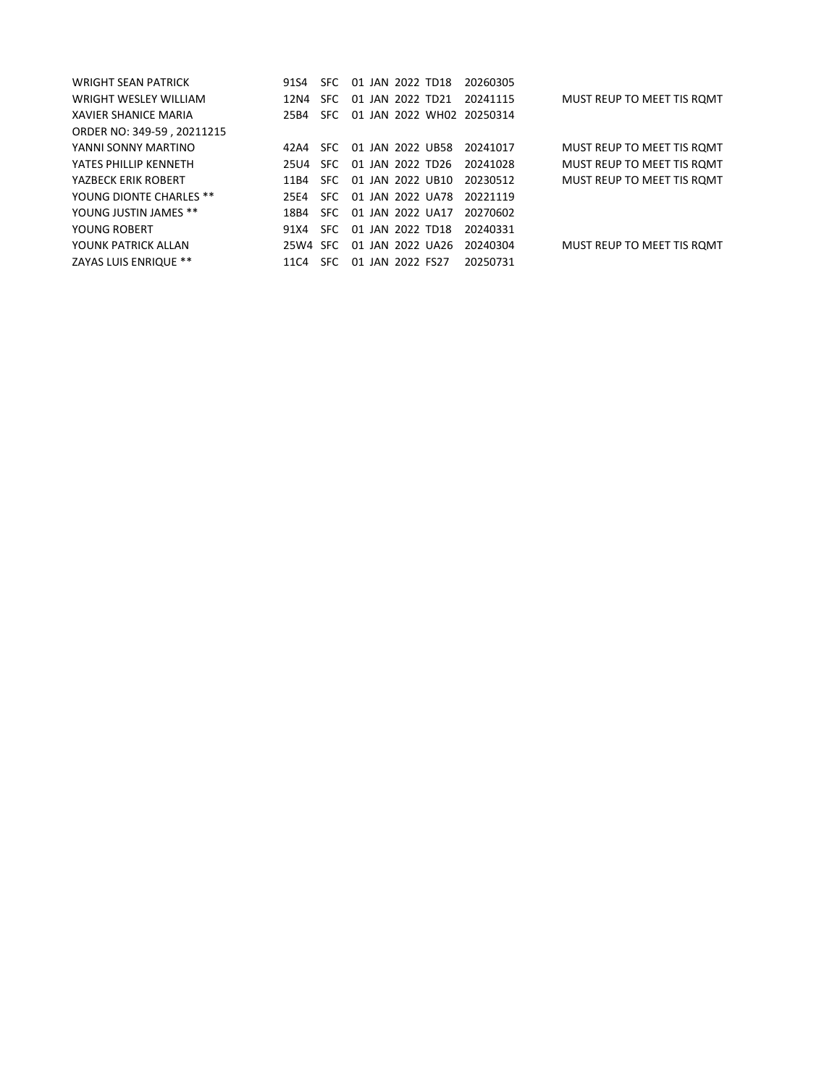| <b>WRIGHT SEAN PATRICK</b>   | 91S4     | SFC. | 01 JAN 2022 TD18 |  | 20260305                  |                            |
|------------------------------|----------|------|------------------|--|---------------------------|----------------------------|
| <b>WRIGHT WESLEY WILLIAM</b> | 12N4     | SFC. | 01 JAN 2022 TD21 |  | 20241115                  | MUST REUP TO MEET TIS ROMT |
| XAVIER SHANICE MARIA         | 25B4     | SFC. |                  |  | 01 JAN 2022 WH02 20250314 |                            |
| ORDER NO: 349-59, 20211215   |          |      |                  |  |                           |                            |
| YANNI SONNY MARTINO          | 42 A 4   | SEC. | 01 JAN 2022 UB58 |  | 20241017                  | MUST REUP TO MEET TIS ROMT |
| YATES PHILLIP KENNETH        | 25U4     | SFC. | 01 JAN 2022 TD26 |  | 20241028                  | MUST REUP TO MEET TIS ROMT |
| YAZBECK ERIK ROBERT          | 11 B 4   | SFC. | 01 JAN 2022 UB10 |  | 20230512                  | MUST REUP TO MEET TIS ROMT |
| YOUNG DIONTE CHARLES **      | 25F4     | SEC. | 01 JAN 2022 UA78 |  | 20221119                  |                            |
| YOUNG JUSTIN JAMES **        | 18B4     | SFC. | 01 JAN 2022 UA17 |  | 20270602                  |                            |
| YOUNG ROBERT                 | 91 X 4   | SFC. | 01 JAN 2022 TD18 |  | 20240331                  |                            |
| YOUNK PATRICK ALLAN          | 25W4 SFC |      | 01 JAN 2022 UA26 |  | 20240304                  | MUST REUP TO MEET TIS ROMT |
| ZAYAS LUIS ENRIQUE **        | 11C4     | SFC. | 01 JAN 2022 FS27 |  | 20250731                  |                            |
|                              |          |      |                  |  |                           |                            |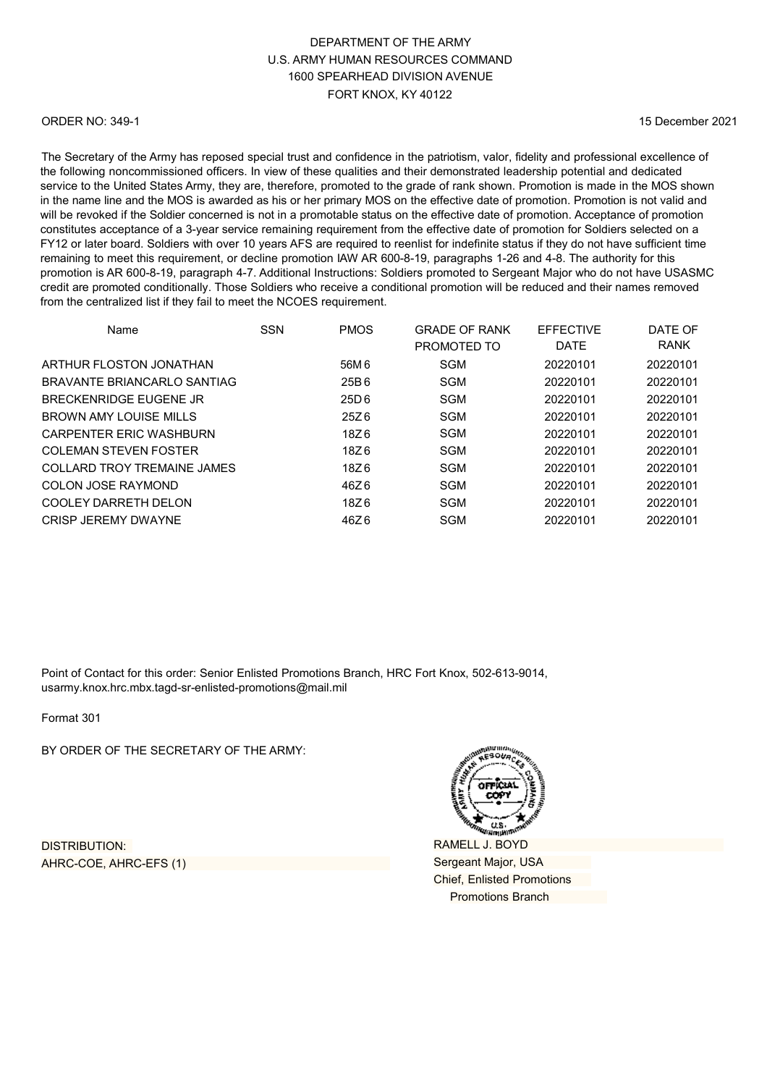#### ORDER NO: 349-1

15 December 2021

The Secretary of the Army has reposed special trust and confidence in the patriotism, valor, fidelity and professional excellence of the following noncommissioned officers. In view of these qualities and their demonstrated leadership potential and dedicated service to the United States Army, they are, therefore, promoted to the grade of rank shown. Promotion is made in the MOS shown in the name line and the MOS is awarded as his or her primary MOS on the effective date of promotion. Promotion is not valid and will be revoked if the Soldier concerned is not in a promotable status on the effective date of promotion. Acceptance of promotion constitutes acceptance of a 3-year service remaining requirement from the effective date of promotion for Soldiers selected on a FY12 or later board. Soldiers with over 10 years AFS are required to reenlist for indefinite status if they do not have sufficient time remaining to meet this requirement, or decline promotion IAW AR 600-8-19, paragraphs 1-26 and 4-8. The authority for this promotion is AR 600-8-19, paragraph 4-7. Additional Instructions: Soldiers promoted to Sergeant Major who do not have USASMC credit are promoted conditionally. Those Soldiers who receive a conditional promotion will be reduced and their names removed from the centralized list if they fail to meet the NCOES requirement.

| Name                           | <b>SSN</b> | <b>PMOS</b>      | <b>GRADE OF RANK</b> | <b>FFFFCTIVE</b> | DATE OF     |
|--------------------------------|------------|------------------|----------------------|------------------|-------------|
|                                |            |                  | PROMOTED TO          | <b>DATE</b>      | <b>RANK</b> |
| ARTHUR FLOSTON JONATHAN        |            | 56M 6            | <b>SGM</b>           | 20220101         | 20220101    |
| BRAVANTE BRIANCARI O SANTIAG   |            | 25B6             | <b>SGM</b>           | 20220101         | 20220101    |
| BRECKENRIDGE FUGENE JR         |            | 25D <sub>6</sub> | <b>SGM</b>           | 20220101         | 20220101    |
| BROWN AMY LOUISE MILLS         |            | 25Z 6            | <b>SGM</b>           | 20220101         | 20220101    |
| <b>CARPENTER ERIC WASHBURN</b> |            | 18Z 6            | <b>SGM</b>           | 20220101         | 20220101    |
| COLEMAN STEVEN FOSTER          |            | 18Z6             | <b>SGM</b>           | 20220101         | 20220101    |
| COLLARD TROY TREMAINE JAMES    |            | 18Z 6            | <b>SGM</b>           | 20220101         | 20220101    |
| COLON JOSE RAYMOND             |            | 46Z 6            | SGM                  | 20220101         | 20220101    |
| COOLEY DARRETH DELON           |            | 18Z6             | <b>SGM</b>           | 20220101         | 20220101    |
| CRISP JEREMY DWAYNE            |            | 46Z6             | <b>SGM</b>           | 20220101         | 20220101    |

Point of Contact for this order: Senior Enlisted Promotions Branch, HRC Fort Knox, 502-613-9014, [usarmy.knox.hrc.mbx.tagd-sr-enlisted-promotions@mail.mil](mailto:usarmy.knox.hrc.mbx.tagd-sr-enlisted-promotions@mail.mil)

Format 301

BY ORDER OF THE SECRETARY OF THE ARMY:

DISTRIBUTION: AHRC-COE, AHRC-EFS (1)

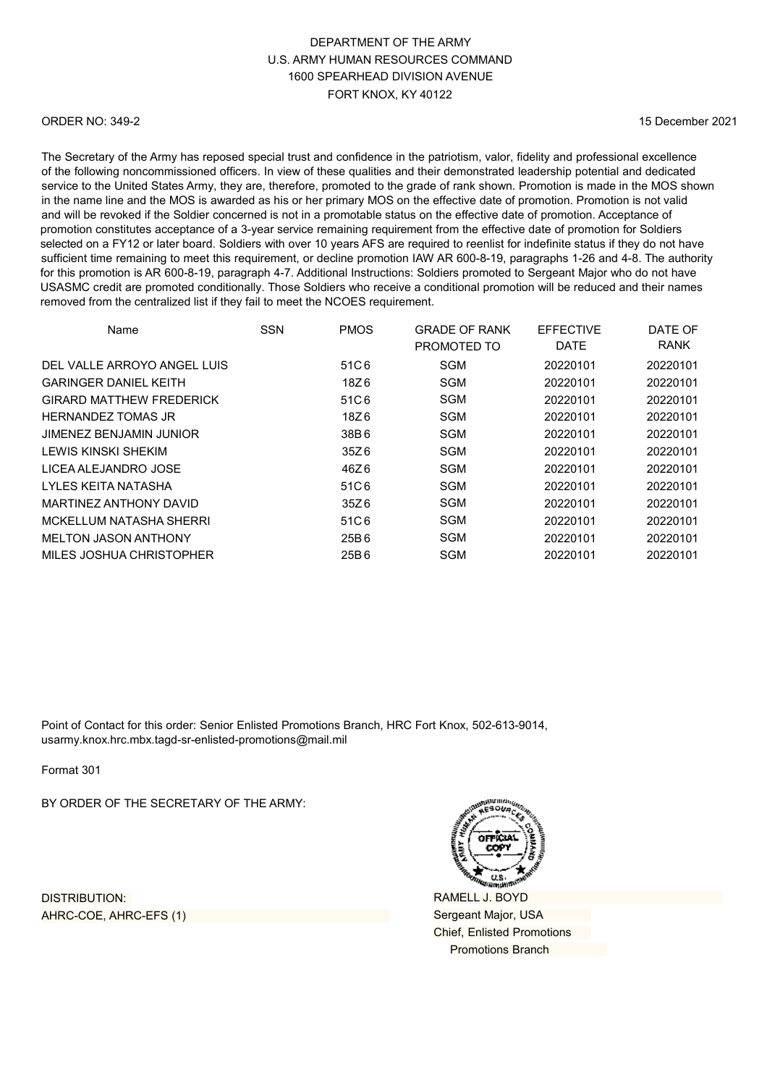#### ORDER NO: 349-2

15 December 2021

The Secretary of the Army has reposed special trust and confidence in the patriotism, valor, fidelity and professional excellence of the following noncommissioned officers. In view of these qualities and their demonstrated leadership potential and dedicated service to the United States Army, they are, therefore, promoted to the grade of rank shown. Promotion is made in the MOS shown in the name line and the MOS is awarded as his or her primary MOS on the effective date of promotion. Promotion is not valid and will be revoked if the Soldier concerned is not in a promotable status on the effective date of promotion. Acceptance of promotion constitutes acceptance of a 3-year service remaining requirement from the effective date of promotion for Soldiers selected on a FY12 or later board. Soldiers with over 10 years AFS are required to reenlist for indefinite status if they do not have sufficient time remaining to meet this requirement, or decline promotion IAW AR 600-8-19, paragraphs 1-26 and 4-8. The authority for this promotion is AR 600-8-19, paragraph 4-7. Additional Instructions: Soldiers promoted to Sergeant Major who do not have USASMC credit are promoted conditionally. Those Soldiers who receive a conditional promotion will be reduced and their names removed from the centralized list if they fail to meet the NCOES requirement.

| Name                            | <b>SSN</b> | <b>PMOS</b> | <b>GRADE OF RANK</b><br>PROMOTED TO | <b>EFFECTIVE</b><br><b>DATE</b> | DATE OF<br><b>RANK</b> |
|---------------------------------|------------|-------------|-------------------------------------|---------------------------------|------------------------|
| DEL VALLE ARROYO ANGEL LUIS     |            | 51C6        | SGM                                 | 20220101                        | 20220101               |
| <b>GARINGER DANIEL KEITH</b>    |            | 18Z 6       | SGM                                 | 20220101                        | 20220101               |
| <b>GIRARD MATTHEW FREDERICK</b> |            | 51C6        | <b>SGM</b>                          | 20220101                        | 20220101               |
| <b>HERNANDEZ TOMAS JR</b>       |            | 18Z6        | <b>SGM</b>                          | 20220101                        | 20220101               |
| JIMENEZ BENJAMIN JUNIOR         |            | 38B6        | <b>SGM</b>                          | 20220101                        | 20220101               |
| I FWIS KINSKI SHFKIM            |            | 35Z 6       | <b>SGM</b>                          | 20220101                        | 20220101               |
| LICEA ALEJANDRO JOSE            |            | 46Z6        | <b>SGM</b>                          | 20220101                        | 20220101               |
| I YI FS KFITA NATASHA           |            | 51C6        | <b>SGM</b>                          | 20220101                        | 20220101               |
| MARTINEZ ANTHONY DAVID          |            | 35Z6        | <b>SGM</b>                          | 20220101                        | 20220101               |
| MCKELLUM NATASHA SHERRI         |            | 51C6        | SGM                                 | 20220101                        | 20220101               |
| <b>MELTON JASON ANTHONY</b>     |            | 25B 6       | <b>SGM</b>                          | 20220101                        | 20220101               |
| MILES JOSHUA CHRISTOPHER        |            | 25B6        | SGM                                 | 20220101                        | 20220101               |

Point of Contact for this order: Senior Enlisted Promotions Branch, HRC Fort Knox, 502-613-9014, [usarmy.knox.hrc.mbx.tagd-sr-enlisted-promotions@mail.mil](mailto:usarmy.knox.hrc.mbx.tagd-sr-enlisted-promotions@mail.mil)

Format 301

BY ORDER OF THE SECRETARY OF THE ARMY:

DISTRIBUTION: AHRC-COE, AHRC-EFS (1)

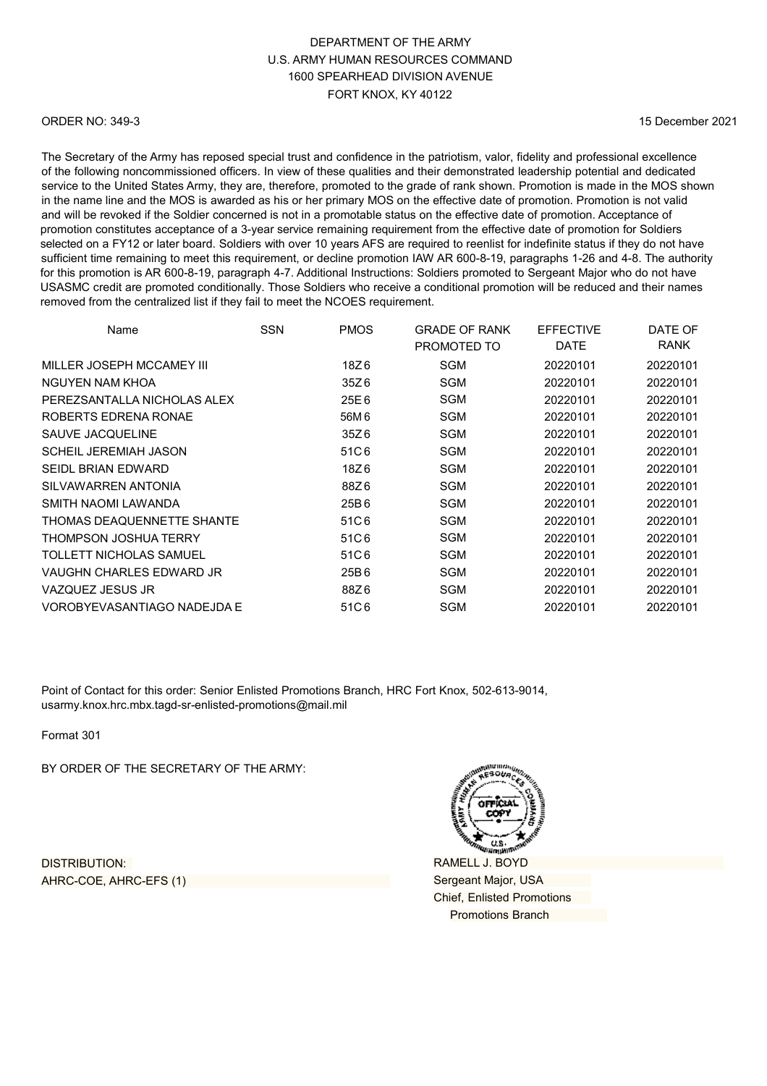#### ORDER NO: 349-3

15 December 2021

The Secretary of the Army has reposed special trust and confidence in the patriotism, valor, fidelity and professional excellence of the following noncommissioned officers. In view of these qualities and their demonstrated leadership potential and dedicated service to the United States Army, they are, therefore, promoted to the grade of rank shown. Promotion is made in the MOS shown in the name line and the MOS is awarded as his or her primary MOS on the effective date of promotion. Promotion is not valid and will be revoked if the Soldier concerned is not in a promotable status on the effective date of promotion. Acceptance of promotion constitutes acceptance of a 3-year service remaining requirement from the effective date of promotion for Soldiers selected on a FY12 or later board. Soldiers with over 10 years AFS are required to reenlist for indefinite status if they do not have sufficient time remaining to meet this requirement, or decline promotion IAW AR 600-8-19, paragraphs 1-26 and 4-8. The authority for this promotion is AR 600-8-19, paragraph 4-7. Additional Instructions: Soldiers promoted to Sergeant Major who do not have USASMC credit are promoted conditionally. Those Soldiers who receive a conditional promotion will be reduced and their names removed from the centralized list if they fail to meet the NCOES requirement.

| Name                         | <b>SSN</b> | <b>PMOS</b> | <b>GRADE OF RANK</b><br>PROMOTED TO | <b>EFFECTIVE</b><br><b>DATE</b> | DATE OF<br><b>RANK</b> |
|------------------------------|------------|-------------|-------------------------------------|---------------------------------|------------------------|
| MILLER JOSEPH MCCAMEY III    |            | 18Z6        | <b>SGM</b>                          | 20220101                        | 20220101               |
| NGUYEN NAM KHOA              |            | 35Z6        | <b>SGM</b>                          | 20220101                        | 20220101               |
| PEREZSANTALLA NICHOLAS ALEX  |            | 25E6        | <b>SGM</b>                          | 20220101                        | 20220101               |
| ROBERTS EDRENA RONAE         |            | 56M 6       | <b>SGM</b>                          | 20220101                        | 20220101               |
| SAUVE JACQUELINE             |            | 35Z6        | <b>SGM</b>                          | 20220101                        | 20220101               |
| <b>SCHEIL JEREMIAH JASON</b> |            | 51C6        | <b>SGM</b>                          | 20220101                        | 20220101               |
| SEIDL BRIAN EDWARD           |            | 18Z6        | <b>SGM</b>                          | 20220101                        | 20220101               |
| SILVAWARREN ANTONIA          |            | 88Z6        | <b>SGM</b>                          | 20220101                        | 20220101               |
| SMITH NAOMI LAWANDA          |            | 25B6        | <b>SGM</b>                          | 20220101                        | 20220101               |
| THOMAS DEAQUENNETTE SHANTE   |            | 51C6        | <b>SGM</b>                          | 20220101                        | 20220101               |
| THOMPSON JOSHUA TERRY        |            | 51C6        | <b>SGM</b>                          | 20220101                        | 20220101               |
| TOLLETT NICHOLAS SAMUEL      |            | 51C6        | <b>SGM</b>                          | 20220101                        | 20220101               |
| VAUGHN CHARLES EDWARD JR     |            | 25B6        | <b>SGM</b>                          | 20220101                        | 20220101               |
| VAZQUEZ JESUS JR             |            | 88Z6        | <b>SGM</b>                          | 20220101                        | 20220101               |
| VOROBYEVASANTIAGO NADEJDA E  |            | 51C6        | SGM                                 | 20220101                        | 20220101               |

Point of Contact for this order: Senior Enlisted Promotions Branch, HRC Fort Knox, 502-613-9014, [usarmy.knox.hrc.mbx.tagd-sr-enlisted-promotions@mail.mil](mailto:usarmy.knox.hrc.mbx.tagd-sr-enlisted-promotions@mail.mil)

Format 301

BY ORDER OF THE SECRETARY OF THE ARMY:

DISTRIBUTION: AHRC-COE, AHRC-EFS (1)

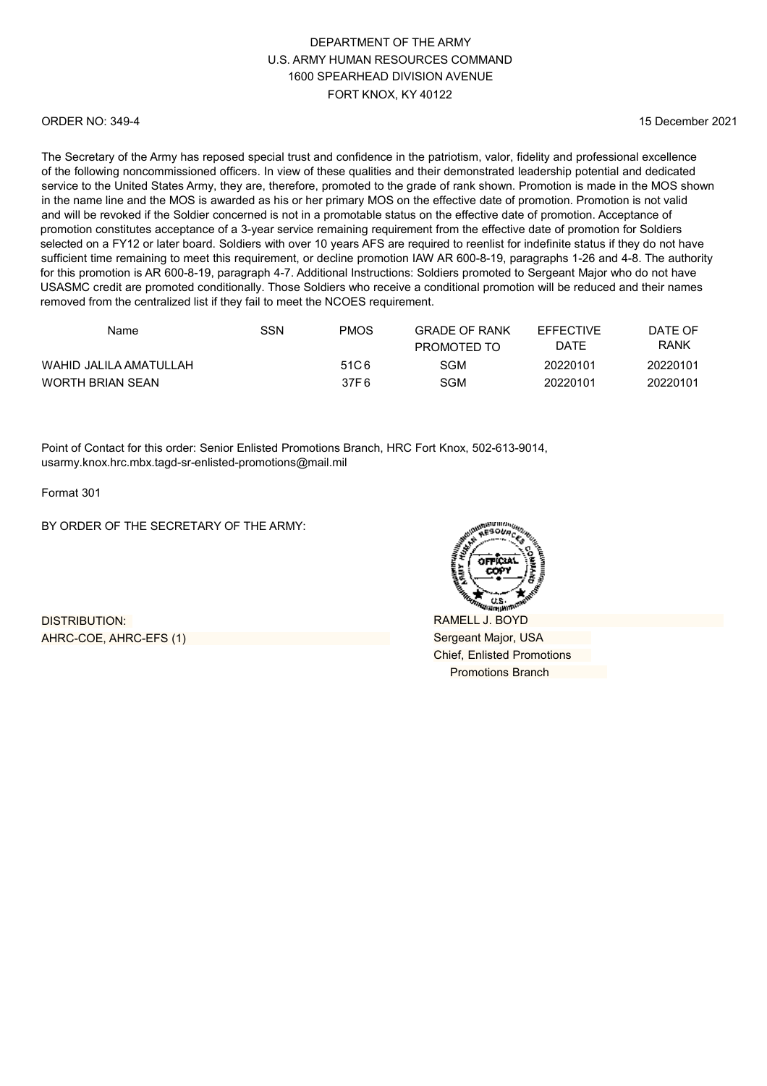#### ORDER NO: 349-4

15 December 2021

The Secretary of the Army has reposed special trust and confidence in the patriotism, valor, fidelity and professional excellence of the following noncommissioned officers. In view of these qualities and their demonstrated leadership potential and dedicated service to the United States Army, they are, therefore, promoted to the grade of rank shown. Promotion is made in the MOS shown in the name line and the MOS is awarded as his or her primary MOS on the effective date of promotion. Promotion is not valid and will be revoked if the Soldier concerned is not in a promotable status on the effective date of promotion. Acceptance of promotion constitutes acceptance of a 3-year service remaining requirement from the effective date of promotion for Soldiers selected on a FY12 or later board. Soldiers with over 10 years AFS are required to reenlist for indefinite status if they do not have sufficient time remaining to meet this requirement, or decline promotion IAW AR 600-8-19, paragraphs 1-26 and 4-8. The authority for this promotion is AR 600-8-19, paragraph 4-7. Additional Instructions: Soldiers promoted to Sergeant Major who do not have USASMC credit are promoted conditionally. Those Soldiers who receive a conditional promotion will be reduced and their names removed from the centralized list if they fail to meet the NCOES requirement.

| Name                   | SSN | <b>PMOS</b>      | <b>GRADE OF RANK</b><br>PROMOTED TO | <b>FFFFCTIVE</b><br>DATE | DATF OF<br>RANK |
|------------------------|-----|------------------|-------------------------------------|--------------------------|-----------------|
| WAHID JALILA AMATULLAH |     | 51C <sub>6</sub> | SGM                                 | 20220101                 | 20220101        |
| WORTH BRIAN SEAN       |     | 37F 6            | SGM                                 | 20220101                 | 20220101        |

Point of Contact for this order: Senior Enlisted Promotions Branch, HRC Fort Knox, 502-613-9014, [usarmy.knox.hrc.mbx.tagd-sr-enlisted-promotions@mail.mil](mailto:usarmy.knox.hrc.mbx.tagd-sr-enlisted-promotions@mail.mil)

Format 301

BY ORDER OF THE SECRETARY OF THE ARMY:

DISTRIBUTION: AHRC-COE, AHRC-EFS (1)

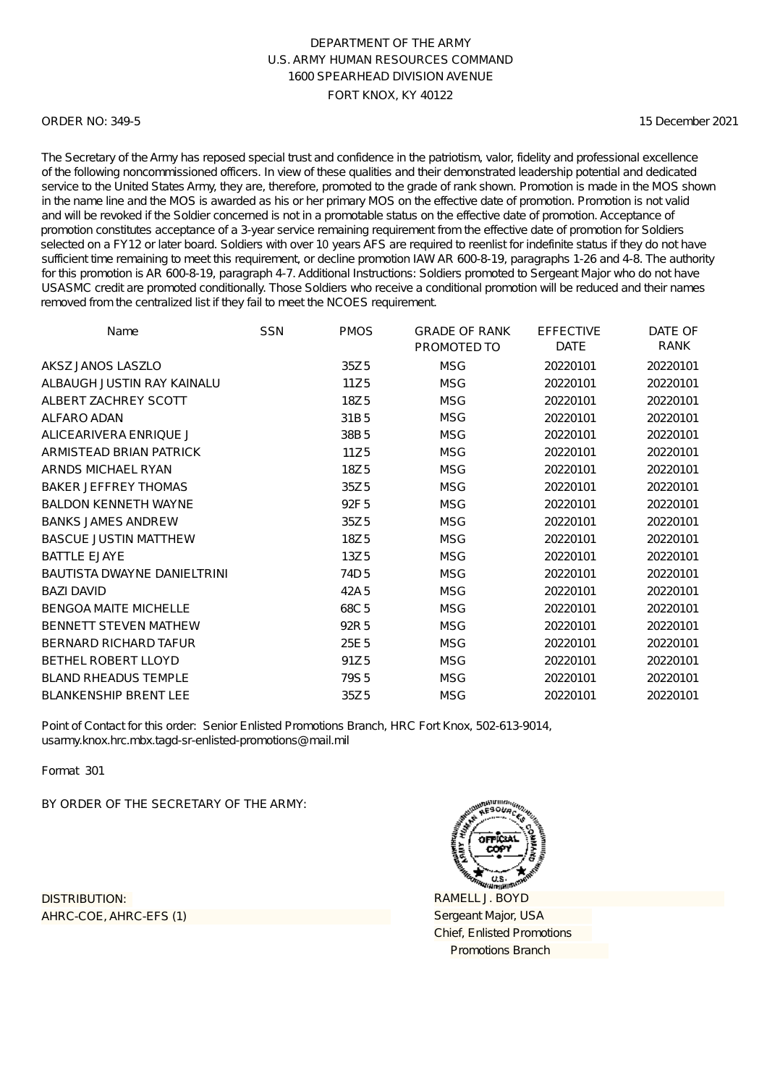#### ORDER NO: 349-5

15 December 2021

The Secretary of the Army has reposed special trust and confidence in the patriotism, valor, fidelity and professional excellence of the following noncommissioned officers. In view of these qualities and their demonstrated leadership potential and dedicated service to the United States Army, they are, therefore, promoted to the grade of rank shown. Promotion is made in the MOS shown in the name line and the MOS is awarded as his or her primary MOS on the effective date of promotion. Promotion is not valid and will be revoked if the Soldier concerned is not in a promotable status on the effective date of promotion. Acceptance of promotion constitutes acceptance of a 3-year service remaining requirement from the effective date of promotion for Soldiers selected on a FY12 or later board. Soldiers with over 10 years AFS are required to reenlist for indefinite status if they do not have sufficient time remaining to meet this requirement, or decline promotion IAW AR 600-8-19, paragraphs 1-26 and 4-8. The authority for this promotion is AR 600-8-19, paragraph 4-7. Additional Instructions: Soldiers promoted to Sergeant Major who do not have USASMC credit are promoted conditionally. Those Soldiers who receive a conditional promotion will be reduced and their names removed from the centralized list if they fail to meet the NCOES requirement.

| Name                               | <b>SSN</b> | <b>PMOS</b>      | <b>GRADE OF RANK</b><br>PROMOTED TO | <b>EFFECTIVE</b><br><b>DATE</b> | DATE OF<br>RANK |
|------------------------------------|------------|------------------|-------------------------------------|---------------------------------|-----------------|
| AKSZ JANOS LASZLO                  |            |                  |                                     |                                 |                 |
|                                    |            | 35Z <sub>5</sub> | <b>MSG</b>                          | 20220101                        | 20220101        |
| ALBAUGH JUSTIN RAY KAINALU         |            | 11Z5             | <b>MSG</b>                          | 20220101                        | 20220101        |
| ALBERT ZACHREY SCOTT               |            | 18Z <sub>5</sub> | <b>MSG</b>                          | 20220101                        | 20220101        |
| ALFARO ADAN                        |            | 31B <sub>5</sub> | <b>MSG</b>                          | 20220101                        | 20220101        |
| ALICEARIVERA ENRIQUE J             |            | 38B <sub>5</sub> | <b>MSG</b>                          | 20220101                        | 20220101        |
| ARMISTEAD BRIAN PATRICK            |            | 11Z <sub>5</sub> | <b>MSG</b>                          | 20220101                        | 20220101        |
| ARNDS MICHAEL RYAN                 |            | 18Z <sub>5</sub> | <b>MSG</b>                          | 20220101                        | 20220101        |
| <b>BAKER JEFFREY THOMAS</b>        |            | 35Z <sub>5</sub> | <b>MSG</b>                          | 20220101                        | 20220101        |
| <b>BALDON KENNETH WAYNE</b>        |            | 92F <sub>5</sub> | <b>MSG</b>                          | 20220101                        | 20220101        |
| <b>BANKS JAMES ANDREW</b>          |            | 35Z <sub>5</sub> | <b>MSG</b>                          | 20220101                        | 20220101        |
| <b>BASCUE JUSTIN MATTHEW</b>       |            | 18Z <sub>5</sub> | <b>MSG</b>                          | 20220101                        | 20220101        |
| <b>BATTLE EJAYE</b>                |            | 13Z <sub>5</sub> | <b>MSG</b>                          | 20220101                        | 20220101        |
| <b>BAUTISTA DWAYNE DANIELTRINI</b> |            | 74D <sub>5</sub> | <b>MSG</b>                          | 20220101                        | 20220101        |
| <b>BAZI DAVID</b>                  |            | 42A 5            | <b>MSG</b>                          | 20220101                        | 20220101        |
| <b>BENGOA MAITE MICHELLE</b>       |            | 68C <sub>5</sub> | <b>MSG</b>                          | 20220101                        | 20220101        |
| <b>BENNETT STEVEN MATHEW</b>       |            | 92R 5            | <b>MSG</b>                          | 20220101                        | 20220101        |
| <b>BERNARD RICHARD TAFUR</b>       |            | 25E <sub>5</sub> | <b>MSG</b>                          | 20220101                        | 20220101        |
| <b>BETHEL ROBERT LLOYD</b>         |            | 91Z <sub>5</sub> | <b>MSG</b>                          | 20220101                        | 20220101        |
| <b>BLAND RHEADUS TEMPLE</b>        |            | 79S <sub>5</sub> | <b>MSG</b>                          | 20220101                        | 20220101        |
| <b>BLANKENSHIP BRENT LEE</b>       |            | 35Z <sub>5</sub> | <b>MSG</b>                          | 20220101                        | 20220101        |

Point of Contact for this order: Senior Enlisted Promotions Branch, HRC Fort Knox, 502-613-9014, usarmy.knox.hrc.mbx.tagd-sr-enlisted-promotions@mail.mil

Format 301

BY ORDER OF THE SECRETARY OF THE ARMY:

AHRC-COE, AHRC-EFS (1) DISTRIBUTION:

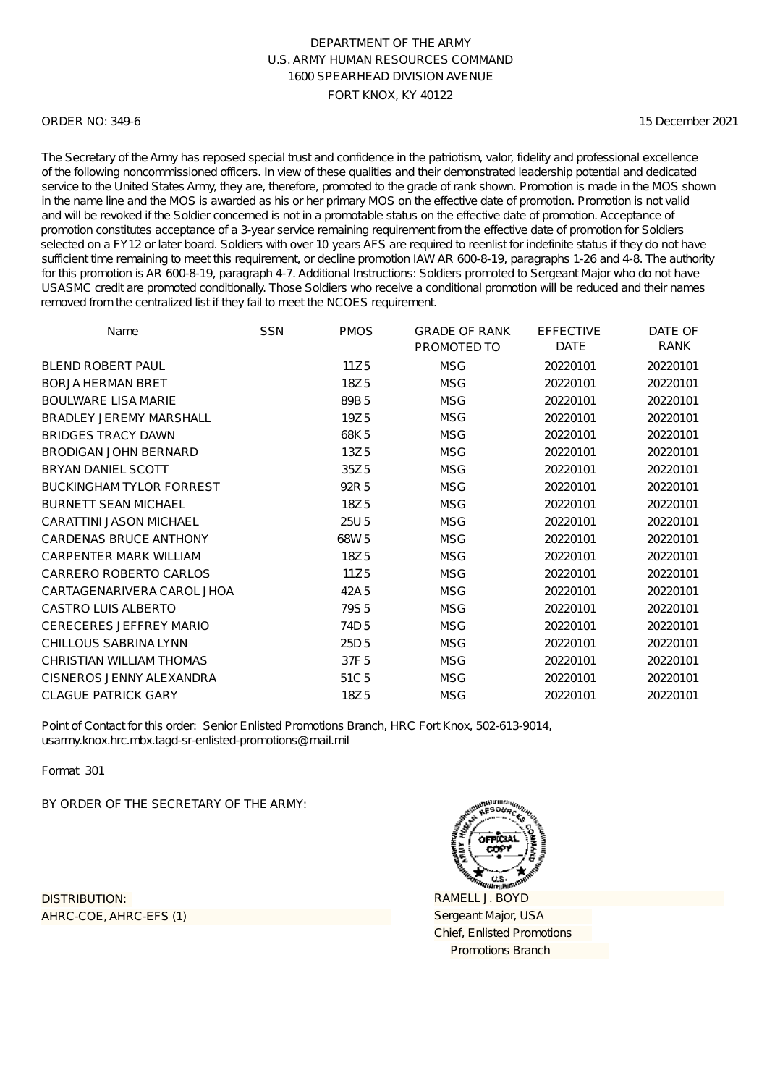#### ORDER NO: 349-6

15 December 2021

The Secretary of the Army has reposed special trust and confidence in the patriotism, valor, fidelity and professional excellence of the following noncommissioned officers. In view of these qualities and their demonstrated leadership potential and dedicated service to the United States Army, they are, therefore, promoted to the grade of rank shown. Promotion is made in the MOS shown in the name line and the MOS is awarded as his or her primary MOS on the effective date of promotion. Promotion is not valid and will be revoked if the Soldier concerned is not in a promotable status on the effective date of promotion. Acceptance of promotion constitutes acceptance of a 3-year service remaining requirement from the effective date of promotion for Soldiers selected on a FY12 or later board. Soldiers with over 10 years AFS are required to reenlist for indefinite status if they do not have sufficient time remaining to meet this requirement, or decline promotion IAW AR 600-8-19, paragraphs 1-26 and 4-8. The authority for this promotion is AR 600-8-19, paragraph 4-7. Additional Instructions: Soldiers promoted to Sergeant Major who do not have USASMC credit are promoted conditionally. Those Soldiers who receive a conditional promotion will be reduced and their names removed from the centralized list if they fail to meet the NCOES requirement.

| Name                            | <b>SSN</b> | <b>PMOS</b>      | <b>GRADE OF RANK</b> | <b>EFFECTIVE</b> | DATE OF     |
|---------------------------------|------------|------------------|----------------------|------------------|-------------|
|                                 |            |                  | PROMOTED TO          | <b>DATE</b>      | <b>RANK</b> |
| <b>BLEND ROBERT PAUL</b>        |            | 11Z5             | <b>MSG</b>           | 20220101         | 20220101    |
| <b>BORJA HERMAN BRET</b>        |            | 18Z <sub>5</sub> | <b>MSG</b>           | 20220101         | 20220101    |
| <b>BOULWARE LISA MARIE</b>      |            | 89B <sub>5</sub> | <b>MSG</b>           | 20220101         | 20220101    |
| <b>BRADLEY JEREMY MARSHALL</b>  |            | 19Z <sub>5</sub> | <b>MSG</b>           | 20220101         | 20220101    |
| <b>BRIDGES TRACY DAWN</b>       |            | 68K5             | <b>MSG</b>           | 20220101         | 20220101    |
| BRODIGAN JOHN BERNARD           |            | 13Z <sub>5</sub> | <b>MSG</b>           | 20220101         | 20220101    |
| <b>BRYAN DANIEL SCOTT</b>       |            | 35Z <sub>5</sub> | <b>MSG</b>           | 20220101         | 20220101    |
| <b>BUCKINGHAM TYLOR FORREST</b> |            | 92R 5            | <b>MSG</b>           | 20220101         | 20220101    |
| <b>BURNETT SEAN MICHAEL</b>     |            | 18Z <sub>5</sub> | <b>MSG</b>           | 20220101         | 20220101    |
| <b>CARATTINI JASON MICHAEL</b>  |            | 25U 5            | <b>MSG</b>           | 20220101         | 20220101    |
| <b>CARDENAS BRUCE ANTHONY</b>   |            | 68W <sub>5</sub> | <b>MSG</b>           | 20220101         | 20220101    |
| CARPENTER MARK WILLIAM          |            | 18Z5             | <b>MSG</b>           | 20220101         | 20220101    |
| CARRERO ROBERTO CARLOS          |            | 11Z5             | <b>MSG</b>           | 20220101         | 20220101    |
| CARTAGENARIVERA CAROL JHOA      |            | 42A 5            | <b>MSG</b>           | 20220101         | 20220101    |
| CASTRO LUIS ALBERTO             |            | 79S <sub>5</sub> | <b>MSG</b>           | 20220101         | 20220101    |
| <b>CERECERES JEFFREY MARIO</b>  |            | 74D <sub>5</sub> | <b>MSG</b>           | 20220101         | 20220101    |
| CHILLOUS SABRINA LYNN           |            | 25D 5            | <b>MSG</b>           | 20220101         | 20220101    |
| CHRISTIAN WILLIAM THOMAS        |            | 37F <sub>5</sub> | <b>MSG</b>           | 20220101         | 20220101    |
| CISNEROS JENNY ALEXANDRA        |            | 51C <sub>5</sub> | <b>MSG</b>           | 20220101         | 20220101    |
| <b>CLAGUE PATRICK GARY</b>      |            | 18Z5             | <b>MSG</b>           | 20220101         | 20220101    |

Point of Contact for this order: Senior Enlisted Promotions Branch, HRC Fort Knox, 502-613-9014, usarmy.knox.hrc.mbx.tagd-sr-enlisted-promotions@mail.mil

Format 301

BY ORDER OF THE SECRETARY OF THE ARMY:

AHRC-COE, AHRC-EFS (1) DISTRIBUTION:

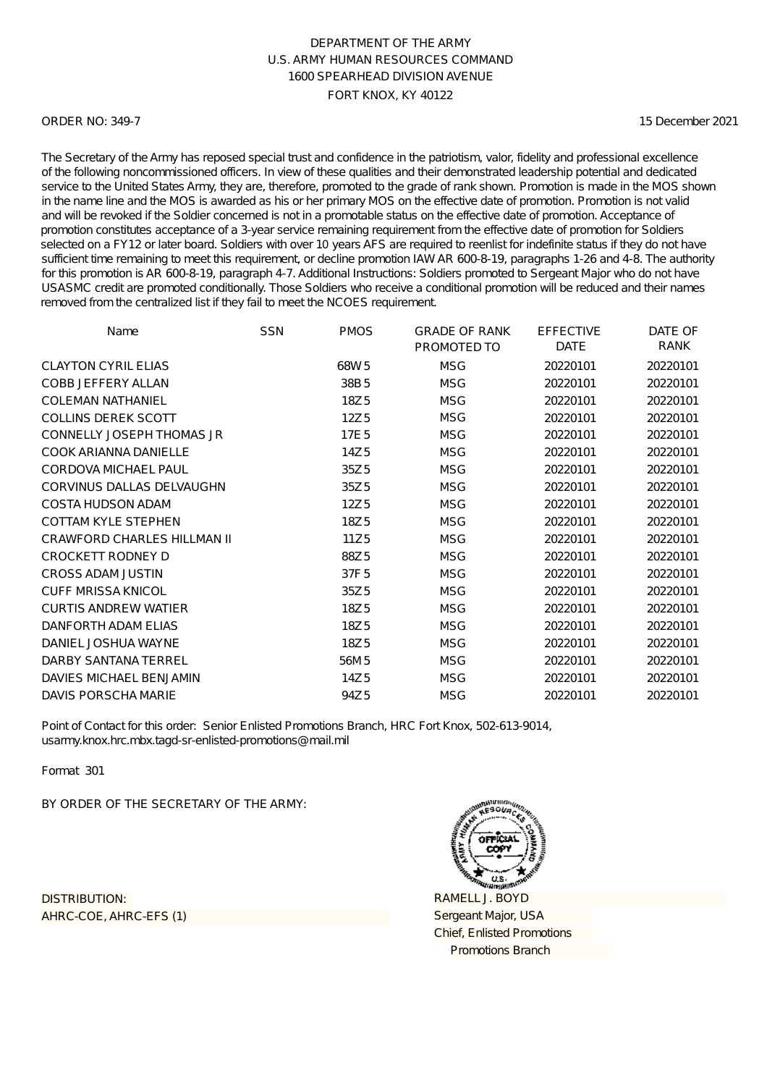#### ORDER NO: 349-7

15 December 2021

The Secretary of the Army has reposed special trust and confidence in the patriotism, valor, fidelity and professional excellence of the following noncommissioned officers. In view of these qualities and their demonstrated leadership potential and dedicated service to the United States Army, they are, therefore, promoted to the grade of rank shown. Promotion is made in the MOS shown in the name line and the MOS is awarded as his or her primary MOS on the effective date of promotion. Promotion is not valid and will be revoked if the Soldier concerned is not in a promotable status on the effective date of promotion. Acceptance of promotion constitutes acceptance of a 3-year service remaining requirement from the effective date of promotion for Soldiers selected on a FY12 or later board. Soldiers with over 10 years AFS are required to reenlist for indefinite status if they do not have sufficient time remaining to meet this requirement, or decline promotion IAW AR 600-8-19, paragraphs 1-26 and 4-8. The authority for this promotion is AR 600-8-19, paragraph 4-7. Additional Instructions: Soldiers promoted to Sergeant Major who do not have USASMC credit are promoted conditionally. Those Soldiers who receive a conditional promotion will be reduced and their names removed from the centralized list if they fail to meet the NCOES requirement.

| Name                               | <b>SSN</b> | <b>PMOS</b>      | <b>GRADE OF RANK</b><br>PROMOTED TO | <b>EFFECTIVE</b><br><b>DATE</b> | DATE OF<br>RANK |
|------------------------------------|------------|------------------|-------------------------------------|---------------------------------|-----------------|
| <b>CLAYTON CYRIL ELIAS</b>         |            | 68W <sub>5</sub> | <b>MSG</b>                          | 20220101                        | 20220101        |
| <b>COBB JEFFERY ALLAN</b>          |            | 38B <sub>5</sub> | <b>MSG</b>                          | 20220101                        | 20220101        |
| <b>COLEMAN NATHANIEL</b>           |            | 18Z5             | <b>MSG</b>                          | 20220101                        | 20220101        |
| <b>COLLINS DEREK SCOTT</b>         |            | 12Z <sub>5</sub> | <b>MSG</b>                          | 20220101                        | 20220101        |
| <b>CONNELLY JOSEPH THOMAS JR</b>   |            | 17E <sub>5</sub> | <b>MSG</b>                          | 20220101                        | 20220101        |
| COOK ARIANNA DANIELLE              |            | 14Z <sub>5</sub> | <b>MSG</b>                          | 20220101                        | 20220101        |
| <b>CORDOVA MICHAEL PAUL</b>        |            | 35Z <sub>5</sub> | <b>MSG</b>                          | 20220101                        | 20220101        |
| CORVINUS DALLAS DELVAUGHN          |            | 35Z <sub>5</sub> | <b>MSG</b>                          | 20220101                        | 20220101        |
| <b>COSTA HUDSON ADAM</b>           |            | 12Z <sub>5</sub> | <b>MSG</b>                          | 20220101                        | 20220101        |
| <b>COTTAM KYLE STEPHEN</b>         |            | 18Z5             | <b>MSG</b>                          | 20220101                        | 20220101        |
| <b>CRAWFORD CHARLES HILLMAN II</b> |            | 11Z <sub>5</sub> | <b>MSG</b>                          | 20220101                        | 20220101        |
| <b>CROCKETT RODNEY D</b>           |            | 88Z5             | <b>MSG</b>                          | 20220101                        | 20220101        |
| <b>CROSS ADAM JUSTIN</b>           |            | 37F <sub>5</sub> | <b>MSG</b>                          | 20220101                        | 20220101        |
| <b>CUFF MRISSA KNICOL</b>          |            | 35Z <sub>5</sub> | <b>MSG</b>                          | 20220101                        | 20220101        |
| <b>CURTIS ANDREW WATIER</b>        |            | 18Z5             | <b>MSG</b>                          | 20220101                        | 20220101        |
| DANFORTH ADAM ELIAS                |            | 18Z5             | <b>MSG</b>                          | 20220101                        | 20220101        |
| DANIEL JOSHUA WAYNE                |            | 18Z5             | <b>MSG</b>                          | 20220101                        | 20220101        |
| DARBY SANTANA TERREL               |            | 56M 5            | <b>MSG</b>                          | 20220101                        | 20220101        |
| DAVIES MICHAEL BENJAMIN            |            | 14Z 5            | <b>MSG</b>                          | 20220101                        | 20220101        |
| DAVIS PORSCHA MARIE                |            | 94Z <sub>5</sub> | <b>MSG</b>                          | 20220101                        | 20220101        |

Point of Contact for this order: Senior Enlisted Promotions Branch, HRC Fort Knox, 502-613-9014, usarmy.knox.hrc.mbx.tagd-sr-enlisted-promotions@mail.mil

Format 301

BY ORDER OF THE SECRETARY OF THE ARMY:

AHRC-COE, AHRC-EFS (1) DISTRIBUTION:

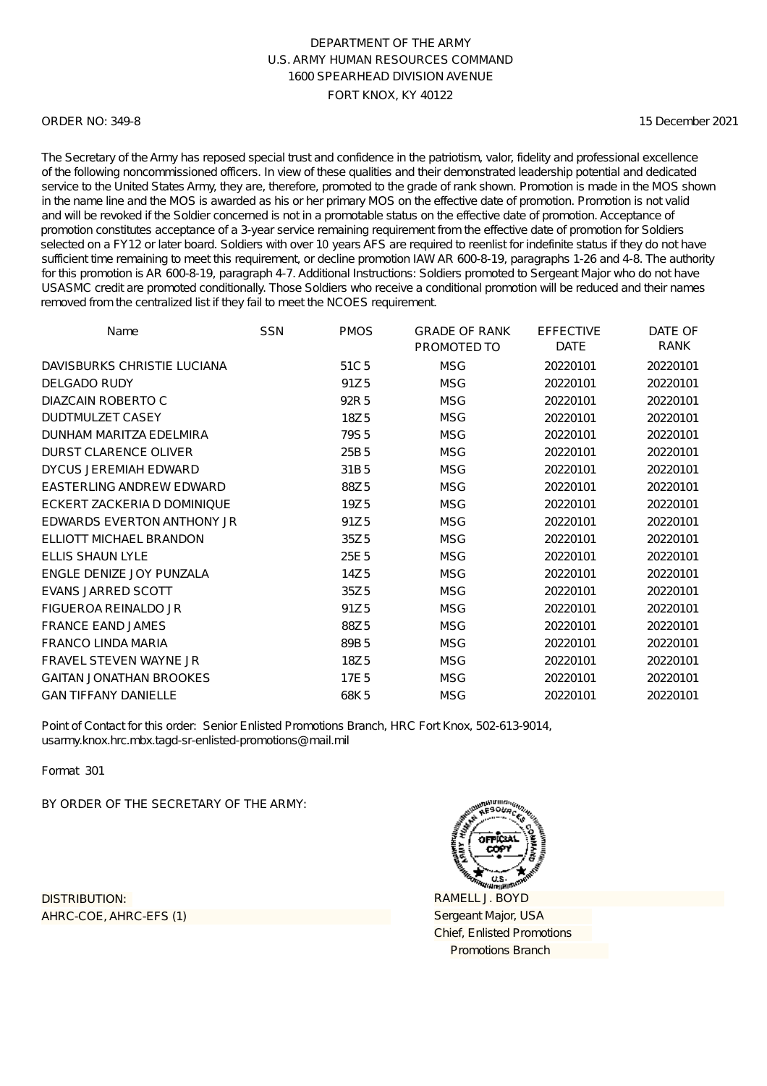#### ORDER NO: 349-8

15 December 2021

The Secretary of the Army has reposed special trust and confidence in the patriotism, valor, fidelity and professional excellence of the following noncommissioned officers. In view of these qualities and their demonstrated leadership potential and dedicated service to the United States Army, they are, therefore, promoted to the grade of rank shown. Promotion is made in the MOS shown in the name line and the MOS is awarded as his or her primary MOS on the effective date of promotion. Promotion is not valid and will be revoked if the Soldier concerned is not in a promotable status on the effective date of promotion. Acceptance of promotion constitutes acceptance of a 3-year service remaining requirement from the effective date of promotion for Soldiers selected on a FY12 or later board. Soldiers with over 10 years AFS are required to reenlist for indefinite status if they do not have sufficient time remaining to meet this requirement, or decline promotion IAW AR 600-8-19, paragraphs 1-26 and 4-8. The authority for this promotion is AR 600-8-19, paragraph 4-7. Additional Instructions: Soldiers promoted to Sergeant Major who do not have USASMC credit are promoted conditionally. Those Soldiers who receive a conditional promotion will be reduced and their names removed from the centralized list if they fail to meet the NCOES requirement.

| Name                            | <b>SSN</b> | <b>PMOS</b>      | <b>GRADE OF RANK</b><br>PROMOTED TO | <b>EFFECTIVE</b><br><b>DATE</b> | DATE OF<br><b>RANK</b> |
|---------------------------------|------------|------------------|-------------------------------------|---------------------------------|------------------------|
| DAVISBURKS CHRISTIE LUCIANA     |            | 51C <sub>5</sub> | <b>MSG</b>                          | 20220101                        | 20220101               |
| <b>DELGADO RUDY</b>             |            | 91Z <sub>5</sub> | <b>MSG</b>                          | 20220101                        | 20220101               |
| DIAZCAIN ROBERTO C              |            | 92R 5            | <b>MSG</b>                          | 20220101                        | 20220101               |
| <b>DUDTMULZET CASEY</b>         |            | 18Z5             | <b>MSG</b>                          | 20220101                        | 20220101               |
| DUNHAM MARITZA EDELMIRA         |            | 79S <sub>5</sub> | <b>MSG</b>                          | 20220101                        | 20220101               |
| <b>DURST CLARENCE OLIVER</b>    |            | 25B <sub>5</sub> | <b>MSG</b>                          | 20220101                        | 20220101               |
| DYCUS JEREMIAH EDWARD           |            | 31B <sub>5</sub> | <b>MSG</b>                          | 20220101                        | 20220101               |
| <b>EASTERLING ANDREW EDWARD</b> |            | 88Z5             | <b>MSG</b>                          | 20220101                        | 20220101               |
| ECKERT ZACKERIA D DOMINIQUE     |            | 19Z <sub>5</sub> | <b>MSG</b>                          | 20220101                        | 20220101               |
| EDWARDS EVERTON ANTHONY JR      |            | 91Z <sub>5</sub> | <b>MSG</b>                          | 20220101                        | 20220101               |
| ELLIOTT MICHAEL BRANDON         |            | 35Z <sub>5</sub> | <b>MSG</b>                          | 20220101                        | 20220101               |
| <b>ELLIS SHAUN LYLE</b>         |            | 25E 5            | <b>MSG</b>                          | 20220101                        | 20220101               |
| ENGLE DENIZE JOY PUNZALA        |            | 14Z <sub>5</sub> | <b>MSG</b>                          | 20220101                        | 20220101               |
| <b>EVANS JARRED SCOTT</b>       |            | 35Z <sub>5</sub> | <b>MSG</b>                          | 20220101                        | 20220101               |
| FIGUEROA REINALDO JR            |            | 91Z <sub>5</sub> | <b>MSG</b>                          | 20220101                        | 20220101               |
| <b>FRANCE EAND JAMES</b>        |            | 88Z5             | <b>MSG</b>                          | 20220101                        | 20220101               |
| <b>FRANCO LINDA MARIA</b>       |            | 89B <sub>5</sub> | <b>MSG</b>                          | 20220101                        | 20220101               |
| <b>FRAVEL STEVEN WAYNE JR</b>   |            | 18Z5             | <b>MSG</b>                          | 20220101                        | 20220101               |
| <b>GAITAN JONATHAN BROOKES</b>  |            | 17E <sub>5</sub> | <b>MSG</b>                          | 20220101                        | 20220101               |
| <b>GAN TIFFANY DANIELLE</b>     |            | 68K5             | <b>MSG</b>                          | 20220101                        | 20220101               |

Point of Contact for this order: Senior Enlisted Promotions Branch, HRC Fort Knox, 502-613-9014, usarmy.knox.hrc.mbx.tagd-sr-enlisted-promotions@mail.mil

Format 301

BY ORDER OF THE SECRETARY OF THE ARMY:

AHRC-COE, AHRC-EFS (1) DISTRIBUTION:

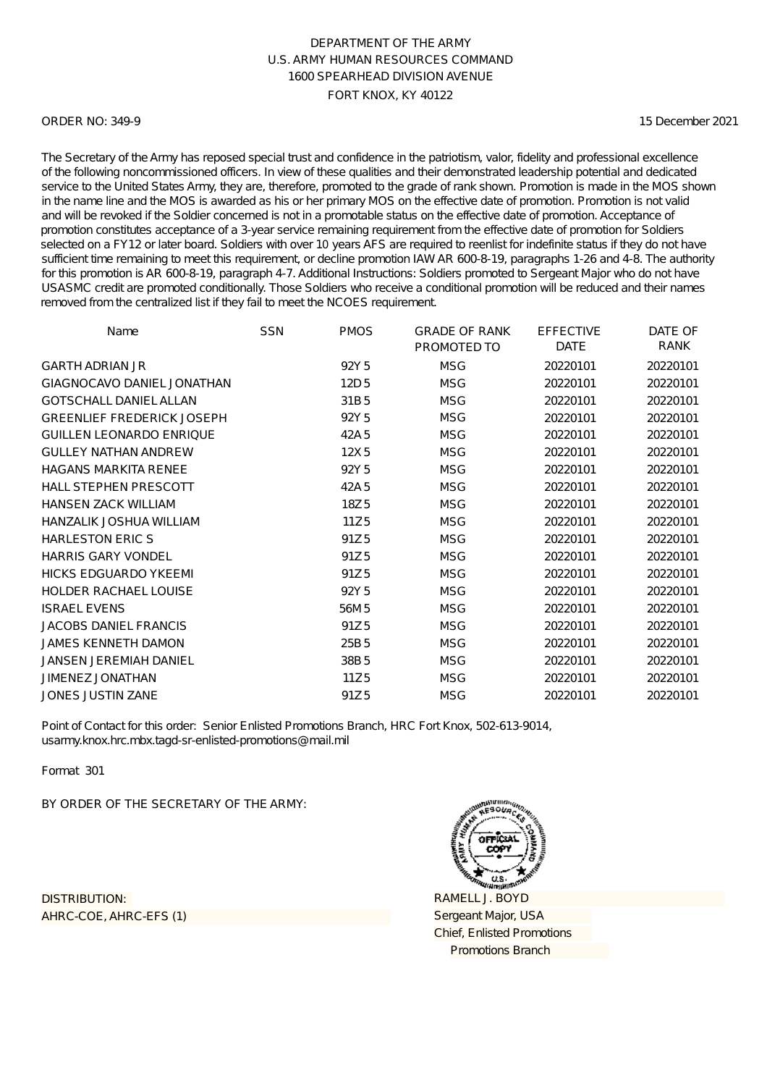#### ORDER NO: 349-9

15 December 2021

The Secretary of the Army has reposed special trust and confidence in the patriotism, valor, fidelity and professional excellence of the following noncommissioned officers. In view of these qualities and their demonstrated leadership potential and dedicated service to the United States Army, they are, therefore, promoted to the grade of rank shown. Promotion is made in the MOS shown in the name line and the MOS is awarded as his or her primary MOS on the effective date of promotion. Promotion is not valid and will be revoked if the Soldier concerned is not in a promotable status on the effective date of promotion. Acceptance of promotion constitutes acceptance of a 3-year service remaining requirement from the effective date of promotion for Soldiers selected on a FY12 or later board. Soldiers with over 10 years AFS are required to reenlist for indefinite status if they do not have sufficient time remaining to meet this requirement, or decline promotion IAW AR 600-8-19, paragraphs 1-26 and 4-8. The authority for this promotion is AR 600-8-19, paragraph 4-7. Additional Instructions: Soldiers promoted to Sergeant Major who do not have USASMC credit are promoted conditionally. Those Soldiers who receive a conditional promotion will be reduced and their names removed from the centralized list if they fail to meet the NCOES requirement.

| Name                              | <b>SSN</b> | <b>PMOS</b>      | <b>GRADE OF RANK</b><br>PROMOTED TO | <b>EFFECTIVE</b><br><b>DATE</b> | DATE OF<br>RANK |
|-----------------------------------|------------|------------------|-------------------------------------|---------------------------------|-----------------|
| <b>GARTH ADRIAN JR</b>            |            | 92Y <sub>5</sub> | <b>MSG</b>                          | 20220101                        | 20220101        |
| GIAGNOCAVO DANIEL JONATHAN        |            | 12D <sub>5</sub> | <b>MSG</b>                          | 20220101                        | 20220101        |
| <b>GOTSCHALL DANIEL ALLAN</b>     |            | 31B5             | <b>MSG</b>                          | 20220101                        | 20220101        |
| <b>GREENLIEF FREDERICK JOSEPH</b> |            | 92Y <sub>5</sub> | <b>MSG</b>                          | 20220101                        | 20220101        |
| <b>GUILLEN LEONARDO ENRIQUE</b>   |            | 42A 5            | <b>MSG</b>                          | 20220101                        | 20220101        |
| <b>GULLEY NATHAN ANDREW</b>       |            | 12X5             | <b>MSG</b>                          | 20220101                        | 20220101        |
| <b>HAGANS MARKITA RENEE</b>       |            | 92Y <sub>5</sub> | <b>MSG</b>                          | 20220101                        | 20220101        |
| <b>HALL STEPHEN PRESCOTT</b>      |            | 42A 5            | <b>MSG</b>                          | 20220101                        | 20220101        |
| <b>HANSEN ZACK WILLIAM</b>        |            | 18Z5             | <b>MSG</b>                          | 20220101                        | 20220101        |
| HANZALIK JOSHUA WILLIAM           |            | 11Z5             | <b>MSG</b>                          | 20220101                        | 20220101        |
| <b>HARLESTON ERIC S</b>           |            | 91Z <sub>5</sub> | <b>MSG</b>                          | 20220101                        | 20220101        |
| <b>HARRIS GARY VONDEL</b>         |            | 91Z <sub>5</sub> | <b>MSG</b>                          | 20220101                        | 20220101        |
| <b>HICKS EDGUARDO YKEEMI</b>      |            | 91Z <sub>5</sub> | <b>MSG</b>                          | 20220101                        | 20220101        |
| <b>HOLDER RACHAEL LOUISE</b>      |            | 92Y <sub>5</sub> | <b>MSG</b>                          | 20220101                        | 20220101        |
| <b>ISRAEL EVENS</b>               |            | 56M 5            | <b>MSG</b>                          | 20220101                        | 20220101        |
| <b>JACOBS DANIEL FRANCIS</b>      |            | 91Z <sub>5</sub> | <b>MSG</b>                          | 20220101                        | 20220101        |
| <b>JAMES KENNETH DAMON</b>        |            | 25B <sub>5</sub> | <b>MSG</b>                          | 20220101                        | 20220101        |
| JANSEN JEREMIAH DANIEL            |            | 38B <sub>5</sub> | <b>MSG</b>                          | 20220101                        | 20220101        |
| <b>JIMENEZ JONATHAN</b>           |            | 11Z <sub>5</sub> | <b>MSG</b>                          | 20220101                        | 20220101        |
| <b>JONES JUSTIN ZANE</b>          |            | 91Z <sub>5</sub> | <b>MSG</b>                          | 20220101                        | 20220101        |

Point of Contact for this order: Senior Enlisted Promotions Branch, HRC Fort Knox, 502-613-9014, usarmy.knox.hrc.mbx.tagd-sr-enlisted-promotions@mail.mil

Format 301

BY ORDER OF THE SECRETARY OF THE ARMY:

AHRC-COE, AHRC-EFS (1) DISTRIBUTION:

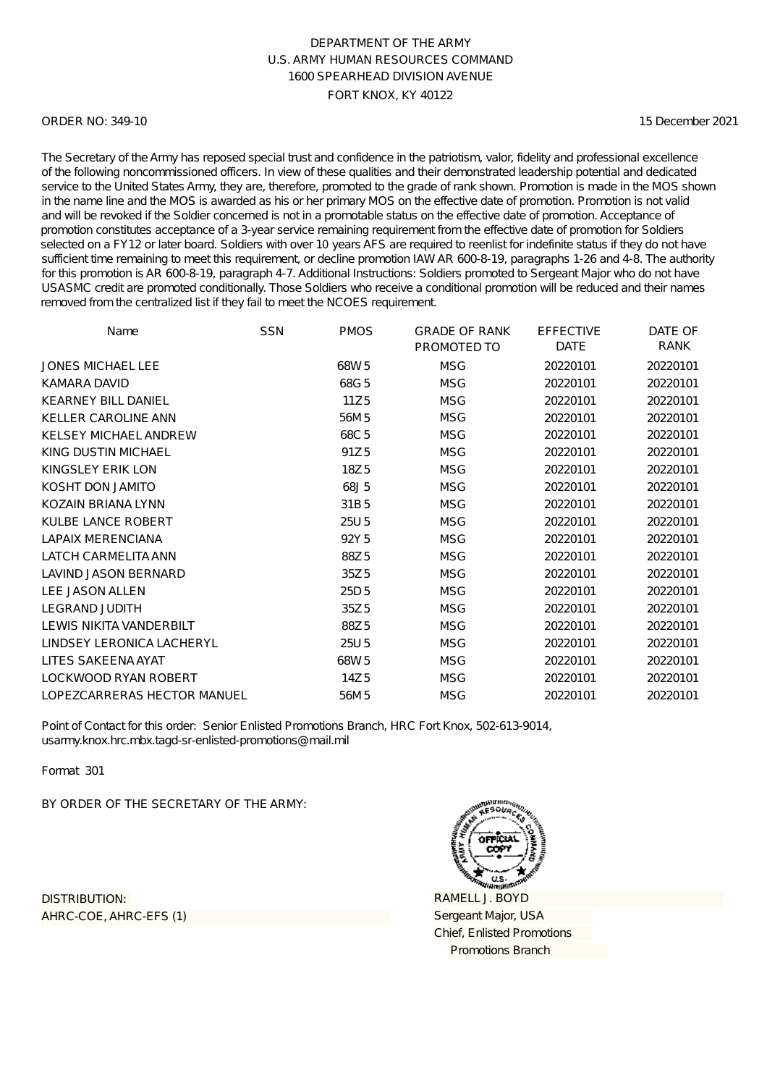#### ORDER NO: 349-10

15 December 2021

The Secretary of the Army has reposed special trust and confidence in the patriotism, valor, fidelity and professional excellence of the following noncommissioned officers. In view of these qualities and their demonstrated leadership potential and dedicated service to the United States Army, they are, therefore, promoted to the grade of rank shown. Promotion is made in the MOS shown in the name line and the MOS is awarded as his or her primary MOS on the effective date of promotion. Promotion is not valid and will be revoked if the Soldier concerned is not in a promotable status on the effective date of promotion. Acceptance of promotion constitutes acceptance of a 3-year service remaining requirement from the effective date of promotion for Soldiers selected on a FY12 or later board. Soldiers with over 10 years AFS are required to reenlist for indefinite status if they do not have sufficient time remaining to meet this requirement, or decline promotion IAW AR 600-8-19, paragraphs 1-26 and 4-8. The authority for this promotion is AR 600-8-19, paragraph 4-7. Additional Instructions: Soldiers promoted to Sergeant Major who do not have USASMC credit are promoted conditionally. Those Soldiers who receive a conditional promotion will be reduced and their names removed from the centralized list if they fail to meet the NCOES requirement.

| Name                         | <b>SSN</b> | <b>PMOS</b>      | <b>GRADE OF RANK</b> | <b>EFFECTIVE</b> | DATE OF  |
|------------------------------|------------|------------------|----------------------|------------------|----------|
|                              |            |                  | PROMOTED TO          | <b>DATE</b>      | RANK     |
| <b>JONES MICHAEL LEE</b>     |            | 68W <sub>5</sub> | <b>MSG</b>           | 20220101         | 20220101 |
| KAMARA DAVID                 |            | 68G5             | <b>MSG</b>           | 20220101         | 20220101 |
| <b>KEARNEY BILL DANIEL</b>   |            | 11Z <sub>5</sub> | <b>MSG</b>           | 20220101         | 20220101 |
| <b>KELLER CAROLINE ANN</b>   |            | 56M 5            | <b>MSG</b>           | 20220101         | 20220101 |
| <b>KELSEY MICHAEL ANDREW</b> |            | 68C <sub>5</sub> | <b>MSG</b>           | 20220101         | 20220101 |
| KING DUSTIN MICHAEL          |            | 91Z <sub>5</sub> | <b>MSG</b>           | 20220101         | 20220101 |
| <b>KINGSLEY ERIK LON</b>     |            | 18Z5             | <b>MSG</b>           | 20220101         | 20220101 |
| KOSHT DON JAMITO             |            | 68J5             | <b>MSG</b>           | 20220101         | 20220101 |
| <b>KOZAIN BRIANA LYNN</b>    |            | 31B5             | <b>MSG</b>           | 20220101         | 20220101 |
| <b>KULBE LANCE ROBERT</b>    |            | 25U <sub>5</sub> | <b>MSG</b>           | 20220101         | 20220101 |
| <b>LAPAIX MERENCIANA</b>     |            | 92Y <sub>5</sub> | <b>MSG</b>           | 20220101         | 20220101 |
| <b>LATCH CARMELITA ANN</b>   |            | 88Z5             | <b>MSG</b>           | 20220101         | 20220101 |
| LAVIND JASON BERNARD         |            | 35Z <sub>5</sub> | <b>MSG</b>           | 20220101         | 20220101 |
| <b>LEE JASON ALLEN</b>       |            | 25D <sub>5</sub> | <b>MSG</b>           | 20220101         | 20220101 |
| <b>LEGRAND JUDITH</b>        |            | 35Z <sub>5</sub> | <b>MSG</b>           | 20220101         | 20220101 |
| LEWIS NIKITA VANDERBILT      |            | 88Z5             | <b>MSG</b>           | 20220101         | 20220101 |
| LINDSEY LERONICA LACHERYL    |            | 25U <sub>5</sub> | <b>MSG</b>           | 20220101         | 20220101 |
| LITES SAKEENA AYAT           |            | 68W <sub>5</sub> | <b>MSG</b>           | 20220101         | 20220101 |
| <b>LOCKWOOD RYAN ROBERT</b>  |            | 14Z 5            | <b>MSG</b>           | 20220101         | 20220101 |
| LOPEZCARRERAS HECTOR MANUEL  |            | 56M 5            | <b>MSG</b>           | 20220101         | 20220101 |

Point of Contact for this order: Senior Enlisted Promotions Branch, HRC Fort Knox, 502-613-9014, usarmy.knox.hrc.mbx.tagd-sr-enlisted-promotions@mail.mil

Format 301

BY ORDER OF THE SECRETARY OF THE ARMY:

AHRC-COE, AHRC-EFS (1) DISTRIBUTION:

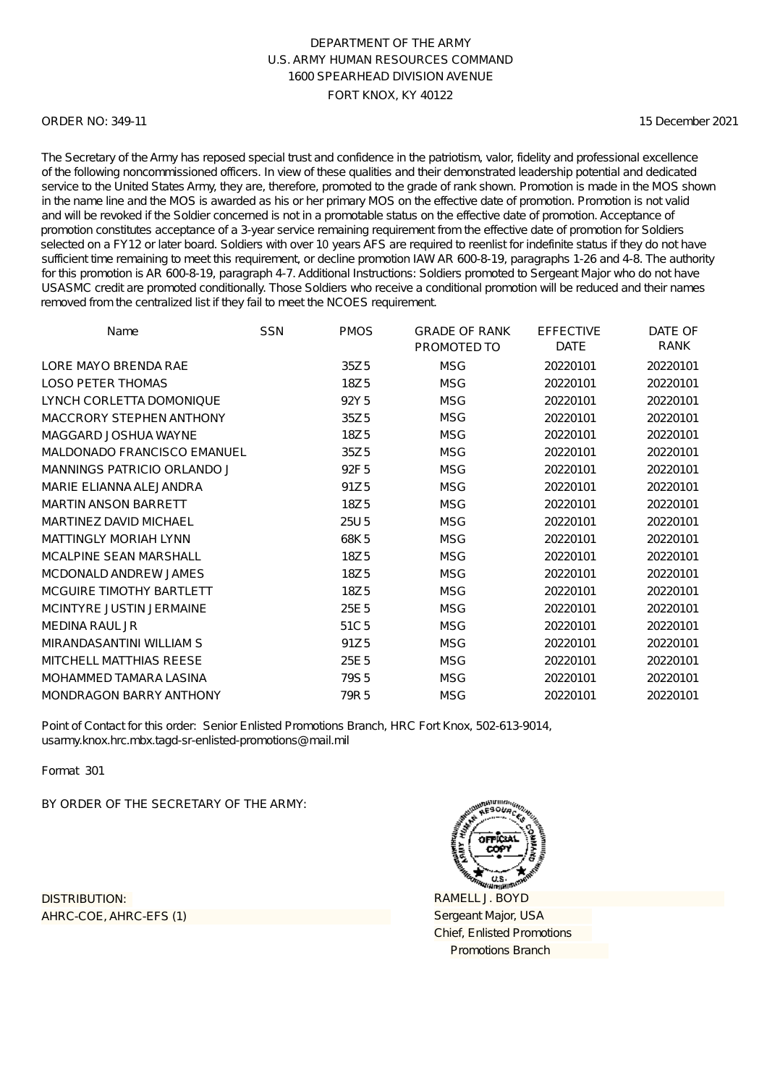#### ORDER NO: 349-11

15 December 2021

The Secretary of the Army has reposed special trust and confidence in the patriotism, valor, fidelity and professional excellence of the following noncommissioned officers. In view of these qualities and their demonstrated leadership potential and dedicated service to the United States Army, they are, therefore, promoted to the grade of rank shown. Promotion is made in the MOS shown in the name line and the MOS is awarded as his or her primary MOS on the effective date of promotion. Promotion is not valid and will be revoked if the Soldier concerned is not in a promotable status on the effective date of promotion. Acceptance of promotion constitutes acceptance of a 3-year service remaining requirement from the effective date of promotion for Soldiers selected on a FY12 or later board. Soldiers with over 10 years AFS are required to reenlist for indefinite status if they do not have sufficient time remaining to meet this requirement, or decline promotion IAW AR 600-8-19, paragraphs 1-26 and 4-8. The authority for this promotion is AR 600-8-19, paragraph 4-7. Additional Instructions: Soldiers promoted to Sergeant Major who do not have USASMC credit are promoted conditionally. Those Soldiers who receive a conditional promotion will be reduced and their names removed from the centralized list if they fail to meet the NCOES requirement.

| Name                           | <b>SSN</b> | <b>PMOS</b>      | <b>GRADE OF RANK</b> | <b>EFFECTIVE</b><br><b>DATE</b> | DATE OF<br>RANK |
|--------------------------------|------------|------------------|----------------------|---------------------------------|-----------------|
|                                |            |                  | PROMOTED TO          |                                 |                 |
| LORE MAYO BRENDA RAE           |            | 35Z <sub>5</sub> | <b>MSG</b>           | 20220101                        | 20220101        |
| <b>LOSO PETER THOMAS</b>       |            | 18Z5             | <b>MSG</b>           | 20220101                        | 20220101        |
| LYNCH CORLETTA DOMONIQUE       |            | 92Y <sub>5</sub> | <b>MSG</b>           | 20220101                        | 20220101        |
| MACCRORY STEPHEN ANTHONY       |            | 35Z <sub>5</sub> | <b>MSG</b>           | 20220101                        | 20220101        |
| MAGGARD JOSHUA WAYNE           |            | 18Z5             | <b>MSG</b>           | 20220101                        | 20220101        |
| MALDONADO FRANCISCO EMANUEL    |            | 35Z <sub>5</sub> | <b>MSG</b>           | 20220101                        | 20220101        |
| MANNINGS PATRICIO ORLANDO J    |            | 92F <sub>5</sub> | <b>MSG</b>           | 20220101                        | 20220101        |
| MARIE ELIANNA ALEJANDRA        |            | 91Z <sub>5</sub> | <b>MSG</b>           | 20220101                        | 20220101        |
| <b>MARTIN ANSON BARRETT</b>    |            | 18Z5             | <b>MSG</b>           | 20220101                        | 20220101        |
| MARTINEZ DAVID MICHAEL         |            | 25U 5            | <b>MSG</b>           | 20220101                        | 20220101        |
| <b>MATTINGLY MORIAH LYNN</b>   |            | 68K5             | <b>MSG</b>           | 20220101                        | 20220101        |
| MCALPINE SEAN MARSHALL         |            | 18Z5             | <b>MSG</b>           | 20220101                        | 20220101        |
| MCDONALD ANDREW JAMES          |            | 18Z5             | <b>MSG</b>           | 20220101                        | 20220101        |
| MCGUIRE TIMOTHY BARTLETT       |            | 18Z <sub>5</sub> | <b>MSG</b>           | 20220101                        | 20220101        |
| MCINTYRE JUSTIN JERMAINE       |            | 25E 5            | <b>MSG</b>           | 20220101                        | 20220101        |
| <b>MEDINA RAUL JR</b>          |            | 51C <sub>5</sub> | <b>MSG</b>           | 20220101                        | 20220101        |
| MIRANDASANTINI WILLIAM S       |            | 91Z <sub>5</sub> | <b>MSG</b>           | 20220101                        | 20220101        |
| MITCHELL MATTHIAS REESE        |            | 25E 5            | <b>MSG</b>           | 20220101                        | 20220101        |
| MOHAMMED TAMARA LASINA         |            | 79S <sub>5</sub> | <b>MSG</b>           | 20220101                        | 20220101        |
| <b>MONDRAGON BARRY ANTHONY</b> |            | 79R 5            | <b>MSG</b>           | 20220101                        | 20220101        |

Point of Contact for this order: Senior Enlisted Promotions Branch, HRC Fort Knox, 502-613-9014, usarmy.knox.hrc.mbx.tagd-sr-enlisted-promotions@mail.mil

Format 301

BY ORDER OF THE SECRETARY OF THE ARMY:

AHRC-COE, AHRC-EFS (1) DISTRIBUTION:

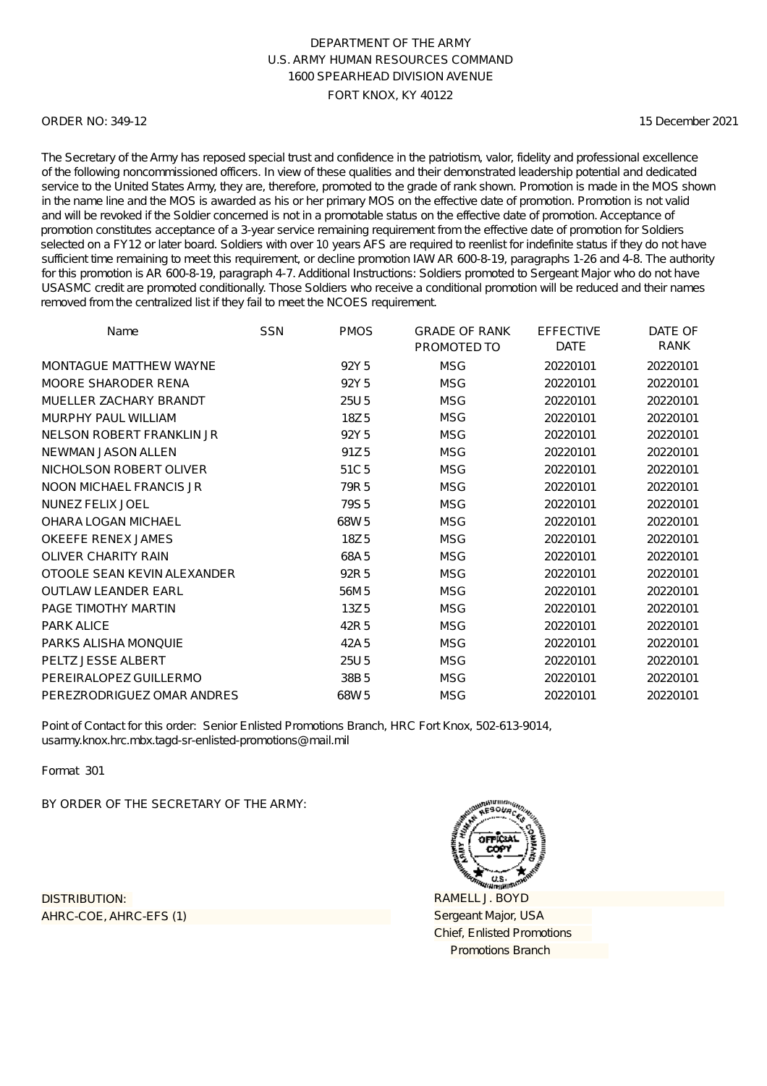### ORDER NO: 349-12

15 December 2021

The Secretary of the Army has reposed special trust and confidence in the patriotism, valor, fidelity and professional excellence of the following noncommissioned officers. In view of these qualities and their demonstrated leadership potential and dedicated service to the United States Army, they are, therefore, promoted to the grade of rank shown. Promotion is made in the MOS shown in the name line and the MOS is awarded as his or her primary MOS on the effective date of promotion. Promotion is not valid and will be revoked if the Soldier concerned is not in a promotable status on the effective date of promotion. Acceptance of promotion constitutes acceptance of a 3-year service remaining requirement from the effective date of promotion for Soldiers selected on a FY12 or later board. Soldiers with over 10 years AFS are required to reenlist for indefinite status if they do not have sufficient time remaining to meet this requirement, or decline promotion IAW AR 600-8-19, paragraphs 1-26 and 4-8. The authority for this promotion is AR 600-8-19, paragraph 4-7. Additional Instructions: Soldiers promoted to Sergeant Major who do not have USASMC credit are promoted conditionally. Those Soldiers who receive a conditional promotion will be reduced and their names removed from the centralized list if they fail to meet the NCOES requirement.

| Name                        | <b>SSN</b> | <b>PMOS</b>      | <b>GRADE OF RANK</b><br>PROMOTED TO | <b>EFFECTIVE</b><br><b>DATE</b> | DATE OF<br><b>RANK</b> |
|-----------------------------|------------|------------------|-------------------------------------|---------------------------------|------------------------|
| MONTAGUE MATTHEW WAYNE      |            | 92Y <sub>5</sub> | <b>MSG</b>                          | 20220101                        | 20220101               |
| MOORE SHARODER RENA         |            | 92Y <sub>5</sub> | <b>MSG</b>                          | 20220101                        | 20220101               |
| MUELLER ZACHARY BRANDT      |            | 25U <sub>5</sub> | <b>MSG</b>                          | 20220101                        | 20220101               |
| MURPHY PAUL WILLIAM         |            | 18Z5             | <b>MSG</b>                          | 20220101                        | 20220101               |
| NELSON ROBERT FRANKLIN JR   |            | 92Y <sub>5</sub> | <b>MSG</b>                          | 20220101                        | 20220101               |
| NEWMAN JASON ALLEN          |            | 91Z <sub>5</sub> | <b>MSG</b>                          | 20220101                        | 20220101               |
| NICHOLSON ROBERT OLIVER     |            | 51C <sub>5</sub> | <b>MSG</b>                          | 20220101                        | 20220101               |
| NOON MICHAEL FRANCIS JR     |            | 79R 5            | <b>MSG</b>                          | 20220101                        | 20220101               |
| NUNEZ FELIX JOEL            |            | 79S <sub>5</sub> | <b>MSG</b>                          | 20220101                        | 20220101               |
| OHARA LOGAN MICHAEL         |            | 68W <sub>5</sub> | <b>MSG</b>                          | 20220101                        | 20220101               |
| <b>OKEEFE RENEX JAMES</b>   |            | 18Z <sub>5</sub> | <b>MSG</b>                          | 20220101                        | 20220101               |
| <b>OLIVER CHARITY RAIN</b>  |            | 68A5             | <b>MSG</b>                          | 20220101                        | 20220101               |
| OTOOLE SEAN KEVIN ALEXANDER |            | 92R 5            | <b>MSG</b>                          | 20220101                        | 20220101               |
| OUTLAW LEANDER FARL         |            | 56M 5            | <b>MSG</b>                          | 20220101                        | 20220101               |
| PAGE TIMOTHY MARTIN         |            | 13Z <sub>5</sub> | <b>MSG</b>                          | 20220101                        | 20220101               |
| <b>PARK ALICE</b>           |            | 42R 5            | <b>MSG</b>                          | 20220101                        | 20220101               |
| PARKS ALISHA MONQUIE        |            | 42A 5            | <b>MSG</b>                          | 20220101                        | 20220101               |
| PELTZ JESSE ALBERT          |            | 25U 5            | <b>MSG</b>                          | 20220101                        | 20220101               |
| PEREIRALOPEZ GUILLERMO      |            | 38B <sub>5</sub> | <b>MSG</b>                          | 20220101                        | 20220101               |
| PEREZRODRIGUEZ OMAR ANDRES  |            | 68W <sub>5</sub> | <b>MSG</b>                          | 20220101                        | 20220101               |

Point of Contact for this order: Senior Enlisted Promotions Branch, HRC Fort Knox, 502-613-9014, usarmy.knox.hrc.mbx.tagd-sr-enlisted-promotions@mail.mil

Format 301

BY ORDER OF THE SECRETARY OF THE ARMY:

AHRC-COE, AHRC-EFS (1) DISTRIBUTION:

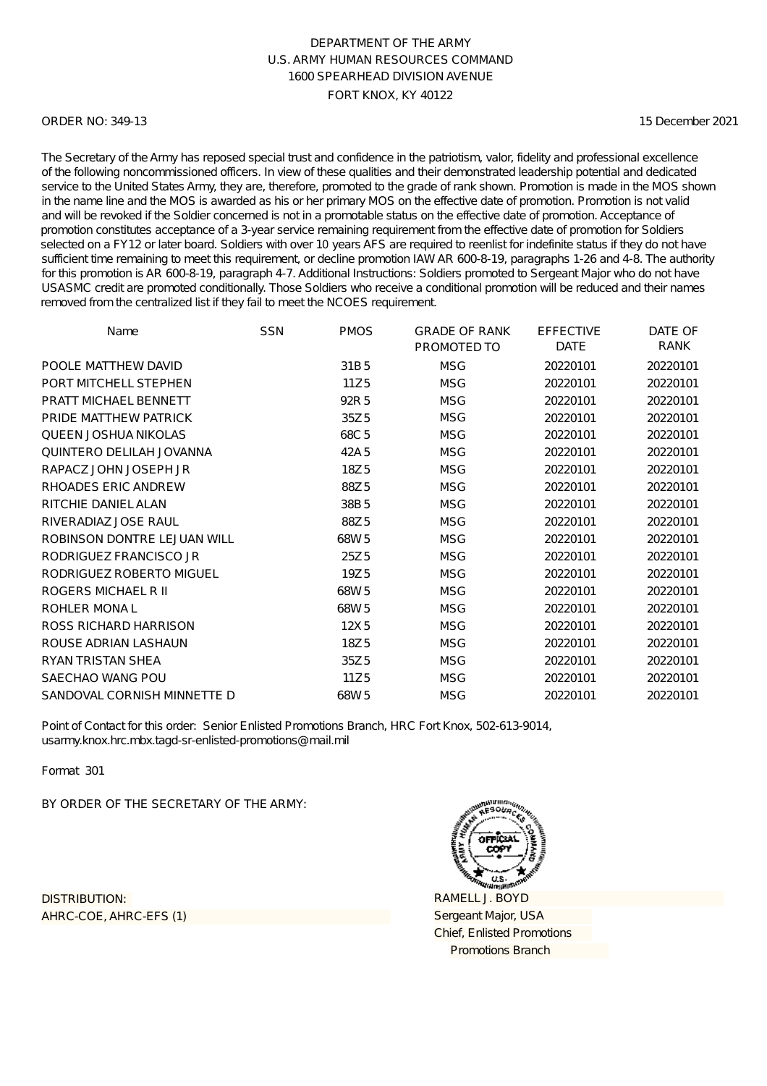### ORDER NO: 349-13

15 December 2021

The Secretary of the Army has reposed special trust and confidence in the patriotism, valor, fidelity and professional excellence of the following noncommissioned officers. In view of these qualities and their demonstrated leadership potential and dedicated service to the United States Army, they are, therefore, promoted to the grade of rank shown. Promotion is made in the MOS shown in the name line and the MOS is awarded as his or her primary MOS on the effective date of promotion. Promotion is not valid and will be revoked if the Soldier concerned is not in a promotable status on the effective date of promotion. Acceptance of promotion constitutes acceptance of a 3-year service remaining requirement from the effective date of promotion for Soldiers selected on a FY12 or later board. Soldiers with over 10 years AFS are required to reenlist for indefinite status if they do not have sufficient time remaining to meet this requirement, or decline promotion IAW AR 600-8-19, paragraphs 1-26 and 4-8. The authority for this promotion is AR 600-8-19, paragraph 4-7. Additional Instructions: Soldiers promoted to Sergeant Major who do not have USASMC credit are promoted conditionally. Those Soldiers who receive a conditional promotion will be reduced and their names removed from the centralized list if they fail to meet the NCOES requirement.

| Name                         | <b>SSN</b> | <b>PMOS</b>      | <b>GRADE OF RANK</b> | <b>EFFECTIVE</b> | DATE OF     |
|------------------------------|------------|------------------|----------------------|------------------|-------------|
|                              |            |                  | PROMOTED TO          | <b>DATE</b>      | <b>RANK</b> |
| POOLE MATTHEW DAVID          |            | 31B <sub>5</sub> | <b>MSG</b>           | 20220101         | 20220101    |
| PORT MITCHELL STEPHEN        |            | 11Z5             | <b>MSG</b>           | 20220101         | 20220101    |
| <b>PRATT MICHAEL BENNETT</b> |            | 92R 5            | <b>MSG</b>           | 20220101         | 20220101    |
| PRIDE MATTHEW PATRICK        |            | 35Z <sub>5</sub> | <b>MSG</b>           | 20220101         | 20220101    |
| <b>QUEEN JOSHUA NIKOLAS</b>  |            | 68C <sub>5</sub> | <b>MSG</b>           | 20220101         | 20220101    |
| QUINTERO DELILAH JOVANNA     |            | 42A 5            | <b>MSG</b>           | 20220101         | 20220101    |
| RAPACZ JOHN JOSEPH JR        |            | 18Z5             | <b>MSG</b>           | 20220101         | 20220101    |
| RHOADES ERIC ANDREW          |            | 88Z5             | <b>MSG</b>           | 20220101         | 20220101    |
| RITCHIE DANIEL ALAN          |            | 38B5             | <b>MSG</b>           | 20220101         | 20220101    |
| RIVERADIAZ JOSE RAUL         |            | 88Z <sub>5</sub> | <b>MSG</b>           | 20220101         | 20220101    |
| ROBINSON DONTRE LEJUAN WILL  |            | 68W <sub>5</sub> | <b>MSG</b>           | 20220101         | 20220101    |
| RODRIGUEZ FRANCISCO JR       |            | 25Z <sub>5</sub> | <b>MSG</b>           | 20220101         | 20220101    |
| RODRIGUEZ ROBERTO MIGUEL     |            | 19Z <sub>5</sub> | <b>MSG</b>           | 20220101         | 20220101    |
| ROGERS MICHAEL R II          |            | 68W <sub>5</sub> | <b>MSG</b>           | 20220101         | 20220101    |
| ROHLER MONAL                 |            | 68W <sub>5</sub> | <b>MSG</b>           | 20220101         | 20220101    |
| ROSS RICHARD HARRISON        |            | 12X5             | <b>MSG</b>           | 20220101         | 20220101    |
| ROUSE ADRIAN LASHAUN         |            | 18Z <sub>5</sub> | <b>MSG</b>           | 20220101         | 20220101    |
| RYAN TRISTAN SHEA            |            | 35Z <sub>5</sub> | <b>MSG</b>           | 20220101         | 20220101    |
| SAECHAO WANG POU             |            | 11Z <sub>5</sub> | <b>MSG</b>           | 20220101         | 20220101    |
| SANDOVAL CORNISH MINNETTE D  |            | 68W <sub>5</sub> | <b>MSG</b>           | 20220101         | 20220101    |

Point of Contact for this order: Senior Enlisted Promotions Branch, HRC Fort Knox, 502-613-9014, usarmy.knox.hrc.mbx.tagd-sr-enlisted-promotions@mail.mil

Format 301

BY ORDER OF THE SECRETARY OF THE ARMY:

AHRC-COE, AHRC-EFS (1) DISTRIBUTION:

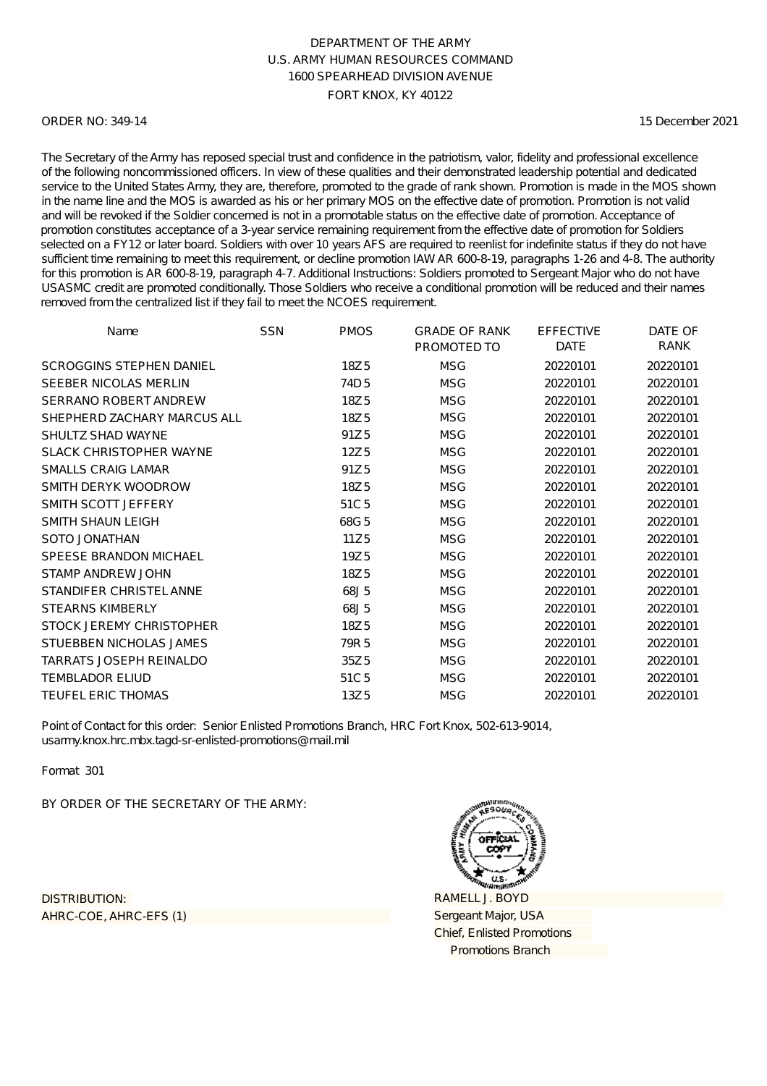### ORDER NO: 349-14

15 December 2021

The Secretary of the Army has reposed special trust and confidence in the patriotism, valor, fidelity and professional excellence of the following noncommissioned officers. In view of these qualities and their demonstrated leadership potential and dedicated service to the United States Army, they are, therefore, promoted to the grade of rank shown. Promotion is made in the MOS shown in the name line and the MOS is awarded as his or her primary MOS on the effective date of promotion. Promotion is not valid and will be revoked if the Soldier concerned is not in a promotable status on the effective date of promotion. Acceptance of promotion constitutes acceptance of a 3-year service remaining requirement from the effective date of promotion for Soldiers selected on a FY12 or later board. Soldiers with over 10 years AFS are required to reenlist for indefinite status if they do not have sufficient time remaining to meet this requirement, or decline promotion IAW AR 600-8-19, paragraphs 1-26 and 4-8. The authority for this promotion is AR 600-8-19, paragraph 4-7. Additional Instructions: Soldiers promoted to Sergeant Major who do not have USASMC credit are promoted conditionally. Those Soldiers who receive a conditional promotion will be reduced and their names removed from the centralized list if they fail to meet the NCOES requirement.

| Name                            | <b>SSN</b> | <b>PMOS</b>      | <b>GRADE OF RANK</b><br>PROMOTED TO | <b>EFFECTIVE</b><br><b>DATE</b> | DATE OF<br>RANK |
|---------------------------------|------------|------------------|-------------------------------------|---------------------------------|-----------------|
| <b>SCROGGINS STEPHEN DANIEL</b> |            | 18Z <sub>5</sub> | <b>MSG</b>                          | 20220101                        | 20220101        |
| SEEBER NICOLAS MERLIN           |            | 74D <sub>5</sub> | <b>MSG</b>                          | 20220101                        | 20220101        |
| <b>SERRANO ROBERT ANDREW</b>    |            | 18Z <sub>5</sub> | <b>MSG</b>                          | 20220101                        | 20220101        |
| SHEPHERD ZACHARY MARCUS ALL     |            | 18Z5             | <b>MSG</b>                          | 20220101                        | 20220101        |
| SHULTZ SHAD WAYNE               |            | 91Z <sub>5</sub> | <b>MSG</b>                          | 20220101                        | 20220101        |
| <b>SLACK CHRISTOPHER WAYNE</b>  |            | 12Z <sub>5</sub> | <b>MSG</b>                          | 20220101                        | 20220101        |
| <b>SMALLS CRAIG LAMAR</b>       |            | 91Z <sub>5</sub> | <b>MSG</b>                          | 20220101                        | 20220101        |
| SMITH DERYK WOODROW             |            | 18Z5             | <b>MSG</b>                          | 20220101                        | 20220101        |
| SMITH SCOTT JEFFERY             |            | 51C <sub>5</sub> | <b>MSG</b>                          | 20220101                        | 20220101        |
| <b>SMITH SHAUN LEIGH</b>        |            | 68G5             | <b>MSG</b>                          | 20220101                        | 20220101        |
| SOTO JONATHAN                   |            | 11Z <sub>5</sub> | <b>MSG</b>                          | 20220101                        | 20220101        |
| SPEESE BRANDON MICHAEL          |            | 19Z <sub>5</sub> | <b>MSG</b>                          | 20220101                        | 20220101        |
| STAMP ANDREW JOHN               |            | 18Z5             | <b>MSG</b>                          | 20220101                        | 20220101        |
| STANDIFER CHRISTEL ANNE         |            | 68J5             | <b>MSG</b>                          | 20220101                        | 20220101        |
| <b>STEARNS KIMBERLY</b>         |            | 68J5             | <b>MSG</b>                          | 20220101                        | 20220101        |
| STOCK JEREMY CHRISTOPHER        |            | 18Z <sub>5</sub> | <b>MSG</b>                          | 20220101                        | 20220101        |
| STUEBBEN NICHOLAS JAMES         |            | 79R 5            | <b>MSG</b>                          | 20220101                        | 20220101        |
| TARRATS JOSEPH REINALDO         |            | 35Z <sub>5</sub> | <b>MSG</b>                          | 20220101                        | 20220101        |
| <b>TEMBLADOR ELIUD</b>          |            | 51C <sub>5</sub> | <b>MSG</b>                          | 20220101                        | 20220101        |
| <b>TEUFEL ERIC THOMAS</b>       |            | 13Z <sub>5</sub> | <b>MSG</b>                          | 20220101                        | 20220101        |

Point of Contact for this order: Senior Enlisted Promotions Branch, HRC Fort Knox, 502-613-9014, usarmy.knox.hrc.mbx.tagd-sr-enlisted-promotions@mail.mil

Format 301

BY ORDER OF THE SECRETARY OF THE ARMY:

AHRC-COE, AHRC-EFS (1) DISTRIBUTION:

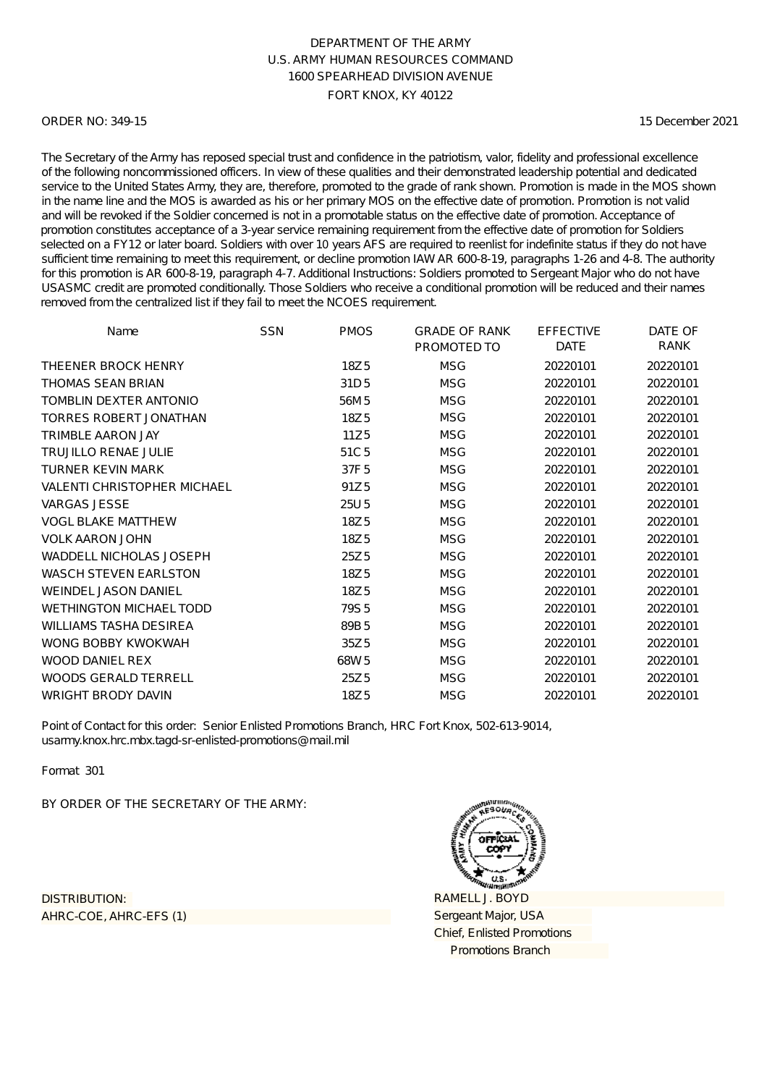### ORDER NO: 349-15

15 December 2021

The Secretary of the Army has reposed special trust and confidence in the patriotism, valor, fidelity and professional excellence of the following noncommissioned officers. In view of these qualities and their demonstrated leadership potential and dedicated service to the United States Army, they are, therefore, promoted to the grade of rank shown. Promotion is made in the MOS shown in the name line and the MOS is awarded as his or her primary MOS on the effective date of promotion. Promotion is not valid and will be revoked if the Soldier concerned is not in a promotable status on the effective date of promotion. Acceptance of promotion constitutes acceptance of a 3-year service remaining requirement from the effective date of promotion for Soldiers selected on a FY12 or later board. Soldiers with over 10 years AFS are required to reenlist for indefinite status if they do not have sufficient time remaining to meet this requirement, or decline promotion IAW AR 600-8-19, paragraphs 1-26 and 4-8. The authority for this promotion is AR 600-8-19, paragraph 4-7. Additional Instructions: Soldiers promoted to Sergeant Major who do not have USASMC credit are promoted conditionally. Those Soldiers who receive a conditional promotion will be reduced and their names removed from the centralized list if they fail to meet the NCOES requirement.

| Name                               | <b>SSN</b> | <b>PMOS</b>      | <b>GRADE OF RANK</b><br>PROMOTED TO | <b>EFFECTIVE</b><br><b>DATE</b> | DATE OF<br>RANK |
|------------------------------------|------------|------------------|-------------------------------------|---------------------------------|-----------------|
| THEENER BROCK HENRY                |            | 18Z <sub>5</sub> | <b>MSG</b>                          | 20220101                        | 20220101        |
| <b>THOMAS SEAN BRIAN</b>           |            | 31D <sub>5</sub> | <b>MSG</b>                          | 20220101                        | 20220101        |
| TOMBLIN DEXTER ANTONIO             |            | 56M 5            | <b>MSG</b>                          | 20220101                        | 20220101        |
| <b>TORRES ROBERT JONATHAN</b>      |            | 18Z5             | <b>MSG</b>                          | 20220101                        | 20220101        |
| <b>TRIMBLE AARON JAY</b>           |            | 11Z5             | <b>MSG</b>                          | 20220101                        | 20220101        |
| <b>TRUJILLO RENAE JULIE</b>        |            | 51C <sub>5</sub> | <b>MSG</b>                          | 20220101                        | 20220101        |
| <b>TURNER KEVIN MARK</b>           |            | 37F <sub>5</sub> | <b>MSG</b>                          | 20220101                        | 20220101        |
| <b>VALENTI CHRISTOPHER MICHAEL</b> |            | 91Z <sub>5</sub> | <b>MSG</b>                          | 20220101                        | 20220101        |
| <b>VARGAS JESSE</b>                |            | 25U 5            | <b>MSG</b>                          | 20220101                        | 20220101        |
| <b>VOGL BLAKE MATTHEW</b>          |            | 18Z <sub>5</sub> | <b>MSG</b>                          | 20220101                        | 20220101        |
| <b>VOLK AARON JOHN</b>             |            | 18Z5             | <b>MSG</b>                          | 20220101                        | 20220101        |
| WADDELL NICHOLAS JOSEPH            |            | 25Z <sub>5</sub> | <b>MSG</b>                          | 20220101                        | 20220101        |
| <b>WASCH STEVEN EARLSTON</b>       |            | 18Z5             | <b>MSG</b>                          | 20220101                        | 20220101        |
| <b>WEINDEL JASON DANIEL</b>        |            | 18Z <sub>5</sub> | <b>MSG</b>                          | 20220101                        | 20220101        |
| <b>WETHINGTON MICHAEL TODD</b>     |            | 79S <sub>5</sub> | <b>MSG</b>                          | 20220101                        | 20220101        |
| <b>WILLIAMS TASHA DESIREA</b>      |            | 89B <sub>5</sub> | <b>MSG</b>                          | 20220101                        | 20220101        |
| WONG BOBBY KWOKWAH                 |            | 35Z <sub>5</sub> | <b>MSG</b>                          | 20220101                        | 20220101        |
| <b>WOOD DANIEL REX</b>             |            | 68W <sub>5</sub> | <b>MSG</b>                          | 20220101                        | 20220101        |
| <b>WOODS GERALD TERRELL</b>        |            | 25Z <sub>5</sub> | <b>MSG</b>                          | 20220101                        | 20220101        |
| <b>WRIGHT BRODY DAVIN</b>          |            | 18Z <sub>5</sub> | <b>MSG</b>                          | 20220101                        | 20220101        |

Point of Contact for this order: Senior Enlisted Promotions Branch, HRC Fort Knox, 502-613-9014, usarmy.knox.hrc.mbx.tagd-sr-enlisted-promotions@mail.mil

Format 301

BY ORDER OF THE SECRETARY OF THE ARMY:

AHRC-COE, AHRC-EFS (1) DISTRIBUTION:

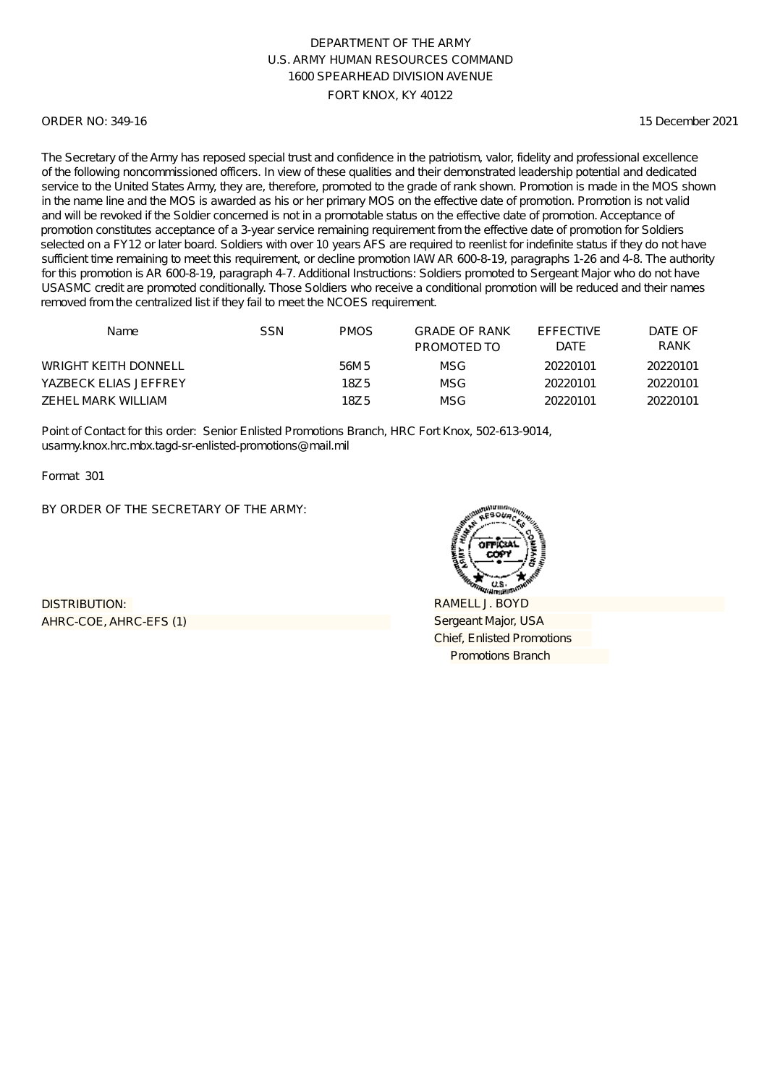### ORDER NO: 349-16

15 December 2021

The Secretary of the Army has reposed special trust and confidence in the patriotism, valor, fidelity and professional excellence of the following noncommissioned officers. In view of these qualities and their demonstrated leadership potential and dedicated service to the United States Army, they are, therefore, promoted to the grade of rank shown. Promotion is made in the MOS shown in the name line and the MOS is awarded as his or her primary MOS on the effective date of promotion. Promotion is not valid and will be revoked if the Soldier concerned is not in a promotable status on the effective date of promotion. Acceptance of promotion constitutes acceptance of a 3-year service remaining requirement from the effective date of promotion for Soldiers selected on a FY12 or later board. Soldiers with over 10 years AFS are required to reenlist for indefinite status if they do not have sufficient time remaining to meet this requirement, or decline promotion IAW AR 600-8-19, paragraphs 1-26 and 4-8. The authority for this promotion is AR 600-8-19, paragraph 4-7. Additional Instructions: Soldiers promoted to Sergeant Major who do not have USASMC credit are promoted conditionally. Those Soldiers who receive a conditional promotion will be reduced and their names removed from the centralized list if they fail to meet the NCOES requirement.

| Name                        | SSN | PMOS. | <b>GRADE OF RANK</b><br>PROMOTED TO | <b>FFFFCTIVE</b><br><b>DATE</b> | DATE OF<br><b>RANK</b> |
|-----------------------------|-----|-------|-------------------------------------|---------------------------------|------------------------|
| <b>WRIGHT KEITH DONNELL</b> |     | 56M 5 | MSG                                 | 20220101                        | 20220101               |
| YAZBECK ELIAS JEFFREY       |     | 18Z 5 | MSG                                 | 20220101                        | 20220101               |
| ZEHEL MARK WILLIAM          |     | 18Z 5 | MSG                                 | 20220101                        | 20220101               |

Point of Contact for this order: Senior Enlisted Promotions Branch, HRC Fort Knox, 502-613-9014, usarmy.knox.hrc.mbx.tagd-sr-enlisted-promotions@mail.mil

Format 301

BY ORDER OF THE SECRETARY OF THE ARMY:

AHRC-COE, AHRC-EFS (1) DISTRIBUTION:

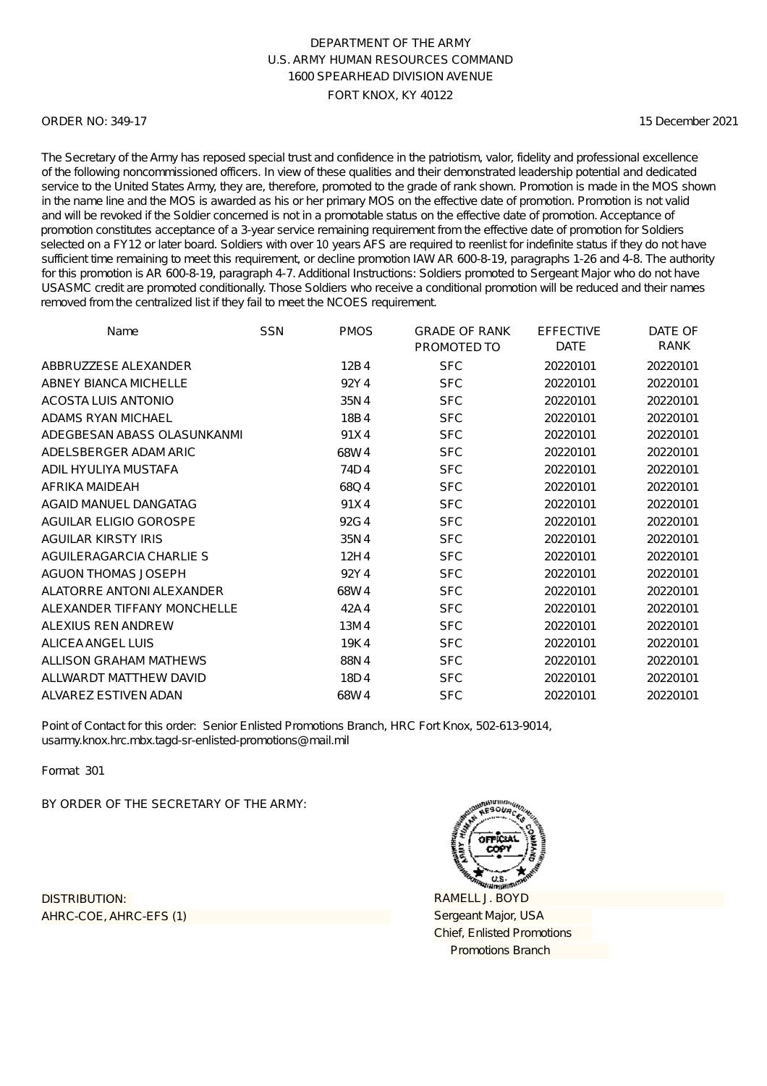### ORDER NO: 349-17

15 December 2021

The Secretary of the Army has reposed special trust and confidence in the patriotism, valor, fidelity and professional excellence of the following noncommissioned officers. In view of these qualities and their demonstrated leadership potential and dedicated service to the United States Army, they are, therefore, promoted to the grade of rank shown. Promotion is made in the MOS shown in the name line and the MOS is awarded as his or her primary MOS on the effective date of promotion. Promotion is not valid and will be revoked if the Soldier concerned is not in a promotable status on the effective date of promotion. Acceptance of promotion constitutes acceptance of a 3-year service remaining requirement from the effective date of promotion for Soldiers selected on a FY12 or later board. Soldiers with over 10 years AFS are required to reenlist for indefinite status if they do not have sufficient time remaining to meet this requirement, or decline promotion IAW AR 600-8-19, paragraphs 1-26 and 4-8. The authority for this promotion is AR 600-8-19, paragraph 4-7. Additional Instructions: Soldiers promoted to Sergeant Major who do not have USASMC credit are promoted conditionally. Those Soldiers who receive a conditional promotion will be reduced and their names removed from the centralized list if they fail to meet the NCOES requirement.

| Name                        | <b>SSN</b> | <b>PMOS</b> | <b>GRADE OF RANK</b> | <b>EFFECTIVE</b> | DATE OF  |
|-----------------------------|------------|-------------|----------------------|------------------|----------|
|                             |            |             | PROMOTED TO          | <b>DATE</b>      | RANK     |
| ABBRUZZESE ALEXANDER        |            | 12B4        | <b>SFC</b>           | 20220101         | 20220101 |
| ABNEY BIANCA MICHELLE       |            | 92Y4        | <b>SFC</b>           | 20220101         | 20220101 |
| ACOSTA LUIS ANTONIO         |            | 35N4        | <b>SFC</b>           | 20220101         | 20220101 |
| ADAMS RYAN MICHAEL          |            | 18B4        | <b>SFC</b>           | 20220101         | 20220101 |
| ADEGBESAN ABASS OLASUNKANMI |            | 91X4        | <b>SFC</b>           | 20220101         | 20220101 |
| ADELSBERGER ADAM ARIC       |            | 68W4        | <b>SFC</b>           | 20220101         | 20220101 |
| ADIL HYULIYA MUSTAFA        |            | 74D4        | <b>SFC</b>           | 20220101         | 20220101 |
| AFRIKA MAIDEAH              |            | 68Q4        | <b>SFC</b>           | 20220101         | 20220101 |
| AGAID MANUEL DANGATAG       |            | 91X4        | <b>SFC</b>           | 20220101         | 20220101 |
| AGUILAR ELIGIO GOROSPE      |            | 92G4        | <b>SFC</b>           | 20220101         | 20220101 |
| <b>AGUILAR KIRSTY IRIS</b>  |            | 35N4        | <b>SFC</b>           | 20220101         | 20220101 |
| AGUILERAGARCIA CHARLIE S    |            | 12H4        | <b>SFC</b>           | 20220101         | 20220101 |
| <b>AGUON THOMAS JOSEPH</b>  |            | 92Y4        | <b>SFC</b>           | 20220101         | 20220101 |
| ALATORRE ANTONI ALEXANDER   |            | 68W4        | <b>SFC</b>           | 20220101         | 20220101 |
| ALEXANDER TIFFANY MONCHELLE |            | 42A4        | <b>SFC</b>           | 20220101         | 20220101 |
| ALEXIUS REN ANDREW          |            | 13M4        | <b>SFC</b>           | 20220101         | 20220101 |
| ALICEA ANGEL LUIS           |            | 19K4        | <b>SFC</b>           | 20220101         | 20220101 |
| ALLISON GRAHAM MATHEWS      |            | 88N4        | <b>SFC</b>           | 20220101         | 20220101 |
| ALLWARDT MATTHEW DAVID      |            | 18D4        | <b>SFC</b>           | 20220101         | 20220101 |
| ALVAREZ ESTIVEN ADAN        |            | 68W4        | <b>SFC</b>           | 20220101         | 20220101 |

Point of Contact for this order: Senior Enlisted Promotions Branch, HRC Fort Knox, 502-613-9014, usarmy.knox.hrc.mbx.tagd-sr-enlisted-promotions@mail.mil

Format 301

BY ORDER OF THE SECRETARY OF THE ARMY:

AHRC-COE, AHRC-EFS (1) DISTRIBUTION:

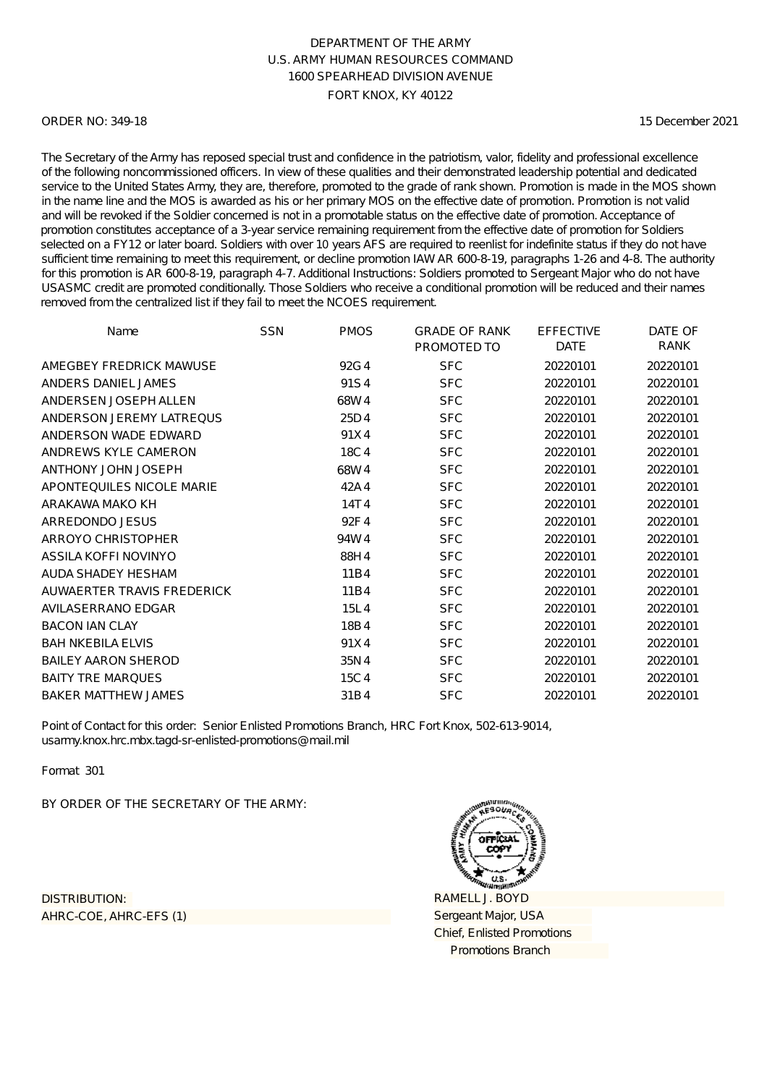### ORDER NO: 349-18

15 December 2021

The Secretary of the Army has reposed special trust and confidence in the patriotism, valor, fidelity and professional excellence of the following noncommissioned officers. In view of these qualities and their demonstrated leadership potential and dedicated service to the United States Army, they are, therefore, promoted to the grade of rank shown. Promotion is made in the MOS shown in the name line and the MOS is awarded as his or her primary MOS on the effective date of promotion. Promotion is not valid and will be revoked if the Soldier concerned is not in a promotable status on the effective date of promotion. Acceptance of promotion constitutes acceptance of a 3-year service remaining requirement from the effective date of promotion for Soldiers selected on a FY12 or later board. Soldiers with over 10 years AFS are required to reenlist for indefinite status if they do not have sufficient time remaining to meet this requirement, or decline promotion IAW AR 600-8-19, paragraphs 1-26 and 4-8. The authority for this promotion is AR 600-8-19, paragraph 4-7. Additional Instructions: Soldiers promoted to Sergeant Major who do not have USASMC credit are promoted conditionally. Those Soldiers who receive a conditional promotion will be reduced and their names removed from the centralized list if they fail to meet the NCOES requirement.

| Name                       | <b>SSN</b> | <b>PMOS</b> | <b>GRADE OF RANK</b><br>PROMOTED TO | <b>EFFECTIVE</b><br><b>DATE</b> | DATE OF<br>RANK |
|----------------------------|------------|-------------|-------------------------------------|---------------------------------|-----------------|
| AMEGBEY FREDRICK MAWUSE    |            | 92G4        | <b>SFC</b>                          | 20220101                        | 20220101        |
| ANDERS DANIEL JAMES        |            | 91S4        | <b>SFC</b>                          | 20220101                        | 20220101        |
| ANDERSEN JOSEPH ALLEN      |            | 68W4        | <b>SFC</b>                          | 20220101                        | 20220101        |
| ANDERSON JEREMY LATREQUS   |            | 25D4        | <b>SFC</b>                          | 20220101                        | 20220101        |
| ANDERSON WADE EDWARD       |            | 91X4        | <b>SFC</b>                          | 20220101                        | 20220101        |
| ANDREWS KYLE CAMERON       |            | 18C4        | <b>SFC</b>                          | 20220101                        | 20220101        |
| <b>ANTHONY JOHN JOSEPH</b> |            | 68W4        | <b>SFC</b>                          | 20220101                        | 20220101        |
| APONTEQUILES NICOLE MARIE  |            | 42A4        | <b>SFC</b>                          | 20220101                        | 20220101        |
| ARAKAWA MAKO KH            |            | 14T4        | <b>SFC</b>                          | 20220101                        | 20220101        |
| ARREDONDO JESUS            |            | 92F4        | <b>SFC</b>                          | 20220101                        | 20220101        |
| ARROYO CHRISTOPHER         |            | 94W4        | <b>SFC</b>                          | 20220101                        | 20220101        |
| ASSILA KOFFI NOVINYO       |            | 88H4        | <b>SFC</b>                          | 20220101                        | 20220101        |
| AUDA SHADEY HESHAM         |            | 11B4        | <b>SFC</b>                          | 20220101                        | 20220101        |
| AUWAERTER TRAVIS FREDERICK |            | 11B4        | <b>SFC</b>                          | 20220101                        | 20220101        |
| AVILASERRANO EDGAR         |            | 15L4        | <b>SFC</b>                          | 20220101                        | 20220101        |
| <b>BACON IAN CLAY</b>      |            | 18B4        | <b>SFC</b>                          | 20220101                        | 20220101        |
| <b>BAH NKEBILA ELVIS</b>   |            | 91X4        | <b>SFC</b>                          | 20220101                        | 20220101        |
| <b>BAILEY AARON SHEROD</b> |            | 35N4        | <b>SFC</b>                          | 20220101                        | 20220101        |
| <b>BAITY TRE MARQUES</b>   |            | 15C4        | <b>SFC</b>                          | 20220101                        | 20220101        |
| <b>BAKER MATTHEW JAMES</b> |            | 31B4        | <b>SFC</b>                          | 20220101                        | 20220101        |

Point of Contact for this order: Senior Enlisted Promotions Branch, HRC Fort Knox, 502-613-9014, usarmy.knox.hrc.mbx.tagd-sr-enlisted-promotions@mail.mil

Format 301

BY ORDER OF THE SECRETARY OF THE ARMY:

AHRC-COE, AHRC-EFS (1) DISTRIBUTION:

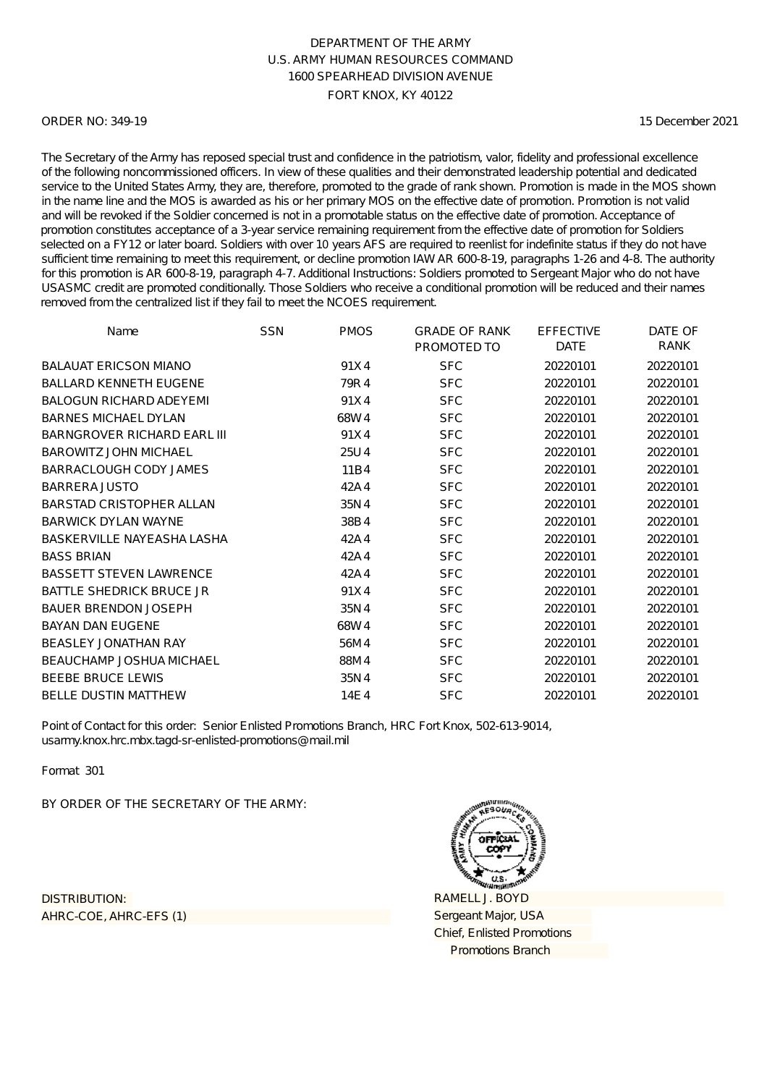### ORDER NO: 349-19

15 December 2021

The Secretary of the Army has reposed special trust and confidence in the patriotism, valor, fidelity and professional excellence of the following noncommissioned officers. In view of these qualities and their demonstrated leadership potential and dedicated service to the United States Army, they are, therefore, promoted to the grade of rank shown. Promotion is made in the MOS shown in the name line and the MOS is awarded as his or her primary MOS on the effective date of promotion. Promotion is not valid and will be revoked if the Soldier concerned is not in a promotable status on the effective date of promotion. Acceptance of promotion constitutes acceptance of a 3-year service remaining requirement from the effective date of promotion for Soldiers selected on a FY12 or later board. Soldiers with over 10 years AFS are required to reenlist for indefinite status if they do not have sufficient time remaining to meet this requirement, or decline promotion IAW AR 600-8-19, paragraphs 1-26 and 4-8. The authority for this promotion is AR 600-8-19, paragraph 4-7. Additional Instructions: Soldiers promoted to Sergeant Major who do not have USASMC credit are promoted conditionally. Those Soldiers who receive a conditional promotion will be reduced and their names removed from the centralized list if they fail to meet the NCOES requirement.

| Name                               | <b>SSN</b> | <b>PMOS</b> | <b>GRADE OF RANK</b><br>PROMOTED TO | <b>EFFECTIVE</b><br><b>DATE</b> | DATE OF<br>RANK |
|------------------------------------|------------|-------------|-------------------------------------|---------------------------------|-----------------|
| <b>BALAUAT ERICSON MIANO</b>       |            | 91X4        | <b>SFC</b>                          | 20220101                        | 20220101        |
| <b>BALLARD KENNETH EUGENE</b>      |            | 79R4        | <b>SFC</b>                          | 20220101                        | 20220101        |
| <b>BALOGUN RICHARD ADEYEMI</b>     |            | 91X4        | <b>SFC</b>                          | 20220101                        | 20220101        |
| <b>BARNES MICHAEL DYLAN</b>        |            | 68W4        | <b>SFC</b>                          | 20220101                        | 20220101        |
| <b>BARNGROVER RICHARD EARL III</b> |            | 91X4        | <b>SFC</b>                          | 20220101                        | 20220101        |
| <b>BAROWITZ JOHN MICHAEL</b>       |            | 25U4        | <b>SFC</b>                          | 20220101                        | 20220101        |
| BARRACLOUGH CODY JAMES             |            | 11B4        | <b>SFC</b>                          | 20220101                        | 20220101        |
| <b>BARRERA JUSTO</b>               |            | 42A4        | <b>SFC</b>                          | 20220101                        | 20220101        |
| <b>BARSTAD CRISTOPHER ALLAN</b>    |            | 35N4        | <b>SFC</b>                          | 20220101                        | 20220101        |
| <b>BARWICK DYLAN WAYNE</b>         |            | 38B4        | <b>SFC</b>                          | 20220101                        | 20220101        |
| BASKERVILLE NAYEASHA LASHA         |            | 42A4        | <b>SFC</b>                          | 20220101                        | 20220101        |
| <b>BASS BRIAN</b>                  |            | 42A4        | <b>SFC</b>                          | 20220101                        | 20220101        |
| <b>BASSETT STEVEN LAWRENCE</b>     |            | 42A4        | <b>SFC</b>                          | 20220101                        | 20220101        |
| <b>BATTLE SHEDRICK BRUCE JR</b>    |            | 91X4        | <b>SFC</b>                          | 20220101                        | 20220101        |
| <b>BAUER BRENDON JOSEPH</b>        |            | 35N4        | <b>SFC</b>                          | 20220101                        | 20220101        |
| <b>BAYAN DAN EUGENE</b>            |            | 68W4        | <b>SFC</b>                          | 20220101                        | 20220101        |
| <b>BEASLEY JONATHAN RAY</b>        |            | 56M4        | <b>SFC</b>                          | 20220101                        | 20220101        |
| BEAUCHAMP JOSHUA MICHAEL           |            | 88M4        | <b>SFC</b>                          | 20220101                        | 20220101        |
| <b>BEEBE BRUCE LEWIS</b>           |            | 35N4        | <b>SFC</b>                          | 20220101                        | 20220101        |
| <b>BELLE DUSTIN MATTHEW</b>        |            | 14E4        | <b>SFC</b>                          | 20220101                        | 20220101        |

Point of Contact for this order: Senior Enlisted Promotions Branch, HRC Fort Knox, 502-613-9014, usarmy.knox.hrc.mbx.tagd-sr-enlisted-promotions@mail.mil

Format 301

BY ORDER OF THE SECRETARY OF THE ARMY:

AHRC-COE, AHRC-EFS (1) DISTRIBUTION:

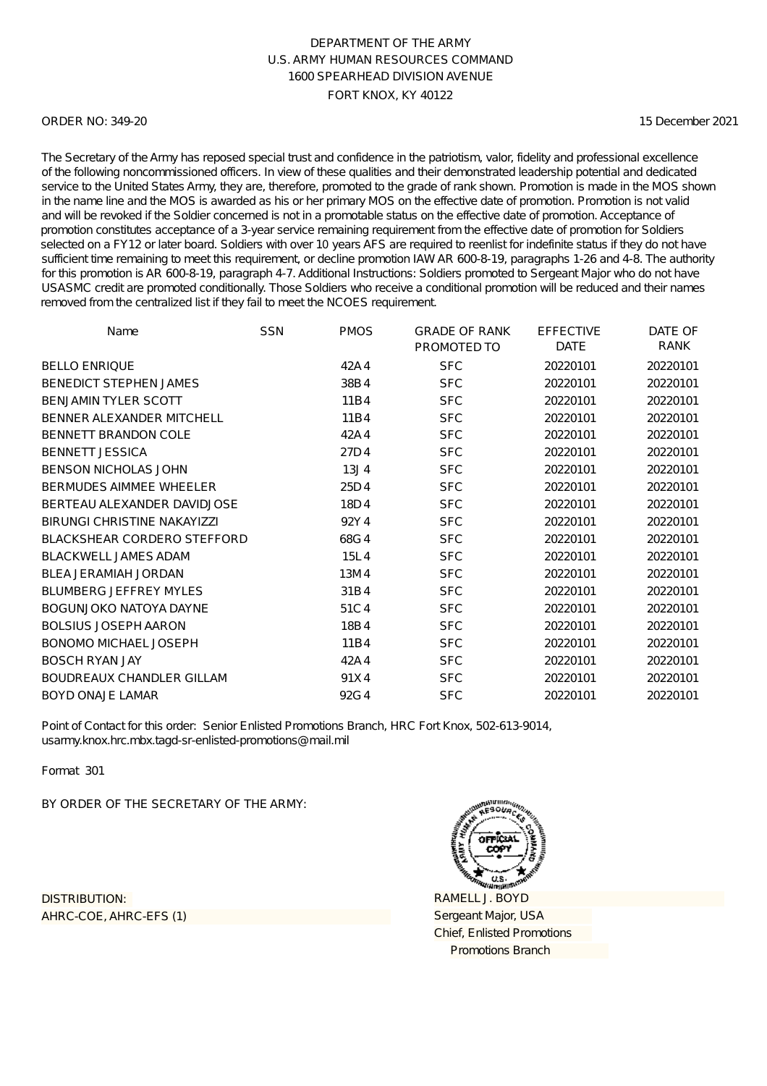### ORDER NO: 349-20

15 December 2021

The Secretary of the Army has reposed special trust and confidence in the patriotism, valor, fidelity and professional excellence of the following noncommissioned officers. In view of these qualities and their demonstrated leadership potential and dedicated service to the United States Army, they are, therefore, promoted to the grade of rank shown. Promotion is made in the MOS shown in the name line and the MOS is awarded as his or her primary MOS on the effective date of promotion. Promotion is not valid and will be revoked if the Soldier concerned is not in a promotable status on the effective date of promotion. Acceptance of promotion constitutes acceptance of a 3-year service remaining requirement from the effective date of promotion for Soldiers selected on a FY12 or later board. Soldiers with over 10 years AFS are required to reenlist for indefinite status if they do not have sufficient time remaining to meet this requirement, or decline promotion IAW AR 600-8-19, paragraphs 1-26 and 4-8. The authority for this promotion is AR 600-8-19, paragraph 4-7. Additional Instructions: Soldiers promoted to Sergeant Major who do not have USASMC credit are promoted conditionally. Those Soldiers who receive a conditional promotion will be reduced and their names removed from the centralized list if they fail to meet the NCOES requirement.

| Name                               | <b>SSN</b> | <b>PMOS</b> | <b>GRADE OF RANK</b><br>PROMOTED TO | <b>EFFECTIVE</b><br><b>DATE</b> | DATE OF<br>RANK |
|------------------------------------|------------|-------------|-------------------------------------|---------------------------------|-----------------|
| <b>BELLO ENRIQUE</b>               |            | 42A4        | <b>SFC</b>                          | 20220101                        | 20220101        |
| <b>BENEDICT STEPHEN JAMES</b>      |            | 38B4        | <b>SFC</b>                          | 20220101                        | 20220101        |
| <b>BENJAMIN TYLER SCOTT</b>        |            | 11B4        | <b>SFC</b>                          | 20220101                        | 20220101        |
| BENNER ALEXANDER MITCHELL          |            | 11B4        | <b>SFC</b>                          | 20220101                        | 20220101        |
| <b>BENNETT BRANDON COLE</b>        |            | 42A4        | <b>SFC</b>                          | 20220101                        | 20220101        |
| <b>BENNETT JESSICA</b>             |            | 27D4        | <b>SFC</b>                          | 20220101                        | 20220101        |
| <b>BENSON NICHOLAS JOHN</b>        |            | 13J4        | <b>SFC</b>                          | 20220101                        | 20220101        |
| BERMUDES AIMMEE WHEELER            |            | 25D4        | <b>SFC</b>                          | 20220101                        | 20220101        |
| BERTEAU ALEXANDER DAVIDJOSE        |            | 18D4        | <b>SFC</b>                          | 20220101                        | 20220101        |
| <b>BIRUNGI CHRISTINE NAKAYIZZI</b> |            | 92Y4        | <b>SFC</b>                          | 20220101                        | 20220101        |
| <b>BLACKSHEAR CORDERO STEFFORD</b> |            | 68G4        | <b>SFC</b>                          | 20220101                        | 20220101        |
| <b>BLACKWELL JAMES ADAM</b>        |            | 15L4        | <b>SFC</b>                          | 20220101                        | 20220101        |
| BLEA JERAMIAH JORDAN               |            | 13M4        | <b>SFC</b>                          | 20220101                        | 20220101        |
| <b>BLUMBERG JEFFREY MYLES</b>      |            | 31B4        | <b>SFC</b>                          | 20220101                        | 20220101        |
| <b>BOGUNJOKO NATOYA DAYNE</b>      |            | 51C4        | <b>SFC</b>                          | 20220101                        | 20220101        |
| <b>BOLSIUS JOSEPH AARON</b>        |            | 18B4        | <b>SFC</b>                          | 20220101                        | 20220101        |
| <b>BONOMO MICHAEL JOSEPH</b>       |            | 11B4        | <b>SFC</b>                          | 20220101                        | 20220101        |
| <b>BOSCH RYAN JAY</b>              |            | 42A4        | <b>SFC</b>                          | 20220101                        | 20220101        |
| <b>BOUDREAUX CHANDLER GILLAM</b>   |            | 91X4        | <b>SFC</b>                          | 20220101                        | 20220101        |
| <b>BOYD ONAJE LAMAR</b>            |            | 92G4        | <b>SFC</b>                          | 20220101                        | 20220101        |

Point of Contact for this order: Senior Enlisted Promotions Branch, HRC Fort Knox, 502-613-9014, usarmy.knox.hrc.mbx.tagd-sr-enlisted-promotions@mail.mil

Format 301

BY ORDER OF THE SECRETARY OF THE ARMY:

AHRC-COE, AHRC-EFS (1) DISTRIBUTION:

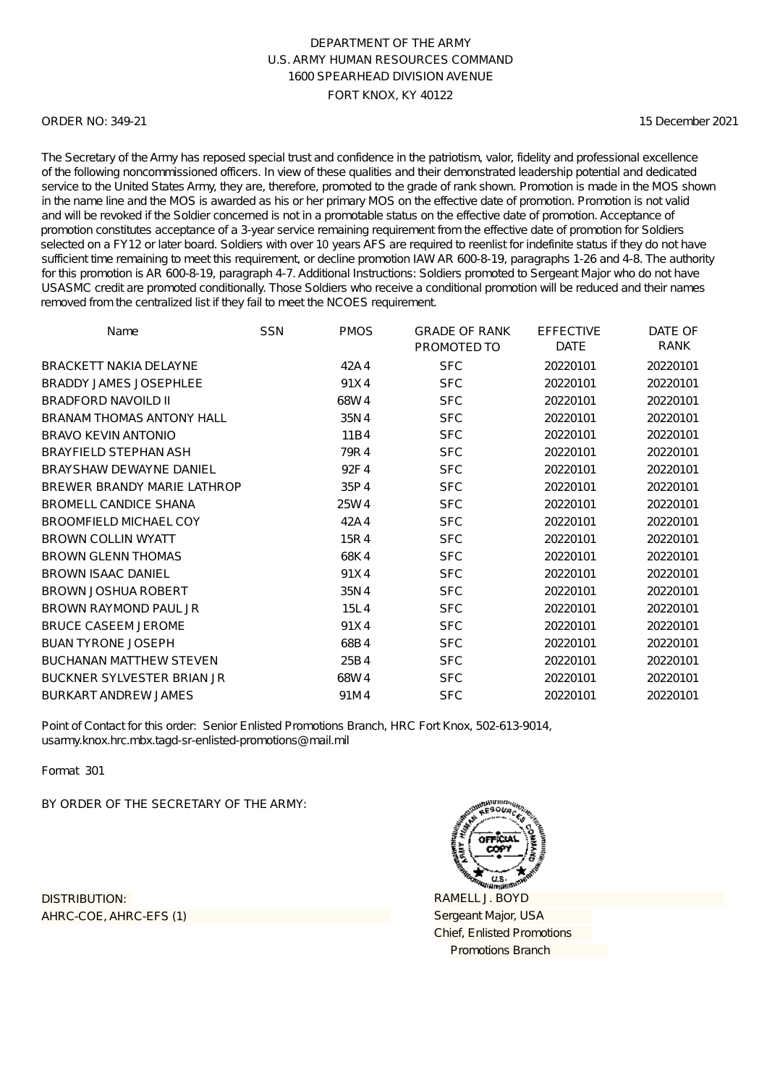### ORDER NO: 349-21

15 December 2021

The Secretary of the Army has reposed special trust and confidence in the patriotism, valor, fidelity and professional excellence of the following noncommissioned officers. In view of these qualities and their demonstrated leadership potential and dedicated service to the United States Army, they are, therefore, promoted to the grade of rank shown. Promotion is made in the MOS shown in the name line and the MOS is awarded as his or her primary MOS on the effective date of promotion. Promotion is not valid and will be revoked if the Soldier concerned is not in a promotable status on the effective date of promotion. Acceptance of promotion constitutes acceptance of a 3-year service remaining requirement from the effective date of promotion for Soldiers selected on a FY12 or later board. Soldiers with over 10 years AFS are required to reenlist for indefinite status if they do not have sufficient time remaining to meet this requirement, or decline promotion IAW AR 600-8-19, paragraphs 1-26 and 4-8. The authority for this promotion is AR 600-8-19, paragraph 4-7. Additional Instructions: Soldiers promoted to Sergeant Major who do not have USASMC credit are promoted conditionally. Those Soldiers who receive a conditional promotion will be reduced and their names removed from the centralized list if they fail to meet the NCOES requirement.

| Name                              | <b>SSN</b> | <b>PMOS</b> | <b>GRADE OF RANK</b><br>PROMOTED TO | <b>EFFECTIVE</b><br><b>DATE</b> | DATE OF<br>RANK |
|-----------------------------------|------------|-------------|-------------------------------------|---------------------------------|-----------------|
| <b>BRACKETT NAKIA DELAYNE</b>     |            | 42A4        | <b>SFC</b>                          | 20220101                        | 20220101        |
| <b>BRADDY JAMES JOSEPHLEE</b>     |            | 91X4        | <b>SFC</b>                          | 20220101                        | 20220101        |
| <b>BRADFORD NAVOILD II</b>        |            | 68W4        | <b>SFC</b>                          | 20220101                        | 20220101        |
| <b>BRANAM THOMAS ANTONY HALL</b>  |            | 35N4        | <b>SFC</b>                          | 20220101                        | 20220101        |
| <b>BRAVO KEVIN ANTONIO</b>        |            | 11B4        | <b>SFC</b>                          | 20220101                        | 20220101        |
| <b>BRAYFIELD STEPHAN ASH</b>      |            | 79R4        | <b>SFC</b>                          | 20220101                        | 20220101        |
| BRAYSHAW DEWAYNE DANIEL           |            | 92F4        | <b>SFC</b>                          | 20220101                        | 20220101        |
| BREWER BRANDY MARIE LATHROP       |            | 35P4        | <b>SFC</b>                          | 20220101                        | 20220101        |
| <b>BROMELL CANDICE SHANA</b>      |            | 25W4        | <b>SFC</b>                          | 20220101                        | 20220101        |
| <b>BROOMFIELD MICHAEL COY</b>     |            | 42A4        | <b>SFC</b>                          | 20220101                        | 20220101        |
| <b>BROWN COLLIN WYATT</b>         |            | 15R4        | <b>SFC</b>                          | 20220101                        | 20220101        |
| <b>BROWN GLENN THOMAS</b>         |            | 68K4        | <b>SFC</b>                          | 20220101                        | 20220101        |
| <b>BROWN ISAAC DANIEL</b>         |            | 91X4        | <b>SFC</b>                          | 20220101                        | 20220101        |
| <b>BROWN JOSHUA ROBERT</b>        |            | 35N4        | <b>SFC</b>                          | 20220101                        | 20220101        |
| BROWN RAYMOND PAUL JR             |            | 15L4        | <b>SFC</b>                          | 20220101                        | 20220101        |
| <b>BRUCE CASEEM JEROME</b>        |            | 91X4        | <b>SFC</b>                          | 20220101                        | 20220101        |
| <b>BUAN TYRONE JOSEPH</b>         |            | 68B4        | <b>SFC</b>                          | 20220101                        | 20220101        |
| <b>BUCHANAN MATTHEW STEVEN</b>    |            | 25B4        | <b>SFC</b>                          | 20220101                        | 20220101        |
| <b>BUCKNER SYLVESTER BRIAN JR</b> |            | 68W4        | <b>SFC</b>                          | 20220101                        | 20220101        |
| <b>BURKART ANDREW JAMES</b>       |            | 91M4        | <b>SFC</b>                          | 20220101                        | 20220101        |

Point of Contact for this order: Senior Enlisted Promotions Branch, HRC Fort Knox, 502-613-9014, usarmy.knox.hrc.mbx.tagd-sr-enlisted-promotions@mail.mil

Format 301

BY ORDER OF THE SECRETARY OF THE ARMY:

AHRC-COE, AHRC-EFS (1) DISTRIBUTION:

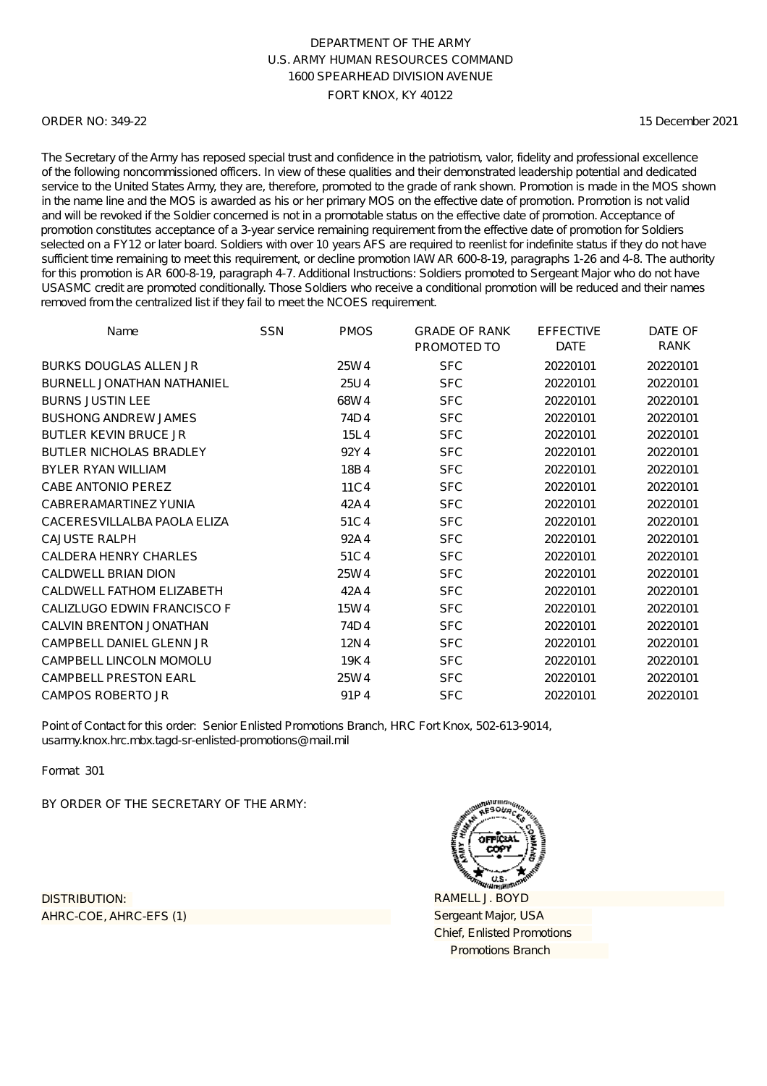### ORDER NO: 349-22

15 December 2021

The Secretary of the Army has reposed special trust and confidence in the patriotism, valor, fidelity and professional excellence of the following noncommissioned officers. In view of these qualities and their demonstrated leadership potential and dedicated service to the United States Army, they are, therefore, promoted to the grade of rank shown. Promotion is made in the MOS shown in the name line and the MOS is awarded as his or her primary MOS on the effective date of promotion. Promotion is not valid and will be revoked if the Soldier concerned is not in a promotable status on the effective date of promotion. Acceptance of promotion constitutes acceptance of a 3-year service remaining requirement from the effective date of promotion for Soldiers selected on a FY12 or later board. Soldiers with over 10 years AFS are required to reenlist for indefinite status if they do not have sufficient time remaining to meet this requirement, or decline promotion IAW AR 600-8-19, paragraphs 1-26 and 4-8. The authority for this promotion is AR 600-8-19, paragraph 4-7. Additional Instructions: Soldiers promoted to Sergeant Major who do not have USASMC credit are promoted conditionally. Those Soldiers who receive a conditional promotion will be reduced and their names removed from the centralized list if they fail to meet the NCOES requirement.

| Name                              | <b>SSN</b> | <b>PMOS</b> | <b>GRADE OF RANK</b> | <b>EFFECTIVE</b> | DATE OF  |
|-----------------------------------|------------|-------------|----------------------|------------------|----------|
|                                   |            |             | PROMOTED TO          | <b>DATE</b>      | RANK     |
| <b>BURKS DOUGLAS ALLEN JR</b>     |            | 25W4        | <b>SFC</b>           | 20220101         | 20220101 |
| <b>BURNELL JONATHAN NATHANIEL</b> |            | 25U4        | <b>SFC</b>           | 20220101         | 20220101 |
| <b>BURNS JUSTIN LEE</b>           |            | 68W4        | <b>SFC</b>           | 20220101         | 20220101 |
| <b>BUSHONG ANDREW JAMES</b>       |            | 74D4        | <b>SFC</b>           | 20220101         | 20220101 |
| <b>BUTLER KEVIN BRUCE JR</b>      |            | 15L4        | <b>SFC</b>           | 20220101         | 20220101 |
| <b>BUTLER NICHOLAS BRADLEY</b>    |            | 92Y4        | <b>SFC</b>           | 20220101         | 20220101 |
| <b>BYLER RYAN WILLIAM</b>         |            | 18B4        | <b>SFC</b>           | 20220101         | 20220101 |
| CABE ANTONIO PEREZ                |            | 11C4        | <b>SFC</b>           | 20220101         | 20220101 |
| CABRERAMARTINEZ YUNIA             |            | 42A4        | <b>SFC</b>           | 20220101         | 20220101 |
| CACERESVILLALBA PAOLA ELIZA       |            | 51C4        | <b>SFC</b>           | 20220101         | 20220101 |
| <b>CAJUSTE RALPH</b>              |            | 92A4        | <b>SFC</b>           | 20220101         | 20220101 |
| <b>CALDERA HENRY CHARLES</b>      |            | 51C4        | <b>SFC</b>           | 20220101         | 20220101 |
| <b>CALDWELL BRIAN DION</b>        |            | 25W4        | <b>SFC</b>           | 20220101         | 20220101 |
| CALDWELL FATHOM ELIZABETH         |            | 42A4        | <b>SFC</b>           | 20220101         | 20220101 |
| CALIZLUGO EDWIN FRANCISCO F       |            | 15W4        | <b>SFC</b>           | 20220101         | 20220101 |
| CALVIN BRENTON JONATHAN           |            | 74D4        | <b>SFC</b>           | 20220101         | 20220101 |
| CAMPBELL DANIEL GLENN JR          |            | 12N4        | <b>SFC</b>           | 20220101         | 20220101 |
| CAMPBELL LINCOLN MOMOLU           |            | 19K4        | <b>SFC</b>           | 20220101         | 20220101 |
| <b>CAMPBELL PRESTON EARL</b>      |            | 25W4        | <b>SFC</b>           | 20220101         | 20220101 |
| CAMPOS ROBERTO JR                 |            | 91P4        | <b>SFC</b>           | 20220101         | 20220101 |

Point of Contact for this order: Senior Enlisted Promotions Branch, HRC Fort Knox, 502-613-9014, usarmy.knox.hrc.mbx.tagd-sr-enlisted-promotions@mail.mil

Format 301

BY ORDER OF THE SECRETARY OF THE ARMY:

AHRC-COE, AHRC-EFS (1) DISTRIBUTION:

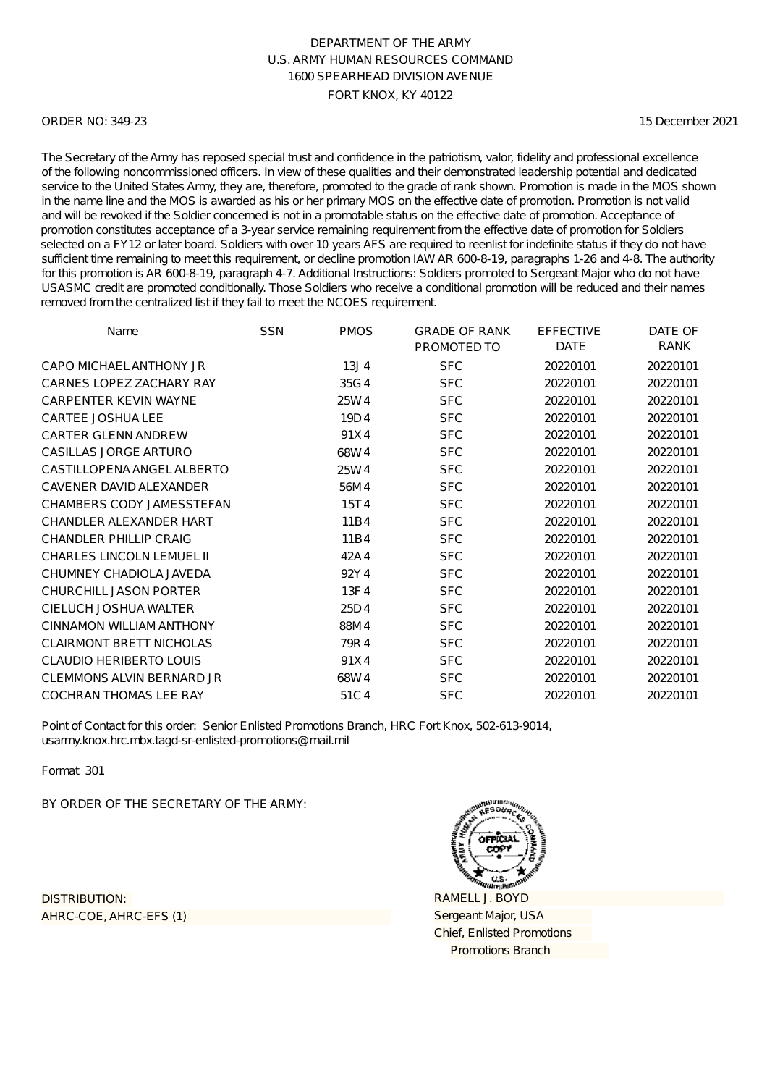### ORDER NO: 349-23

15 December 2021

The Secretary of the Army has reposed special trust and confidence in the patriotism, valor, fidelity and professional excellence of the following noncommissioned officers. In view of these qualities and their demonstrated leadership potential and dedicated service to the United States Army, they are, therefore, promoted to the grade of rank shown. Promotion is made in the MOS shown in the name line and the MOS is awarded as his or her primary MOS on the effective date of promotion. Promotion is not valid and will be revoked if the Soldier concerned is not in a promotable status on the effective date of promotion. Acceptance of promotion constitutes acceptance of a 3-year service remaining requirement from the effective date of promotion for Soldiers selected on a FY12 or later board. Soldiers with over 10 years AFS are required to reenlist for indefinite status if they do not have sufficient time remaining to meet this requirement, or decline promotion IAW AR 600-8-19, paragraphs 1-26 and 4-8. The authority for this promotion is AR 600-8-19, paragraph 4-7. Additional Instructions: Soldiers promoted to Sergeant Major who do not have USASMC credit are promoted conditionally. Those Soldiers who receive a conditional promotion will be reduced and their names removed from the centralized list if they fail to meet the NCOES requirement.

| Name                             | <b>SSN</b> | <b>PMOS</b>      | <b>GRADE OF RANK</b><br>PROMOTED TO | <b>EFFECTIVE</b><br><b>DATE</b> | DATE OF<br>RANK |
|----------------------------------|------------|------------------|-------------------------------------|---------------------------------|-----------------|
| CAPO MICHAEL ANTHONY JR          |            | 13J <sub>4</sub> | <b>SFC</b>                          | 20220101                        | 20220101        |
| CARNES LOPEZ ZACHARY RAY         |            | 35G4             | <b>SFC</b>                          | 20220101                        | 20220101        |
| <b>CARPENTER KEVIN WAYNE</b>     |            | 25W4             | <b>SFC</b>                          | 20220101                        | 20220101        |
| <b>CARTEE JOSHUA LEE</b>         |            | 19D4             | <b>SFC</b>                          | 20220101                        | 20220101        |
| <b>CARTER GLENN ANDREW</b>       |            | 91X4             | <b>SFC</b>                          | 20220101                        | 20220101        |
| CASILLAS JORGE ARTURO            |            | 68W4             | <b>SFC</b>                          | 20220101                        | 20220101        |
| CASTILLOPENA ANGEL ALBERTO       |            | 25W4             | <b>SFC</b>                          | 20220101                        | 20220101        |
| CAVENER DAVID ALEXANDER          |            | 56M4             | <b>SFC</b>                          | 20220101                        | 20220101        |
| CHAMBERS CODY JAMESSTEFAN        |            | 15T4             | <b>SFC</b>                          | 20220101                        | 20220101        |
| CHANDLER ALEXANDER HART          |            | 11B4             | <b>SFC</b>                          | 20220101                        | 20220101        |
| CHANDLER PHILLIP CRAIG           |            | 11B4             | <b>SFC</b>                          | 20220101                        | 20220101        |
| <b>CHARLES LINCOLN LEMUEL II</b> |            | 42A4             | <b>SFC</b>                          | 20220101                        | 20220101        |
| CHUMNEY CHADIOLA JAVEDA          |            | 92Y4             | <b>SFC</b>                          | 20220101                        | 20220101        |
| CHURCHILL JASON PORTER           |            | 13F4             | <b>SFC</b>                          | 20220101                        | 20220101        |
| CIELUCH JOSHUA WALTER            |            | 25D4             | <b>SFC</b>                          | 20220101                        | 20220101        |
| CINNAMON WILLIAM ANTHONY         |            | 88M4             | <b>SFC</b>                          | 20220101                        | 20220101        |
| <b>CLAIRMONT BRETT NICHOLAS</b>  |            | 79R4             | <b>SFC</b>                          | 20220101                        | 20220101        |
| <b>CLAUDIO HERIBERTO LOUIS</b>   |            | 91X4             | <b>SFC</b>                          | 20220101                        | 20220101        |
| CLEMMONS ALVIN BERNARD JR        |            | 68W4             | <b>SFC</b>                          | 20220101                        | 20220101        |
| <b>COCHRAN THOMAS LEE RAY</b>    |            | 51C4             | <b>SFC</b>                          | 20220101                        | 20220101        |

Point of Contact for this order: Senior Enlisted Promotions Branch, HRC Fort Knox, 502-613-9014, usarmy.knox.hrc.mbx.tagd-sr-enlisted-promotions@mail.mil

Format 301

BY ORDER OF THE SECRETARY OF THE ARMY:

AHRC-COE, AHRC-EFS (1) DISTRIBUTION:

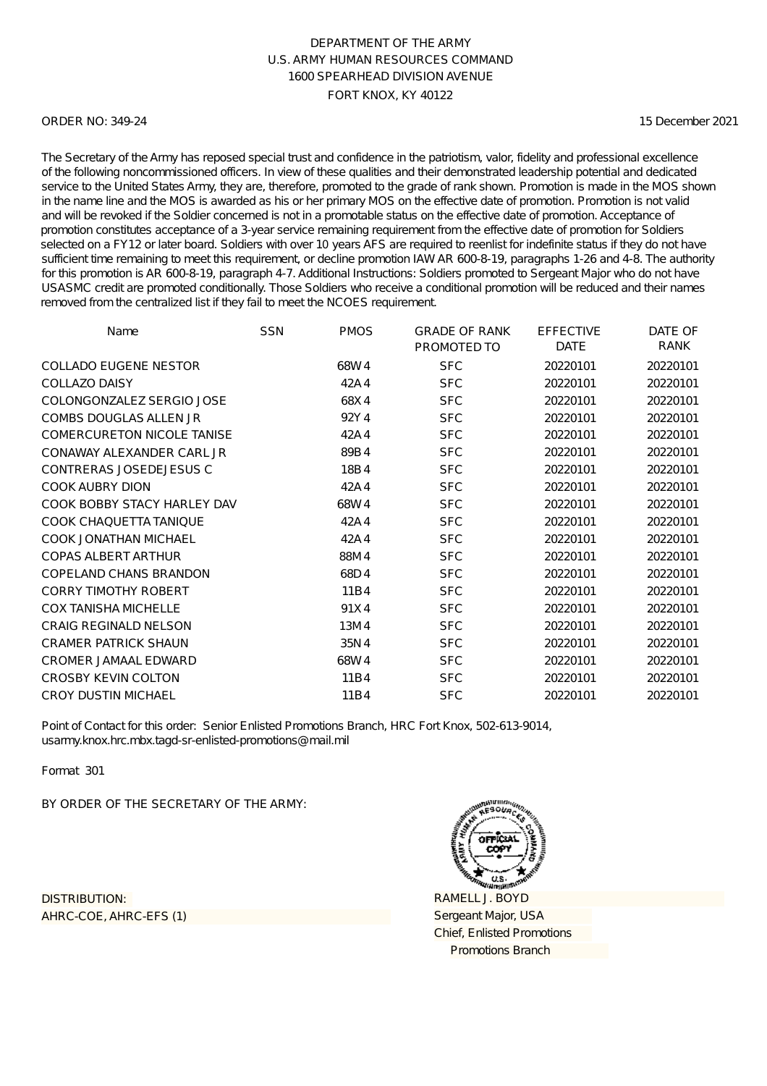### ORDER NO: 349-24

15 December 2021

The Secretary of the Army has reposed special trust and confidence in the patriotism, valor, fidelity and professional excellence of the following noncommissioned officers. In view of these qualities and their demonstrated leadership potential and dedicated service to the United States Army, they are, therefore, promoted to the grade of rank shown. Promotion is made in the MOS shown in the name line and the MOS is awarded as his or her primary MOS on the effective date of promotion. Promotion is not valid and will be revoked if the Soldier concerned is not in a promotable status on the effective date of promotion. Acceptance of promotion constitutes acceptance of a 3-year service remaining requirement from the effective date of promotion for Soldiers selected on a FY12 or later board. Soldiers with over 10 years AFS are required to reenlist for indefinite status if they do not have sufficient time remaining to meet this requirement, or decline promotion IAW AR 600-8-19, paragraphs 1-26 and 4-8. The authority for this promotion is AR 600-8-19, paragraph 4-7. Additional Instructions: Soldiers promoted to Sergeant Major who do not have USASMC credit are promoted conditionally. Those Soldiers who receive a conditional promotion will be reduced and their names removed from the centralized list if they fail to meet the NCOES requirement.

| Name                              | <b>SSN</b> | <b>PMOS</b> | <b>GRADE OF RANK</b><br>PROMOTED TO | <b>EFFECTIVE</b><br><b>DATE</b> | DATE OF<br>RANK |
|-----------------------------------|------------|-------------|-------------------------------------|---------------------------------|-----------------|
| <b>COLLADO EUGENE NESTOR</b>      |            | 68W4        | <b>SFC</b>                          | 20220101                        | 20220101        |
| <b>COLLAZO DAISY</b>              |            | 42A4        | <b>SFC</b>                          | 20220101                        | 20220101        |
| COLONGONZALEZ SERGIO JOSE         |            | 68X4        | <b>SFC</b>                          | 20220101                        | 20220101        |
| COMBS DOUGLAS ALLEN JR            |            | 92Y4        | <b>SFC</b>                          | 20220101                        | 20220101        |
| <b>COMERCURETON NICOLE TANISE</b> |            | 42A4        | <b>SFC</b>                          | 20220101                        | 20220101        |
| CONAWAY ALEXANDER CARL JR         |            | 89B4        | <b>SFC</b>                          | 20220101                        | 20220101        |
| CONTRERAS JOSEDEJESUS C           |            | 18B4        | <b>SFC</b>                          | 20220101                        | 20220101        |
| COOK AUBRY DION                   |            | 42A4        | <b>SFC</b>                          | 20220101                        | 20220101        |
| COOK BOBBY STACY HARLEY DAV       |            | 68W4        | <b>SFC</b>                          | 20220101                        | 20220101        |
| <b>COOK CHAQUETTA TANIQUE</b>     |            | 42A4        | <b>SFC</b>                          | 20220101                        | 20220101        |
| <b>COOK JONATHAN MICHAEL</b>      |            | 42A4        | <b>SFC</b>                          | 20220101                        | 20220101        |
| <b>COPAS ALBERT ARTHUR</b>        |            | 88M4        | <b>SFC</b>                          | 20220101                        | 20220101        |
| COPELAND CHANS BRANDON            |            | 68D4        | <b>SFC</b>                          | 20220101                        | 20220101        |
| <b>CORRY TIMOTHY ROBERT</b>       |            | 11B4        | <b>SFC</b>                          | 20220101                        | 20220101        |
| <b>COX TANISHA MICHELLE</b>       |            | 91X4        | <b>SFC</b>                          | 20220101                        | 20220101        |
| <b>CRAIG REGINALD NELSON</b>      |            | 13M4        | <b>SFC</b>                          | 20220101                        | 20220101        |
| <b>CRAMER PATRICK SHAUN</b>       |            | 35N4        | <b>SFC</b>                          | 20220101                        | 20220101        |
| CROMER JAMAAL EDWARD              |            | 68W4        | <b>SFC</b>                          | 20220101                        | 20220101        |
| <b>CROSBY KEVIN COLTON</b>        |            | 11B4        | <b>SFC</b>                          | 20220101                        | 20220101        |
| <b>CROY DUSTIN MICHAEL</b>        |            | 11B4        | <b>SFC</b>                          | 20220101                        | 20220101        |

Point of Contact for this order: Senior Enlisted Promotions Branch, HRC Fort Knox, 502-613-9014, usarmy.knox.hrc.mbx.tagd-sr-enlisted-promotions@mail.mil

Format 301

BY ORDER OF THE SECRETARY OF THE ARMY:

AHRC-COE, AHRC-EFS (1) DISTRIBUTION:

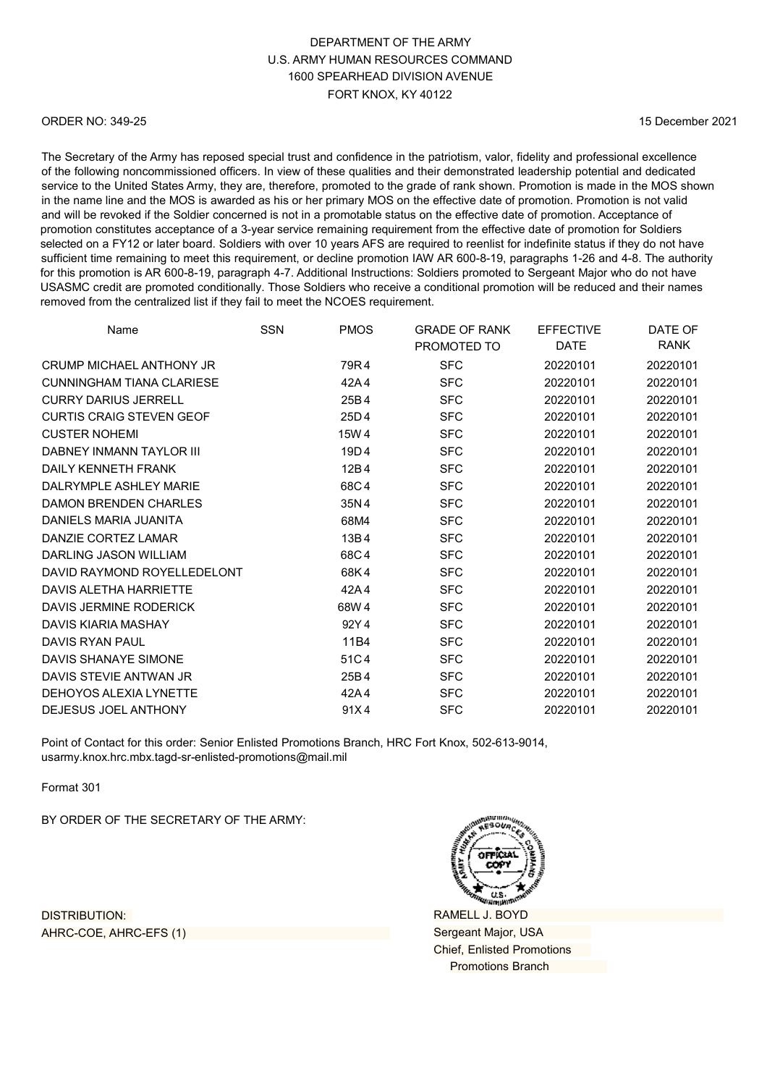# DEPARTMENT OF THE ARMY U.S. ARMY HUMAN RESOURCES COMMAND 1600 SPEARHEAD DIVISION AVENUE FORT KNOX, KY 40122

### ORDER NO: 349-25

15 December 2021

The Secretary of the Army has reposed special trust and confidence in the patriotism, valor, fidelity and professional excellence of the following noncommissioned officers. In view of these qualities and their demonstrated leadership potential and dedicated service to the United States Army, they are, therefore, promoted to the grade of rank shown. Promotion is made in the MOS shown in the name line and the MOS is awarded as his or her primary MOS on the effective date of promotion. Promotion is not valid and will be revoked if the Soldier concerned is not in a promotable status on the effective date of promotion. Acceptance of promotion constitutes acceptance of a 3-year service remaining requirement from the effective date of promotion for Soldiers selected on a FY12 or later board. Soldiers with over 10 years AFS are required to reenlist for indefinite status if they do not have sufficient time remaining to meet this requirement, or decline promotion IAW AR 600-8-19, paragraphs 1-26 and 4-8. The authority for this promotion is AR 600-8-19, paragraph 4-7. Additional Instructions: Soldiers promoted to Sergeant Major who do not have USASMC credit are promoted conditionally. Those Soldiers who receive a conditional promotion will be reduced and their names removed from the centralized list if they fail to meet the NCOES requirement.

| Name                             | SSN | <b>PMOS</b> | <b>GRADE OF RANK</b><br>PROMOTED TO | <b>EFFECTIVE</b><br><b>DATE</b> | DATE OF<br><b>RANK</b> |
|----------------------------------|-----|-------------|-------------------------------------|---------------------------------|------------------------|
| CRUMP MICHAFI ANTHONY JR         |     | 79R4        | <b>SFC</b>                          | 20220101                        | 20220101               |
| <b>CUNNINGHAM TIANA CLARIESE</b> |     | 42A4        | <b>SFC</b>                          | 20220101                        | 20220101               |
| <b>CURRY DARIUS JERRELL</b>      |     | 25B4        | <b>SFC</b>                          | 20220101                        | 20220101               |
| <b>CURTIS CRAIG STEVEN GEOF</b>  |     | 25D4        | <b>SFC</b>                          | 20220101                        | 20220101               |
| <b>CUSTER NOHEMI</b>             |     | 15W 4       | <b>SFC</b>                          | 20220101                        | 20220101               |
| DABNEY INMANN TAYI OR III        |     | 19D4        | <b>SFC</b>                          | 20220101                        | 20220101               |
| DAILY KENNETH FRANK              |     | 12B4        | <b>SFC</b>                          | 20220101                        | 20220101               |
| DALRYMPLE ASHLEY MARIE           |     | 68C4        | <b>SFC</b>                          | 20220101                        | 20220101               |
| <b>DAMON BRENDEN CHARLES</b>     |     | 35N4        | <b>SFC</b>                          | 20220101                        | 20220101               |
| DANIELS MARIA JUANITA            |     | 68M4        | <b>SFC</b>                          | 20220101                        | 20220101               |
| DANZIE CORTEZ LAMAR              |     | 13B4        | <b>SFC</b>                          | 20220101                        | 20220101               |
| DARLING JASON WILLIAM            |     | 68C4        | <b>SFC</b>                          | 20220101                        | 20220101               |
| DAVID RAYMOND ROYELLEDELONT      |     | 68K4        | <b>SFC</b>                          | 20220101                        | 20220101               |
| DAVIS ALETHA HARRIETTE           |     | 42A4        | <b>SFC</b>                          | 20220101                        | 20220101               |
| DAVIS JERMINE RODERICK           |     | 68W4        | <b>SFC</b>                          | 20220101                        | 20220101               |
| <b>DAVIS KIARIA MASHAY</b>       |     | 92Y4        | <b>SFC</b>                          | 20220101                        | 20220101               |
| DAVIS RYAN PAUL                  |     | 11B4        | <b>SFC</b>                          | 20220101                        | 20220101               |
| DAVIS SHANAYE SIMONE             |     | 51C4        | <b>SFC</b>                          | 20220101                        | 20220101               |
| DAVIS STEVIE ANTWAN JR           |     | 25B4        | <b>SFC</b>                          | 20220101                        | 20220101               |
| DEHOYOS ALEXIA LYNETTE           |     | 42A4        | <b>SFC</b>                          | 20220101                        | 20220101               |
| DEJESUS JOEL ANTHONY             |     | 91X4        | <b>SFC</b>                          | 20220101                        | 20220101               |

Point of Contact for this order: Senior Enlisted Promotions Branch, HRC Fort Knox, 502-613-9014, [usarmy.knox.hrc.mbx.tagd-sr-enlisted-promotions@mail.mil](mailto:usarmy.knox.hrc.mbx.tagd-sr-enlisted-promotions@mail.mil)

Format 301

BY ORDER OF THE SECRETARY OF THE ARMY:

DISTRIBUTION: AHRC-COE, AHRC-EFS (1)



RAMELL J. BOYD Sergeant Major, USA Chief, Enlisted Promotions Promotions Branch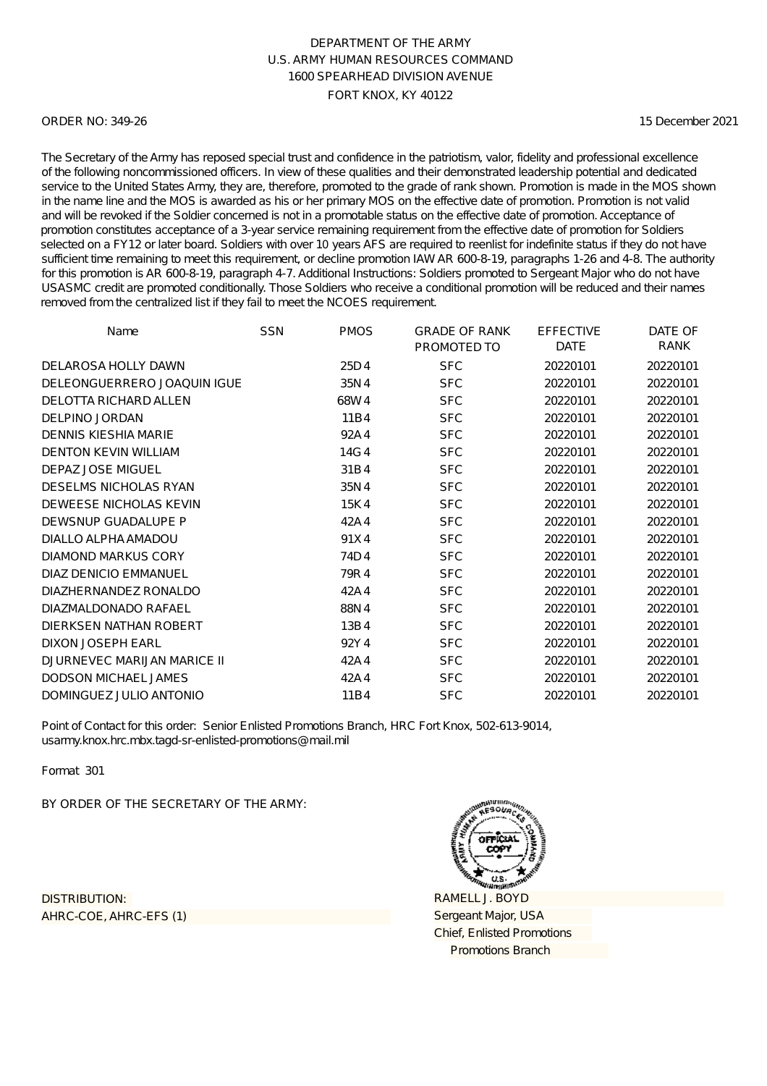### ORDER NO: 349-26

15 December 2021

The Secretary of the Army has reposed special trust and confidence in the patriotism, valor, fidelity and professional excellence of the following noncommissioned officers. In view of these qualities and their demonstrated leadership potential and dedicated service to the United States Army, they are, therefore, promoted to the grade of rank shown. Promotion is made in the MOS shown in the name line and the MOS is awarded as his or her primary MOS on the effective date of promotion. Promotion is not valid and will be revoked if the Soldier concerned is not in a promotable status on the effective date of promotion. Acceptance of promotion constitutes acceptance of a 3-year service remaining requirement from the effective date of promotion for Soldiers selected on a FY12 or later board. Soldiers with over 10 years AFS are required to reenlist for indefinite status if they do not have sufficient time remaining to meet this requirement, or decline promotion IAW AR 600-8-19, paragraphs 1-26 and 4-8. The authority for this promotion is AR 600-8-19, paragraph 4-7. Additional Instructions: Soldiers promoted to Sergeant Major who do not have USASMC credit are promoted conditionally. Those Soldiers who receive a conditional promotion will be reduced and their names removed from the centralized list if they fail to meet the NCOES requirement.

| Name                         | <b>SSN</b> | <b>PMOS</b> | <b>GRADE OF RANK</b><br>PROMOTED TO | <b>EFFECTIVE</b><br><b>DATE</b> | DATE OF<br>RANK |
|------------------------------|------------|-------------|-------------------------------------|---------------------------------|-----------------|
| DELAROSA HOLLY DAWN          |            | 25D4        | <b>SFC</b>                          | 20220101                        | 20220101        |
| DELEONGUERRERO JOAQUIN IGUE  |            | 35N4        | <b>SFC</b>                          | 20220101                        | 20220101        |
| DELOTTA RICHARD ALLEN        |            | 68W4        | <b>SFC</b>                          | 20220101                        | 20220101        |
| <b>DELPINO JORDAN</b>        |            | 11B4        | <b>SFC</b>                          | 20220101                        | 20220101        |
| DENNIS KIESHIA MARIE         |            | 92A4        | <b>SFC</b>                          | 20220101                        | 20220101        |
| <b>DENTON KEVIN WILLIAM</b>  |            | 14G4        | <b>SFC</b>                          | 20220101                        | 20220101        |
| <b>DEPAZ JOSE MIGUEL</b>     |            | 31B4        | <b>SFC</b>                          | 20220101                        | 20220101        |
| <b>DESELMS NICHOLAS RYAN</b> |            | 35N4        | <b>SFC</b>                          | 20220101                        | 20220101        |
| DEWEESE NICHOLAS KEVIN       |            | 15K4        | <b>SFC</b>                          | 20220101                        | 20220101        |
| DEWSNUP GUADALUPE P          |            | 42A4        | <b>SFC</b>                          | 20220101                        | 20220101        |
| DIALLO ALPHA AMADOU          |            | 91X4        | <b>SFC</b>                          | 20220101                        | 20220101        |
| DIAMOND MARKUS CORY          |            | 74D4        | <b>SFC</b>                          | 20220101                        | 20220101        |
| DIAZ DENICIO EMMANUEL        |            | 79R4        | <b>SFC</b>                          | 20220101                        | 20220101        |
| DIAZHERNANDEZ RONALDO        |            | 42A4        | <b>SFC</b>                          | 20220101                        | 20220101        |
| DIAZMALDONADO RAFAEL         |            | 88N4        | <b>SFC</b>                          | 20220101                        | 20220101        |
| DIERKSEN NATHAN ROBERT       |            | 13B4        | <b>SFC</b>                          | 20220101                        | 20220101        |
| <b>DIXON JOSEPH EARL</b>     |            | 92Y4        | <b>SFC</b>                          | 20220101                        | 20220101        |
| DJURNEVEC MARIJAN MARICE II  |            | 42A4        | <b>SFC</b>                          | 20220101                        | 20220101        |
| <b>DODSON MICHAEL JAMES</b>  |            | 42A4        | <b>SFC</b>                          | 20220101                        | 20220101        |
| DOMINGUEZ JULIO ANTONIO      |            | 11B4        | <b>SFC</b>                          | 20220101                        | 20220101        |

Point of Contact for this order: Senior Enlisted Promotions Branch, HRC Fort Knox, 502-613-9014, usarmy.knox.hrc.mbx.tagd-sr-enlisted-promotions@mail.mil

Format 301

BY ORDER OF THE SECRETARY OF THE ARMY:

AHRC-COE, AHRC-EFS (1) DISTRIBUTION:

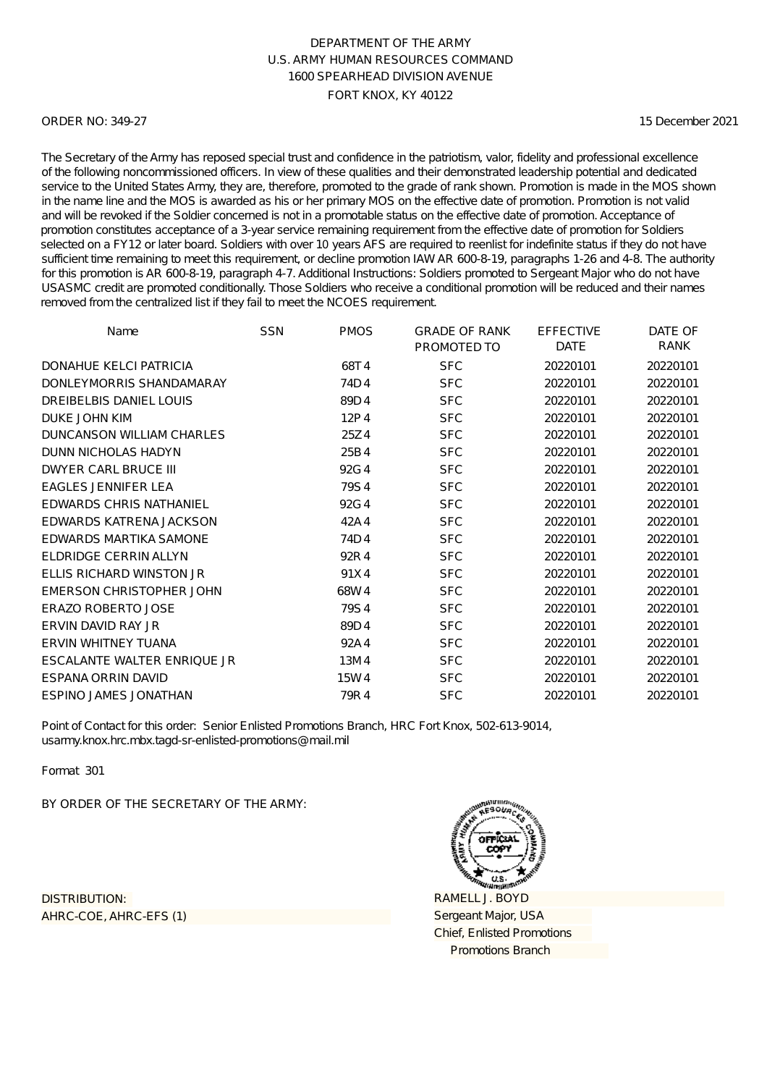### ORDER NO: 349-27

15 December 2021

The Secretary of the Army has reposed special trust and confidence in the patriotism, valor, fidelity and professional excellence of the following noncommissioned officers. In view of these qualities and their demonstrated leadership potential and dedicated service to the United States Army, they are, therefore, promoted to the grade of rank shown. Promotion is made in the MOS shown in the name line and the MOS is awarded as his or her primary MOS on the effective date of promotion. Promotion is not valid and will be revoked if the Soldier concerned is not in a promotable status on the effective date of promotion. Acceptance of promotion constitutes acceptance of a 3-year service remaining requirement from the effective date of promotion for Soldiers selected on a FY12 or later board. Soldiers with over 10 years AFS are required to reenlist for indefinite status if they do not have sufficient time remaining to meet this requirement, or decline promotion IAW AR 600-8-19, paragraphs 1-26 and 4-8. The authority for this promotion is AR 600-8-19, paragraph 4-7. Additional Instructions: Soldiers promoted to Sergeant Major who do not have USASMC credit are promoted conditionally. Those Soldiers who receive a conditional promotion will be reduced and their names removed from the centralized list if they fail to meet the NCOES requirement.

| Name                           | <b>SSN</b> | <b>PMOS</b> | <b>GRADE OF RANK</b><br>PROMOTED TO | <b>EFFECTIVE</b><br><b>DATE</b> | DATE OF<br>RANK |
|--------------------------------|------------|-------------|-------------------------------------|---------------------------------|-----------------|
| DONAHUE KELCI PATRICIA         |            | 68T4        | <b>SFC</b>                          | 20220101                        | 20220101        |
| DONLEYMORRIS SHANDAMARAY       |            | 74D4        | <b>SFC</b>                          | 20220101                        | 20220101        |
| DREIBELBIS DANIEL LOUIS        |            | 89D4        | <b>SFC</b>                          | 20220101                        | 20220101        |
| DUKE JOHN KIM                  |            | 12P4        | <b>SFC</b>                          | 20220101                        | 20220101        |
| DUNCANSON WILLIAM CHARLES      |            | 25Z4        | <b>SFC</b>                          | 20220101                        | 20220101        |
| DUNN NICHOLAS HADYN            |            | 25B4        | <b>SFC</b>                          | 20220101                        | 20220101        |
| <b>DWYER CARL BRUCE III</b>    |            | 92G4        | <b>SFC</b>                          | 20220101                        | 20220101        |
| EAGLES JENNIFER LEA            |            | 79S4        | <b>SFC</b>                          | 20220101                        | 20220101        |
| <b>EDWARDS CHRIS NATHANIEL</b> |            | 92G4        | <b>SFC</b>                          | 20220101                        | 20220101        |
| EDWARDS KATRENA JACKSON        |            | 42A4        | <b>SFC</b>                          | 20220101                        | 20220101        |
| <b>EDWARDS MARTIKA SAMONE</b>  |            | 74D4        | <b>SFC</b>                          | 20220101                        | 20220101        |
| <b>ELDRIDGE CERRIN ALLYN</b>   |            | 92R4        | <b>SFC</b>                          | 20220101                        | 20220101        |
| ELLIS RICHARD WINSTON JR       |            | 91X4        | <b>SFC</b>                          | 20220101                        | 20220101        |
| EMERSON CHRISTOPHER JOHN       |            | 68W4        | <b>SFC</b>                          | 20220101                        | 20220101        |
| <b>ERAZO ROBERTO JOSE</b>      |            | 79S4        | <b>SFC</b>                          | 20220101                        | 20220101        |
| ERVIN DAVID RAY JR             |            | 89D4        | <b>SFC</b>                          | 20220101                        | 20220101        |
| <b>ERVIN WHITNEY TUANA</b>     |            | 92A4        | <b>SFC</b>                          | 20220101                        | 20220101        |
| ESCALANTE WALTER ENRIQUE JR    |            | 13M4        | <b>SFC</b>                          | 20220101                        | 20220101        |
| <b>ESPANA ORRIN DAVID</b>      |            | 15W4        | <b>SFC</b>                          | 20220101                        | 20220101        |
| <b>ESPINO JAMES JONATHAN</b>   |            | 79R4        | <b>SFC</b>                          | 20220101                        | 20220101        |

Point of Contact for this order: Senior Enlisted Promotions Branch, HRC Fort Knox, 502-613-9014, usarmy.knox.hrc.mbx.tagd-sr-enlisted-promotions@mail.mil

Format 301

BY ORDER OF THE SECRETARY OF THE ARMY:

AHRC-COE, AHRC-EFS (1) DISTRIBUTION:

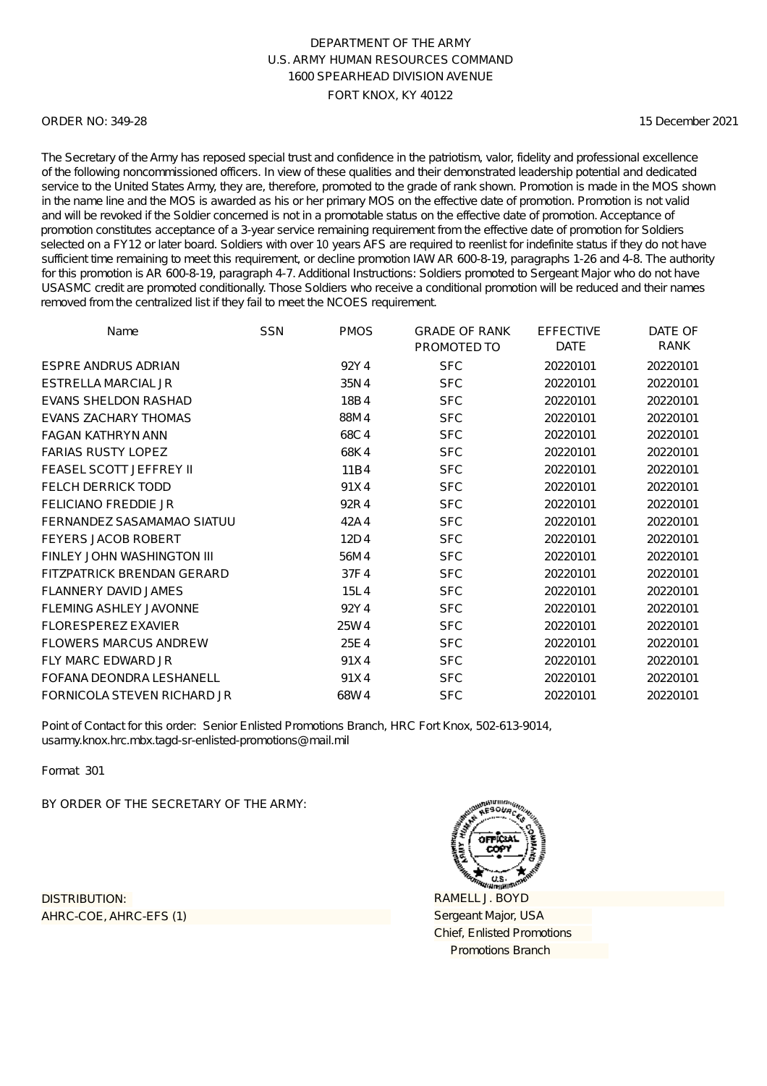### ORDER NO: 349-28

15 December 2021

The Secretary of the Army has reposed special trust and confidence in the patriotism, valor, fidelity and professional excellence of the following noncommissioned officers. In view of these qualities and their demonstrated leadership potential and dedicated service to the United States Army, they are, therefore, promoted to the grade of rank shown. Promotion is made in the MOS shown in the name line and the MOS is awarded as his or her primary MOS on the effective date of promotion. Promotion is not valid and will be revoked if the Soldier concerned is not in a promotable status on the effective date of promotion. Acceptance of promotion constitutes acceptance of a 3-year service remaining requirement from the effective date of promotion for Soldiers selected on a FY12 or later board. Soldiers with over 10 years AFS are required to reenlist for indefinite status if they do not have sufficient time remaining to meet this requirement, or decline promotion IAW AR 600-8-19, paragraphs 1-26 and 4-8. The authority for this promotion is AR 600-8-19, paragraph 4-7. Additional Instructions: Soldiers promoted to Sergeant Major who do not have USASMC credit are promoted conditionally. Those Soldiers who receive a conditional promotion will be reduced and their names removed from the centralized list if they fail to meet the NCOES requirement.

| Name                              | <b>SSN</b> | <b>PMOS</b> | <b>GRADE OF RANK</b><br>PROMOTED TO | <b>EFFECTIVE</b><br><b>DATE</b> | DATE OF<br>RANK |
|-----------------------------------|------------|-------------|-------------------------------------|---------------------------------|-----------------|
| <b>ESPRE ANDRUS ADRIAN</b>        |            | 92Y4        | <b>SFC</b>                          | 20220101                        | 20220101        |
| ESTRELLA MARCIAL JR               |            | 35N4        | <b>SFC</b>                          | 20220101                        | 20220101        |
| EVANS SHELDON RASHAD              |            | 18B4        | <b>SFC</b>                          | 20220101                        | 20220101        |
| <b>EVANS ZACHARY THOMAS</b>       |            | 88M4        | <b>SFC</b>                          | 20220101                        | 20220101        |
| <b>FAGAN KATHRYN ANN</b>          |            | 68C4        | <b>SFC</b>                          | 20220101                        | 20220101        |
| <b>FARIAS RUSTY LOPEZ</b>         |            | 68K4        | <b>SFC</b>                          | 20220101                        | 20220101        |
| <b>FEASEL SCOTT JEFFREY II</b>    |            | 11B4        | <b>SFC</b>                          | 20220101                        | 20220101        |
| <b>FELCH DERRICK TODD</b>         |            | 91X4        | <b>SFC</b>                          | 20220101                        | 20220101        |
| <b>FELICIANO FREDDIE JR</b>       |            | 92R4        | <b>SFC</b>                          | 20220101                        | 20220101        |
| FERNANDEZ SASAMAMAO SIATUU        |            | 42A4        | <b>SFC</b>                          | 20220101                        | 20220101        |
| <b>FEYERS JACOB ROBERT</b>        |            | 12D4        | <b>SFC</b>                          | 20220101                        | 20220101        |
| FINLEY JOHN WASHINGTON III        |            | 56M4        | <b>SFC</b>                          | 20220101                        | 20220101        |
| <b>FITZPATRICK BRENDAN GERARD</b> |            | 37F4        | <b>SFC</b>                          | 20220101                        | 20220101        |
| FLANNERY DAVID JAMES              |            | 15L4        | <b>SFC</b>                          | 20220101                        | 20220101        |
| <b>FLEMING ASHLEY JAVONNE</b>     |            | 92Y4        | <b>SFC</b>                          | 20220101                        | 20220101        |
| <b>FLORESPEREZ EXAVIER</b>        |            | 25W4        | <b>SFC</b>                          | 20220101                        | 20220101        |
| <b>FLOWERS MARCUS ANDREW</b>      |            | 25E4        | <b>SFC</b>                          | 20220101                        | 20220101        |
| <b>FLY MARC EDWARD JR</b>         |            | 91X4        | <b>SFC</b>                          | 20220101                        | 20220101        |
| FOFANA DEONDRA LESHANELL          |            | 91X4        | <b>SFC</b>                          | 20220101                        | 20220101        |
| FORNICOLA STEVEN RICHARD JR       |            | 68W4        | <b>SFC</b>                          | 20220101                        | 20220101        |

Point of Contact for this order: Senior Enlisted Promotions Branch, HRC Fort Knox, 502-613-9014, usarmy.knox.hrc.mbx.tagd-sr-enlisted-promotions@mail.mil

Format 301

BY ORDER OF THE SECRETARY OF THE ARMY:

AHRC-COE, AHRC-EFS (1) DISTRIBUTION:

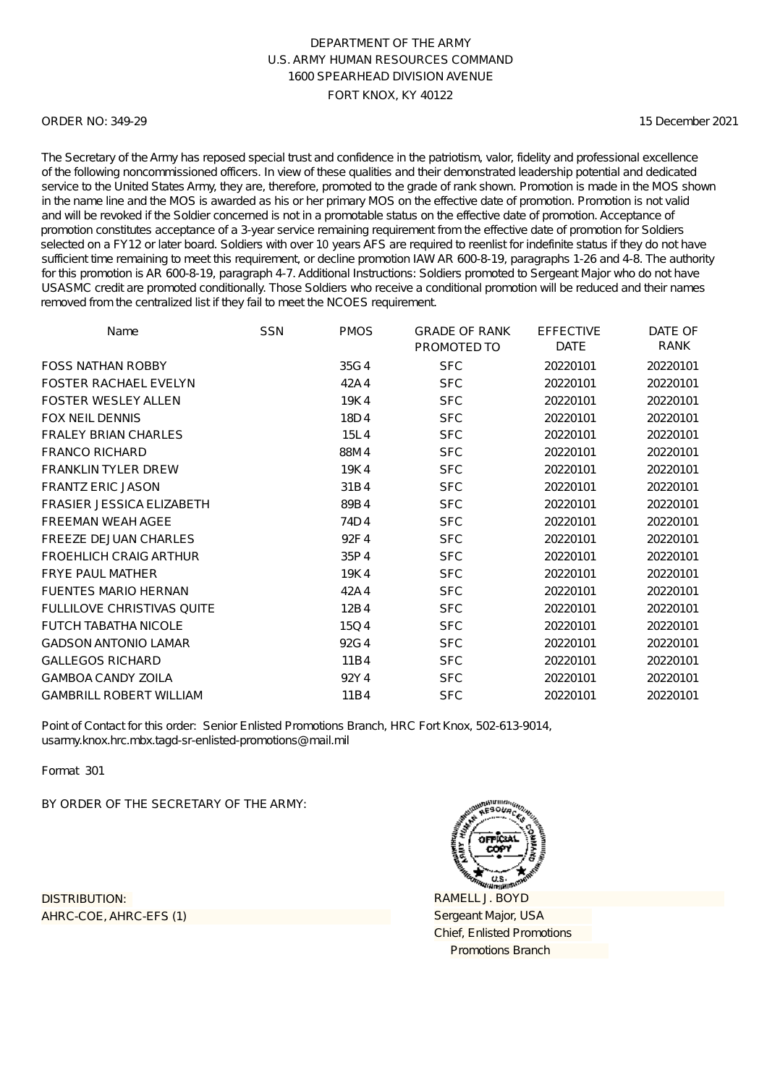### ORDER NO: 349-29

15 December 2021

The Secretary of the Army has reposed special trust and confidence in the patriotism, valor, fidelity and professional excellence of the following noncommissioned officers. In view of these qualities and their demonstrated leadership potential and dedicated service to the United States Army, they are, therefore, promoted to the grade of rank shown. Promotion is made in the MOS shown in the name line and the MOS is awarded as his or her primary MOS on the effective date of promotion. Promotion is not valid and will be revoked if the Soldier concerned is not in a promotable status on the effective date of promotion. Acceptance of promotion constitutes acceptance of a 3-year service remaining requirement from the effective date of promotion for Soldiers selected on a FY12 or later board. Soldiers with over 10 years AFS are required to reenlist for indefinite status if they do not have sufficient time remaining to meet this requirement, or decline promotion IAW AR 600-8-19, paragraphs 1-26 and 4-8. The authority for this promotion is AR 600-8-19, paragraph 4-7. Additional Instructions: Soldiers promoted to Sergeant Major who do not have USASMC credit are promoted conditionally. Those Soldiers who receive a conditional promotion will be reduced and their names removed from the centralized list if they fail to meet the NCOES requirement.

| Name                              | <b>SSN</b> | <b>PMOS</b> | <b>GRADE OF RANK</b><br>PROMOTED TO | <b>EFFECTIVE</b><br><b>DATE</b> | DATE OF<br>RANK |
|-----------------------------------|------------|-------------|-------------------------------------|---------------------------------|-----------------|
| <b>FOSS NATHAN ROBBY</b>          |            | 35G4        | <b>SFC</b>                          | 20220101                        | 20220101        |
| <b>FOSTER RACHAEL EVELYN</b>      |            | 42A4        | <b>SFC</b>                          | 20220101                        | 20220101        |
| <b>FOSTER WESLEY ALLEN</b>        |            | 19K4        | <b>SFC</b>                          | 20220101                        | 20220101        |
| <b>FOX NEIL DENNIS</b>            |            | 18D4        | <b>SFC</b>                          | 20220101                        | 20220101        |
| <b>FRALEY BRIAN CHARLES</b>       |            | 15L4        | <b>SFC</b>                          | 20220101                        | 20220101        |
| <b>FRANCO RICHARD</b>             |            | 88M4        | <b>SFC</b>                          | 20220101                        | 20220101        |
| <b>FRANKLIN TYLER DREW</b>        |            | 19K4        | <b>SFC</b>                          | 20220101                        | 20220101        |
| <b>FRANTZ ERIC JASON</b>          |            | 31B4        | <b>SFC</b>                          | 20220101                        | 20220101        |
| <b>FRASIER JESSICA ELIZABETH</b>  |            | 89B4        | <b>SFC</b>                          | 20220101                        | 20220101        |
| <b>FREEMAN WEAH AGEE</b>          |            | 74D4        | <b>SFC</b>                          | 20220101                        | 20220101        |
| <b>FREEZE DEJUAN CHARLES</b>      |            | 92F4        | <b>SFC</b>                          | 20220101                        | 20220101        |
| <b>FROEHLICH CRAIG ARTHUR</b>     |            | 35P4        | <b>SFC</b>                          | 20220101                        | 20220101        |
| <b>FRYE PAUL MATHER</b>           |            | 19K4        | <b>SFC</b>                          | 20220101                        | 20220101        |
| <b>FUENTES MARIO HERNAN</b>       |            | 42A4        | <b>SFC</b>                          | 20220101                        | 20220101        |
| <b>FULLILOVE CHRISTIVAS QUITE</b> |            | 12B4        | <b>SFC</b>                          | 20220101                        | 20220101        |
| <b>FUTCH TABATHA NICOLE</b>       |            | 15Q4        | <b>SFC</b>                          | 20220101                        | 20220101        |
| <b>GADSON ANTONIO LAMAR</b>       |            | 92G4        | <b>SFC</b>                          | 20220101                        | 20220101        |
| <b>GALLEGOS RICHARD</b>           |            | 11B4        | <b>SFC</b>                          | 20220101                        | 20220101        |
| <b>GAMBOA CANDY ZOILA</b>         |            | 92Y4        | <b>SFC</b>                          | 20220101                        | 20220101        |
| <b>GAMBRILL ROBERT WILLIAM</b>    |            | 11B4        | <b>SFC</b>                          | 20220101                        | 20220101        |

Point of Contact for this order: Senior Enlisted Promotions Branch, HRC Fort Knox, 502-613-9014, usarmy.knox.hrc.mbx.tagd-sr-enlisted-promotions@mail.mil

Format 301

BY ORDER OF THE SECRETARY OF THE ARMY:

AHRC-COE, AHRC-EFS (1) DISTRIBUTION:

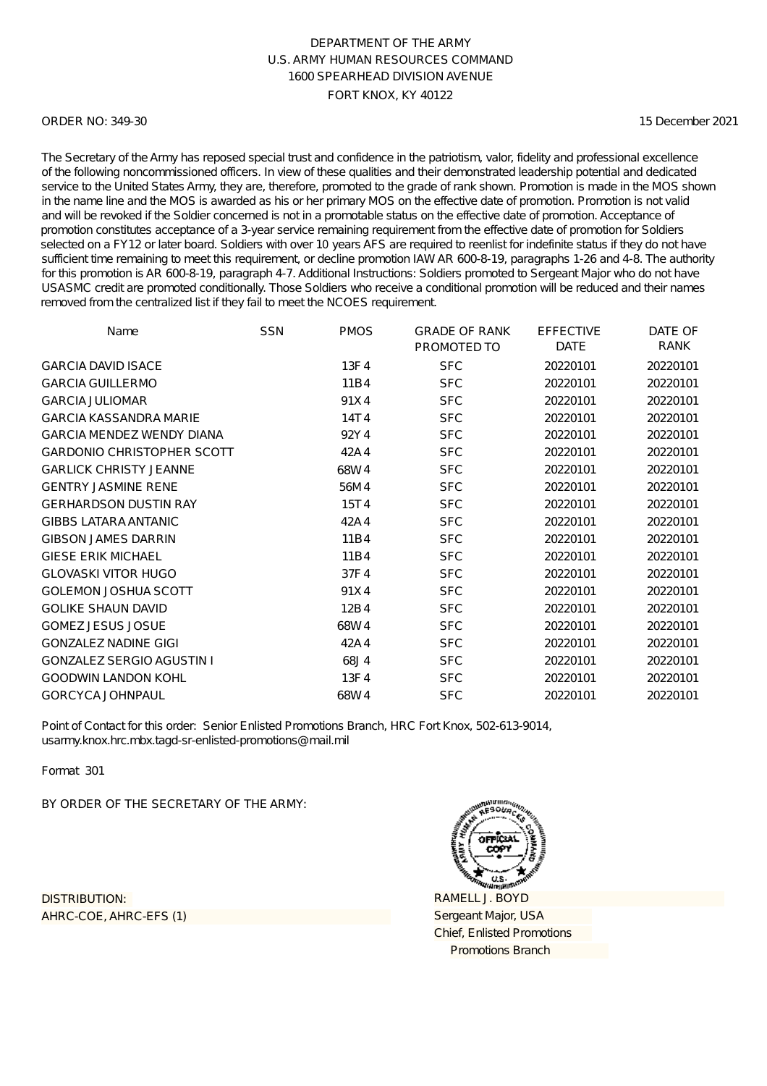### ORDER NO: 349-30

15 December 2021

The Secretary of the Army has reposed special trust and confidence in the patriotism, valor, fidelity and professional excellence of the following noncommissioned officers. In view of these qualities and their demonstrated leadership potential and dedicated service to the United States Army, they are, therefore, promoted to the grade of rank shown. Promotion is made in the MOS shown in the name line and the MOS is awarded as his or her primary MOS on the effective date of promotion. Promotion is not valid and will be revoked if the Soldier concerned is not in a promotable status on the effective date of promotion. Acceptance of promotion constitutes acceptance of a 3-year service remaining requirement from the effective date of promotion for Soldiers selected on a FY12 or later board. Soldiers with over 10 years AFS are required to reenlist for indefinite status if they do not have sufficient time remaining to meet this requirement, or decline promotion IAW AR 600-8-19, paragraphs 1-26 and 4-8. The authority for this promotion is AR 600-8-19, paragraph 4-7. Additional Instructions: Soldiers promoted to Sergeant Major who do not have USASMC credit are promoted conditionally. Those Soldiers who receive a conditional promotion will be reduced and their names removed from the centralized list if they fail to meet the NCOES requirement.

| Name                              | <b>SSN</b> | <b>PMOS</b> | <b>GRADE OF RANK</b> | <b>EFFECTIVE</b><br><b>DATE</b> | DATE OF<br>RANK |
|-----------------------------------|------------|-------------|----------------------|---------------------------------|-----------------|
|                                   |            |             | PROMOTED TO          |                                 |                 |
| <b>GARCIA DAVID ISACE</b>         |            | 13F4        | <b>SFC</b>           | 20220101                        | 20220101        |
| <b>GARCIA GUILLERMO</b>           |            | 11B4        | <b>SFC</b>           | 20220101                        | 20220101        |
| <b>GARCIA JULIOMAR</b>            |            | 91X4        | <b>SFC</b>           | 20220101                        | 20220101        |
| <b>GARCIA KASSANDRA MARIE</b>     |            | 14T4        | <b>SFC</b>           | 20220101                        | 20220101        |
| <b>GARCIA MENDEZ WENDY DIANA</b>  |            | 92Y4        | <b>SFC</b>           | 20220101                        | 20220101        |
| <b>GARDONIO CHRISTOPHER SCOTT</b> |            | 42A4        | <b>SFC</b>           | 20220101                        | 20220101        |
| <b>GARLICK CHRISTY JEANNE</b>     |            | 68W4        | <b>SFC</b>           | 20220101                        | 20220101        |
| <b>GENTRY JASMINE RENE</b>        |            | 56M4        | <b>SFC</b>           | 20220101                        | 20220101        |
| <b>GERHARDSON DUSTIN RAY</b>      |            | 15T4        | <b>SFC</b>           | 20220101                        | 20220101        |
| <b>GIBBS LATARA ANTANIC</b>       |            | 42A4        | <b>SFC</b>           | 20220101                        | 20220101        |
| <b>GIBSON JAMES DARRIN</b>        |            | 11B4        | <b>SFC</b>           | 20220101                        | 20220101        |
| <b>GIESE ERIK MICHAEL</b>         |            | 11B4        | <b>SFC</b>           | 20220101                        | 20220101        |
| <b>GLOVASKI VITOR HUGO</b>        |            | 37F4        | <b>SFC</b>           | 20220101                        | 20220101        |
| <b>GOLEMON JOSHUA SCOTT</b>       |            | 91X4        | <b>SFC</b>           | 20220101                        | 20220101        |
| <b>GOLIKE SHAUN DAVID</b>         |            | 12B4        | <b>SFC</b>           | 20220101                        | 20220101        |
| <b>GOMEZ JESUS JOSUE</b>          |            | 68W4        | <b>SFC</b>           | 20220101                        | 20220101        |
| <b>GONZALEZ NADINE GIGI</b>       |            | 42A4        | <b>SFC</b>           | 20220101                        | 20220101        |
| <b>GONZALEZ SERGIO AGUSTIN I</b>  |            | 68J4        | <b>SFC</b>           | 20220101                        | 20220101        |
| <b>GOODWIN LANDON KOHL</b>        |            | 13F4        | <b>SFC</b>           | 20220101                        | 20220101        |
| <b>GORCYCA JOHNPAUL</b>           |            | 68W4        | <b>SFC</b>           | 20220101                        | 20220101        |

Point of Contact for this order: Senior Enlisted Promotions Branch, HRC Fort Knox, 502-613-9014, usarmy.knox.hrc.mbx.tagd-sr-enlisted-promotions@mail.mil

Format 301

BY ORDER OF THE SECRETARY OF THE ARMY:

AHRC-COE, AHRC-EFS (1) DISTRIBUTION:

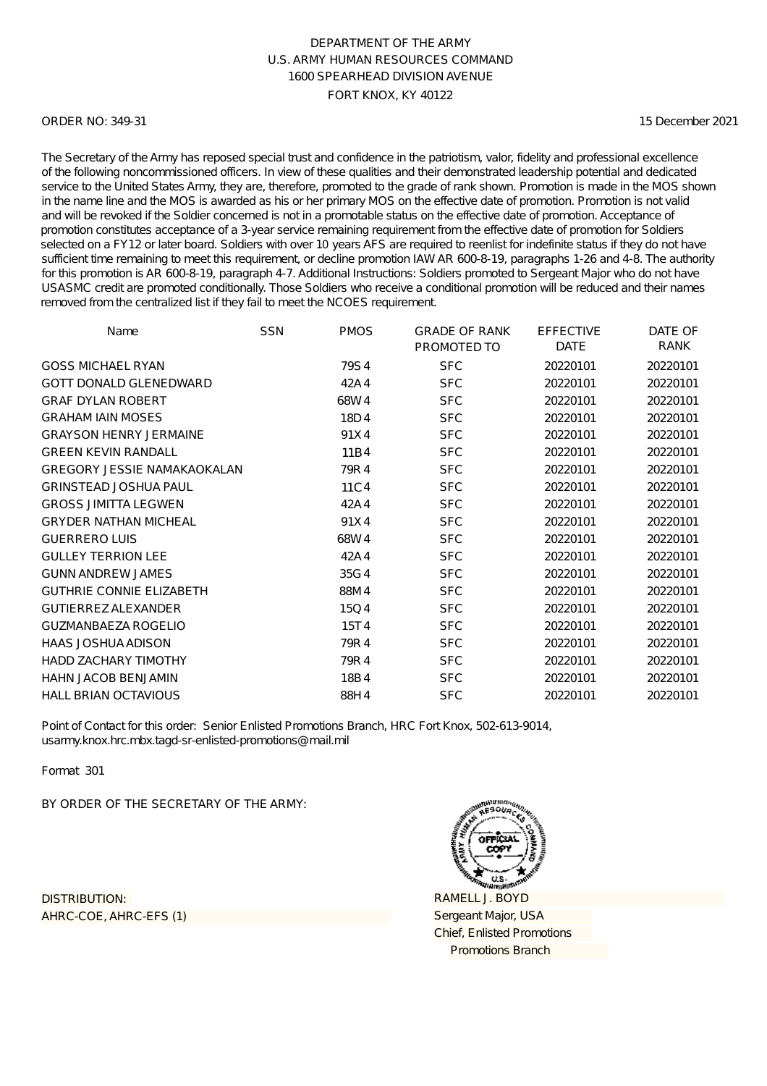### ORDER NO: 349-31

15 December 2021

The Secretary of the Army has reposed special trust and confidence in the patriotism, valor, fidelity and professional excellence of the following noncommissioned officers. In view of these qualities and their demonstrated leadership potential and dedicated service to the United States Army, they are, therefore, promoted to the grade of rank shown. Promotion is made in the MOS shown in the name line and the MOS is awarded as his or her primary MOS on the effective date of promotion. Promotion is not valid and will be revoked if the Soldier concerned is not in a promotable status on the effective date of promotion. Acceptance of promotion constitutes acceptance of a 3-year service remaining requirement from the effective date of promotion for Soldiers selected on a FY12 or later board. Soldiers with over 10 years AFS are required to reenlist for indefinite status if they do not have sufficient time remaining to meet this requirement, or decline promotion IAW AR 600-8-19, paragraphs 1-26 and 4-8. The authority for this promotion is AR 600-8-19, paragraph 4-7. Additional Instructions: Soldiers promoted to Sergeant Major who do not have USASMC credit are promoted conditionally. Those Soldiers who receive a conditional promotion will be reduced and their names removed from the centralized list if they fail to meet the NCOES requirement.

| Name                               | <b>SSN</b> | <b>PMOS</b> | <b>GRADE OF RANK</b> | <b>EFFECTIVE</b> | DATE OF  |
|------------------------------------|------------|-------------|----------------------|------------------|----------|
|                                    |            |             | PROMOTED TO          | <b>DATE</b>      | RANK     |
| <b>GOSS MICHAEL RYAN</b>           |            | 79S4        | <b>SFC</b>           | 20220101         | 20220101 |
| <b>GOTT DONALD GLENEDWARD</b>      |            | 42A4        | <b>SFC</b>           | 20220101         | 20220101 |
| <b>GRAF DYLAN ROBERT</b>           |            | 68W4        | <b>SFC</b>           | 20220101         | 20220101 |
| <b>GRAHAM IAIN MOSES</b>           |            | 18D4        | <b>SFC</b>           | 20220101         | 20220101 |
| <b>GRAYSON HENRY JERMAINE</b>      |            | 91X4        | <b>SFC</b>           | 20220101         | 20220101 |
| <b>GREEN KEVIN RANDALL</b>         |            | 11B4        | <b>SFC</b>           | 20220101         | 20220101 |
| <b>GREGORY JESSIE NAMAKAOKALAN</b> |            | 79R4        | <b>SFC</b>           | 20220101         | 20220101 |
| <b>GRINSTEAD JOSHUA PAUL</b>       |            | 11C4        | <b>SFC</b>           | 20220101         | 20220101 |
| <b>GROSS JIMITTA LEGWEN</b>        |            | 42A4        | <b>SFC</b>           | 20220101         | 20220101 |
| <b>GRYDER NATHAN MICHEAL</b>       |            | 91X4        | <b>SFC</b>           | 20220101         | 20220101 |
| <b>GUERRERO LUIS</b>               |            | 68W4        | <b>SFC</b>           | 20220101         | 20220101 |
| <b>GULLEY TERRION LEE</b>          |            | 42A4        | <b>SFC</b>           | 20220101         | 20220101 |
| <b>GUNN ANDREW JAMES</b>           |            | 35G4        | <b>SFC</b>           | 20220101         | 20220101 |
| <b>GUTHRIE CONNIE ELIZABETH</b>    |            | 88M4        | <b>SFC</b>           | 20220101         | 20220101 |
| <b>GUTIERREZ ALEXANDER</b>         |            | 15Q4        | <b>SFC</b>           | 20220101         | 20220101 |
| <b>GUZMANBAEZA ROGELIO</b>         |            | 15T4        | <b>SFC</b>           | 20220101         | 20220101 |
| <b>HAAS JOSHUA ADISON</b>          |            | 79R4        | <b>SFC</b>           | 20220101         | 20220101 |
| <b>HADD ZACHARY TIMOTHY</b>        |            | 79R4        | <b>SFC</b>           | 20220101         | 20220101 |
| <b>HAHN JACOB BENJAMIN</b>         |            | 18B4        | <b>SFC</b>           | 20220101         | 20220101 |
| <b>HALL BRIAN OCTAVIOUS</b>        |            | 88H4        | <b>SFC</b>           | 20220101         | 20220101 |

Point of Contact for this order: Senior Enlisted Promotions Branch, HRC Fort Knox, 502-613-9014, usarmy.knox.hrc.mbx.tagd-sr-enlisted-promotions@mail.mil

Format 301

BY ORDER OF THE SECRETARY OF THE ARMY:

AHRC-COE, AHRC-EFS (1) DISTRIBUTION:

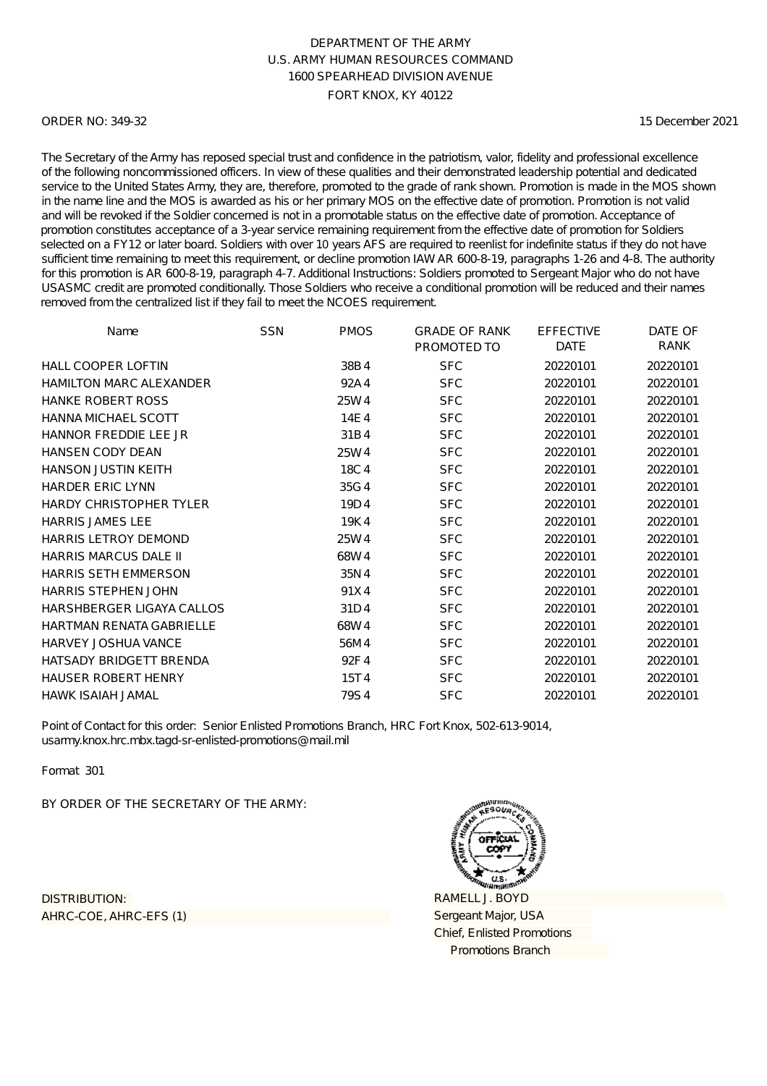### ORDER NO: 349-32

15 December 2021

The Secretary of the Army has reposed special trust and confidence in the patriotism, valor, fidelity and professional excellence of the following noncommissioned officers. In view of these qualities and their demonstrated leadership potential and dedicated service to the United States Army, they are, therefore, promoted to the grade of rank shown. Promotion is made in the MOS shown in the name line and the MOS is awarded as his or her primary MOS on the effective date of promotion. Promotion is not valid and will be revoked if the Soldier concerned is not in a promotable status on the effective date of promotion. Acceptance of promotion constitutes acceptance of a 3-year service remaining requirement from the effective date of promotion for Soldiers selected on a FY12 or later board. Soldiers with over 10 years AFS are required to reenlist for indefinite status if they do not have sufficient time remaining to meet this requirement, or decline promotion IAW AR 600-8-19, paragraphs 1-26 and 4-8. The authority for this promotion is AR 600-8-19, paragraph 4-7. Additional Instructions: Soldiers promoted to Sergeant Major who do not have USASMC credit are promoted conditionally. Those Soldiers who receive a conditional promotion will be reduced and their names removed from the centralized list if they fail to meet the NCOES requirement.

| Name                            | <b>SSN</b> | <b>PMOS</b> | <b>GRADE OF RANK</b><br>PROMOTED TO | <b>EFFECTIVE</b><br><b>DATE</b> | DATE OF<br>RANK |
|---------------------------------|------------|-------------|-------------------------------------|---------------------------------|-----------------|
| <b>HALL COOPER LOFTIN</b>       |            | 38B4        | <b>SFC</b>                          | 20220101                        | 20220101        |
| <b>HAMILTON MARC ALEXANDER</b>  |            | 92A4        | <b>SFC</b>                          | 20220101                        | 20220101        |
| <b>HANKE ROBERT ROSS</b>        |            | 25W4        | <b>SFC</b>                          | 20220101                        | 20220101        |
| <b>HANNA MICHAEL SCOTT</b>      |            | 14E4        | <b>SFC</b>                          | 20220101                        | 20220101        |
| HANNOR FREDDIE LEE JR           |            | 31B4        | <b>SFC</b>                          | 20220101                        | 20220101        |
| <b>HANSEN CODY DEAN</b>         |            | 25W4        | <b>SFC</b>                          | 20220101                        | 20220101        |
| <b>HANSON JUSTIN KEITH</b>      |            | 18C4        | <b>SFC</b>                          | 20220101                        | 20220101        |
| <b>HARDER ERIC LYNN</b>         |            | 35G4        | <b>SFC</b>                          | 20220101                        | 20220101        |
| <b>HARDY CHRISTOPHER TYLER</b>  |            | 19D4        | <b>SFC</b>                          | 20220101                        | 20220101        |
| <b>HARRIS JAMES LEE</b>         |            | 19K4        | <b>SFC</b>                          | 20220101                        | 20220101        |
| <b>HARRIS LETROY DEMOND</b>     |            | 25W4        | <b>SFC</b>                          | 20220101                        | 20220101        |
| <b>HARRIS MARCUS DALE II</b>    |            | 68W4        | <b>SFC</b>                          | 20220101                        | 20220101        |
| <b>HARRIS SETH EMMERSON</b>     |            | 35N4        | <b>SFC</b>                          | 20220101                        | 20220101        |
| <b>HARRIS STEPHEN JOHN</b>      |            | 91X4        | <b>SFC</b>                          | 20220101                        | 20220101        |
| HARSHBERGER LIGAYA CALLOS       |            | 31D4        | <b>SFC</b>                          | 20220101                        | 20220101        |
| <b>HARTMAN RENATA GABRIELLE</b> |            | 68W4        | <b>SFC</b>                          | 20220101                        | 20220101        |
| <b>HARVEY JOSHUA VANCE</b>      |            | 56M4        | <b>SFC</b>                          | 20220101                        | 20220101        |
| <b>HATSADY BRIDGETT BRENDA</b>  |            | 92F4        | <b>SFC</b>                          | 20220101                        | 20220101        |
| <b>HAUSER ROBERT HENRY</b>      |            | 15T4        | <b>SFC</b>                          | 20220101                        | 20220101        |
| <b>HAWK ISAIAH JAMAL</b>        |            | 79S4        | <b>SFC</b>                          | 20220101                        | 20220101        |

Point of Contact for this order: Senior Enlisted Promotions Branch, HRC Fort Knox, 502-613-9014, usarmy.knox.hrc.mbx.tagd-sr-enlisted-promotions@mail.mil

Format 301

BY ORDER OF THE SECRETARY OF THE ARMY:

AHRC-COE, AHRC-EFS (1) DISTRIBUTION:

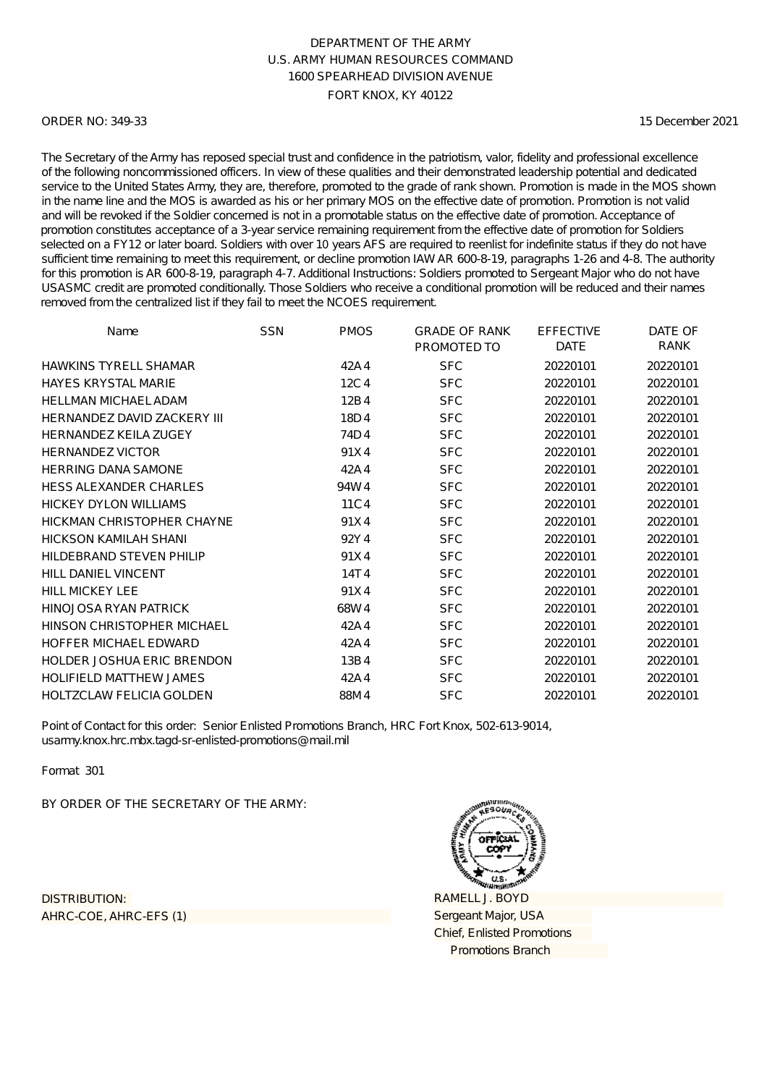### ORDER NO: 349-33

15 December 2021

The Secretary of the Army has reposed special trust and confidence in the patriotism, valor, fidelity and professional excellence of the following noncommissioned officers. In view of these qualities and their demonstrated leadership potential and dedicated service to the United States Army, they are, therefore, promoted to the grade of rank shown. Promotion is made in the MOS shown in the name line and the MOS is awarded as his or her primary MOS on the effective date of promotion. Promotion is not valid and will be revoked if the Soldier concerned is not in a promotable status on the effective date of promotion. Acceptance of promotion constitutes acceptance of a 3-year service remaining requirement from the effective date of promotion for Soldiers selected on a FY12 or later board. Soldiers with over 10 years AFS are required to reenlist for indefinite status if they do not have sufficient time remaining to meet this requirement, or decline promotion IAW AR 600-8-19, paragraphs 1-26 and 4-8. The authority for this promotion is AR 600-8-19, paragraph 4-7. Additional Instructions: Soldiers promoted to Sergeant Major who do not have USASMC credit are promoted conditionally. Those Soldiers who receive a conditional promotion will be reduced and their names removed from the centralized list if they fail to meet the NCOES requirement.

| Name                               | <b>SSN</b> | <b>PMOS</b> | <b>GRADE OF RANK</b><br>PROMOTED TO | <b>EFFECTIVE</b><br><b>DATE</b> | DATE OF<br>RANK |
|------------------------------------|------------|-------------|-------------------------------------|---------------------------------|-----------------|
| <b>HAWKINS TYRELL SHAMAR</b>       |            | 42A4        | <b>SFC</b>                          | 20220101                        | 20220101        |
| <b>HAYES KRYSTAL MARIE</b>         |            | 12C4        | <b>SFC</b>                          | 20220101                        | 20220101        |
| <b>HELLMAN MICHAEL ADAM</b>        |            | 12B4        | <b>SFC</b>                          | 20220101                        | 20220101        |
| <b>HERNANDEZ DAVID ZACKERY III</b> |            | 18D4        | <b>SFC</b>                          | 20220101                        | 20220101        |
| <b>HERNANDEZ KEILA ZUGEY</b>       |            | 74D4        | <b>SFC</b>                          | 20220101                        | 20220101        |
| <b>HERNANDEZ VICTOR</b>            |            | 91X4        | <b>SFC</b>                          | 20220101                        | 20220101        |
| <b>HERRING DANA SAMONE</b>         |            | 42A4        | <b>SFC</b>                          | 20220101                        | 20220101        |
| <b>HESS ALEXANDER CHARLES</b>      |            | 94W4        | <b>SFC</b>                          | 20220101                        | 20220101        |
| HICKEY DYLON WILLIAMS              |            | 11C4        | <b>SFC</b>                          | 20220101                        | 20220101        |
| HICKMAN CHRISTOPHER CHAYNE         |            | 91X4        | <b>SFC</b>                          | 20220101                        | 20220101        |
| <b>HICKSON KAMILAH SHANI</b>       |            | 92Y4        | <b>SFC</b>                          | 20220101                        | 20220101        |
| <b>HILDEBRAND STEVEN PHILIP</b>    |            | 91X4        | <b>SFC</b>                          | 20220101                        | 20220101        |
| <b>HILL DANIEL VINCENT</b>         |            | 14T4        | <b>SFC</b>                          | 20220101                        | 20220101        |
| <b>HILL MICKEY LEE</b>             |            | 91X4        | <b>SFC</b>                          | 20220101                        | 20220101        |
| HINOJOSA RYAN PATRICK              |            | 68W4        | <b>SFC</b>                          | 20220101                        | 20220101        |
| HINSON CHRISTOPHER MICHAEL         |            | 42A4        | <b>SFC</b>                          | 20220101                        | 20220101        |
| HOFFER MICHAEL EDWARD              |            | 42A4        | <b>SFC</b>                          | 20220101                        | 20220101        |
| <b>HOLDER JOSHUA ERIC BRENDON</b>  |            | 13B4        | <b>SFC</b>                          | 20220101                        | 20220101        |
| <b>HOLIFIELD MATTHEW JAMES</b>     |            | 42A4        | <b>SFC</b>                          | 20220101                        | 20220101        |
| <b>HOLTZCLAW FELICIA GOLDEN</b>    |            | 88M4        | <b>SFC</b>                          | 20220101                        | 20220101        |

Point of Contact for this order: Senior Enlisted Promotions Branch, HRC Fort Knox, 502-613-9014, usarmy.knox.hrc.mbx.tagd-sr-enlisted-promotions@mail.mil

Format 301

BY ORDER OF THE SECRETARY OF THE ARMY:

AHRC-COE, AHRC-EFS (1) DISTRIBUTION:

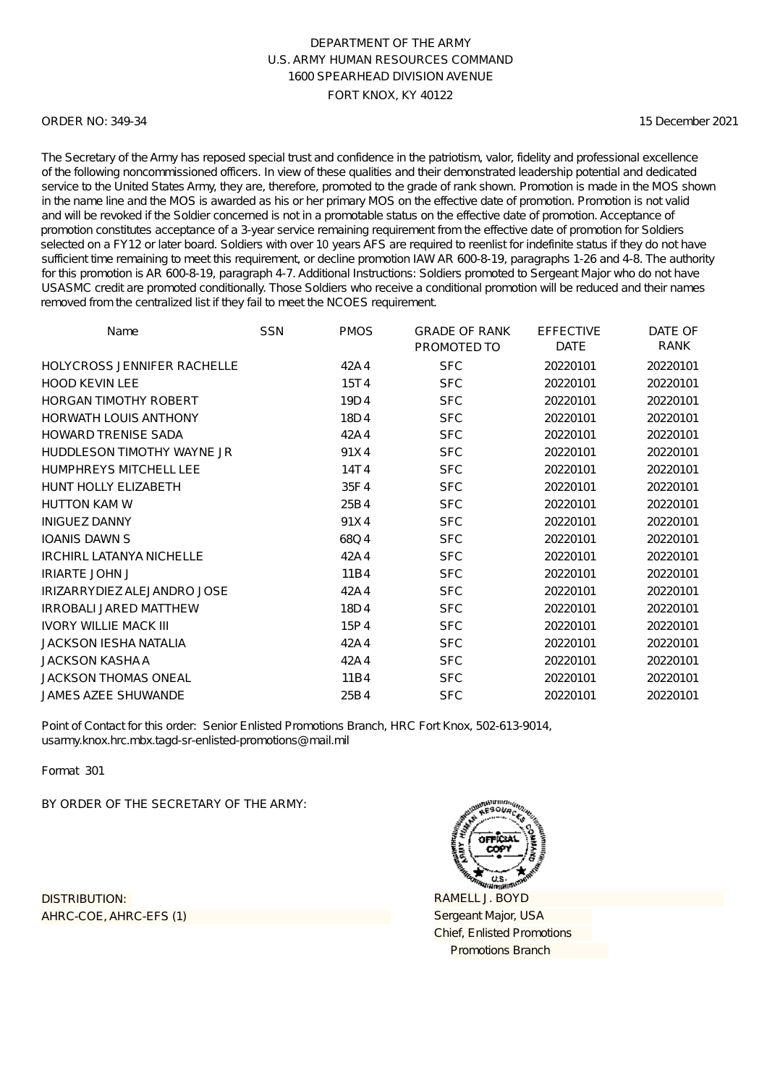### ORDER NO: 349-34

15 December 2021

The Secretary of the Army has reposed special trust and confidence in the patriotism, valor, fidelity and professional excellence of the following noncommissioned officers. In view of these qualities and their demonstrated leadership potential and dedicated service to the United States Army, they are, therefore, promoted to the grade of rank shown. Promotion is made in the MOS shown in the name line and the MOS is awarded as his or her primary MOS on the effective date of promotion. Promotion is not valid and will be revoked if the Soldier concerned is not in a promotable status on the effective date of promotion. Acceptance of promotion constitutes acceptance of a 3-year service remaining requirement from the effective date of promotion for Soldiers selected on a FY12 or later board. Soldiers with over 10 years AFS are required to reenlist for indefinite status if they do not have sufficient time remaining to meet this requirement, or decline promotion IAW AR 600-8-19, paragraphs 1-26 and 4-8. The authority for this promotion is AR 600-8-19, paragraph 4-7. Additional Instructions: Soldiers promoted to Sergeant Major who do not have USASMC credit are promoted conditionally. Those Soldiers who receive a conditional promotion will be reduced and their names removed from the centralized list if they fail to meet the NCOES requirement.

| Name                               | <b>SSN</b> | <b>PMOS</b> | <b>GRADE OF RANK</b><br>PROMOTED TO | <b>EFFECTIVE</b><br><b>DATE</b> | DATE OF<br>RANK |
|------------------------------------|------------|-------------|-------------------------------------|---------------------------------|-----------------|
| <b>HOLYCROSS JENNIFER RACHELLE</b> |            | 42A4        | <b>SFC</b>                          | 20220101                        | 20220101        |
| <b>HOOD KEVIN LEE</b>              |            | 15T4        | <b>SFC</b>                          | 20220101                        | 20220101        |
| <b>HORGAN TIMOTHY ROBERT</b>       |            | 19D4        | <b>SFC</b>                          | 20220101                        | 20220101        |
| <b>HORWATH LOUIS ANTHONY</b>       |            | 18D4        | <b>SFC</b>                          | 20220101                        | 20220101        |
| <b>HOWARD TRENISE SADA</b>         |            | 42A4        | <b>SFC</b>                          | 20220101                        | 20220101        |
| HUDDLESON TIMOTHY WAYNE JR         |            | 91X4        | <b>SFC</b>                          | 20220101                        | 20220101        |
| <b>HUMPHREYS MITCHELL LEE</b>      |            | 14T4        | <b>SFC</b>                          | 20220101                        | 20220101        |
| <b>HUNT HOLLY ELIZABETH</b>        |            | 35F4        | <b>SFC</b>                          | 20220101                        | 20220101        |
| <b>HUTTON KAM W</b>                |            | 25B4        | <b>SFC</b>                          | 20220101                        | 20220101        |
| <b>INIGUEZ DANNY</b>               |            | 91X4        | <b>SFC</b>                          | 20220101                        | 20220101        |
| <b>IOANIS DAWN S</b>               |            | 68Q4        | <b>SFC</b>                          | 20220101                        | 20220101        |
| <b>IRCHIRL LATANYA NICHELLE</b>    |            | 42A4        | <b>SFC</b>                          | 20220101                        | 20220101        |
| <b>IRIARTE JOHN J</b>              |            | 11B4        | <b>SFC</b>                          | 20220101                        | 20220101        |
| IRIZARRYDIEZ ALEJANDRO JOSE        |            | 42A4        | <b>SFC</b>                          | 20220101                        | 20220101        |
| <b>IRROBALL JARED MATTHEW</b>      |            | 18D4        | <b>SFC</b>                          | 20220101                        | 20220101        |
| <b>IVORY WILLIE MACK III</b>       |            | 15P4        | <b>SFC</b>                          | 20220101                        | 20220101        |
| <b>JACKSON IESHA NATALIA</b>       |            | 42A4        | <b>SFC</b>                          | 20220101                        | 20220101        |
| JACKSON KASHA A                    |            | 42A4        | <b>SFC</b>                          | 20220101                        | 20220101        |
| <b>JACKSON THOMAS ONEAL</b>        |            | 11B4        | <b>SFC</b>                          | 20220101                        | 20220101        |
| <b>JAMES AZEE SHUWANDE</b>         |            | 25B4        | <b>SFC</b>                          | 20220101                        | 20220101        |

Point of Contact for this order: Senior Enlisted Promotions Branch, HRC Fort Knox, 502-613-9014, usarmy.knox.hrc.mbx.tagd-sr-enlisted-promotions@mail.mil

Format 301

BY ORDER OF THE SECRETARY OF THE ARMY:

AHRC-COE, AHRC-EFS (1) DISTRIBUTION:

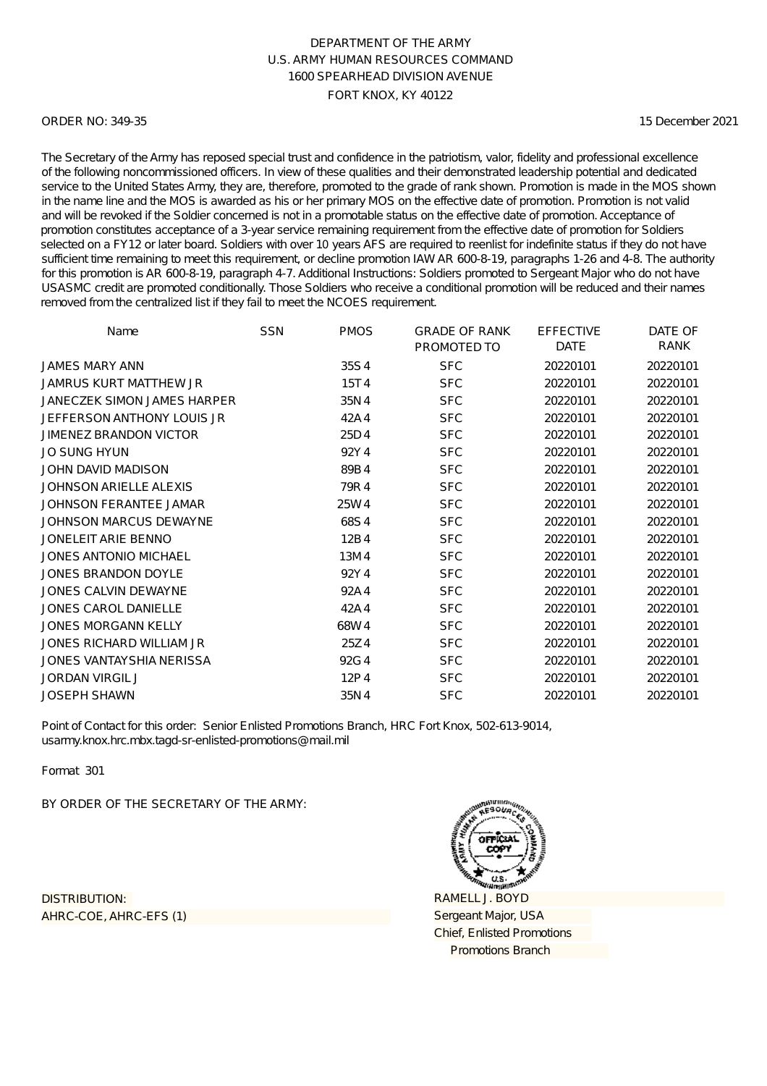### ORDER NO: 349-35

15 December 2021

The Secretary of the Army has reposed special trust and confidence in the patriotism, valor, fidelity and professional excellence of the following noncommissioned officers. In view of these qualities and their demonstrated leadership potential and dedicated service to the United States Army, they are, therefore, promoted to the grade of rank shown. Promotion is made in the MOS shown in the name line and the MOS is awarded as his or her primary MOS on the effective date of promotion. Promotion is not valid and will be revoked if the Soldier concerned is not in a promotable status on the effective date of promotion. Acceptance of promotion constitutes acceptance of a 3-year service remaining requirement from the effective date of promotion for Soldiers selected on a FY12 or later board. Soldiers with over 10 years AFS are required to reenlist for indefinite status if they do not have sufficient time remaining to meet this requirement, or decline promotion IAW AR 600-8-19, paragraphs 1-26 and 4-8. The authority for this promotion is AR 600-8-19, paragraph 4-7. Additional Instructions: Soldiers promoted to Sergeant Major who do not have USASMC credit are promoted conditionally. Those Soldiers who receive a conditional promotion will be reduced and their names removed from the centralized list if they fail to meet the NCOES requirement.

| Name                          | <b>SSN</b> | <b>PMOS</b> | <b>GRADE OF RANK</b> | <b>EFFECTIVE</b> | DATE OF  |
|-------------------------------|------------|-------------|----------------------|------------------|----------|
|                               |            |             | PROMOTED TO          | <b>DATE</b>      | RANK     |
| JAMES MARY ANN                |            | 35S4        | <b>SFC</b>           | 20220101         | 20220101 |
| <b>JAMRUS KURT MATTHEW JR</b> |            | 15T4        | <b>SFC</b>           | 20220101         | 20220101 |
| JANECZEK SIMON JAMES HARPER   |            | 35N4        | <b>SFC</b>           | 20220101         | 20220101 |
| JEFFERSON ANTHONY LOUIS JR    |            | 42A4        | <b>SFC</b>           | 20220101         | 20220101 |
| <b>JIMENEZ BRANDON VICTOR</b> |            | 25D4        | <b>SFC</b>           | 20220101         | 20220101 |
| <b>JO SUNG HYUN</b>           |            | 92Y4        | <b>SFC</b>           | 20220101         | 20220101 |
| <b>JOHN DAVID MADISON</b>     |            | 89B4        | <b>SFC</b>           | 20220101         | 20220101 |
| <b>JOHNSON ARIELLE ALEXIS</b> |            | 79R4        | <b>SFC</b>           | 20220101         | 20220101 |
| JOHNSON FERANTEE JAMAR        |            | 25W4        | <b>SFC</b>           | 20220101         | 20220101 |
| JOHNSON MARCUS DEWAYNE        |            | 68S4        | <b>SFC</b>           | 20220101         | 20220101 |
| JONELEIT ARIE BENNO           |            | 12B4        | <b>SFC</b>           | 20220101         | 20220101 |
| JONES ANTONIO MICHAEL         |            | 13M4        | <b>SFC</b>           | 20220101         | 20220101 |
| <b>JONES BRANDON DOYLE</b>    |            | 92Y4        | <b>SFC</b>           | 20220101         | 20220101 |
| JONES CALVIN DEWAYNE          |            | 92A4        | <b>SFC</b>           | 20220101         | 20220101 |
| <b>JONES CAROL DANIELLE</b>   |            | 42A4        | <b>SFC</b>           | 20220101         | 20220101 |
| <b>JONES MORGANN KELLY</b>    |            | 68W4        | <b>SFC</b>           | 20220101         | 20220101 |
| JONES RICHARD WILLIAM JR      |            | 25Z4        | <b>SFC</b>           | 20220101         | 20220101 |
| JONES VANTAYSHIA NERISSA      |            | 92G4        | <b>SFC</b>           | 20220101         | 20220101 |
| <b>JORDAN VIRGIL J</b>        |            | 12P4        | <b>SFC</b>           | 20220101         | 20220101 |
| <b>JOSEPH SHAWN</b>           |            | 35N4        | <b>SFC</b>           | 20220101         | 20220101 |

Point of Contact for this order: Senior Enlisted Promotions Branch, HRC Fort Knox, 502-613-9014, usarmy.knox.hrc.mbx.tagd-sr-enlisted-promotions@mail.mil

Format 301

BY ORDER OF THE SECRETARY OF THE ARMY:

AHRC-COE, AHRC-EFS (1) DISTRIBUTION:

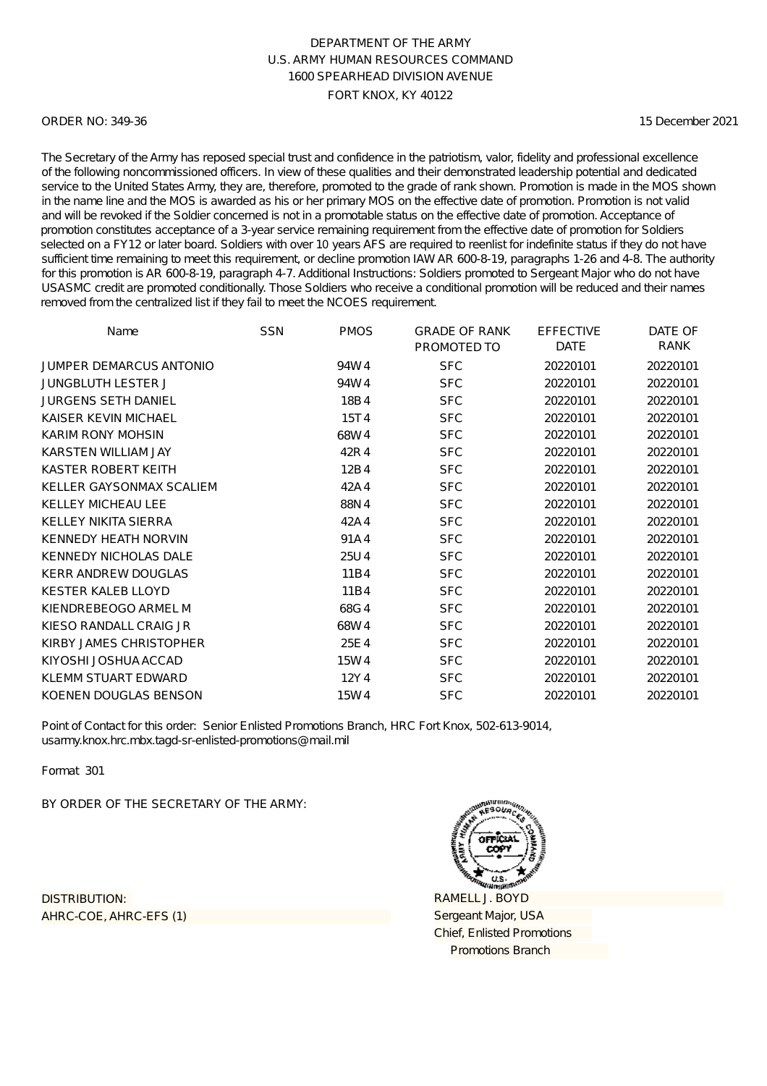### ORDER NO: 349-36

15 December 2021

The Secretary of the Army has reposed special trust and confidence in the patriotism, valor, fidelity and professional excellence of the following noncommissioned officers. In view of these qualities and their demonstrated leadership potential and dedicated service to the United States Army, they are, therefore, promoted to the grade of rank shown. Promotion is made in the MOS shown in the name line and the MOS is awarded as his or her primary MOS on the effective date of promotion. Promotion is not valid and will be revoked if the Soldier concerned is not in a promotable status on the effective date of promotion. Acceptance of promotion constitutes acceptance of a 3-year service remaining requirement from the effective date of promotion for Soldiers selected on a FY12 or later board. Soldiers with over 10 years AFS are required to reenlist for indefinite status if they do not have sufficient time remaining to meet this requirement, or decline promotion IAW AR 600-8-19, paragraphs 1-26 and 4-8. The authority for this promotion is AR 600-8-19, paragraph 4-7. Additional Instructions: Soldiers promoted to Sergeant Major who do not have USASMC credit are promoted conditionally. Those Soldiers who receive a conditional promotion will be reduced and their names removed from the centralized list if they fail to meet the NCOES requirement.

| Name                           | <b>SSN</b> | <b>PMOS</b> | <b>GRADE OF RANK</b><br>PROMOTED TO | <b>EFFECTIVE</b><br><b>DATE</b> | DATE OF<br>RANK |
|--------------------------------|------------|-------------|-------------------------------------|---------------------------------|-----------------|
| <b>JUMPER DEMARCUS ANTONIO</b> |            | 94W4        | <b>SFC</b>                          | 20220101                        | 20220101        |
| <b>JUNGBLUTH LESTER J</b>      |            | 94W4        | <b>SFC</b>                          | 20220101                        | 20220101        |
| <b>JURGENS SETH DANIEL</b>     |            | 18B4        | <b>SFC</b>                          | 20220101                        | 20220101        |
| KAISER KEVIN MICHAEL           |            | 15T4        | <b>SFC</b>                          | 20220101                        | 20220101        |
| <b>KARIM RONY MOHSIN</b>       |            | 68W4        | <b>SFC</b>                          | 20220101                        | 20220101        |
| KARSTEN WILLIAM JAY            |            | 42R4        | <b>SFC</b>                          | 20220101                        | 20220101        |
| KASTER ROBERT KEITH            |            | 12B4        | <b>SFC</b>                          | 20220101                        | 20220101        |
| KELLER GAYSONMAX SCALIEM       |            | 42A4        | <b>SFC</b>                          | 20220101                        | 20220101        |
| <b>KELLEY MICHEAU LEE</b>      |            | 88N4        | <b>SFC</b>                          | 20220101                        | 20220101        |
| <b>KELLEY NIKITA SIERRA</b>    |            | 42A4        | <b>SFC</b>                          | 20220101                        | 20220101        |
| <b>KENNEDY HEATH NORVIN</b>    |            | 91A4        | <b>SFC</b>                          | 20220101                        | 20220101        |
| <b>KENNEDY NICHOLAS DALE</b>   |            | 25U4        | <b>SFC</b>                          | 20220101                        | 20220101        |
| <b>KERR ANDREW DOUGLAS</b>     |            | 11B4        | <b>SFC</b>                          | 20220101                        | 20220101        |
| <b>KESTER KALEB LLOYD</b>      |            | 11B4        | <b>SFC</b>                          | 20220101                        | 20220101        |
| KIENDREBEOGO ARMEL M           |            | 68G4        | <b>SFC</b>                          | 20220101                        | 20220101        |
| KIESO RANDALL CRAIG JR         |            | 68W4        | <b>SFC</b>                          | 20220101                        | 20220101        |
| KIRBY JAMES CHRISTOPHER        |            | 25E4        | <b>SFC</b>                          | 20220101                        | 20220101        |
| KIYOSHI JOSHUA ACCAD           |            | 15W4        | <b>SFC</b>                          | 20220101                        | 20220101        |
| KLEMM STUART EDWARD            |            | 12Y4        | <b>SFC</b>                          | 20220101                        | 20220101        |
| KOENEN DOUGLAS BENSON          |            | 15W4        | <b>SFC</b>                          | 20220101                        | 20220101        |

Point of Contact for this order: Senior Enlisted Promotions Branch, HRC Fort Knox, 502-613-9014, usarmy.knox.hrc.mbx.tagd-sr-enlisted-promotions@mail.mil

Format 301

BY ORDER OF THE SECRETARY OF THE ARMY:

AHRC-COE, AHRC-EFS (1) DISTRIBUTION:

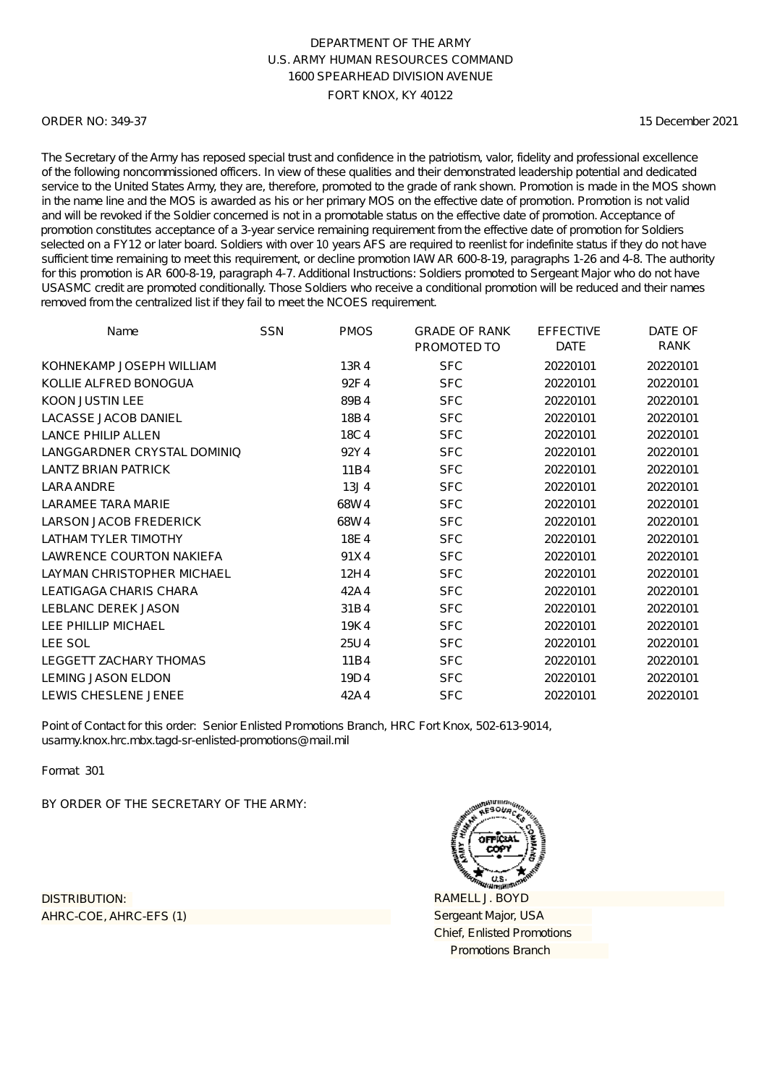### ORDER NO: 349-37

15 December 2021

The Secretary of the Army has reposed special trust and confidence in the patriotism, valor, fidelity and professional excellence of the following noncommissioned officers. In view of these qualities and their demonstrated leadership potential and dedicated service to the United States Army, they are, therefore, promoted to the grade of rank shown. Promotion is made in the MOS shown in the name line and the MOS is awarded as his or her primary MOS on the effective date of promotion. Promotion is not valid and will be revoked if the Soldier concerned is not in a promotable status on the effective date of promotion. Acceptance of promotion constitutes acceptance of a 3-year service remaining requirement from the effective date of promotion for Soldiers selected on a FY12 or later board. Soldiers with over 10 years AFS are required to reenlist for indefinite status if they do not have sufficient time remaining to meet this requirement, or decline promotion IAW AR 600-8-19, paragraphs 1-26 and 4-8. The authority for this promotion is AR 600-8-19, paragraph 4-7. Additional Instructions: Soldiers promoted to Sergeant Major who do not have USASMC credit are promoted conditionally. Those Soldiers who receive a conditional promotion will be reduced and their names removed from the centralized list if they fail to meet the NCOES requirement.

| Name                            | <b>SSN</b> | <b>PMOS</b>      | <b>GRADE OF RANK</b><br>PROMOTED TO | <b>EFFECTIVE</b><br><b>DATE</b> | DATE OF<br>RANK |
|---------------------------------|------------|------------------|-------------------------------------|---------------------------------|-----------------|
| KOHNEKAMP JOSEPH WILLIAM        |            | 13R4             | <b>SFC</b>                          | 20220101                        | 20220101        |
| KOLLIE ALFRED BONOGUA           |            | 92F4             | <b>SFC</b>                          | 20220101                        | 20220101        |
| <b>KOON JUSTIN LEE</b>          |            | 89B4             | <b>SFC</b>                          | 20220101                        | 20220101        |
| <b>LACASSE JACOB DANIEL</b>     |            | 18B4             | <b>SFC</b>                          | 20220101                        | 20220101        |
| <b>LANCE PHILIP ALLEN</b>       |            | 18C4             | <b>SFC</b>                          | 20220101                        | 20220101        |
| LANGGARDNER CRYSTAL DOMINIO     |            | 92Y4             | <b>SFC</b>                          | 20220101                        | 20220101        |
| <b>LANTZ BRIAN PATRICK</b>      |            | 11B4             | <b>SFC</b>                          | 20220101                        | 20220101        |
| LARA ANDRE                      |            | 13J <sub>4</sub> | <b>SFC</b>                          | 20220101                        | 20220101        |
| <b>LARAMEE TARA MARIE</b>       |            | 68W4             | <b>SFC</b>                          | 20220101                        | 20220101        |
| <b>LARSON JACOB FREDERICK</b>   |            | 68W4             | <b>SFC</b>                          | 20220101                        | 20220101        |
| <b>LATHAM TYLER TIMOTHY</b>     |            | 18E4             | <b>SFC</b>                          | 20220101                        | 20220101        |
| <b>LAWRENCE COURTON NAKIEFA</b> |            | 91X4             | <b>SFC</b>                          | 20220101                        | 20220101        |
| LAYMAN CHRISTOPHER MICHAEL      |            | 12H4             | <b>SFC</b>                          | 20220101                        | 20220101        |
| LEATIGAGA CHARIS CHARA          |            | 42A4             | <b>SFC</b>                          | 20220101                        | 20220101        |
| <b>LEBLANC DEREK JASON</b>      |            | 31B4             | <b>SFC</b>                          | 20220101                        | 20220101        |
| LEE PHILLIP MICHAEL             |            | 19K4             | <b>SFC</b>                          | 20220101                        | 20220101        |
| LEE SOL                         |            | 25U4             | <b>SFC</b>                          | 20220101                        | 20220101        |
| <b>LEGGETT ZACHARY THOMAS</b>   |            | 11B4             | <b>SFC</b>                          | 20220101                        | 20220101        |
| <b>LEMING JASON ELDON</b>       |            | 19D4             | <b>SFC</b>                          | 20220101                        | 20220101        |
| LEWIS CHESLENE JENEE            |            | 42A4             | <b>SFC</b>                          | 20220101                        | 20220101        |

Point of Contact for this order: Senior Enlisted Promotions Branch, HRC Fort Knox, 502-613-9014, usarmy.knox.hrc.mbx.tagd-sr-enlisted-promotions@mail.mil

Format 301

BY ORDER OF THE SECRETARY OF THE ARMY:

AHRC-COE, AHRC-EFS (1) DISTRIBUTION:

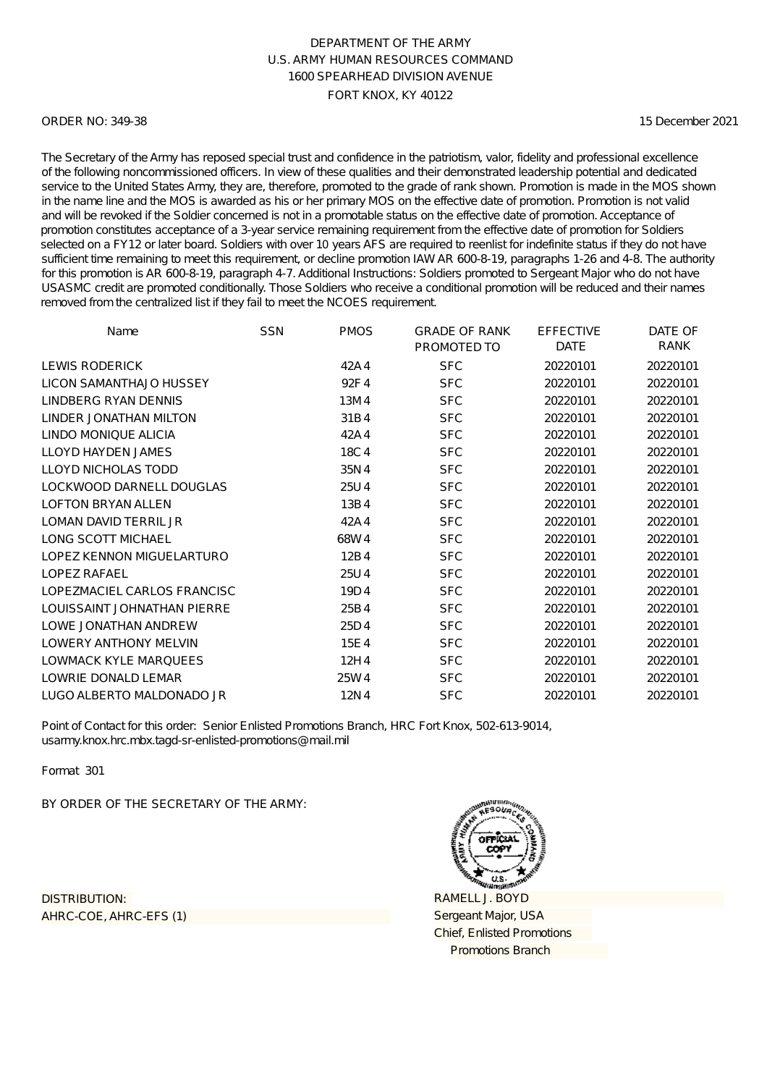### ORDER NO: 349-38

15 December 2021

The Secretary of the Army has reposed special trust and confidence in the patriotism, valor, fidelity and professional excellence of the following noncommissioned officers. In view of these qualities and their demonstrated leadership potential and dedicated service to the United States Army, they are, therefore, promoted to the grade of rank shown. Promotion is made in the MOS shown in the name line and the MOS is awarded as his or her primary MOS on the effective date of promotion. Promotion is not valid and will be revoked if the Soldier concerned is not in a promotable status on the effective date of promotion. Acceptance of promotion constitutes acceptance of a 3-year service remaining requirement from the effective date of promotion for Soldiers selected on a FY12 or later board. Soldiers with over 10 years AFS are required to reenlist for indefinite status if they do not have sufficient time remaining to meet this requirement, or decline promotion IAW AR 600-8-19, paragraphs 1-26 and 4-8. The authority for this promotion is AR 600-8-19, paragraph 4-7. Additional Instructions: Soldiers promoted to Sergeant Major who do not have USASMC credit are promoted conditionally. Those Soldiers who receive a conditional promotion will be reduced and their names removed from the centralized list if they fail to meet the NCOES requirement.

| Name                         | <b>SSN</b> | <b>PMOS</b> | <b>GRADE OF RANK</b><br>PROMOTED TO | <b>EFFECTIVE</b><br><b>DATE</b> | DATE OF<br>RANK |
|------------------------------|------------|-------------|-------------------------------------|---------------------------------|-----------------|
| LEWIS RODERICK               |            | 42A4        | <b>SFC</b>                          | 20220101                        | 20220101        |
| LICON SAMANTHAJO HUSSEY      |            | 92F4        | <b>SFC</b>                          | 20220101                        | 20220101        |
|                              |            |             |                                     |                                 |                 |
| LINDBERG RYAN DENNIS         |            | 13M4        | <b>SFC</b>                          | 20220101                        | 20220101        |
| LINDER JONATHAN MILTON       |            | 31B4        | <b>SFC</b>                          | 20220101                        | 20220101        |
| LINDO MONIQUE ALICIA         |            | 42A4        | <b>SFC</b>                          | 20220101                        | 20220101        |
| LLOYD HAYDEN JAMES           |            | 18C4        | <b>SFC</b>                          | 20220101                        | 20220101        |
| <b>LLOYD NICHOLAS TODD</b>   |            | 35N4        | <b>SFC</b>                          | 20220101                        | 20220101        |
| LOCKWOOD DARNELL DOUGLAS     |            | 25U4        | <b>SFC</b>                          | 20220101                        | 20220101        |
| <b>LOFTON BRYAN ALLEN</b>    |            | 13B4        | <b>SFC</b>                          | 20220101                        | 20220101        |
| LOMAN DAVID TERRIL JR        |            | 42A4        | <b>SFC</b>                          | 20220101                        | 20220101        |
| <b>LONG SCOTT MICHAEL</b>    |            | 68W4        | <b>SFC</b>                          | 20220101                        | 20220101        |
| LOPEZ KENNON MIGUELARTURO    |            | 12B4        | <b>SFC</b>                          | 20220101                        | 20220101        |
| LOPEZ RAFAEL                 |            | 25U4        | <b>SFC</b>                          | 20220101                        | 20220101        |
| LOPEZMACIEL CARLOS FRANCISC  |            | 19D4        | <b>SFC</b>                          | 20220101                        | 20220101        |
| LOUISSAINT JOHNATHAN PIERRE  |            | 25B4        | <b>SFC</b>                          | 20220101                        | 20220101        |
| LOWE JONATHAN ANDREW         |            | 25D4        | <b>SFC</b>                          | 20220101                        | 20220101        |
| <b>LOWERY ANTHONY MELVIN</b> |            | 15E4        | <b>SFC</b>                          | 20220101                        | 20220101        |
| <b>LOWMACK KYLE MARQUEES</b> |            | 12H4        | <b>SFC</b>                          | 20220101                        | 20220101        |
| LOWRIE DONALD LEMAR          |            | 25W4        | <b>SFC</b>                          | 20220101                        | 20220101        |
| LUGO ALBERTO MALDONADO JR    |            | 12N4        | <b>SFC</b>                          | 20220101                        | 20220101        |

Point of Contact for this order: Senior Enlisted Promotions Branch, HRC Fort Knox, 502-613-9014, usarmy.knox.hrc.mbx.tagd-sr-enlisted-promotions@mail.mil

Format 301

BY ORDER OF THE SECRETARY OF THE ARMY:

AHRC-COE, AHRC-EFS (1) DISTRIBUTION:

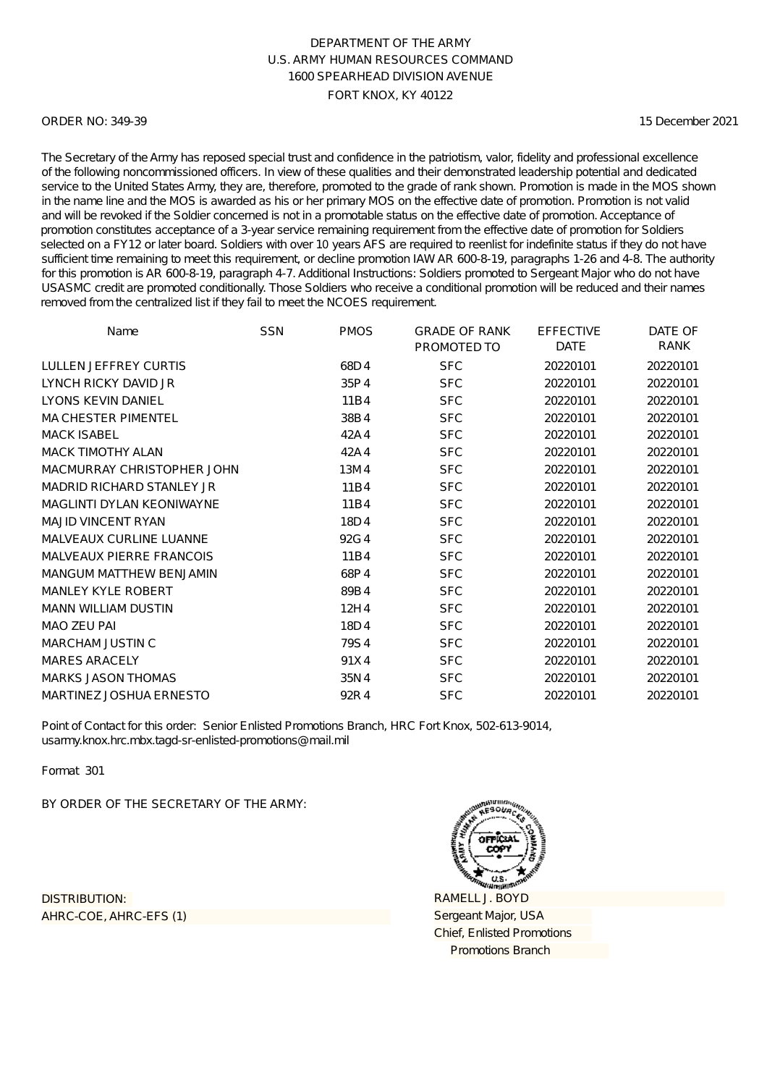### ORDER NO: 349-39

15 December 2021

The Secretary of the Army has reposed special trust and confidence in the patriotism, valor, fidelity and professional excellence of the following noncommissioned officers. In view of these qualities and their demonstrated leadership potential and dedicated service to the United States Army, they are, therefore, promoted to the grade of rank shown. Promotion is made in the MOS shown in the name line and the MOS is awarded as his or her primary MOS on the effective date of promotion. Promotion is not valid and will be revoked if the Soldier concerned is not in a promotable status on the effective date of promotion. Acceptance of promotion constitutes acceptance of a 3-year service remaining requirement from the effective date of promotion for Soldiers selected on a FY12 or later board. Soldiers with over 10 years AFS are required to reenlist for indefinite status if they do not have sufficient time remaining to meet this requirement, or decline promotion IAW AR 600-8-19, paragraphs 1-26 and 4-8. The authority for this promotion is AR 600-8-19, paragraph 4-7. Additional Instructions: Soldiers promoted to Sergeant Major who do not have USASMC credit are promoted conditionally. Those Soldiers who receive a conditional promotion will be reduced and their names removed from the centralized list if they fail to meet the NCOES requirement.

| Name                             | <b>SSN</b> | <b>PMOS</b> | <b>GRADE OF RANK</b><br>PROMOTED TO | <b>EFFECTIVE</b><br><b>DATE</b> | DATE OF<br>RANK |
|----------------------------------|------------|-------------|-------------------------------------|---------------------------------|-----------------|
| LULLEN JEFFREY CURTIS            |            | 68D4        | <b>SFC</b>                          | 20220101                        | 20220101        |
| LYNCH RICKY DAVID JR             |            | 35P4        | <b>SFC</b>                          | 20220101                        | 20220101        |
| LYONS KEVIN DANIEL               |            | 11B4        | <b>SFC</b>                          | 20220101                        | 20220101        |
| <b>MA CHESTER PIMENTEL</b>       |            | 38B4        | <b>SFC</b>                          | 20220101                        | 20220101        |
| <b>MACK ISABEL</b>               |            | 42A4        | <b>SFC</b>                          | 20220101                        | 20220101        |
| <b>MACK TIMOTHY ALAN</b>         |            | 42A4        | <b>SFC</b>                          | 20220101                        | 20220101        |
| MACMURRAY CHRISTOPHER JOHN       |            | 13M4        | <b>SFC</b>                          | 20220101                        | 20220101        |
| <b>MADRID RICHARD STANLEY JR</b> |            | 11B4        | <b>SFC</b>                          | 20220101                        | 20220101        |
| <b>MAGLINTI DYLAN KEONIWAYNE</b> |            | 11B4        | <b>SFC</b>                          | 20220101                        | 20220101        |
| <b>MAJID VINCENT RYAN</b>        |            | 18D4        | <b>SFC</b>                          | 20220101                        | 20220101        |
| <b>MALVEAUX CURLINE LUANNE</b>   |            | 92G4        | <b>SFC</b>                          | 20220101                        | 20220101        |
| <b>MALVEAUX PIERRE FRANCOIS</b>  |            | 11B4        | <b>SFC</b>                          | 20220101                        | 20220101        |
| <b>MANGUM MATTHEW BENJAMIN</b>   |            | 68P4        | <b>SFC</b>                          | 20220101                        | 20220101        |
| <b>MANLEY KYLE ROBERT</b>        |            | 89B4        | <b>SFC</b>                          | 20220101                        | 20220101        |
| <b>MANN WILLIAM DUSTIN</b>       |            | 12H4        | <b>SFC</b>                          | 20220101                        | 20220101        |
| <b>MAO ZEU PAI</b>               |            | 18D4        | <b>SFC</b>                          | 20220101                        | 20220101        |
| <b>MARCHAM JUSTIN C</b>          |            | 79S4        | <b>SFC</b>                          | 20220101                        | 20220101        |
| <b>MARES ARACELY</b>             |            | 91X4        | <b>SFC</b>                          | 20220101                        | 20220101        |
| <b>MARKS JASON THOMAS</b>        |            | 35N4        | <b>SFC</b>                          | 20220101                        | 20220101        |
| MARTINEZ JOSHUA ERNESTO          |            | 92R4        | <b>SFC</b>                          | 20220101                        | 20220101        |

Point of Contact for this order: Senior Enlisted Promotions Branch, HRC Fort Knox, 502-613-9014, usarmy.knox.hrc.mbx.tagd-sr-enlisted-promotions@mail.mil

Format 301

BY ORDER OF THE SECRETARY OF THE ARMY:

AHRC-COE, AHRC-EFS (1) DISTRIBUTION:

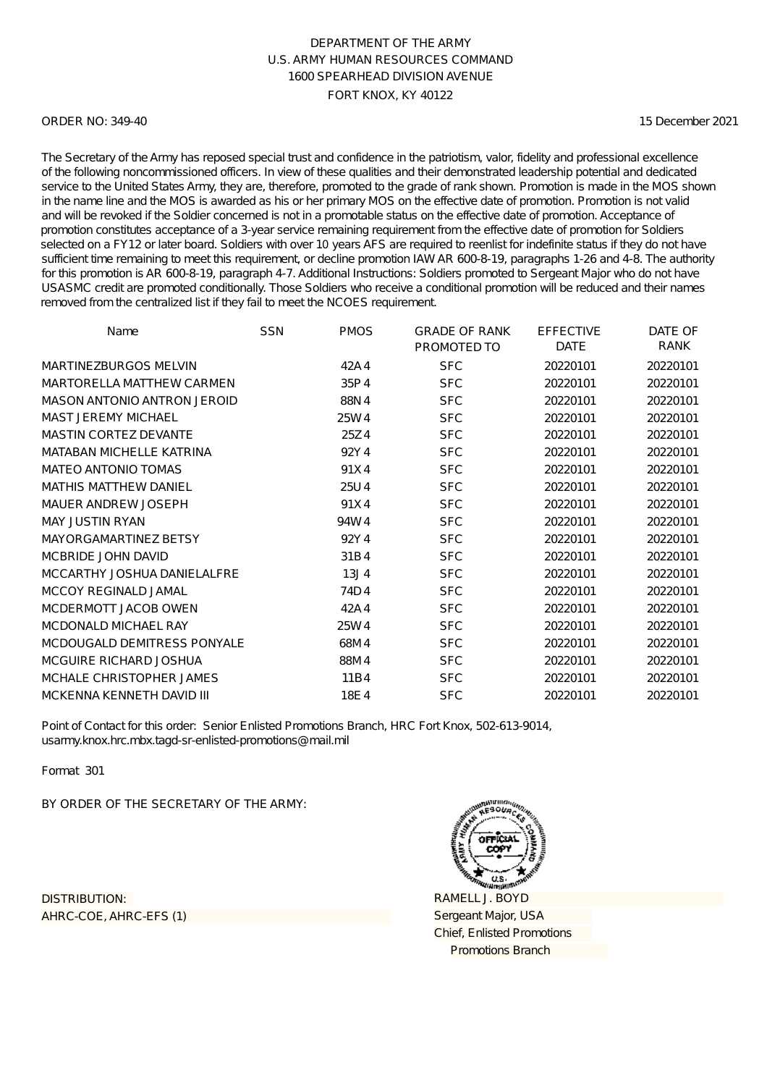### ORDER NO: 349-40

15 December 2021

The Secretary of the Army has reposed special trust and confidence in the patriotism, valor, fidelity and professional excellence of the following noncommissioned officers. In view of these qualities and their demonstrated leadership potential and dedicated service to the United States Army, they are, therefore, promoted to the grade of rank shown. Promotion is made in the MOS shown in the name line and the MOS is awarded as his or her primary MOS on the effective date of promotion. Promotion is not valid and will be revoked if the Soldier concerned is not in a promotable status on the effective date of promotion. Acceptance of promotion constitutes acceptance of a 3-year service remaining requirement from the effective date of promotion for Soldiers selected on a FY12 or later board. Soldiers with over 10 years AFS are required to reenlist for indefinite status if they do not have sufficient time remaining to meet this requirement, or decline promotion IAW AR 600-8-19, paragraphs 1-26 and 4-8. The authority for this promotion is AR 600-8-19, paragraph 4-7. Additional Instructions: Soldiers promoted to Sergeant Major who do not have USASMC credit are promoted conditionally. Those Soldiers who receive a conditional promotion will be reduced and their names removed from the centralized list if they fail to meet the NCOES requirement.

| Name                            | <b>SSN</b> | <b>PMOS</b>      | <b>GRADE OF RANK</b><br>PROMOTED TO | <b>EFFECTIVE</b><br><b>DATE</b> | DATE OF<br>RANK |
|---------------------------------|------------|------------------|-------------------------------------|---------------------------------|-----------------|
| <b>MARTINEZBURGOS MELVIN</b>    |            | 42A4             | <b>SFC</b>                          | 20220101                        | 20220101        |
| MARTORELLA MATTHEW CARMEN       |            | 35P4             | <b>SFC</b>                          | 20220101                        | 20220101        |
| MASON ANTONIO ANTRON JEROID     |            | 88N4             | <b>SFC</b>                          | 20220101                        | 20220101        |
| <b>MAST JEREMY MICHAEL</b>      |            | 25W4             | <b>SFC</b>                          | 20220101                        | 20220101        |
| <b>MASTIN CORTEZ DEVANTE</b>    |            | 25Z4             | <b>SFC</b>                          | 20220101                        | 20220101        |
| <b>MATABAN MICHELLE KATRINA</b> |            | 92Y4             | <b>SFC</b>                          | 20220101                        | 20220101        |
| <b>MATEO ANTONIO TOMAS</b>      |            | 91X4             | <b>SFC</b>                          | 20220101                        | 20220101        |
| <b>MATHIS MATTHEW DANIEL</b>    |            | 25U4             | <b>SFC</b>                          | 20220101                        | 20220101        |
| MAUER ANDREW JOSEPH             |            | 91X4             | <b>SFC</b>                          | 20220101                        | 20220101        |
| <b>MAY JUSTIN RYAN</b>          |            | 94W4             | <b>SFC</b>                          | 20220101                        | 20220101        |
| MAYORGAMARTINEZ BETSY           |            | 92Y4             | <b>SFC</b>                          | 20220101                        | 20220101        |
| MCBRIDE JOHN DAVID              |            | 31B4             | <b>SFC</b>                          | 20220101                        | 20220101        |
| MCCARTHY JOSHUA DANIELALFRE     |            | 13J <sub>4</sub> | <b>SFC</b>                          | 20220101                        | 20220101        |
| <b>MCCOY REGINALD JAMAL</b>     |            | 74D4             | <b>SFC</b>                          | 20220101                        | 20220101        |
| MCDERMOTT JACOB OWEN            |            | 42A4             | <b>SFC</b>                          | 20220101                        | 20220101        |
| <b>MCDONALD MICHAEL RAY</b>     |            | 25W4             | <b>SFC</b>                          | 20220101                        | 20220101        |
| MCDOUGALD DEMITRESS PONYALE     |            | 68M4             | <b>SFC</b>                          | 20220101                        | 20220101        |
| MCGUIRE RICHARD JOSHUA          |            | 88M4             | <b>SFC</b>                          | 20220101                        | 20220101        |
| MCHALE CHRISTOPHER JAMES        |            | 11B4             | <b>SFC</b>                          | 20220101                        | 20220101        |
| MCKENNA KENNETH DAVID III       |            | 18E4             | <b>SFC</b>                          | 20220101                        | 20220101        |

Point of Contact for this order: Senior Enlisted Promotions Branch, HRC Fort Knox, 502-613-9014, usarmy.knox.hrc.mbx.tagd-sr-enlisted-promotions@mail.mil

Format 301

BY ORDER OF THE SECRETARY OF THE ARMY:

AHRC-COE, AHRC-EFS (1) DISTRIBUTION:

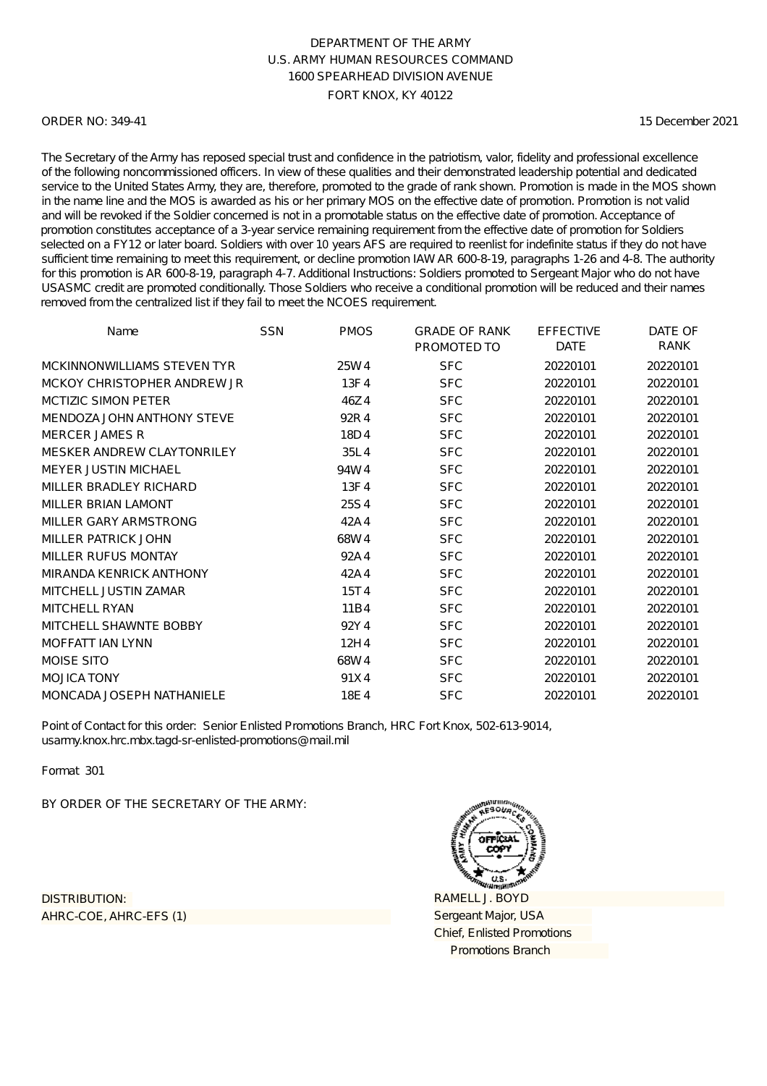### ORDER NO: 349-41

15 December 2021

The Secretary of the Army has reposed special trust and confidence in the patriotism, valor, fidelity and professional excellence of the following noncommissioned officers. In view of these qualities and their demonstrated leadership potential and dedicated service to the United States Army, they are, therefore, promoted to the grade of rank shown. Promotion is made in the MOS shown in the name line and the MOS is awarded as his or her primary MOS on the effective date of promotion. Promotion is not valid and will be revoked if the Soldier concerned is not in a promotable status on the effective date of promotion. Acceptance of promotion constitutes acceptance of a 3-year service remaining requirement from the effective date of promotion for Soldiers selected on a FY12 or later board. Soldiers with over 10 years AFS are required to reenlist for indefinite status if they do not have sufficient time remaining to meet this requirement, or decline promotion IAW AR 600-8-19, paragraphs 1-26 and 4-8. The authority for this promotion is AR 600-8-19, paragraph 4-7. Additional Instructions: Soldiers promoted to Sergeant Major who do not have USASMC credit are promoted conditionally. Those Soldiers who receive a conditional promotion will be reduced and their names removed from the centralized list if they fail to meet the NCOES requirement.

| Name                              | <b>SSN</b> | <b>PMOS</b> | <b>GRADE OF RANK</b><br>PROMOTED TO | <b>EFFECTIVE</b><br><b>DATE</b> | DATE OF<br>RANK |
|-----------------------------------|------------|-------------|-------------------------------------|---------------------------------|-----------------|
| MCKINNONWILLIAMS STEVEN TYR       |            | 25W4        | <b>SFC</b>                          | 20220101                        | 20220101        |
| MCKOY CHRISTOPHER ANDREW JR       |            | 13F4        | <b>SFC</b>                          | 20220101                        | 20220101        |
| <b>MCTIZIC SIMON PETER</b>        |            | 46Z4        | <b>SFC</b>                          | 20220101                        | 20220101        |
| MENDOZA JOHN ANTHONY STEVE        |            | 92R4        | <b>SFC</b>                          | 20220101                        | 20220101        |
| <b>MERCER JAMES R</b>             |            | 18D4        | <b>SFC</b>                          | 20220101                        | 20220101        |
| <b>MESKER ANDREW CLAYTONRILEY</b> |            | 35L4        | <b>SFC</b>                          | 20220101                        | 20220101        |
| <b>MEYER JUSTIN MICHAEL</b>       |            | 94W4        | <b>SFC</b>                          | 20220101                        | 20220101        |
| MILLER BRADLEY RICHARD            |            | 13F4        | <b>SFC</b>                          | 20220101                        | 20220101        |
| <b>MILLER BRIAN LAMONT</b>        |            | 25S4        | <b>SFC</b>                          | 20220101                        | 20220101        |
| MILLER GARY ARMSTRONG             |            | 42A4        | <b>SFC</b>                          | 20220101                        | 20220101        |
| MILLER PATRICK JOHN               |            | 68W4        | <b>SFC</b>                          | 20220101                        | 20220101        |
| MILLER RUFUS MONTAY               |            | 92A4        | <b>SFC</b>                          | 20220101                        | 20220101        |
| <b>MIRANDA KENRICK ANTHONY</b>    |            | 42A4        | <b>SFC</b>                          | 20220101                        | 20220101        |
| MITCHELL JUSTIN ZAMAR             |            | 15T4        | <b>SFC</b>                          | 20220101                        | 20220101        |
| <b>MITCHELL RYAN</b>              |            | 11B4        | <b>SFC</b>                          | 20220101                        | 20220101        |
| MITCHELL SHAWNTE BOBBY            |            | 92Y4        | <b>SFC</b>                          | 20220101                        | 20220101        |
| <b>MOFFATT IAN LYNN</b>           |            | 12H4        | <b>SFC</b>                          | 20220101                        | 20220101        |
| <b>MOISE SITO</b>                 |            | 68W4        | <b>SFC</b>                          | 20220101                        | 20220101        |
| <b>MOJICA TONY</b>                |            | 91X4        | <b>SFC</b>                          | 20220101                        | 20220101        |
| MONCADA JOSEPH NATHANIELE         |            | 18E4        | <b>SFC</b>                          | 20220101                        | 20220101        |

Point of Contact for this order: Senior Enlisted Promotions Branch, HRC Fort Knox, 502-613-9014, usarmy.knox.hrc.mbx.tagd-sr-enlisted-promotions@mail.mil

Format 301

BY ORDER OF THE SECRETARY OF THE ARMY:

AHRC-COE, AHRC-EFS (1) DISTRIBUTION:

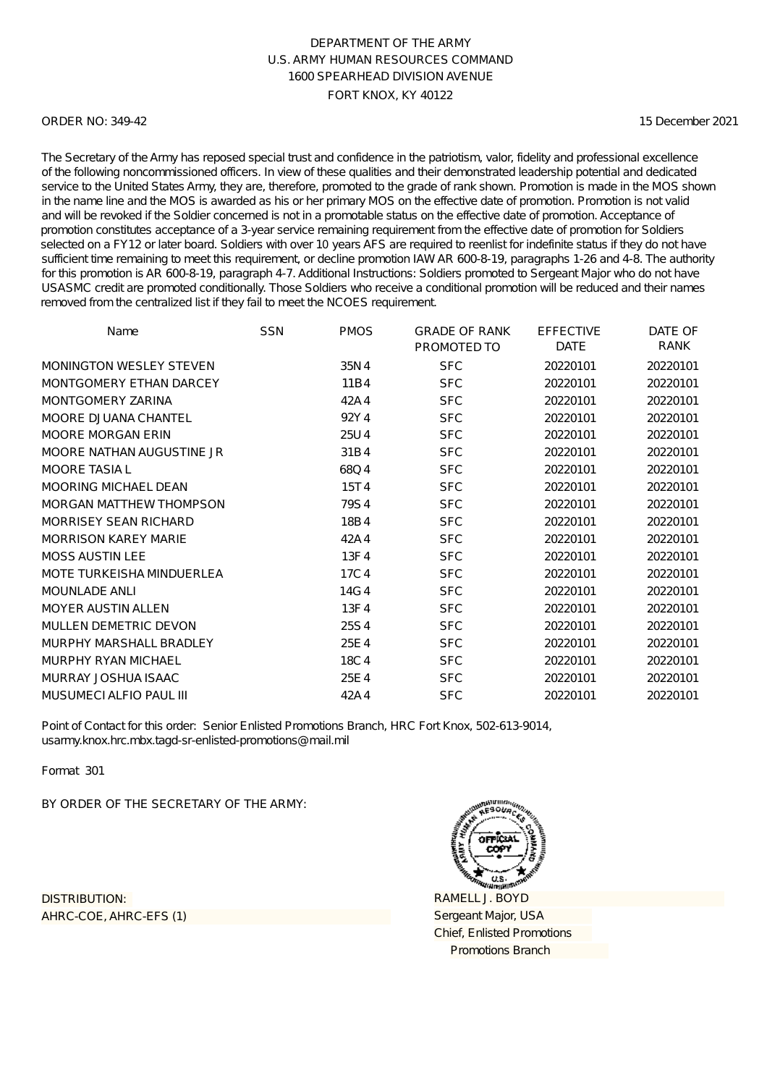### ORDER NO: 349-42

15 December 2021

The Secretary of the Army has reposed special trust and confidence in the patriotism, valor, fidelity and professional excellence of the following noncommissioned officers. In view of these qualities and their demonstrated leadership potential and dedicated service to the United States Army, they are, therefore, promoted to the grade of rank shown. Promotion is made in the MOS shown in the name line and the MOS is awarded as his or her primary MOS on the effective date of promotion. Promotion is not valid and will be revoked if the Soldier concerned is not in a promotable status on the effective date of promotion. Acceptance of promotion constitutes acceptance of a 3-year service remaining requirement from the effective date of promotion for Soldiers selected on a FY12 or later board. Soldiers with over 10 years AFS are required to reenlist for indefinite status if they do not have sufficient time remaining to meet this requirement, or decline promotion IAW AR 600-8-19, paragraphs 1-26 and 4-8. The authority for this promotion is AR 600-8-19, paragraph 4-7. Additional Instructions: Soldiers promoted to Sergeant Major who do not have USASMC credit are promoted conditionally. Those Soldiers who receive a conditional promotion will be reduced and their names removed from the centralized list if they fail to meet the NCOES requirement.

| Name                           | <b>SSN</b> | <b>PMOS</b> | <b>GRADE OF RANK</b><br>PROMOTED TO | <b>EFFECTIVE</b><br><b>DATE</b> | DATE OF<br>RANK |
|--------------------------------|------------|-------------|-------------------------------------|---------------------------------|-----------------|
| <b>MONINGTON WESLEY STEVEN</b> |            | 35N4        | <b>SFC</b>                          | 20220101                        | 20220101        |
| MONTGOMERY ETHAN DARCEY        |            | 11B4        | <b>SFC</b>                          | 20220101                        | 20220101        |
| <b>MONTGOMERY ZARINA</b>       |            | 42A4        | <b>SFC</b>                          | 20220101                        | 20220101        |
| MOORE DJUANA CHANTEL           |            | 92Y4        | <b>SFC</b>                          | 20220101                        | 20220101        |
| <b>MOORE MORGAN ERIN</b>       |            | 25U4        | <b>SFC</b>                          | 20220101                        | 20220101        |
| MOORE NATHAN AUGUSTINE JR      |            | 31B4        | <b>SFC</b>                          | 20220101                        | 20220101        |
| <b>MOORE TASIA L</b>           |            | 68Q4        | <b>SFC</b>                          | 20220101                        | 20220101        |
| <b>MOORING MICHAEL DEAN</b>    |            | 15T4        | <b>SFC</b>                          | 20220101                        | 20220101        |
| <b>MORGAN MATTHEW THOMPSON</b> |            | 79S4        | <b>SFC</b>                          | 20220101                        | 20220101        |
| <b>MORRISEY SEAN RICHARD</b>   |            | 18B4        | <b>SFC</b>                          | 20220101                        | 20220101        |
| <b>MORRISON KAREY MARIE</b>    |            | 42A4        | <b>SFC</b>                          | 20220101                        | 20220101        |
| <b>MOSS AUSTIN LEE</b>         |            | 13F4        | <b>SFC</b>                          | 20220101                        | 20220101        |
| MOTE TURKEISHA MINDUERLEA      |            | 17C4        | <b>SFC</b>                          | 20220101                        | 20220101        |
| <b>MOUNLADE ANLI</b>           |            | 14G4        | <b>SFC</b>                          | 20220101                        | 20220101        |
| <b>MOYER AUSTIN ALLEN</b>      |            | 13F4        | <b>SFC</b>                          | 20220101                        | 20220101        |
| MULLEN DEMETRIC DEVON          |            | 25S4        | <b>SFC</b>                          | 20220101                        | 20220101        |
| MURPHY MARSHALL BRADLEY        |            | 25E4        | <b>SFC</b>                          | 20220101                        | 20220101        |
| MURPHY RYAN MICHAEL            |            | 18C4        | <b>SFC</b>                          | 20220101                        | 20220101        |
| MURRAY JOSHUA ISAAC            |            | 25E4        | <b>SFC</b>                          | 20220101                        | 20220101        |
| MUSUMECI ALFIO PAUL III        |            | 42A4        | <b>SFC</b>                          | 20220101                        | 20220101        |

Point of Contact for this order: Senior Enlisted Promotions Branch, HRC Fort Knox, 502-613-9014, usarmy.knox.hrc.mbx.tagd-sr-enlisted-promotions@mail.mil

Format 301

BY ORDER OF THE SECRETARY OF THE ARMY:

AHRC-COE, AHRC-EFS (1) DISTRIBUTION:

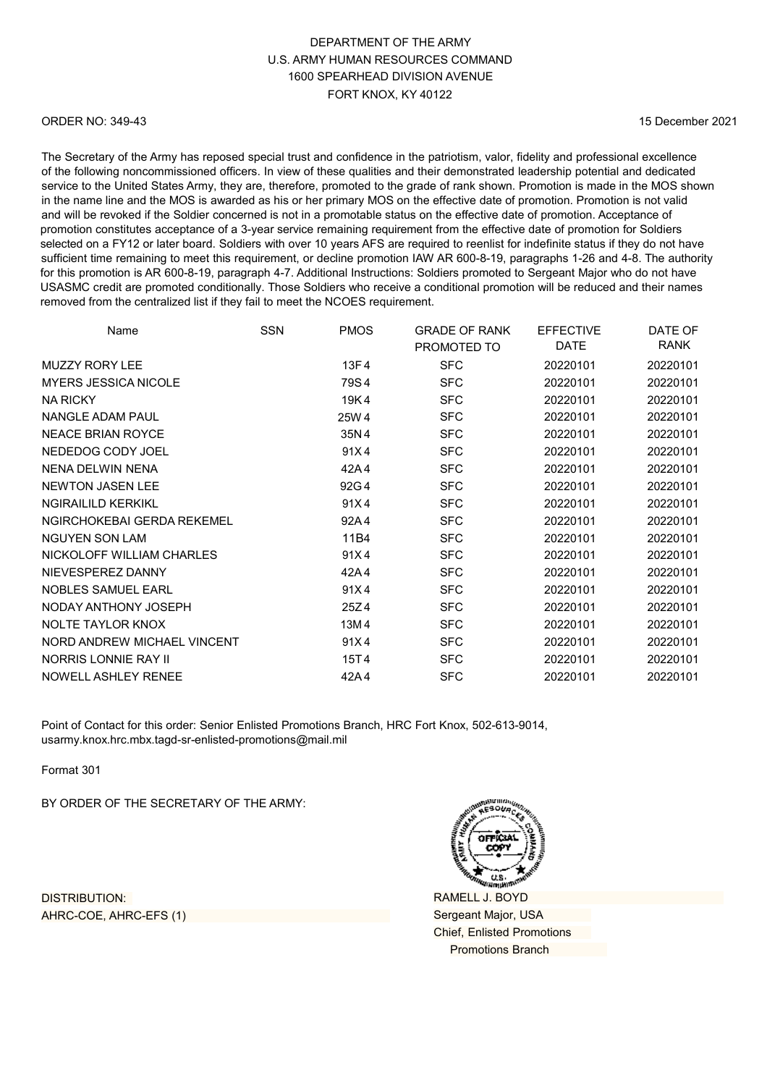# DEPARTMENT OF THE ARMY U.S. ARMY HUMAN RESOURCES COMMAND 1600 SPEARHEAD DIVISION AVENUE FORT KNOX, KY 40122

### ORDER NO: 349-43

15 December 2021

The Secretary of the Army has reposed special trust and confidence in the patriotism, valor, fidelity and professional excellence of the following noncommissioned officers. In view of these qualities and their demonstrated leadership potential and dedicated service to the United States Army, they are, therefore, promoted to the grade of rank shown. Promotion is made in the MOS shown in the name line and the MOS is awarded as his or her primary MOS on the effective date of promotion. Promotion is not valid and will be revoked if the Soldier concerned is not in a promotable status on the effective date of promotion. Acceptance of promotion constitutes acceptance of a 3-year service remaining requirement from the effective date of promotion for Soldiers selected on a FY12 or later board. Soldiers with over 10 years AFS are required to reenlist for indefinite status if they do not have sufficient time remaining to meet this requirement, or decline promotion IAW AR 600-8-19, paragraphs 1-26 and 4-8. The authority for this promotion is AR 600-8-19, paragraph 4-7. Additional Instructions: Soldiers promoted to Sergeant Major who do not have USASMC credit are promoted conditionally. Those Soldiers who receive a conditional promotion will be reduced and their names removed from the centralized list if they fail to meet the NCOES requirement.

| Name                        | <b>SSN</b> | <b>PMOS</b> | <b>GRADE OF RANK</b><br>PROMOTED TO | <b>EFFECTIVE</b><br><b>DATE</b> | DATE OF<br><b>RANK</b> |
|-----------------------------|------------|-------------|-------------------------------------|---------------------------------|------------------------|
| <b>MUZZY RORY LEE</b>       |            | 13F4        | <b>SFC</b>                          | 20220101                        | 20220101               |
| <b>MYERS JESSICA NICOLE</b> |            | 79S4        | <b>SFC</b>                          | 20220101                        | 20220101               |
| <b>NA RICKY</b>             |            | 19K4        | <b>SFC</b>                          | 20220101                        | 20220101               |
| NANGLE ADAM PAUL            |            | 25W 4       | <b>SFC</b>                          | 20220101                        | 20220101               |
| <b>NEACE BRIAN ROYCE</b>    |            | 35N4        | <b>SFC</b>                          | 20220101                        | 20220101               |
| NEDEDOG CODY JOEL           |            | 91X4        | <b>SFC</b>                          | 20220101                        | 20220101               |
| NENA DELWIN NENA            |            | 42A4        | <b>SFC</b>                          | 20220101                        | 20220101               |
| <b>NEWTON JASEN LEE</b>     |            | 92G4        | <b>SFC</b>                          | 20220101                        | 20220101               |
| <b>NGIRAILILD KERKIKL</b>   |            | 91X4        | <b>SFC</b>                          | 20220101                        | 20220101               |
| NGIRCHOKEBAI GERDA REKEMEL  |            | 92A4        | <b>SFC</b>                          | 20220101                        | 20220101               |
| <b>NGUYEN SON LAM</b>       |            | 11B4        | <b>SFC</b>                          | 20220101                        | 20220101               |
| NICKOLOFF WILLIAM CHARLES   |            | 91X4        | <b>SFC</b>                          | 20220101                        | 20220101               |
| NIEVESPEREZ DANNY           |            | 42A4        | <b>SFC</b>                          | 20220101                        | 20220101               |
| NOBLES SAMUEL EARL          |            | 91X4        | <b>SFC</b>                          | 20220101                        | 20220101               |
| NODAY ANTHONY JOSEPH        |            | 25Z4        | <b>SFC</b>                          | 20220101                        | 20220101               |
| NOLTE TAYLOR KNOX           |            | 13M4        | <b>SFC</b>                          | 20220101                        | 20220101               |
| NORD ANDREW MICHAEL VINCENT |            | 91X4        | <b>SFC</b>                          | 20220101                        | 20220101               |
| NORRIS LONNIE RAY II        |            | 15T4        | <b>SFC</b>                          | 20220101                        | 20220101               |
| NOWELL ASHLEY RENEE         |            | 42A4        | <b>SFC</b>                          | 20220101                        | 20220101               |

Point of Contact for this order: Senior Enlisted Promotions Branch, HRC Fort Knox, 502-613-9014, [usarmy.knox.hrc.mbx.tagd-sr-enlisted-promotions@mail.mil](mailto:usarmy.knox.hrc.mbx.tagd-sr-enlisted-promotions@mail.mil)

Format 301

BY ORDER OF THE SECRETARY OF THE ARMY:

DISTRIBUTION: AHRC-COE, AHRC-EFS (1)



RAMELL J. BOYD Sergeant Major, USA Chief, Enlisted Promotions Promotions Branch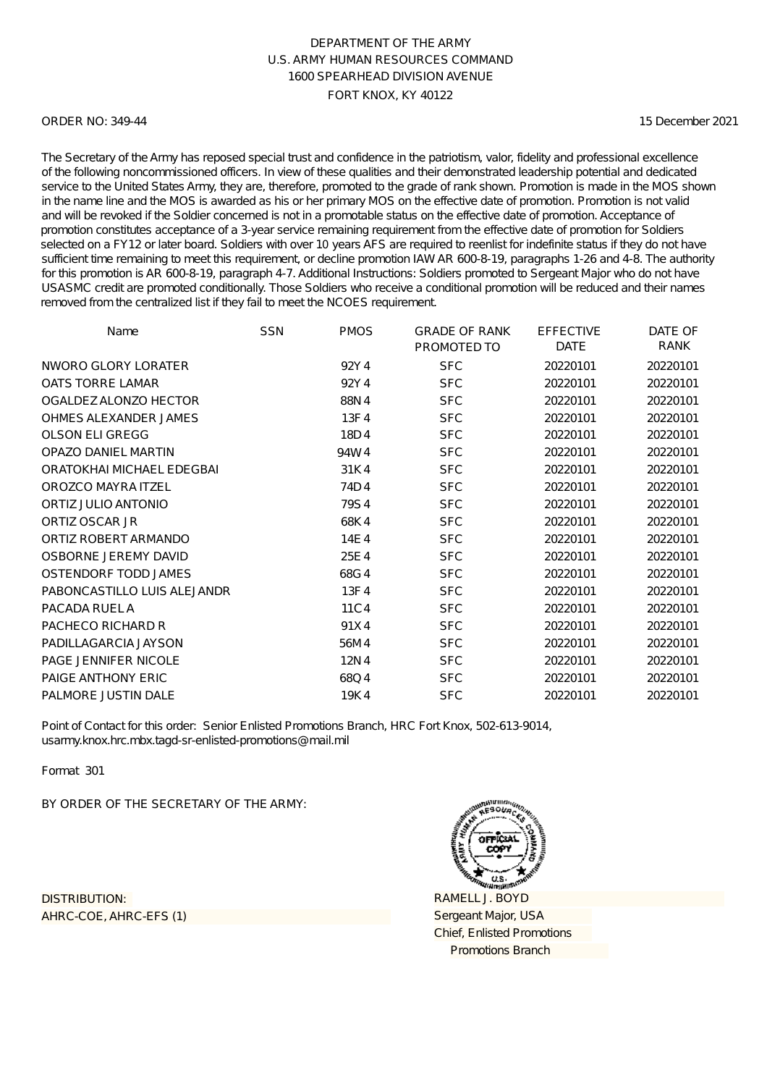### ORDER NO: 349-44

15 December 2021

The Secretary of the Army has reposed special trust and confidence in the patriotism, valor, fidelity and professional excellence of the following noncommissioned officers. In view of these qualities and their demonstrated leadership potential and dedicated service to the United States Army, they are, therefore, promoted to the grade of rank shown. Promotion is made in the MOS shown in the name line and the MOS is awarded as his or her primary MOS on the effective date of promotion. Promotion is not valid and will be revoked if the Soldier concerned is not in a promotable status on the effective date of promotion. Acceptance of promotion constitutes acceptance of a 3-year service remaining requirement from the effective date of promotion for Soldiers selected on a FY12 or later board. Soldiers with over 10 years AFS are required to reenlist for indefinite status if they do not have sufficient time remaining to meet this requirement, or decline promotion IAW AR 600-8-19, paragraphs 1-26 and 4-8. The authority for this promotion is AR 600-8-19, paragraph 4-7. Additional Instructions: Soldiers promoted to Sergeant Major who do not have USASMC credit are promoted conditionally. Those Soldiers who receive a conditional promotion will be reduced and their names removed from the centralized list if they fail to meet the NCOES requirement.

| Name                        | <b>SSN</b> | <b>PMOS</b> | <b>GRADE OF RANK</b><br>PROMOTED TO | <b>EFFECTIVE</b><br><b>DATE</b> | DATE OF<br>RANK |
|-----------------------------|------------|-------------|-------------------------------------|---------------------------------|-----------------|
| NWORO GLORY LORATER         |            | 92Y4        | <b>SFC</b>                          | 20220101                        | 20220101        |
| <b>OATS TORRE LAMAR</b>     |            | 92Y4        | <b>SFC</b>                          | 20220101                        | 20220101        |
| OGALDEZ ALONZO HECTOR       |            | 88N4        | <b>SFC</b>                          | 20220101                        | 20220101        |
| OHMES ALEXANDER JAMES       |            | 13F4        | <b>SFC</b>                          | 20220101                        | 20220101        |
| <b>OLSON ELI GREGG</b>      |            | 18D4        | <b>SFC</b>                          | 20220101                        | 20220101        |
| <b>OPAZO DANIEL MARTIN</b>  |            | 94W4        | <b>SFC</b>                          | 20220101                        | 20220101        |
| ORATOKHAI MICHAEL EDEGBAI   |            | 31K4        | <b>SFC</b>                          | 20220101                        | 20220101        |
| OROZCO MAYRA ITZEL          |            | 74D4        | <b>SFC</b>                          | 20220101                        | 20220101        |
| ORTIZ JULIO ANTONIO         |            | 79S4        | <b>SFC</b>                          | 20220101                        | 20220101        |
| ORTIZ OSCAR JR              |            | 68K4        | <b>SFC</b>                          | 20220101                        | 20220101        |
| ORTIZ ROBERT ARMANDO        |            | 14E4        | <b>SFC</b>                          | 20220101                        | 20220101        |
| OSBORNE JEREMY DAVID        |            | 25E4        | <b>SFC</b>                          | 20220101                        | 20220101        |
| OSTENDORF TODD JAMES        |            | 68G4        | <b>SFC</b>                          | 20220101                        | 20220101        |
| PABONCASTILLO LUIS ALEJANDR |            | 13F4        | <b>SFC</b>                          | 20220101                        | 20220101        |
| PACADA RUEL A               |            | 11C4        | <b>SFC</b>                          | 20220101                        | 20220101        |
| PACHECO RICHARD R           |            | 91X4        | <b>SFC</b>                          | 20220101                        | 20220101        |
| PADILLAGARCIA JAYSON        |            | 56M4        | <b>SFC</b>                          | 20220101                        | 20220101        |
| <b>PAGE JENNIFER NICOLE</b> |            | 12N4        | <b>SFC</b>                          | 20220101                        | 20220101        |
| PAIGE ANTHONY ERIC          |            | 68Q4        | <b>SFC</b>                          | 20220101                        | 20220101        |
| PALMORE JUSTIN DALE         |            | 19K4        | <b>SFC</b>                          | 20220101                        | 20220101        |

Point of Contact for this order: Senior Enlisted Promotions Branch, HRC Fort Knox, 502-613-9014, usarmy.knox.hrc.mbx.tagd-sr-enlisted-promotions@mail.mil

Format 301

BY ORDER OF THE SECRETARY OF THE ARMY:

AHRC-COE, AHRC-EFS (1) DISTRIBUTION:

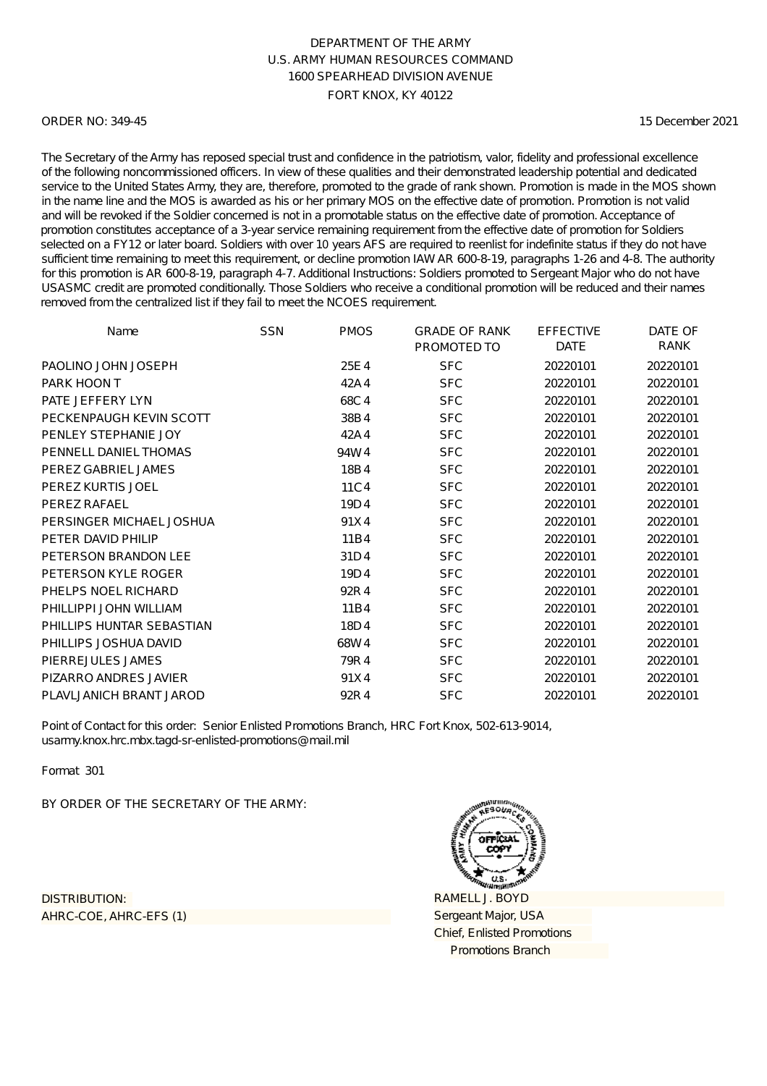### ORDER NO: 349-45

15 December 2021

The Secretary of the Army has reposed special trust and confidence in the patriotism, valor, fidelity and professional excellence of the following noncommissioned officers. In view of these qualities and their demonstrated leadership potential and dedicated service to the United States Army, they are, therefore, promoted to the grade of rank shown. Promotion is made in the MOS shown in the name line and the MOS is awarded as his or her primary MOS on the effective date of promotion. Promotion is not valid and will be revoked if the Soldier concerned is not in a promotable status on the effective date of promotion. Acceptance of promotion constitutes acceptance of a 3-year service remaining requirement from the effective date of promotion for Soldiers selected on a FY12 or later board. Soldiers with over 10 years AFS are required to reenlist for indefinite status if they do not have sufficient time remaining to meet this requirement, or decline promotion IAW AR 600-8-19, paragraphs 1-26 and 4-8. The authority for this promotion is AR 600-8-19, paragraph 4-7. Additional Instructions: Soldiers promoted to Sergeant Major who do not have USASMC credit are promoted conditionally. Those Soldiers who receive a conditional promotion will be reduced and their names removed from the centralized list if they fail to meet the NCOES requirement.

| Name                      | <b>SSN</b> | <b>PMOS</b> | <b>GRADE OF RANK</b> | <b>EFFECTIVE</b> | DATE OF  |
|---------------------------|------------|-------------|----------------------|------------------|----------|
|                           |            |             | PROMOTED TO          | <b>DATE</b>      | RANK     |
| PAOLINO JOHN JOSEPH       |            | 25E4        | <b>SFC</b>           | 20220101         | 20220101 |
| PARK HOON T               |            | 42A4        | <b>SFC</b>           | 20220101         | 20220101 |
| PATE JEFFERY LYN          |            | 68C4        | <b>SFC</b>           | 20220101         | 20220101 |
| PECKENPAUGH KEVIN SCOTT   |            | 38B4        | <b>SFC</b>           | 20220101         | 20220101 |
| PENLEY STEPHANIE JOY      |            | 42A4        | <b>SFC</b>           | 20220101         | 20220101 |
| PENNELL DANIEL THOMAS     |            | 94W4        | <b>SFC</b>           | 20220101         | 20220101 |
| PEREZ GABRIEL JAMES       |            | 18B4        | <b>SFC</b>           | 20220101         | 20220101 |
| PEREZ KURTIS JOEL         |            | 11C4        | <b>SFC</b>           | 20220101         | 20220101 |
| PEREZ RAFAEL              |            | 19D4        | <b>SFC</b>           | 20220101         | 20220101 |
| PERSINGER MICHAEL JOSHUA  |            | 91X4        | <b>SFC</b>           | 20220101         | 20220101 |
| PETER DAVID PHILIP        |            | 11B4        | <b>SFC</b>           | 20220101         | 20220101 |
| PETERSON BRANDON LEE      |            | 31D4        | <b>SFC</b>           | 20220101         | 20220101 |
| PETERSON KYLE ROGER       |            | 19D4        | <b>SFC</b>           | 20220101         | 20220101 |
| PHELPS NOEL RICHARD       |            | 92R4        | <b>SFC</b>           | 20220101         | 20220101 |
| PHILLIPPI JOHN WILLIAM    |            | 11B4        | <b>SFC</b>           | 20220101         | 20220101 |
| PHILLIPS HUNTAR SEBASTIAN |            | 18D4        | <b>SFC</b>           | 20220101         | 20220101 |
| PHILLIPS JOSHUA DAVID     |            | 68W4        | <b>SFC</b>           | 20220101         | 20220101 |
| PIERREJULES JAMES         |            | 79R4        | <b>SFC</b>           | 20220101         | 20220101 |
| PIZARRO ANDRES JAVIER     |            | 91X4        | <b>SFC</b>           | 20220101         | 20220101 |
| PLAVLJANICH BRANT JAROD   |            | 92R4        | <b>SFC</b>           | 20220101         | 20220101 |

Point of Contact for this order: Senior Enlisted Promotions Branch, HRC Fort Knox, 502-613-9014, usarmy.knox.hrc.mbx.tagd-sr-enlisted-promotions@mail.mil

Format 301

BY ORDER OF THE SECRETARY OF THE ARMY:

AHRC-COE, AHRC-EFS (1) DISTRIBUTION:

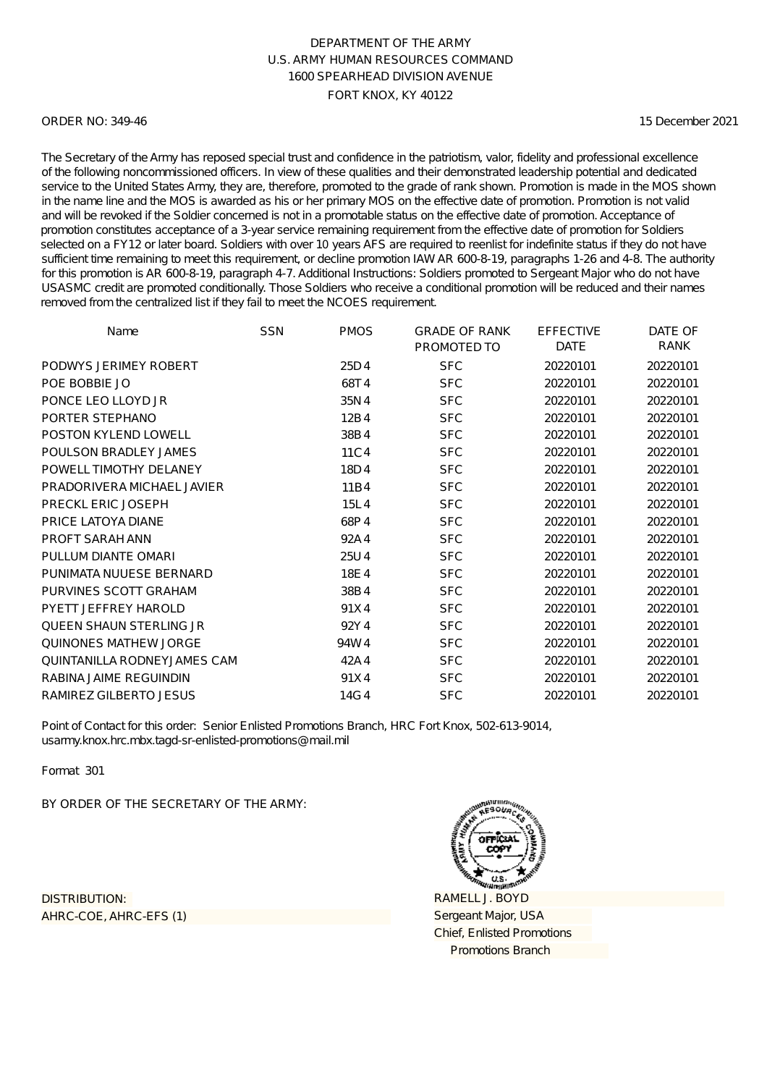### ORDER NO: 349-46

15 December 2021

The Secretary of the Army has reposed special trust and confidence in the patriotism, valor, fidelity and professional excellence of the following noncommissioned officers. In view of these qualities and their demonstrated leadership potential and dedicated service to the United States Army, they are, therefore, promoted to the grade of rank shown. Promotion is made in the MOS shown in the name line and the MOS is awarded as his or her primary MOS on the effective date of promotion. Promotion is not valid and will be revoked if the Soldier concerned is not in a promotable status on the effective date of promotion. Acceptance of promotion constitutes acceptance of a 3-year service remaining requirement from the effective date of promotion for Soldiers selected on a FY12 or later board. Soldiers with over 10 years AFS are required to reenlist for indefinite status if they do not have sufficient time remaining to meet this requirement, or decline promotion IAW AR 600-8-19, paragraphs 1-26 and 4-8. The authority for this promotion is AR 600-8-19, paragraph 4-7. Additional Instructions: Soldiers promoted to Sergeant Major who do not have USASMC credit are promoted conditionally. Those Soldiers who receive a conditional promotion will be reduced and their names removed from the centralized list if they fail to meet the NCOES requirement.

| Name                               | <b>SSN</b> | <b>PMOS</b> | <b>GRADE OF RANK</b><br>PROMOTED TO | <b>EFFECTIVE</b><br><b>DATE</b> | DATE OF<br>RANK |
|------------------------------------|------------|-------------|-------------------------------------|---------------------------------|-----------------|
| PODWYS JERIMEY ROBERT              |            | 25D4        | <b>SFC</b>                          | 20220101                        | 20220101        |
| POE BOBBIE JO                      |            | 68T4        | <b>SFC</b>                          | 20220101                        | 20220101        |
| PONCE LEO LLOYD JR                 |            | 35N4        | <b>SFC</b>                          | 20220101                        | 20220101        |
| PORTER STEPHANO                    |            | 12B4        | <b>SFC</b>                          | 20220101                        | 20220101        |
| POSTON KYLEND LOWELL               |            | 38B4        | <b>SFC</b>                          | 20220101                        | 20220101        |
| POULSON BRADLEY JAMES              |            | 11C4        | <b>SFC</b>                          | 20220101                        | 20220101        |
| POWELL TIMOTHY DELANEY             |            | 18D4        | <b>SFC</b>                          | 20220101                        | 20220101        |
| PRADORIVERA MICHAEL JAVIER         |            | 11B4        | <b>SFC</b>                          | 20220101                        | 20220101        |
| PRECKL ERIC JOSEPH                 |            | 15L4        | <b>SFC</b>                          | 20220101                        | 20220101        |
| <b>PRICE LATOYA DIANE</b>          |            | 68P4        | <b>SFC</b>                          | 20220101                        | 20220101        |
| <b>PROFT SARAH ANN</b>             |            | 92A4        | <b>SFC</b>                          | 20220101                        | 20220101        |
| PULLUM DIANTE OMARI                |            | 25U4        | <b>SFC</b>                          | 20220101                        | 20220101        |
| PUNIMATA NUUESE BERNARD            |            | 18E4        | <b>SFC</b>                          | 20220101                        | 20220101        |
| PURVINES SCOTT GRAHAM              |            | 38B4        | <b>SFC</b>                          | 20220101                        | 20220101        |
| PYETT JEFFREY HAROLD               |            | 91X4        | <b>SFC</b>                          | 20220101                        | 20220101        |
| <b>QUEEN SHAUN STERLING JR</b>     |            | 92Y4        | <b>SFC</b>                          | 20220101                        | 20220101        |
| <b>QUINONES MATHEW JORGE</b>       |            | 94W4        | <b>SFC</b>                          | 20220101                        | 20220101        |
| <b>QUINTANILLA RODNEYJAMES CAM</b> |            | 42A4        | <b>SFC</b>                          | 20220101                        | 20220101        |
| RABINA JAIME REGUINDIN             |            | 91X4        | <b>SFC</b>                          | 20220101                        | 20220101        |
| <b>RAMIREZ GILBERTO JESUS</b>      |            | 14G4        | <b>SFC</b>                          | 20220101                        | 20220101        |

Point of Contact for this order: Senior Enlisted Promotions Branch, HRC Fort Knox, 502-613-9014, usarmy.knox.hrc.mbx.tagd-sr-enlisted-promotions@mail.mil

Format 301

BY ORDER OF THE SECRETARY OF THE ARMY:

AHRC-COE, AHRC-EFS (1) DISTRIBUTION:

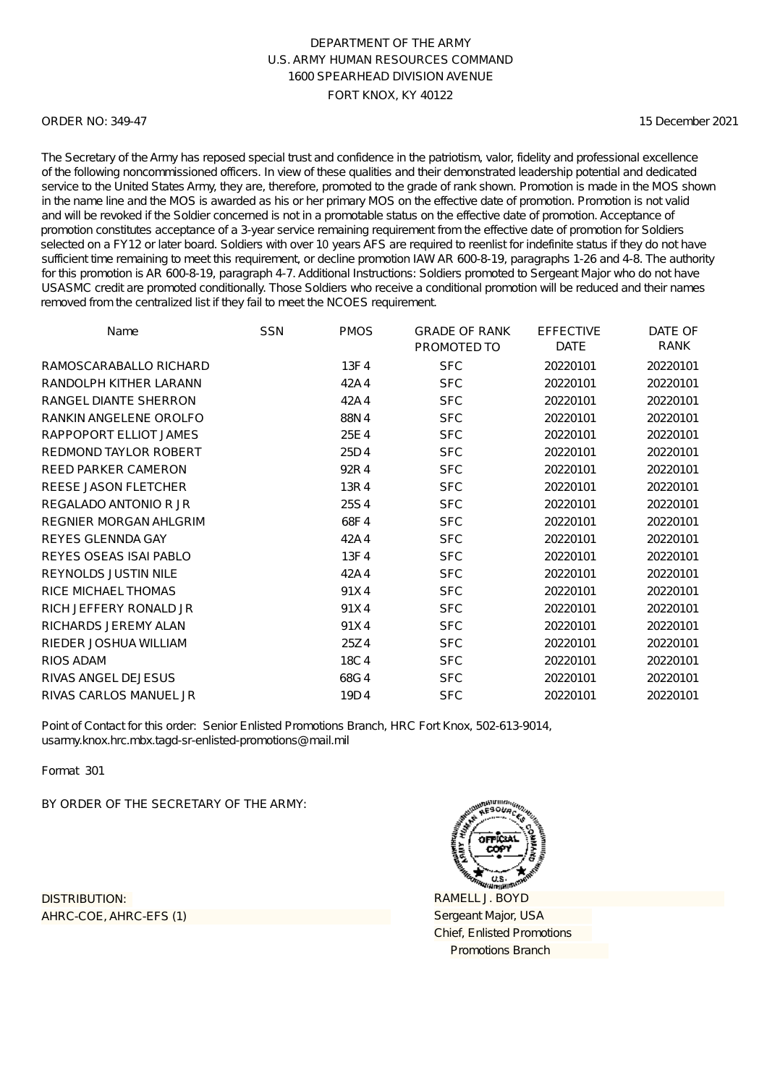#### ORDER NO: 349-47

15 December 2021

The Secretary of the Army has reposed special trust and confidence in the patriotism, valor, fidelity and professional excellence of the following noncommissioned officers. In view of these qualities and their demonstrated leadership potential and dedicated service to the United States Army, they are, therefore, promoted to the grade of rank shown. Promotion is made in the MOS shown in the name line and the MOS is awarded as his or her primary MOS on the effective date of promotion. Promotion is not valid and will be revoked if the Soldier concerned is not in a promotable status on the effective date of promotion. Acceptance of promotion constitutes acceptance of a 3-year service remaining requirement from the effective date of promotion for Soldiers selected on a FY12 or later board. Soldiers with over 10 years AFS are required to reenlist for indefinite status if they do not have sufficient time remaining to meet this requirement, or decline promotion IAW AR 600-8-19, paragraphs 1-26 and 4-8. The authority for this promotion is AR 600-8-19, paragraph 4-7. Additional Instructions: Soldiers promoted to Sergeant Major who do not have USASMC credit are promoted conditionally. Those Soldiers who receive a conditional promotion will be reduced and their names removed from the centralized list if they fail to meet the NCOES requirement.

| Name                          | <b>SSN</b> | <b>PMOS</b> | <b>GRADE OF RANK</b><br>PROMOTED TO | <b>EFFECTIVE</b><br><b>DATE</b> | DATE OF<br>RANK |
|-------------------------------|------------|-------------|-------------------------------------|---------------------------------|-----------------|
| RAMOSCARABALLO RICHARD        |            | 13F4        | <b>SFC</b>                          | 20220101                        | 20220101        |
| RANDOLPH KITHER LARANN        |            | 42A4        | <b>SFC</b>                          | 20220101                        | 20220101        |
| RANGEL DIANTE SHERRON         |            | 42A4        | <b>SFC</b>                          | 20220101                        | 20220101        |
| RANKIN ANGELENE OROLFO        |            | 88N4        | <b>SFC</b>                          | 20220101                        | 20220101        |
| RAPPOPORT ELLIOT JAMES        |            | 25E4        | <b>SFC</b>                          | 20220101                        | 20220101        |
| <b>REDMOND TAYLOR ROBERT</b>  |            | 25D4        | <b>SFC</b>                          | 20220101                        | 20220101        |
| <b>REED PARKER CAMERON</b>    |            | 92R4        | <b>SFC</b>                          | 20220101                        | 20220101        |
| REESE JASON FLETCHER          |            | 13R4        | <b>SFC</b>                          | 20220101                        | 20220101        |
| REGALADO ANTONIO R JR         |            | 25S4        | <b>SFC</b>                          | 20220101                        | 20220101        |
| <b>REGNIER MORGAN AHLGRIM</b> |            | 68F4        | <b>SFC</b>                          | 20220101                        | 20220101        |
| <b>REYES GLENNDA GAY</b>      |            | 42A4        | <b>SFC</b>                          | 20220101                        | 20220101        |
| REYES OSEAS ISAI PABLO        |            | 13F4        | <b>SFC</b>                          | 20220101                        | 20220101        |
| <b>REYNOLDS JUSTIN NILE</b>   |            | 42A4        | <b>SFC</b>                          | 20220101                        | 20220101        |
| <b>RICE MICHAEL THOMAS</b>    |            | 91X4        | <b>SFC</b>                          | 20220101                        | 20220101        |
| RICH JEFFERY RONALD JR        |            | 91X4        | <b>SFC</b>                          | 20220101                        | 20220101        |
| RICHARDS JEREMY ALAN          |            | 91X4        | <b>SFC</b>                          | 20220101                        | 20220101        |
| RIEDER JOSHUA WILLIAM         |            | 25Z4        | <b>SFC</b>                          | 20220101                        | 20220101        |
| <b>RIOS ADAM</b>              |            | 18C4        | <b>SFC</b>                          | 20220101                        | 20220101        |
| <b>RIVAS ANGEL DEJESUS</b>    |            | 68G4        | <b>SFC</b>                          | 20220101                        | 20220101        |
| RIVAS CARLOS MANUEL JR        |            | 19D4        | <b>SFC</b>                          | 20220101                        | 20220101        |

Point of Contact for this order: Senior Enlisted Promotions Branch, HRC Fort Knox, 502-613-9014, usarmy.knox.hrc.mbx.tagd-sr-enlisted-promotions@mail.mil

Format 301

BY ORDER OF THE SECRETARY OF THE ARMY:

AHRC-COE, AHRC-EFS (1) DISTRIBUTION:

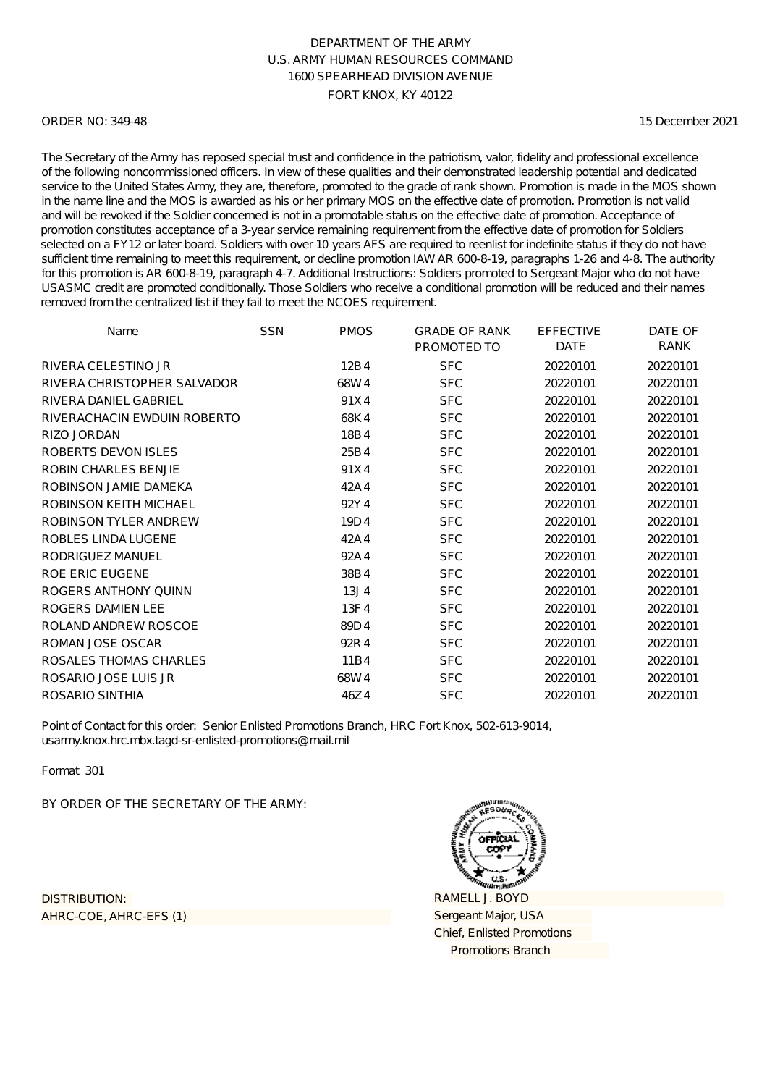#### ORDER NO: 349-48

15 December 2021

The Secretary of the Army has reposed special trust and confidence in the patriotism, valor, fidelity and professional excellence of the following noncommissioned officers. In view of these qualities and their demonstrated leadership potential and dedicated service to the United States Army, they are, therefore, promoted to the grade of rank shown. Promotion is made in the MOS shown in the name line and the MOS is awarded as his or her primary MOS on the effective date of promotion. Promotion is not valid and will be revoked if the Soldier concerned is not in a promotable status on the effective date of promotion. Acceptance of promotion constitutes acceptance of a 3-year service remaining requirement from the effective date of promotion for Soldiers selected on a FY12 or later board. Soldiers with over 10 years AFS are required to reenlist for indefinite status if they do not have sufficient time remaining to meet this requirement, or decline promotion IAW AR 600-8-19, paragraphs 1-26 and 4-8. The authority for this promotion is AR 600-8-19, paragraph 4-7. Additional Instructions: Soldiers promoted to Sergeant Major who do not have USASMC credit are promoted conditionally. Those Soldiers who receive a conditional promotion will be reduced and their names removed from the centralized list if they fail to meet the NCOES requirement.

| Name                         | <b>SSN</b> | <b>PMOS</b>      | <b>GRADE OF RANK</b><br>PROMOTED TO | <b>EFFECTIVE</b><br><b>DATE</b> | DATE OF<br>RANK |
|------------------------------|------------|------------------|-------------------------------------|---------------------------------|-----------------|
| RIVERA CELESTINO JR          |            | 12B4             | <b>SFC</b>                          | 20220101                        | 20220101        |
| RIVERA CHRISTOPHER SALVADOR  |            | 68W4             | <b>SFC</b>                          | 20220101                        | 20220101        |
| RIVERA DANIEL GABRIEL        |            | 91X4             | <b>SFC</b>                          | 20220101                        | 20220101        |
| RIVERACHACIN EWDUIN ROBERTO  |            | 68K4             | <b>SFC</b>                          | 20220101                        | 20220101        |
| <b>RIZO JORDAN</b>           |            | 18B4             | <b>SFC</b>                          | 20220101                        | 20220101        |
| ROBERTS DEVON ISLES          |            | 25B4             | <b>SFC</b>                          | 20220101                        | 20220101        |
| <b>ROBIN CHARLES BENJIE</b>  |            | 91X4             | <b>SFC</b>                          | 20220101                        | 20220101        |
| ROBINSON JAMIE DAMEKA        |            | 42A4             | <b>SFC</b>                          | 20220101                        | 20220101        |
| ROBINSON KEITH MICHAEL       |            | 92Y4             | <b>SFC</b>                          | 20220101                        | 20220101        |
| <b>ROBINSON TYLER ANDREW</b> |            | 19D4             | <b>SFC</b>                          | 20220101                        | 20220101        |
| ROBLES LINDA LUGENE          |            | 42A4             | <b>SFC</b>                          | 20220101                        | 20220101        |
| RODRIGUEZ MANUEL             |            | 92A4             | <b>SFC</b>                          | 20220101                        | 20220101        |
| <b>ROE ERIC EUGENE</b>       |            | 38B4             | <b>SFC</b>                          | 20220101                        | 20220101        |
| ROGERS ANTHONY QUINN         |            | 13J <sub>4</sub> | <b>SFC</b>                          | 20220101                        | 20220101        |
| ROGERS DAMIEN LEE            |            | 13F4             | <b>SFC</b>                          | 20220101                        | 20220101        |
| ROLAND ANDREW ROSCOE         |            | 89D4             | <b>SFC</b>                          | 20220101                        | 20220101        |
| ROMAN JOSE OSCAR             |            | 92R4             | <b>SFC</b>                          | 20220101                        | 20220101        |
| ROSALES THOMAS CHARLES       |            | 11B4             | <b>SFC</b>                          | 20220101                        | 20220101        |
| ROSARIO JOSE LUIS JR         |            | 68W4             | <b>SFC</b>                          | 20220101                        | 20220101        |
| ROSARIO SINTHIA              |            | 46Z4             | <b>SFC</b>                          | 20220101                        | 20220101        |

Point of Contact for this order: Senior Enlisted Promotions Branch, HRC Fort Knox, 502-613-9014, usarmy.knox.hrc.mbx.tagd-sr-enlisted-promotions@mail.mil

Format 301

BY ORDER OF THE SECRETARY OF THE ARMY:

AHRC-COE, AHRC-EFS (1) DISTRIBUTION:

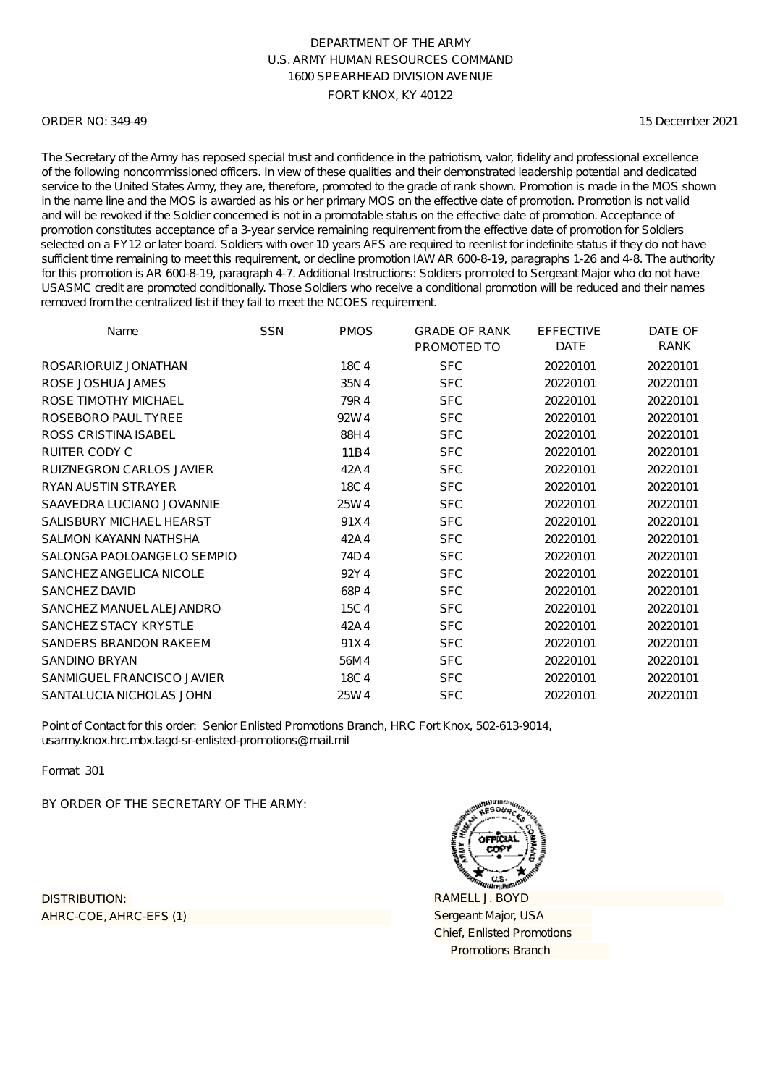#### ORDER NO: 349-49

15 December 2021

The Secretary of the Army has reposed special trust and confidence in the patriotism, valor, fidelity and professional excellence of the following noncommissioned officers. In view of these qualities and their demonstrated leadership potential and dedicated service to the United States Army, they are, therefore, promoted to the grade of rank shown. Promotion is made in the MOS shown in the name line and the MOS is awarded as his or her primary MOS on the effective date of promotion. Promotion is not valid and will be revoked if the Soldier concerned is not in a promotable status on the effective date of promotion. Acceptance of promotion constitutes acceptance of a 3-year service remaining requirement from the effective date of promotion for Soldiers selected on a FY12 or later board. Soldiers with over 10 years AFS are required to reenlist for indefinite status if they do not have sufficient time remaining to meet this requirement, or decline promotion IAW AR 600-8-19, paragraphs 1-26 and 4-8. The authority for this promotion is AR 600-8-19, paragraph 4-7. Additional Instructions: Soldiers promoted to Sergeant Major who do not have USASMC credit are promoted conditionally. Those Soldiers who receive a conditional promotion will be reduced and their names removed from the centralized list if they fail to meet the NCOES requirement.

| Name                            | <b>SSN</b> | <b>PMOS</b> | <b>GRADE OF RANK</b><br>PROMOTED TO | <b>EFFECTIVE</b><br><b>DATE</b> | DATE OF<br>RANK |
|---------------------------------|------------|-------------|-------------------------------------|---------------------------------|-----------------|
| ROSARIORUIZ JONATHAN            |            | 18C4        | <b>SFC</b>                          | 20220101                        | 20220101        |
| ROSE JOSHUA JAMES               |            | 35N4        | <b>SFC</b>                          | 20220101                        | 20220101        |
| ROSE TIMOTHY MICHAEL            |            | 79R4        | <b>SFC</b>                          | 20220101                        | 20220101        |
| ROSEBORO PAUL TYREE             |            | 92W4        | <b>SFC</b>                          | 20220101                        | 20220101        |
| <b>ROSS CRISTINA ISABEL</b>     |            | 88H4        | <b>SFC</b>                          | 20220101                        | 20220101        |
| RUITER CODY C                   |            | 11B4        | <b>SFC</b>                          | 20220101                        | 20220101        |
| <b>RUIZNEGRON CARLOS JAVIER</b> |            | 42A4        | <b>SFC</b>                          | 20220101                        | 20220101        |
| <b>RYAN AUSTIN STRAYER</b>      |            | 18C4        | <b>SFC</b>                          | 20220101                        | 20220101        |
| SAAVEDRA LUCIANO JOVANNIE       |            | 25W4        | <b>SFC</b>                          | 20220101                        | 20220101        |
| SALISBURY MICHAEL HEARST        |            | 91X4        | <b>SFC</b>                          | 20220101                        | 20220101        |
| SALMON KAYANN NATHSHA           |            | 42A4        | <b>SFC</b>                          | 20220101                        | 20220101        |
| SALONGA PAOLOANGELO SEMPIO      |            | 74D4        | <b>SFC</b>                          | 20220101                        | 20220101        |
| SANCHEZ ANGELICA NICOLE         |            | 92Y4        | <b>SFC</b>                          | 20220101                        | 20220101        |
| SANCHEZ DAVID                   |            | 68P4        | <b>SFC</b>                          | 20220101                        | 20220101        |
| SANCHEZ MANUEL ALEJANDRO        |            | 15C4        | <b>SFC</b>                          | 20220101                        | 20220101        |
| SANCHEZ STACY KRYSTLE           |            | 42A4        | <b>SFC</b>                          | 20220101                        | 20220101        |
| SANDERS BRANDON RAKEEM          |            | 91X4        | <b>SFC</b>                          | 20220101                        | 20220101        |
| <b>SANDINO BRYAN</b>            |            | 56M4        | <b>SFC</b>                          | 20220101                        | 20220101        |
| SANMIGUEL FRANCISCO JAVIER      |            | 18C4        | <b>SFC</b>                          | 20220101                        | 20220101        |
| SANTALUCIA NICHOLAS JOHN        |            | 25W4        | <b>SFC</b>                          | 20220101                        | 20220101        |

Point of Contact for this order: Senior Enlisted Promotions Branch, HRC Fort Knox, 502-613-9014, usarmy.knox.hrc.mbx.tagd-sr-enlisted-promotions@mail.mil

Format 301

BY ORDER OF THE SECRETARY OF THE ARMY:

AHRC-COE, AHRC-EFS (1) DISTRIBUTION:

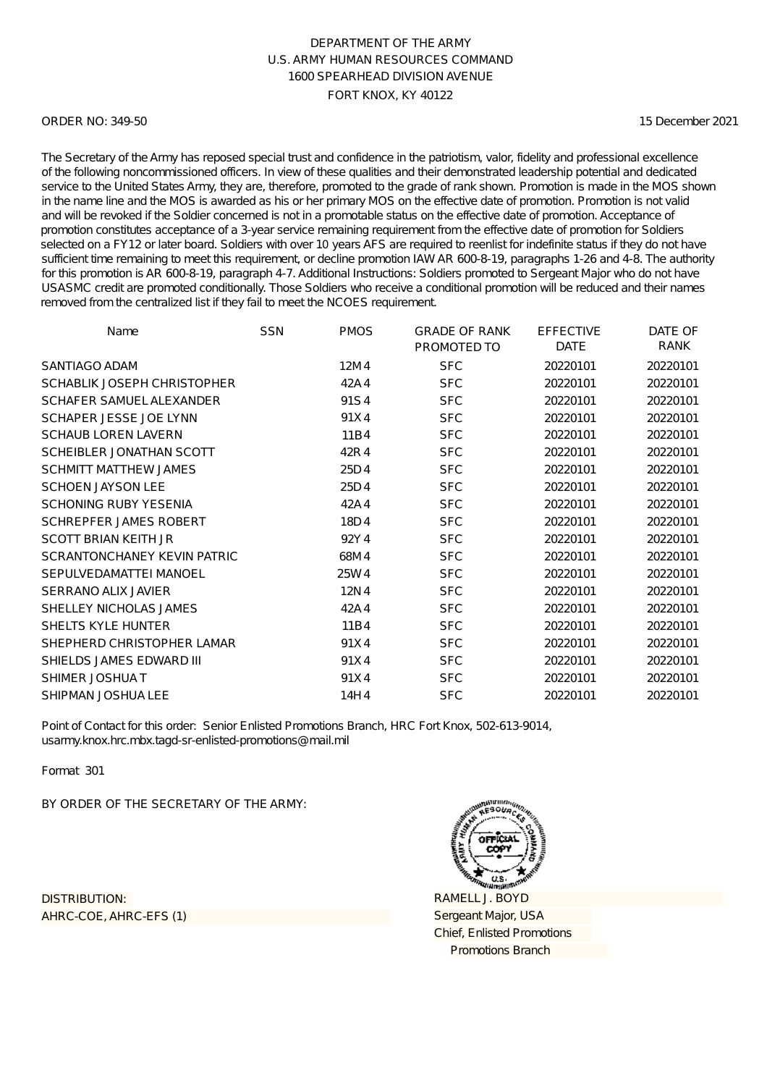#### ORDER NO: 349-50

15 December 2021

The Secretary of the Army has reposed special trust and confidence in the patriotism, valor, fidelity and professional excellence of the following noncommissioned officers. In view of these qualities and their demonstrated leadership potential and dedicated service to the United States Army, they are, therefore, promoted to the grade of rank shown. Promotion is made in the MOS shown in the name line and the MOS is awarded as his or her primary MOS on the effective date of promotion. Promotion is not valid and will be revoked if the Soldier concerned is not in a promotable status on the effective date of promotion. Acceptance of promotion constitutes acceptance of a 3-year service remaining requirement from the effective date of promotion for Soldiers selected on a FY12 or later board. Soldiers with over 10 years AFS are required to reenlist for indefinite status if they do not have sufficient time remaining to meet this requirement, or decline promotion IAW AR 600-8-19, paragraphs 1-26 and 4-8. The authority for this promotion is AR 600-8-19, paragraph 4-7. Additional Instructions: Soldiers promoted to Sergeant Major who do not have USASMC credit are promoted conditionally. Those Soldiers who receive a conditional promotion will be reduced and their names removed from the centralized list if they fail to meet the NCOES requirement.

| Name                          | <b>SSN</b> | <b>PMOS</b> | <b>GRADE OF RANK</b><br>PROMOTED TO | <b>EFFECTIVE</b><br><b>DATE</b> | DATE OF<br><b>RANK</b> |
|-------------------------------|------------|-------------|-------------------------------------|---------------------------------|------------------------|
| SANTIAGO ADAM                 |            | 12M4        | <b>SFC</b>                          | 20220101                        | 20220101               |
| SCHABLIK JOSEPH CHRISTOPHER   |            | 42A4        | <b>SFC</b>                          | 20220101                        | 20220101               |
| SCHAFER SAMUEL ALEXANDER      |            | 91S4        | <b>SFC</b>                          | 20220101                        | 20220101               |
| SCHAPER JESSE JOE LYNN        |            | 91X4        | <b>SFC</b>                          | 20220101                        | 20220101               |
| <b>SCHAUB LOREN LAVERN</b>    |            | 11B4        | <b>SFC</b>                          | 20220101                        | 20220101               |
| SCHEIBLER JONATHAN SCOTT      |            | 42R4        | <b>SFC</b>                          | 20220101                        | 20220101               |
| <b>SCHMITT MATTHEW JAMES</b>  |            | 25D4        | <b>SFC</b>                          | 20220101                        | 20220101               |
| <b>SCHOEN JAYSON LEE</b>      |            | 25D4        | <b>SFC</b>                          | 20220101                        | 20220101               |
| <b>SCHONING RUBY YESENIA</b>  |            | 42A4        | <b>SFC</b>                          | 20220101                        | 20220101               |
| <b>SCHREPFER JAMES ROBERT</b> |            | 18D4        | <b>SFC</b>                          | 20220101                        | 20220101               |
| <b>SCOTT BRIAN KEITH JR</b>   |            | 92Y4        | <b>SFC</b>                          | 20220101                        | 20220101               |
| SCRANTONCHANEY KEVIN PATRIC   |            | 68M4        | <b>SFC</b>                          | 20220101                        | 20220101               |
| SEPULVEDAMATTEI MANOEL        |            | 25W4        | <b>SFC</b>                          | 20220101                        | 20220101               |
| <b>SERRANO ALIX JAVIER</b>    |            | 12N4        | <b>SFC</b>                          | 20220101                        | 20220101               |
| SHELLEY NICHOLAS JAMES        |            | 42A4        | <b>SFC</b>                          | 20220101                        | 20220101               |
| <b>SHELTS KYLE HUNTER</b>     |            | 11B4        | <b>SFC</b>                          | 20220101                        | 20220101               |
| SHEPHERD CHRISTOPHER LAMAR    |            | 91X4        | <b>SFC</b>                          | 20220101                        | 20220101               |
| SHIELDS JAMES EDWARD III      |            | 91X4        | <b>SFC</b>                          | 20220101                        | 20220101               |
| SHIMER JOSHUAT                |            | 91X4        | <b>SFC</b>                          | 20220101                        | 20220101               |
| <b>SHIPMAN JOSHUA LEE</b>     |            | 14H4        | <b>SFC</b>                          | 20220101                        | 20220101               |

Point of Contact for this order: Senior Enlisted Promotions Branch, HRC Fort Knox, 502-613-9014, usarmy.knox.hrc.mbx.tagd-sr-enlisted-promotions@mail.mil

Format 301

BY ORDER OF THE SECRETARY OF THE ARMY:

AHRC-COE, AHRC-EFS (1) DISTRIBUTION:

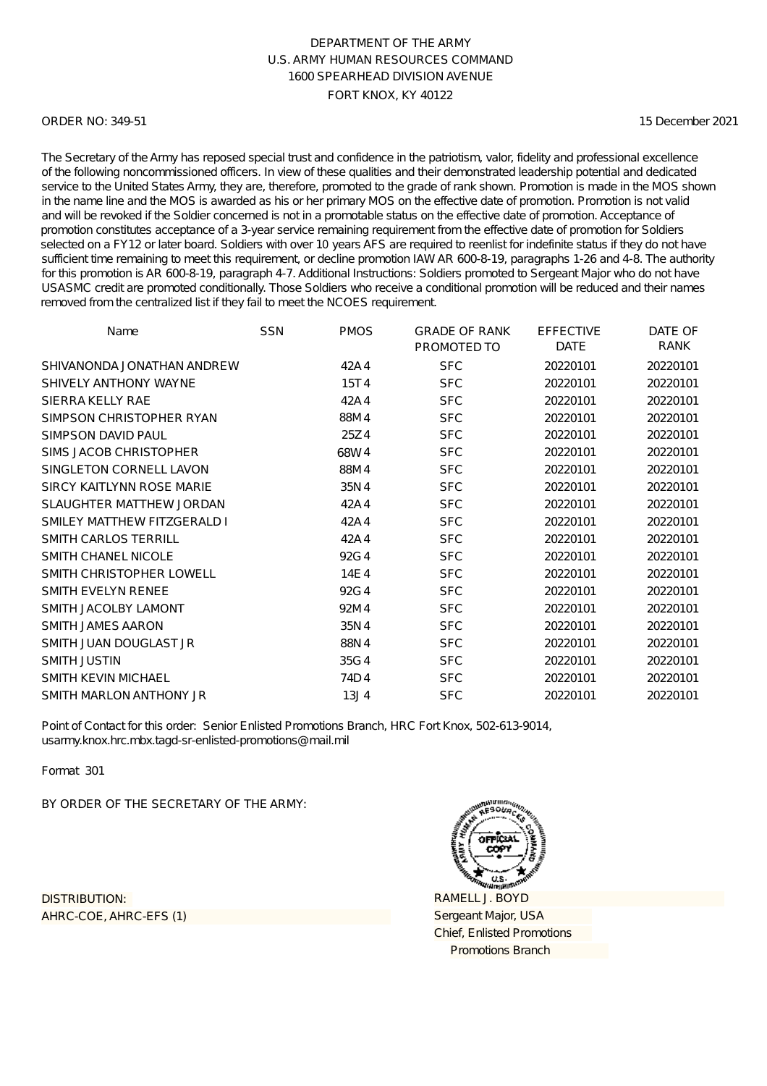#### ORDER NO: 349-51

15 December 2021

The Secretary of the Army has reposed special trust and confidence in the patriotism, valor, fidelity and professional excellence of the following noncommissioned officers. In view of these qualities and their demonstrated leadership potential and dedicated service to the United States Army, they are, therefore, promoted to the grade of rank shown. Promotion is made in the MOS shown in the name line and the MOS is awarded as his or her primary MOS on the effective date of promotion. Promotion is not valid and will be revoked if the Soldier concerned is not in a promotable status on the effective date of promotion. Acceptance of promotion constitutes acceptance of a 3-year service remaining requirement from the effective date of promotion for Soldiers selected on a FY12 or later board. Soldiers with over 10 years AFS are required to reenlist for indefinite status if they do not have sufficient time remaining to meet this requirement, or decline promotion IAW AR 600-8-19, paragraphs 1-26 and 4-8. The authority for this promotion is AR 600-8-19, paragraph 4-7. Additional Instructions: Soldiers promoted to Sergeant Major who do not have USASMC credit are promoted conditionally. Those Soldiers who receive a conditional promotion will be reduced and their names removed from the centralized list if they fail to meet the NCOES requirement.

| Name                            | <b>SSN</b> | <b>PMOS</b> | <b>GRADE OF RANK</b><br>PROMOTED TO | <b>EFFECTIVE</b><br><b>DATE</b> | DATE OF<br><b>RANK</b> |
|---------------------------------|------------|-------------|-------------------------------------|---------------------------------|------------------------|
| SHIVANONDA JONATHAN ANDREW      |            | 42A4        | <b>SFC</b>                          | 20220101                        | 20220101               |
| SHIVELY ANTHONY WAYNE           |            | 15T4        | <b>SFC</b>                          | 20220101                        | 20220101               |
| SIERRA KELLY RAE                |            | 42A4        | <b>SFC</b>                          | 20220101                        | 20220101               |
| SIMPSON CHRISTOPHER RYAN        |            | 88M4        | <b>SFC</b>                          | 20220101                        | 20220101               |
| SIMPSON DAVID PAUL              |            | 25Z4        | <b>SFC</b>                          | 20220101                        | 20220101               |
| SIMS JACOB CHRISTOPHER          |            | 68W4        | <b>SFC</b>                          | 20220101                        | 20220101               |
| SINGLETON CORNELL LAVON         |            | 88M4        | <b>SFC</b>                          | 20220101                        | 20220101               |
| SIRCY KAITLYNN ROSE MARIE       |            | 35N4        | <b>SFC</b>                          | 20220101                        | 20220101               |
| <b>SLAUGHTER MATTHEW JORDAN</b> |            | 42A4        | <b>SFC</b>                          | 20220101                        | 20220101               |
| SMILEY MATTHEW FITZGERALD I     |            | 42A4        | <b>SFC</b>                          | 20220101                        | 20220101               |
| <b>SMITH CARLOS TERRILL</b>     |            | 42A4        | <b>SFC</b>                          | 20220101                        | 20220101               |
| SMITH CHANEL NICOLE             |            | 92G4        | <b>SFC</b>                          | 20220101                        | 20220101               |
| SMITH CHRISTOPHER LOWELL        |            | 14E4        | <b>SFC</b>                          | 20220101                        | 20220101               |
| SMITH EVELYN RENEE              |            | 92G4        | <b>SFC</b>                          | 20220101                        | 20220101               |
| SMITH JACOLBY LAMONT            |            | 92M4        | <b>SFC</b>                          | 20220101                        | 20220101               |
| SMITH JAMES AARON               |            | 35N4        | <b>SFC</b>                          | 20220101                        | 20220101               |
| SMITH JUAN DOUGLAST JR          |            | 88N4        | <b>SFC</b>                          | 20220101                        | 20220101               |
| SMITH JUSTIN                    |            | 35G4        | <b>SFC</b>                          | 20220101                        | 20220101               |
| <b>SMITH KEVIN MICHAEL</b>      |            | 74D4        | <b>SFC</b>                          | 20220101                        | 20220101               |
| SMITH MARLON ANTHONY JR         |            | 13J4        | <b>SFC</b>                          | 20220101                        | 20220101               |

Point of Contact for this order: Senior Enlisted Promotions Branch, HRC Fort Knox, 502-613-9014, usarmy.knox.hrc.mbx.tagd-sr-enlisted-promotions@mail.mil

Format 301

BY ORDER OF THE SECRETARY OF THE ARMY:

AHRC-COE, AHRC-EFS (1) DISTRIBUTION:

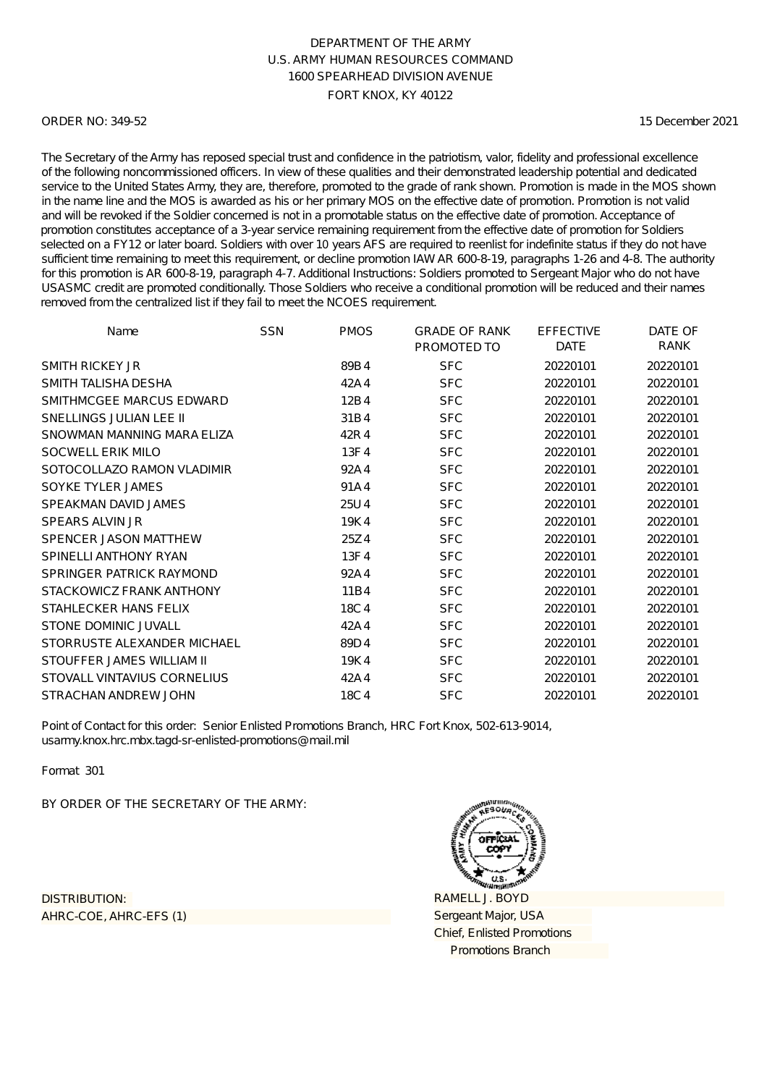#### ORDER NO: 349-52

15 December 2021

The Secretary of the Army has reposed special trust and confidence in the patriotism, valor, fidelity and professional excellence of the following noncommissioned officers. In view of these qualities and their demonstrated leadership potential and dedicated service to the United States Army, they are, therefore, promoted to the grade of rank shown. Promotion is made in the MOS shown in the name line and the MOS is awarded as his or her primary MOS on the effective date of promotion. Promotion is not valid and will be revoked if the Soldier concerned is not in a promotable status on the effective date of promotion. Acceptance of promotion constitutes acceptance of a 3-year service remaining requirement from the effective date of promotion for Soldiers selected on a FY12 or later board. Soldiers with over 10 years AFS are required to reenlist for indefinite status if they do not have sufficient time remaining to meet this requirement, or decline promotion IAW AR 600-8-19, paragraphs 1-26 and 4-8. The authority for this promotion is AR 600-8-19, paragraph 4-7. Additional Instructions: Soldiers promoted to Sergeant Major who do not have USASMC credit are promoted conditionally. Those Soldiers who receive a conditional promotion will be reduced and their names removed from the centralized list if they fail to meet the NCOES requirement.

| Name                        | <b>SSN</b> | <b>PMOS</b> | <b>GRADE OF RANK</b><br>PROMOTED TO | <b>EFFECTIVE</b><br><b>DATE</b> | DATE OF<br><b>RANK</b> |
|-----------------------------|------------|-------------|-------------------------------------|---------------------------------|------------------------|
| <b>SMITH RICKEY JR</b>      |            | 89B4        | <b>SFC</b>                          | 20220101                        | 20220101               |
| SMITH TALISHA DESHA         |            | 42A4        | <b>SFC</b>                          | 20220101                        | 20220101               |
| SMITHMCGEE MARCUS EDWARD    |            | 12B4        | <b>SFC</b>                          | 20220101                        | 20220101               |
| SNELLINGS JULIAN LEE II     |            | 31B4        | <b>SFC</b>                          | 20220101                        | 20220101               |
| SNOWMAN MANNING MARA ELIZA  |            | 42R4        | <b>SFC</b>                          | 20220101                        | 20220101               |
| SOCWELL ERIK MILO           |            | 13F4        | <b>SFC</b>                          | 20220101                        | 20220101               |
| SOTOCOLLAZO RAMON VLADIMIR  |            | 92A4        | <b>SFC</b>                          | 20220101                        | 20220101               |
| SOYKE TYLER JAMES           |            | 91A4        | <b>SFC</b>                          | 20220101                        | 20220101               |
| SPEAKMAN DAVID JAMES        |            | 25U4        | <b>SFC</b>                          | 20220101                        | 20220101               |
| <b>SPEARS ALVIN JR</b>      |            | 19K4        | <b>SFC</b>                          | 20220101                        | 20220101               |
| SPENCER JASON MATTHEW       |            | 25Z4        | <b>SFC</b>                          | 20220101                        | 20220101               |
| SPINELLI ANTHONY RYAN       |            | 13F4        | <b>SFC</b>                          | 20220101                        | 20220101               |
| SPRINGER PATRICK RAYMOND    |            | 92A4        | <b>SFC</b>                          | 20220101                        | 20220101               |
| STACKOWICZ FRANK ANTHONY    |            | 11B4        | <b>SFC</b>                          | 20220101                        | 20220101               |
| STAHLECKER HANS FELIX       |            | 18C4        | <b>SFC</b>                          | 20220101                        | 20220101               |
| STONE DOMINIC JUVALL        |            | 42A4        | <b>SFC</b>                          | 20220101                        | 20220101               |
| STORRUSTE ALEXANDER MICHAEL |            | 89D4        | <b>SFC</b>                          | 20220101                        | 20220101               |
| STOUFFER JAMES WILLIAM II   |            | 19K4        | <b>SFC</b>                          | 20220101                        | 20220101               |
| STOVALL VINTAVIUS CORNELIUS |            | 42A4        | <b>SFC</b>                          | 20220101                        | 20220101               |
| STRACHAN ANDREW JOHN        |            | 18C4        | <b>SFC</b>                          | 20220101                        | 20220101               |

Point of Contact for this order: Senior Enlisted Promotions Branch, HRC Fort Knox, 502-613-9014, usarmy.knox.hrc.mbx.tagd-sr-enlisted-promotions@mail.mil

Format 301

BY ORDER OF THE SECRETARY OF THE ARMY:

AHRC-COE, AHRC-EFS (1) DISTRIBUTION:

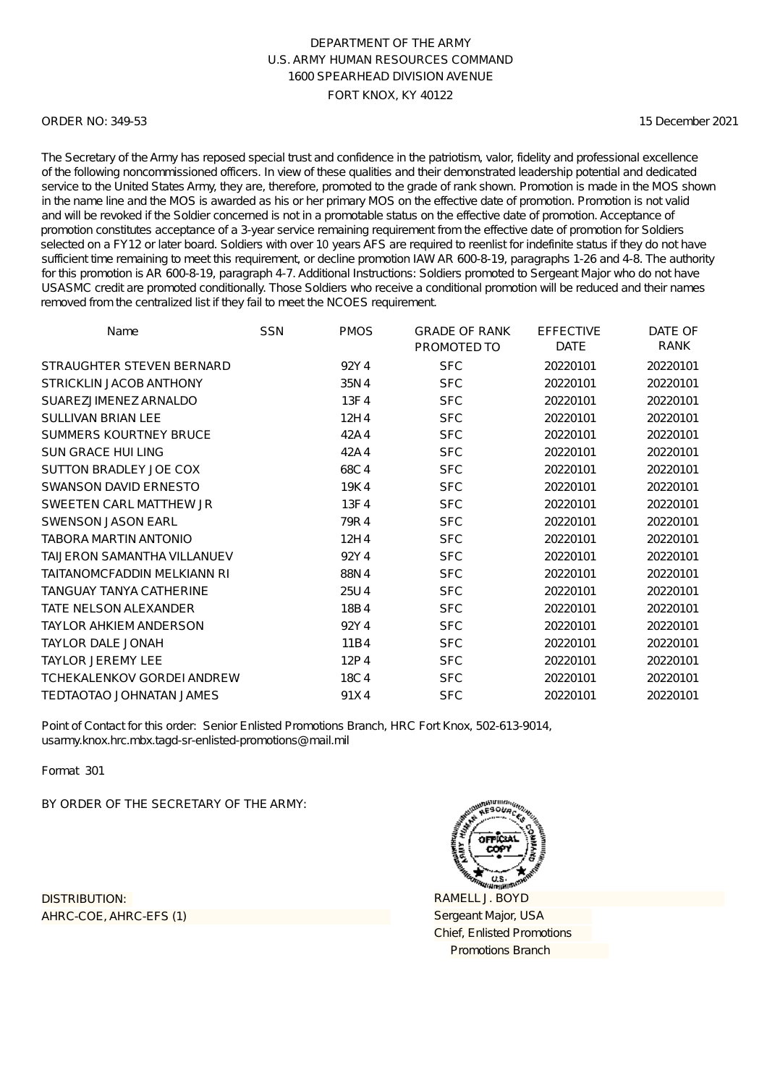#### ORDER NO: 349-53

15 December 2021

The Secretary of the Army has reposed special trust and confidence in the patriotism, valor, fidelity and professional excellence of the following noncommissioned officers. In view of these qualities and their demonstrated leadership potential and dedicated service to the United States Army, they are, therefore, promoted to the grade of rank shown. Promotion is made in the MOS shown in the name line and the MOS is awarded as his or her primary MOS on the effective date of promotion. Promotion is not valid and will be revoked if the Soldier concerned is not in a promotable status on the effective date of promotion. Acceptance of promotion constitutes acceptance of a 3-year service remaining requirement from the effective date of promotion for Soldiers selected on a FY12 or later board. Soldiers with over 10 years AFS are required to reenlist for indefinite status if they do not have sufficient time remaining to meet this requirement, or decline promotion IAW AR 600-8-19, paragraphs 1-26 and 4-8. The authority for this promotion is AR 600-8-19, paragraph 4-7. Additional Instructions: Soldiers promoted to Sergeant Major who do not have USASMC credit are promoted conditionally. Those Soldiers who receive a conditional promotion will be reduced and their names removed from the centralized list if they fail to meet the NCOES requirement.

| Name                               | SSN | <b>PMOS</b> | <b>GRADE OF RANK</b><br>PROMOTED TO | <b>EFFECTIVE</b><br><b>DATE</b> | DATE OF<br>RANK |
|------------------------------------|-----|-------------|-------------------------------------|---------------------------------|-----------------|
| STRAUGHTER STEVEN BERNARD          |     | 92Y4        | <b>SFC</b>                          | 20220101                        | 20220101        |
| STRICKLIN JACOB ANTHONY            |     | 35N4        | <b>SFC</b>                          | 20220101                        | 20220101        |
| SUAREZJIMENEZ ARNALDO              |     | 13F4        | <b>SFC</b>                          | 20220101                        | 20220101        |
| <b>SULLIVAN BRIAN LEE</b>          |     | 12H4        | <b>SFC</b>                          | 20220101                        | 20220101        |
| <b>SUMMERS KOURTNEY BRUCE</b>      |     | 42A4        | <b>SFC</b>                          | 20220101                        | 20220101        |
| <b>SUN GRACE HUI LING</b>          |     | 42A4        | <b>SFC</b>                          | 20220101                        | 20220101        |
| SUTTON BRADLEY JOE COX             |     | 68C4        | <b>SFC</b>                          | 20220101                        | 20220101        |
| <b>SWANSON DAVID ERNESTO</b>       |     | 19K4        | <b>SFC</b>                          | 20220101                        | 20220101        |
| SWEETEN CARL MATTHEW JR            |     | 13F4        | <b>SFC</b>                          | 20220101                        | 20220101        |
| <b>SWENSON JASON EARL</b>          |     | 79R4        | <b>SFC</b>                          | 20220101                        | 20220101        |
| <b>TABORA MARTIN ANTONIO</b>       |     | 12H4        | <b>SFC</b>                          | 20220101                        | 20220101        |
| <b>TAIJERON SAMANTHA VILLANUEV</b> |     | 92Y4        | <b>SFC</b>                          | 20220101                        | 20220101        |
| TAITANOMCFADDIN MELKIANN RI        |     | 88N4        | <b>SFC</b>                          | 20220101                        | 20220101        |
| TANGUAY TANYA CATHERINE            |     | 25U4        | <b>SFC</b>                          | 20220101                        | 20220101        |
| <b>TATE NELSON ALEXANDER</b>       |     | 18B4        | <b>SFC</b>                          | 20220101                        | 20220101        |
| <b>TAYLOR AHKIEM ANDERSON</b>      |     | 92Y4        | <b>SFC</b>                          | 20220101                        | 20220101        |
| <b>TAYLOR DALE JONAH</b>           |     | 11B4        | <b>SFC</b>                          | 20220101                        | 20220101        |
| <b>TAYLOR JEREMY LEE</b>           |     | 12P4        | <b>SFC</b>                          | 20220101                        | 20220101        |
| <b>TCHEKALENKOV GORDEI ANDREW</b>  |     | 18C4        | <b>SFC</b>                          | 20220101                        | 20220101        |
| TEDTAOTAO JOHNATAN JAMES           |     | 91X4        | <b>SFC</b>                          | 20220101                        | 20220101        |

Point of Contact for this order: Senior Enlisted Promotions Branch, HRC Fort Knox, 502-613-9014, usarmy.knox.hrc.mbx.tagd-sr-enlisted-promotions@mail.mil

Format 301

BY ORDER OF THE SECRETARY OF THE ARMY:

AHRC-COE, AHRC-EFS (1) DISTRIBUTION:

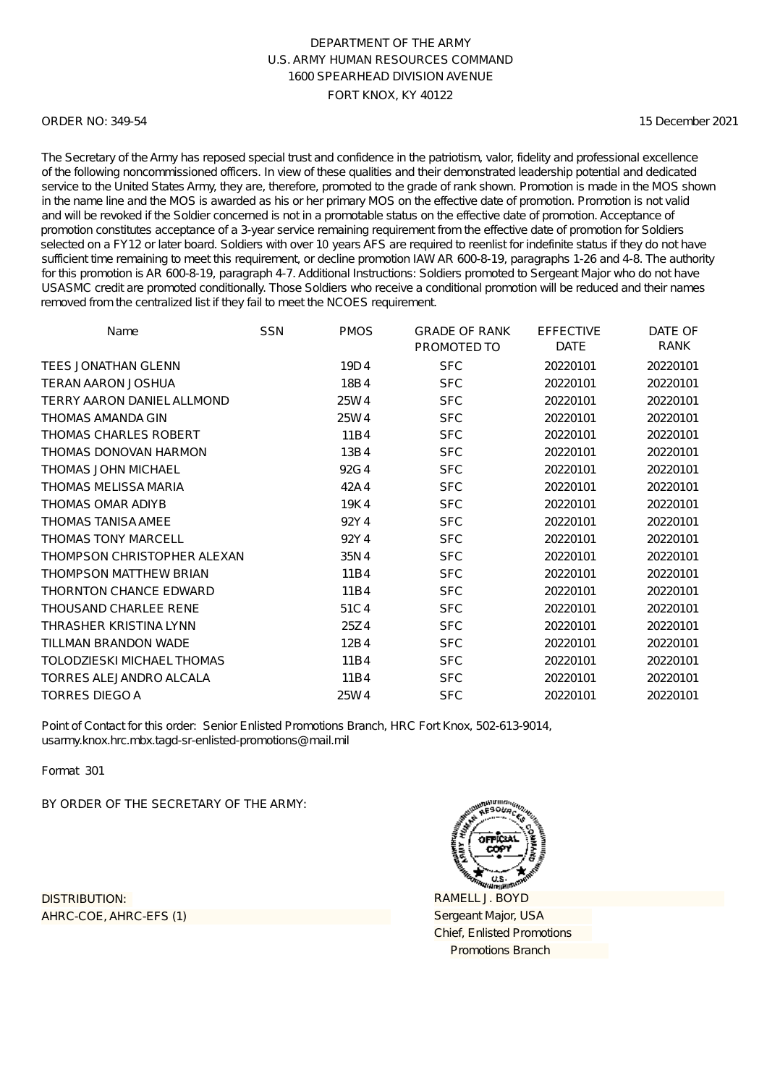#### ORDER NO: 349-54

15 December 2021

The Secretary of the Army has reposed special trust and confidence in the patriotism, valor, fidelity and professional excellence of the following noncommissioned officers. In view of these qualities and their demonstrated leadership potential and dedicated service to the United States Army, they are, therefore, promoted to the grade of rank shown. Promotion is made in the MOS shown in the name line and the MOS is awarded as his or her primary MOS on the effective date of promotion. Promotion is not valid and will be revoked if the Soldier concerned is not in a promotable status on the effective date of promotion. Acceptance of promotion constitutes acceptance of a 3-year service remaining requirement from the effective date of promotion for Soldiers selected on a FY12 or later board. Soldiers with over 10 years AFS are required to reenlist for indefinite status if they do not have sufficient time remaining to meet this requirement, or decline promotion IAW AR 600-8-19, paragraphs 1-26 and 4-8. The authority for this promotion is AR 600-8-19, paragraph 4-7. Additional Instructions: Soldiers promoted to Sergeant Major who do not have USASMC credit are promoted conditionally. Those Soldiers who receive a conditional promotion will be reduced and their names removed from the centralized list if they fail to meet the NCOES requirement.

| Name                          | <b>SSN</b> | <b>PMOS</b> | <b>GRADE OF RANK</b><br>PROMOTED TO | <b>EFFECTIVE</b><br><b>DATE</b> | DATE OF<br>RANK |
|-------------------------------|------------|-------------|-------------------------------------|---------------------------------|-----------------|
| <b>TEES JONATHAN GLENN</b>    |            | 19D4        | <b>SFC</b>                          | 20220101                        | 20220101        |
| <b>TERAN AARON JOSHUA</b>     |            | 18B4        | <b>SFC</b>                          | 20220101                        | 20220101        |
| TERRY AARON DANIEL ALLMOND    |            | 25W4        | <b>SFC</b>                          | 20220101                        | 20220101        |
| <b>THOMAS AMANDA GIN</b>      |            | 25W4        | <b>SFC</b>                          | 20220101                        | 20220101        |
| THOMAS CHARLES ROBERT         |            | 11B4        | <b>SFC</b>                          | 20220101                        | 20220101        |
| THOMAS DONOVAN HARMON         |            | 13B4        | <b>SFC</b>                          | 20220101                        | 20220101        |
| <b>THOMAS JOHN MICHAEL</b>    |            | 92G4        | <b>SFC</b>                          | 20220101                        | 20220101        |
| THOMAS MELISSA MARIA          |            | 42A4        | <b>SFC</b>                          | 20220101                        | 20220101        |
| THOMAS OMAR ADIYB             |            | 19K4        | <b>SFC</b>                          | 20220101                        | 20220101        |
| <b>THOMAS TANISA AMEE</b>     |            | 92Y4        | <b>SFC</b>                          | 20220101                        | 20220101        |
| <b>THOMAS TONY MARCELL</b>    |            | 92Y4        | <b>SFC</b>                          | 20220101                        | 20220101        |
| THOMPSON CHRISTOPHER ALEXAN   |            | 35N4        | <b>SFC</b>                          | 20220101                        | 20220101        |
| <b>THOMPSON MATTHEW BRIAN</b> |            | 11B4        | <b>SFC</b>                          | 20220101                        | 20220101        |
| <b>THORNTON CHANCE EDWARD</b> |            | 11B4        | <b>SFC</b>                          | 20220101                        | 20220101        |
| <b>THOUSAND CHARLEE RENE</b>  |            | 51C4        | <b>SFC</b>                          | 20220101                        | 20220101        |
| THRASHER KRISTINA LYNN        |            | 25Z4        | <b>SFC</b>                          | 20220101                        | 20220101        |
| TILLMAN BRANDON WADE          |            | 12B4        | <b>SFC</b>                          | 20220101                        | 20220101        |
| TOLODZIESKI MICHAEL THOMAS    |            | 11B4        | <b>SFC</b>                          | 20220101                        | 20220101        |
| TORRES ALEJANDRO ALCALA       |            | 11B4        | <b>SFC</b>                          | 20220101                        | 20220101        |
| <b>TORRES DIEGO A</b>         |            | 25W4        | <b>SFC</b>                          | 20220101                        | 20220101        |

Point of Contact for this order: Senior Enlisted Promotions Branch, HRC Fort Knox, 502-613-9014, usarmy.knox.hrc.mbx.tagd-sr-enlisted-promotions@mail.mil

Format 301

BY ORDER OF THE SECRETARY OF THE ARMY:

AHRC-COE, AHRC-EFS (1) DISTRIBUTION:

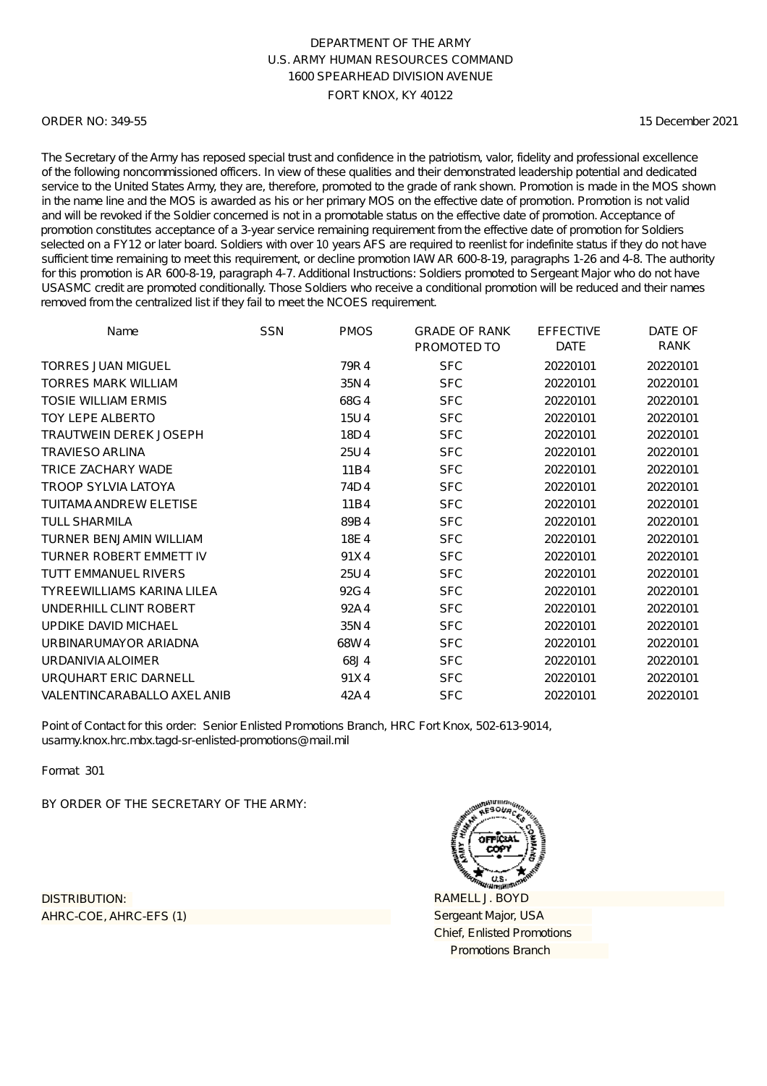#### ORDER NO: 349-55

15 December 2021

The Secretary of the Army has reposed special trust and confidence in the patriotism, valor, fidelity and professional excellence of the following noncommissioned officers. In view of these qualities and their demonstrated leadership potential and dedicated service to the United States Army, they are, therefore, promoted to the grade of rank shown. Promotion is made in the MOS shown in the name line and the MOS is awarded as his or her primary MOS on the effective date of promotion. Promotion is not valid and will be revoked if the Soldier concerned is not in a promotable status on the effective date of promotion. Acceptance of promotion constitutes acceptance of a 3-year service remaining requirement from the effective date of promotion for Soldiers selected on a FY12 or later board. Soldiers with over 10 years AFS are required to reenlist for indefinite status if they do not have sufficient time remaining to meet this requirement, or decline promotion IAW AR 600-8-19, paragraphs 1-26 and 4-8. The authority for this promotion is AR 600-8-19, paragraph 4-7. Additional Instructions: Soldiers promoted to Sergeant Major who do not have USASMC credit are promoted conditionally. Those Soldiers who receive a conditional promotion will be reduced and their names removed from the centralized list if they fail to meet the NCOES requirement.

| Name                           | <b>SSN</b> | <b>PMOS</b> | <b>GRADE OF RANK</b><br>PROMOTED TO | <b>EFFECTIVE</b><br><b>DATE</b> | DATE OF<br>RANK |
|--------------------------------|------------|-------------|-------------------------------------|---------------------------------|-----------------|
| <b>TORRES JUAN MIGUEL</b>      |            | 79R4        | <b>SFC</b>                          | 20220101                        | 20220101        |
| <b>TORRES MARK WILLIAM</b>     |            | 35N4        | <b>SFC</b>                          | 20220101                        | 20220101        |
| <b>TOSIE WILLIAM ERMIS</b>     |            | 68G4        | <b>SFC</b>                          | 20220101                        | 20220101        |
| <b>TOY LEPE ALBERTO</b>        |            | 15U4        | <b>SFC</b>                          | 20220101                        | 20220101        |
| TRAUTWEIN DEREK JOSEPH         |            | 18D4        | <b>SFC</b>                          | 20220101                        | 20220101        |
| <b>TRAVIESO ARLINA</b>         |            | 25U4        | <b>SFC</b>                          | 20220101                        | 20220101        |
| TRICE ZACHARY WADE             |            | 11B4        | <b>SFC</b>                          | 20220101                        | 20220101        |
| <b>TROOP SYLVIA LATOYA</b>     |            | 74D4        | <b>SFC</b>                          | 20220101                        | 20220101        |
| <b>TUITAMA ANDREW ELETISE</b>  |            | 11B4        | <b>SFC</b>                          | 20220101                        | 20220101        |
| <b>TULL SHARMILA</b>           |            | 89B4        | <b>SFC</b>                          | 20220101                        | 20220101        |
| TURNER BENJAMIN WILLIAM        |            | 18E4        | <b>SFC</b>                          | 20220101                        | 20220101        |
| <b>TURNER ROBERT EMMETT IV</b> |            | 91X4        | <b>SFC</b>                          | 20220101                        | 20220101        |
| <b>TUTT EMMANUEL RIVERS</b>    |            | 25U4        | <b>SFC</b>                          | 20220101                        | 20220101        |
| TYREEWILLIAMS KARINA LILEA     |            | 92G4        | <b>SFC</b>                          | 20220101                        | 20220101        |
| UNDERHILL CLINT ROBERT         |            | 92A4        | <b>SFC</b>                          | 20220101                        | 20220101        |
| UPDIKE DAVID MICHAEL           |            | 35N4        | <b>SFC</b>                          | 20220101                        | 20220101        |
| URBINARUMAYOR ARIADNA          |            | 68W4        | <b>SFC</b>                          | 20220101                        | 20220101        |
| URDANIVIA ALOIMER              |            | 68J4        | <b>SFC</b>                          | 20220101                        | 20220101        |
| URQUHART ERIC DARNELL          |            | 91X4        | <b>SFC</b>                          | 20220101                        | 20220101        |
| VALENTINCARABALLO AXEL ANIB    |            | 42A4        | <b>SFC</b>                          | 20220101                        | 20220101        |

Point of Contact for this order: Senior Enlisted Promotions Branch, HRC Fort Knox, 502-613-9014, usarmy.knox.hrc.mbx.tagd-sr-enlisted-promotions@mail.mil

Format 301

BY ORDER OF THE SECRETARY OF THE ARMY:

AHRC-COE, AHRC-EFS (1) DISTRIBUTION:

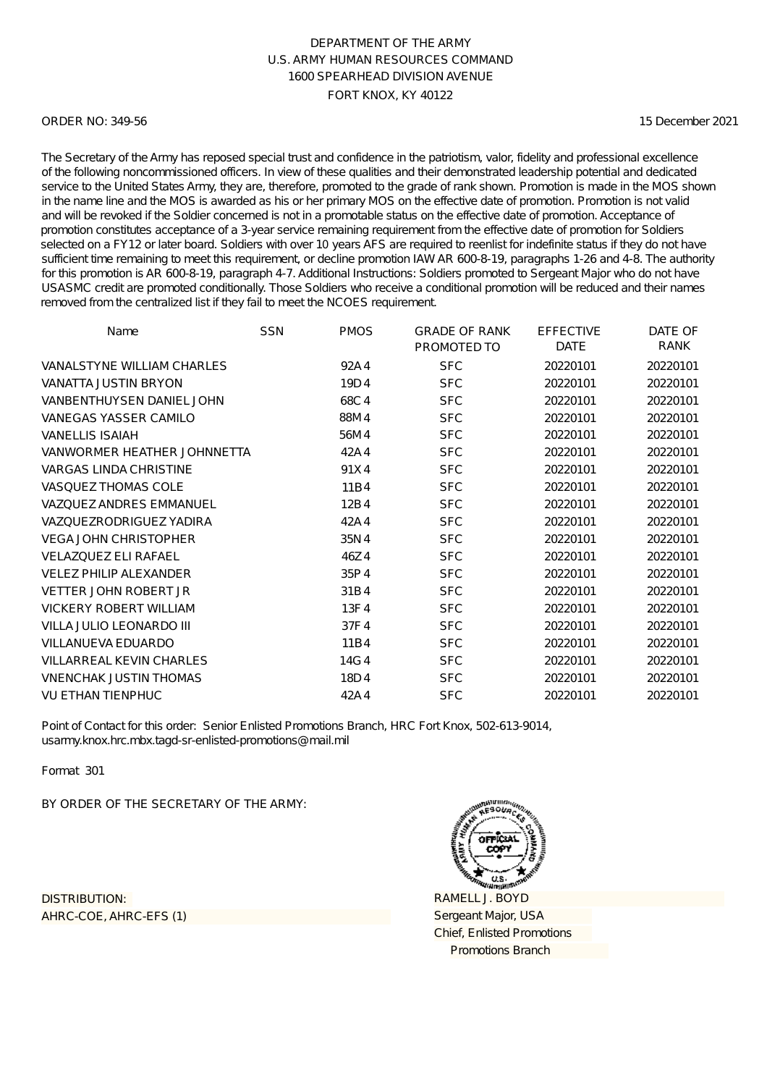#### ORDER NO: 349-56

15 December 2021

The Secretary of the Army has reposed special trust and confidence in the patriotism, valor, fidelity and professional excellence of the following noncommissioned officers. In view of these qualities and their demonstrated leadership potential and dedicated service to the United States Army, they are, therefore, promoted to the grade of rank shown. Promotion is made in the MOS shown in the name line and the MOS is awarded as his or her primary MOS on the effective date of promotion. Promotion is not valid and will be revoked if the Soldier concerned is not in a promotable status on the effective date of promotion. Acceptance of promotion constitutes acceptance of a 3-year service remaining requirement from the effective date of promotion for Soldiers selected on a FY12 or later board. Soldiers with over 10 years AFS are required to reenlist for indefinite status if they do not have sufficient time remaining to meet this requirement, or decline promotion IAW AR 600-8-19, paragraphs 1-26 and 4-8. The authority for this promotion is AR 600-8-19, paragraph 4-7. Additional Instructions: Soldiers promoted to Sergeant Major who do not have USASMC credit are promoted conditionally. Those Soldiers who receive a conditional promotion will be reduced and their names removed from the centralized list if they fail to meet the NCOES requirement.

| Name                             | <b>SSN</b> | <b>PMOS</b> | <b>GRADE OF RANK</b><br>PROMOTED TO | <b>EFFECTIVE</b><br><b>DATE</b> | DATE OF<br><b>RANK</b> |
|----------------------------------|------------|-------------|-------------------------------------|---------------------------------|------------------------|
| VANAL STYNE WILLIAM CHARLES      |            | 92A4        | <b>SFC</b>                          | 20220101                        | 20220101               |
| <b>VANATTA JUSTIN BRYON</b>      |            | 19D4        | <b>SFC</b>                          | 20220101                        | 20220101               |
| <b>VANBENTHUYSEN DANIEL JOHN</b> |            | 68C4        | <b>SFC</b>                          | 20220101                        | 20220101               |
| VANEGAS YASSER CAMILO            |            | 88M4        | <b>SFC</b>                          | 20220101                        | 20220101               |
| <b>VANELLIS ISAIAH</b>           |            | 56M4        | <b>SFC</b>                          | 20220101                        | 20220101               |
| VANWORMER HEATHER JOHNNETTA      |            | 42A4        | <b>SFC</b>                          | 20220101                        | 20220101               |
| <b>VARGAS LINDA CHRISTINE</b>    |            | 91X4        | <b>SFC</b>                          | 20220101                        | 20220101               |
| <b>VASQUEZ THOMAS COLE</b>       |            | 11B4        | <b>SFC</b>                          | 20220101                        | 20220101               |
| <b>VAZQUEZ ANDRES EMMANUEL</b>   |            | 12B4        | <b>SFC</b>                          | 20220101                        | 20220101               |
| VAZQUEZRODRIGUEZ YADIRA          |            | 42A4        | <b>SFC</b>                          | 20220101                        | 20220101               |
| <b>VEGA JOHN CHRISTOPHER</b>     |            | 35N4        | <b>SFC</b>                          | 20220101                        | 20220101               |
| <b>VELAZQUEZ ELI RAFAEL</b>      |            | 46Z4        | <b>SFC</b>                          | 20220101                        | 20220101               |
| VELEZ PHILIP ALEXANDER           |            | 35P4        | <b>SFC</b>                          | 20220101                        | 20220101               |
| <b>VETTER JOHN ROBERT JR</b>     |            | 31B4        | <b>SFC</b>                          | 20220101                        | 20220101               |
| <b>VICKERY ROBERT WILLIAM</b>    |            | 13F4        | <b>SFC</b>                          | 20220101                        | 20220101               |
| VILLA JULIO LEONARDO III         |            | 37F4        | <b>SFC</b>                          | 20220101                        | 20220101               |
| VILLANUEVA EDUARDO               |            | 11B4        | <b>SFC</b>                          | 20220101                        | 20220101               |
| <b>VILLARREAL KEVIN CHARLES</b>  |            | 14G4        | <b>SFC</b>                          | 20220101                        | 20220101               |
| <b>VNENCHAK JUSTIN THOMAS</b>    |            | 18D4        | <b>SFC</b>                          | 20220101                        | 20220101               |
| <b>VU ETHAN TIENPHUC</b>         |            | 42A4        | <b>SFC</b>                          | 20220101                        | 20220101               |

Point of Contact for this order: Senior Enlisted Promotions Branch, HRC Fort Knox, 502-613-9014, usarmy.knox.hrc.mbx.tagd-sr-enlisted-promotions@mail.mil

Format 301

BY ORDER OF THE SECRETARY OF THE ARMY:

AHRC-COE, AHRC-EFS (1) DISTRIBUTION:

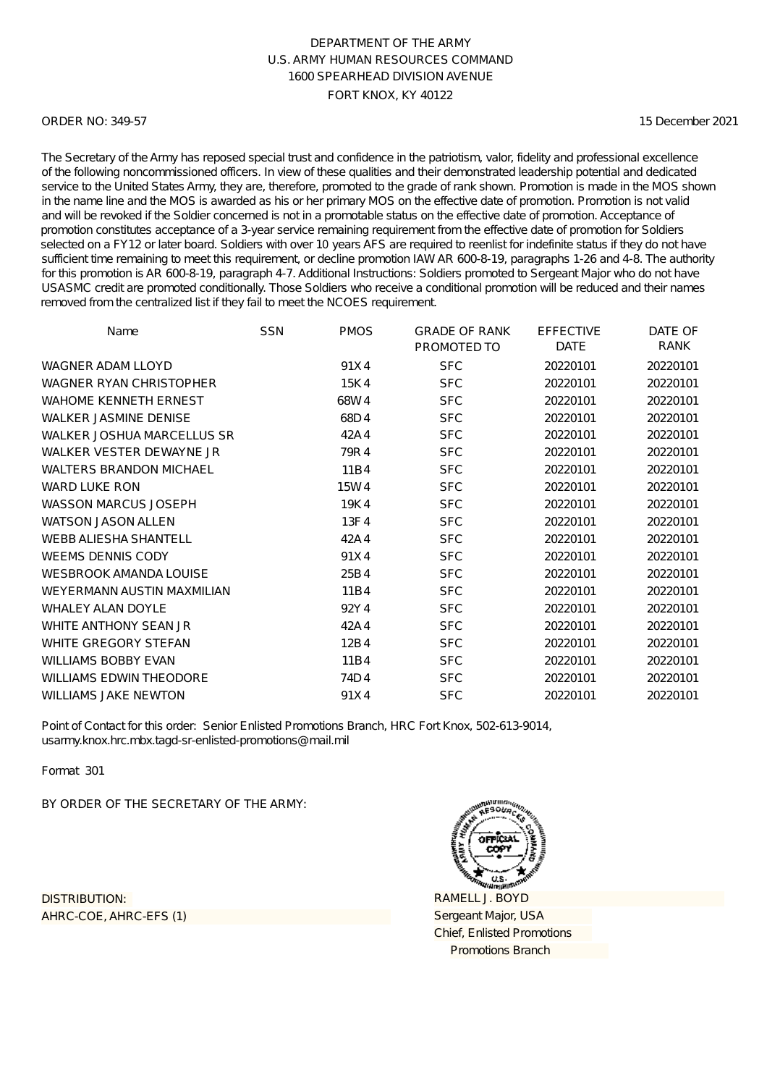#### ORDER NO: 349-57

15 December 2021

The Secretary of the Army has reposed special trust and confidence in the patriotism, valor, fidelity and professional excellence of the following noncommissioned officers. In view of these qualities and their demonstrated leadership potential and dedicated service to the United States Army, they are, therefore, promoted to the grade of rank shown. Promotion is made in the MOS shown in the name line and the MOS is awarded as his or her primary MOS on the effective date of promotion. Promotion is not valid and will be revoked if the Soldier concerned is not in a promotable status on the effective date of promotion. Acceptance of promotion constitutes acceptance of a 3-year service remaining requirement from the effective date of promotion for Soldiers selected on a FY12 or later board. Soldiers with over 10 years AFS are required to reenlist for indefinite status if they do not have sufficient time remaining to meet this requirement, or decline promotion IAW AR 600-8-19, paragraphs 1-26 and 4-8. The authority for this promotion is AR 600-8-19, paragraph 4-7. Additional Instructions: Soldiers promoted to Sergeant Major who do not have USASMC credit are promoted conditionally. Those Soldiers who receive a conditional promotion will be reduced and their names removed from the centralized list if they fail to meet the NCOES requirement.

| Name                           | <b>SSN</b> | <b>PMOS</b> | <b>GRADE OF RANK</b><br>PROMOTED TO | <b>EFFECTIVE</b><br><b>DATE</b> | DATE OF<br>RANK |
|--------------------------------|------------|-------------|-------------------------------------|---------------------------------|-----------------|
| WAGNER ADAM LLOYD              |            | 91X4        | <b>SFC</b>                          | 20220101                        | 20220101        |
| <b>WAGNER RYAN CHRISTOPHER</b> |            | 15K4        | <b>SFC</b>                          | 20220101                        | 20220101        |
| <b>WAHOME KENNETH ERNEST</b>   |            | 68W4        | <b>SFC</b>                          | 20220101                        | 20220101        |
| <b>WALKER JASMINE DENISE</b>   |            | 68D4        | <b>SFC</b>                          | 20220101                        | 20220101        |
| WALKER JOSHUA MARCELLUS SR     |            | 42A4        | <b>SFC</b>                          | 20220101                        | 20220101        |
| WALKER VESTER DEWAYNE JR       |            | 79R4        | <b>SFC</b>                          | 20220101                        | 20220101        |
| <b>WALTERS BRANDON MICHAEL</b> |            | 11B4        | <b>SFC</b>                          | 20220101                        | 20220101        |
| <b>WARD LUKE RON</b>           |            | 15W4        | <b>SFC</b>                          | 20220101                        | 20220101        |
| <b>WASSON MARCUS JOSEPH</b>    |            | 19K4        | <b>SFC</b>                          | 20220101                        | 20220101        |
| <b>WATSON JASON ALLEN</b>      |            | 13F4        | <b>SFC</b>                          | 20220101                        | 20220101        |
| <b>WEBB ALIESHA SHANTELL</b>   |            | 42A4        | <b>SFC</b>                          | 20220101                        | 20220101        |
| <b>WEEMS DENNIS CODY</b>       |            | 91X4        | <b>SFC</b>                          | 20220101                        | 20220101        |
| <b>WESBROOK AMANDA LOUISE</b>  |            | 25B4        | <b>SFC</b>                          | 20220101                        | 20220101        |
| WEYERMANN AUSTIN MAXMILIAN     |            | 11B4        | <b>SFC</b>                          | 20220101                        | 20220101        |
| <b>WHALEY ALAN DOYLE</b>       |            | 92Y4        | <b>SFC</b>                          | 20220101                        | 20220101        |
| WHITE ANTHONY SEAN JR          |            | 42A4        | <b>SFC</b>                          | 20220101                        | 20220101        |
| WHITE GREGORY STEFAN           |            | 12B4        | <b>SFC</b>                          | 20220101                        | 20220101        |
| <b>WILLIAMS BOBBY EVAN</b>     |            | 11B4        | <b>SFC</b>                          | 20220101                        | 20220101        |
| <b>WILLIAMS EDWIN THEODORE</b> |            | 74D4        | <b>SFC</b>                          | 20220101                        | 20220101        |
| <b>WILLIAMS JAKE NEWTON</b>    |            | 91X4        | <b>SFC</b>                          | 20220101                        | 20220101        |

Point of Contact for this order: Senior Enlisted Promotions Branch, HRC Fort Knox, 502-613-9014, usarmy.knox.hrc.mbx.tagd-sr-enlisted-promotions@mail.mil

Format 301

BY ORDER OF THE SECRETARY OF THE ARMY:

AHRC-COE, AHRC-EFS (1) DISTRIBUTION:

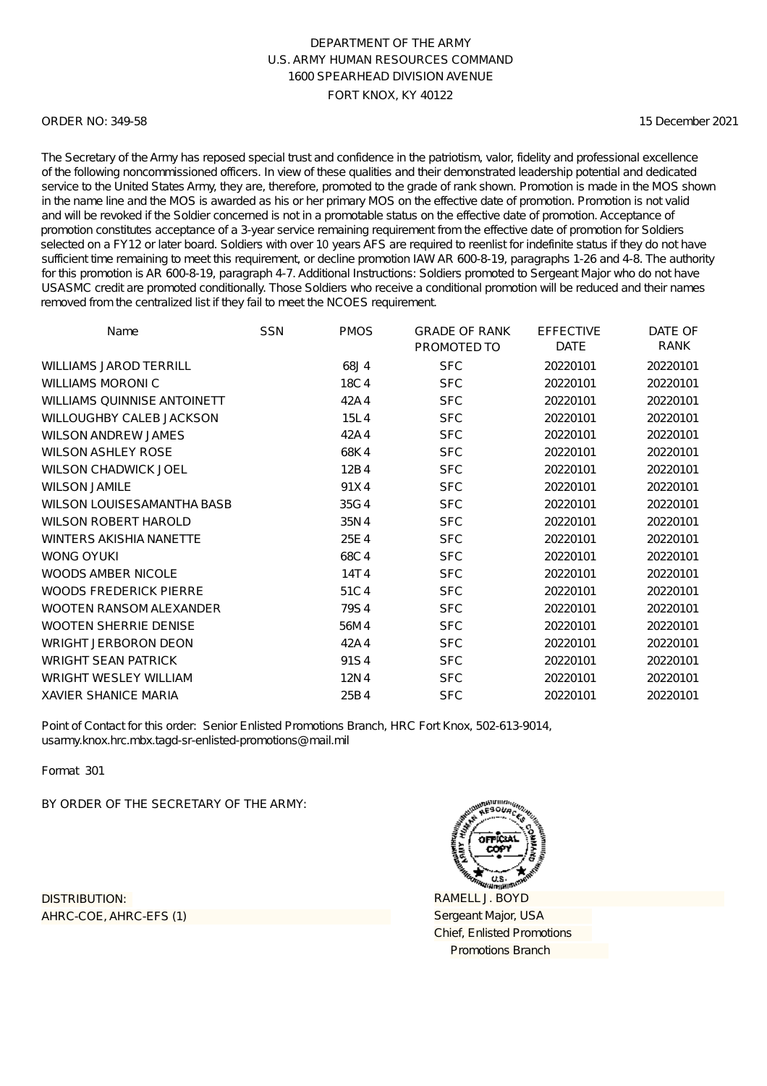#### ORDER NO: 349-58

15 December 2021

The Secretary of the Army has reposed special trust and confidence in the patriotism, valor, fidelity and professional excellence of the following noncommissioned officers. In view of these qualities and their demonstrated leadership potential and dedicated service to the United States Army, they are, therefore, promoted to the grade of rank shown. Promotion is made in the MOS shown in the name line and the MOS is awarded as his or her primary MOS on the effective date of promotion. Promotion is not valid and will be revoked if the Soldier concerned is not in a promotable status on the effective date of promotion. Acceptance of promotion constitutes acceptance of a 3-year service remaining requirement from the effective date of promotion for Soldiers selected on a FY12 or later board. Soldiers with over 10 years AFS are required to reenlist for indefinite status if they do not have sufficient time remaining to meet this requirement, or decline promotion IAW AR 600-8-19, paragraphs 1-26 and 4-8. The authority for this promotion is AR 600-8-19, paragraph 4-7. Additional Instructions: Soldiers promoted to Sergeant Major who do not have USASMC credit are promoted conditionally. Those Soldiers who receive a conditional promotion will be reduced and their names removed from the centralized list if they fail to meet the NCOES requirement.

| Name                               | <b>SSN</b> | <b>PMOS</b> | <b>GRADE OF RANK</b><br>PROMOTED TO | <b>EFFECTIVE</b><br><b>DATE</b> | DATE OF<br>RANK |
|------------------------------------|------------|-------------|-------------------------------------|---------------------------------|-----------------|
| <b>WILLIAMS JAROD TERRILL</b>      |            | 68J4        | <b>SFC</b>                          | 20220101                        | 20220101        |
| <b>WILLIAMS MORONIC</b>            |            | 18C4        | <b>SFC</b>                          | 20220101                        | 20220101        |
| <b>WILLIAMS QUINNISE ANTOINETT</b> |            | 42A4        | <b>SFC</b>                          | 20220101                        | 20220101        |
| WILLOUGHBY CALEB JACKSON           |            | 15L4        | <b>SFC</b>                          | 20220101                        | 20220101        |
| <b>WILSON ANDREW JAMES</b>         |            | 42A4        | <b>SFC</b>                          | 20220101                        | 20220101        |
| <b>WILSON ASHLEY ROSE</b>          |            | 68K4        | <b>SFC</b>                          | 20220101                        | 20220101        |
| <b>WILSON CHADWICK JOEL</b>        |            | 12B4        | <b>SFC</b>                          | 20220101                        | 20220101        |
| <b>WILSON JAMILE</b>               |            | 91X4        | <b>SFC</b>                          | 20220101                        | 20220101        |
| WILSON LOUISESAMANTHA BASB         |            | 35G4        | <b>SFC</b>                          | 20220101                        | 20220101        |
| <b>WILSON ROBERT HAROLD</b>        |            | 35N4        | <b>SFC</b>                          | 20220101                        | 20220101        |
| <b>WINTERS AKISHIA NANETTE</b>     |            | 25E4        | <b>SFC</b>                          | 20220101                        | 20220101        |
| <b>WONG OYUKI</b>                  |            | 68C4        | <b>SFC</b>                          | 20220101                        | 20220101        |
| <b>WOODS AMBER NICOLE</b>          |            | 14T4        | <b>SFC</b>                          | 20220101                        | 20220101        |
| <b>WOODS FREDERICK PIERRE</b>      |            | 51C4        | <b>SFC</b>                          | 20220101                        | 20220101        |
| WOOTEN RANSOM ALEXANDER            |            | 79S4        | <b>SFC</b>                          | 20220101                        | 20220101        |
| <b>WOOTEN SHERRIE DENISE</b>       |            | 56M4        | <b>SFC</b>                          | 20220101                        | 20220101        |
| <b>WRIGHT JERBORON DEON</b>        |            | 42A4        | <b>SFC</b>                          | 20220101                        | 20220101        |
| <b>WRIGHT SEAN PATRICK</b>         |            | 91S4        | <b>SFC</b>                          | 20220101                        | 20220101        |
| <b>WRIGHT WESLEY WILLIAM</b>       |            | 12N4        | <b>SFC</b>                          | 20220101                        | 20220101        |
| <b>XAVIER SHANICE MARIA</b>        |            | 25B4        | <b>SFC</b>                          | 20220101                        | 20220101        |

Point of Contact for this order: Senior Enlisted Promotions Branch, HRC Fort Knox, 502-613-9014, usarmy.knox.hrc.mbx.tagd-sr-enlisted-promotions@mail.mil

Format 301

BY ORDER OF THE SECRETARY OF THE ARMY:

AHRC-COE, AHRC-EFS (1) DISTRIBUTION: